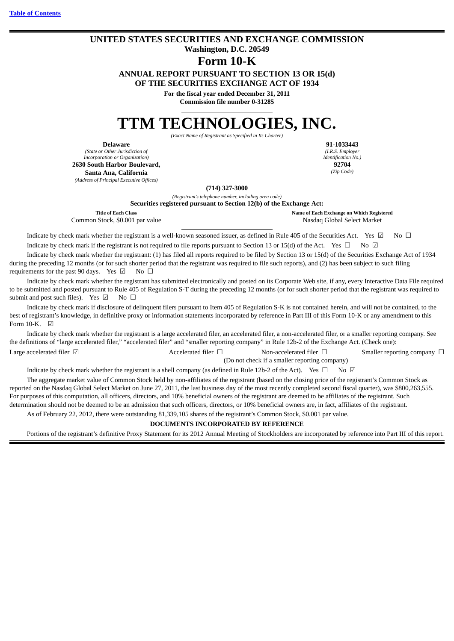# **UNITED STATES SECURITIES AND EXCHANGE COMMISSION Washington, D.C. 20549**

# **Form 10-K**

**ANNUAL REPORT PURSUANT TO SECTION 13 OR 15(d) OF THE SECURITIES EXCHANGE ACT OF 1934**

> **For the fiscal year ended December 31, 2011 Commission file number 0-31285**

# **TTM TECHNOLOGIES, INC.**

*(Exact Name of Registrant as Specified in Its Charter)*

*(State or Other Jurisdiction of Incorporation or Organization)* **2630 South Harbor Boulevard, Santa Ana, California** *(Address of Principal Executive Offices)*

**Delaware 91-1033443** *(I.R.S. Employer Identification No.)* **92704** *(Zip Code)*

**(714) 327-3000**

*(Registrant's telephone number, including area code)*

**Securities registered pursuant to Section 12(b) of the Exchange Act:**

Common Stock, \$0.001 par value Nasdaq Global Select Market

**Title of Each Class Name of Each Exchange on Which Registered**

Indicate by check mark whether the registrant is a well-known seasoned issuer, as defined in Rule 405 of the Securities Act. Yes  $\boxtimes$  No  $\Box$ 

Indicate by check mark if the registrant is not required to file reports pursuant to Section 13 or 15(d) of the Act. Yes  $\Box$  No  $\Box$ 

Indicate by check mark whether the registrant: (1) has filed all reports required to be filed by Section 13 or 15(d) of the Securities Exchange Act of 1934 during the preceding 12 months (or for such shorter period that the registrant was required to file such reports), and (2) has been subject to such filing requirements for the past 90 days. Yes  $\boxtimes$  No  $\Box$ 

Indicate by check mark whether the registrant has submitted electronically and posted on its Corporate Web site, if any, every Interactive Data File required to be submitted and posted pursuant to Rule 405 of Regulation S-T during the preceding 12 months (or for such shorter period that the registrant was required to submit and post such files). Yes  $\boxdot$  No  $\Box$ 

Indicate by check mark if disclosure of delinquent filers pursuant to Item 405 of Regulation S-K is not contained herein, and will not be contained, to the best of registrant's knowledge, in definitive proxy or information statements incorporated by reference in Part III of this Form 10-K or any amendment to this Form  $10-K$   $\Box$ 

Indicate by check mark whether the registrant is a large accelerated filer, an accelerated filer, a non-accelerated filer, or a smaller reporting company. See the definitions of "large accelerated filer," "accelerated filer" and "smaller reporting company" in Rule 12b-2 of the Exchange Act. (Check one):

Large accelerated filer ☑ Accelerated filer □ Non-accelerated filer □ Smaller reporting company □ (Do not check if a smaller reporting company)

Indicate by check mark whether the registrant is a shell company (as defined in Rule 12b-2 of the Act). Yes  $\Box$  No  $\Box$ 

The aggregate market value of Common Stock held by non-affiliates of the registrant (based on the closing price of the registrant's Common Stock as reported on the Nasdaq Global Select Market on June 27, 2011, the last business day of the most recently completed second fiscal quarter), was \$800,263,555. For purposes of this computation, all officers, directors, and 10% beneficial owners of the registrant are deemed to be affiliates of the registrant. Such determination should not be deemed to be an admission that such officers, directors, or 10% beneficial owners are, in fact, affiliates of the registrant.

As of February 22, 2012, there were outstanding 81,339,105 shares of the registrant's Common Stock, \$0.001 par value.

#### **DOCUMENTS INCORPORATED BY REFERENCE**

Portions of the registrant's definitive Proxy Statement for its 2012 Annual Meeting of Stockholders are incorporated by reference into Part III of this report.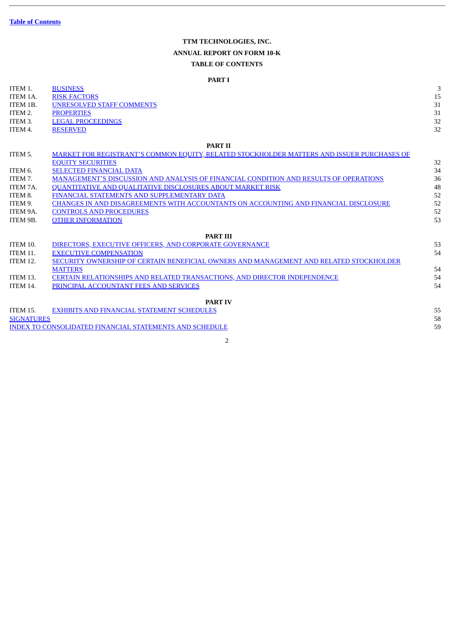# **TTM TECHNOLOGIES, INC. ANNUAL REPORT ON FORM 10-K TABLE OF CONTENTS**

# **PART I**

<span id="page-1-0"></span>

| ITEM 1.           | <b>BUSINESS</b>                                                                            | 3  |
|-------------------|--------------------------------------------------------------------------------------------|----|
| ITEM 1A.          | <b>RISK FACTORS</b>                                                                        | 15 |
| ITEM 1B.          | <b>UNRESOLVED STAFF COMMENTS</b>                                                           | 31 |
| ITEM 2.           | <b>PROPERTIES</b>                                                                          | 31 |
| ITEM 3.           | <b>LEGAL PROCEEDINGS</b>                                                                   | 32 |
| ITEM 4.           | <b>RESERVED</b>                                                                            | 32 |
|                   | <b>PART II</b>                                                                             |    |
| ITEM 5.           | MARKET FOR REGISTRANT'S COMMON EQUITY, RELATED STOCKHOLDER MATTERS AND ISSUER PURCHASES OF |    |
|                   | <b>EQUITY SECURITIES</b>                                                                   | 32 |
| ITEM 6.           | <b>SELECTED FINANCIAL DATA</b>                                                             | 34 |
| ITEM 7.           | MANAGEMENT'S DISCUSSION AND ANALYSIS OF FINANCIAL CONDITION AND RESULTS OF OPERATIONS      | 36 |
| ITEM 7A.          | <b>OUANTITATIVE AND QUALITATIVE DISCLOSURES ABOUT MARKET RISK</b>                          | 48 |
| ITEM 8.           | FINANCIAL STATEMENTS AND SUPPLEMENTARY DATA                                                | 52 |
| ITEM 9.           | CHANGES IN AND DISAGREEMENTS WITH ACCOUNTANTS ON ACCOUNTING AND FINANCIAL DISCLOSURE       | 52 |
| ITEM 9A.          | <b>CONTROLS AND PROCEDURES</b>                                                             | 52 |
| ITEM 9B.          | <b>OTHER INFORMATION</b>                                                                   | 53 |
|                   | <b>PART III</b>                                                                            |    |
| ITEM 10.          | DIRECTORS, EXECUTIVE OFFICERS, AND CORPORATE GOVERNANCE                                    | 53 |
| ITEM 11.          | <b>EXECUTIVE COMPENSATION</b>                                                              | 54 |
| <b>ITEM 12.</b>   | SECURITY OWNERSHIP OF CERTAIN BENEFICIAL OWNERS AND MANAGEMENT AND RELATED STOCKHOLDER     |    |
|                   | <b>MATTERS</b>                                                                             | 54 |
| ITEM 13.          | <b>CERTAIN RELATIONSHIPS AND RELATED TRANSACTIONS, AND DIRECTOR INDEPENDENCE</b>           | 54 |
| ITEM 14.          | PRINCIPAL ACCOUNTANT FEES AND SERVICES                                                     | 54 |
|                   | <b>PART IV</b>                                                                             |    |
| ITEM 15.          | <b>EXHIBITS AND FINANCIAL STATEMENT SCHEDULES</b>                                          | 55 |
| <b>SIGNATURES</b> |                                                                                            | 58 |
|                   | <b>INDEX TO CONSOLIDATED FINANCIAL STATEMENTS AND SCHEDULE</b>                             | 59 |
|                   |                                                                                            |    |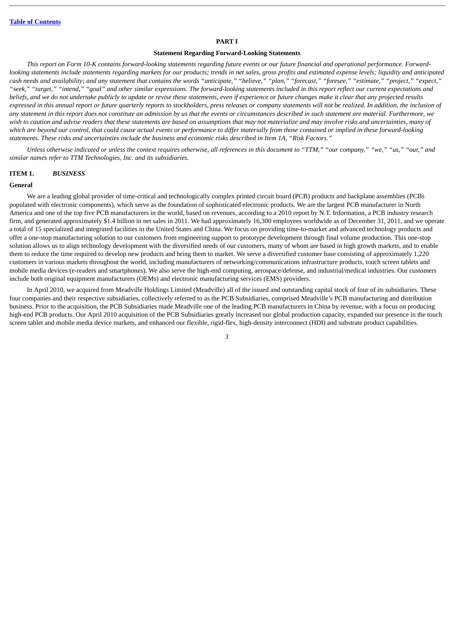#### **PART I**

#### **Statement Regarding Forward-Looking Statements**

*This report on Form 10-K contains forward-looking statements regarding future events or our future financial and operational performance. Forwardlooking statements include statements regarding markets for our products; trends in net sales, gross profits and estimated expense levels; liquidity and anticipated cash needs and availability; and any statement that contains the words "anticipate," "believe," "plan," "forecast," "foresee," "estimate," "project," "expect," "seek," "target," "intend," "goal" and other similar expressions. The forward-looking statements included in this report reflect our current expectations and beliefs, and we do not undertake publicly to update or revise these statements, even if experience or future changes make it clear that any projected results expressed in this annual report or future quarterly reports to stockholders, press releases or company statements will not be realized. In addition, the inclusion of any statement in this report does not constitute an admission by us that the events or circumstances described in such statement are material. Furthermore, we wish to caution and advise readers that these statements are based on assumptions that may not materialize and may involve risks and uncertainties, many of which are beyond our control, that could cause actual events or performance to differ materially from those contained or implied in these forward-looking statements. These risks and uncertainties include the business and economic risks described in Item 1A, "Risk Factors."*

*Unless otherwise indicated or unless the context requires otherwise, all references in this document to "TTM," "our company," "we," "us," "our," and similar names refer to TTM Technologies, Inc. and its subsidiaries.*

#### <span id="page-2-0"></span>**ITEM 1.** *BUSINESS*

#### **General**

We are a leading global provider of time-critical and technologically complex printed circuit board (PCB) products and backplane assemblies (PCBs populated with electronic components), which serve as the foundation of sophisticated electronic products. We are the largest PCB manufacturer in North America and one of the top five PCB manufacturers in the world, based on revenues, according to a 2010 report by N.T. Information, a PCB industry research firm, and generated approximately \$1.4 billion in net sales in 2011. We had approximately 16,300 employees worldwide as of December 31, 2011, and we operate a total of 15 specialized and integrated facilities in the United States and China. We focus on providing time-to-market and advanced technology products and offer a one-stop manufacturing solution to our customers from engineering support to prototype development through final volume production. This one-stop solution allows us to align technology development with the diversified needs of our customers, many of whom are based in high growth markets, and to enable them to reduce the time required to develop new products and bring them to market. We serve a diversified customer base consisting of approximately 1,220 customers in various markets throughout the world, including manufacturers of networking/communications infrastructure products, touch screen tablets and mobile media devices (e-readers and smartphones). We also serve the high-end computing, aerospace/defense, and industrial/medical industries. Our customers include both original equipment manufacturers (OEMs) and electronic manufacturing services (EMS) providers.

In April 2010, we acquired from Meadville Holdings Limited (Meadville) all of the issued and outstanding capital stock of four of its subsidiaries. These four companies and their respective subsidiaries, collectively referred to as the PCB Subsidiaries, comprised Meadville's PCB manufacturing and distribution business. Prior to the acquisition, the PCB Subsidiaries made Meadville one of the leading PCB manufacturers in China by revenue, with a focus on producing high-end PCB products. Our April 2010 acquisition of the PCB Subsidiaries greatly increased our global production capacity, expanded our presence in the touch screen tablet and mobile media device markets, and enhanced our flexible, rigid-flex, high-density interconnect (HDI) and substrate product capabilities.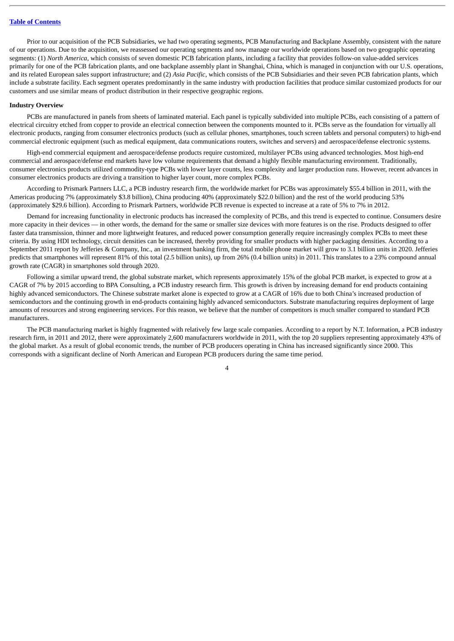Prior to our acquisition of the PCB Subsidiaries, we had two operating segments, PCB Manufacturing and Backplane Assembly, consistent with the nature of our operations. Due to the acquisition, we reassessed our operating segments and now manage our worldwide operations based on two geographic operating segments: (1) *North America*, which consists of seven domestic PCB fabrication plants, including a facility that provides follow-on value-added services primarily for one of the PCB fabrication plants, and one backplane assembly plant in Shanghai, China, which is managed in conjunction with our U.S. operations, and its related European sales support infrastructure; and (2) *Asia Pacific*, which consists of the PCB Subsidiaries and their seven PCB fabrication plants, which include a substrate facility. Each segment operates predominantly in the same industry with production facilities that produce similar customized products for our customers and use similar means of product distribution in their respective geographic regions.

#### **Industry Overview**

PCBs are manufactured in panels from sheets of laminated material. Each panel is typically subdivided into multiple PCBs, each consisting of a pattern of electrical circuitry etched from copper to provide an electrical connection between the components mounted to it. PCBs serve as the foundation for virtually all electronic products, ranging from consumer electronics products (such as cellular phones, smartphones, touch screen tablets and personal computers) to high-end commercial electronic equipment (such as medical equipment, data communications routers, switches and servers) and aerospace/defense electronic systems.

High-end commercial equipment and aerospace/defense products require customized, multilayer PCBs using advanced technologies. Most high-end commercial and aerospace/defense end markets have low volume requirements that demand a highly flexible manufacturing environment. Traditionally, consumer electronics products utilized commodity-type PCBs with lower layer counts, less complexity and larger production runs. However, recent advances in consumer electronics products are driving a transition to higher layer count, more complex PCBs.

According to Prismark Partners LLC, a PCB industry research firm, the worldwide market for PCBs was approximately \$55.4 billion in 2011, with the Americas producing 7% (approximately \$3.8 billion), China producing 40% (approximately \$22.0 billion) and the rest of the world producing 53% (approximately \$29.6 billion). According to Prismark Partners, worldwide PCB revenue is expected to increase at a rate of 5% to 7% in 2012.

Demand for increasing functionality in electronic products has increased the complexity of PCBs, and this trend is expected to continue. Consumers desire more capacity in their devices — in other words, the demand for the same or smaller size devices with more features is on the rise. Products designed to offer faster data transmission, thinner and more lightweight features, and reduced power consumption generally require increasingly complex PCBs to meet these criteria. By using HDI technology, circuit densities can be increased, thereby providing for smaller products with higher packaging densities. According to a September 2011 report by Jefferies & Company, Inc., an investment banking firm, the total mobile phone market will grow to 3.1 billion units in 2020. Jefferies predicts that smartphones will represent 81% of this total (2.5 billion units), up from 26% (0.4 billion units) in 2011. This translates to a 23% compound annual growth rate (CAGR) in smartphones sold through 2020.

Following a similar upward trend, the global substrate market, which represents approximately 15% of the global PCB market, is expected to grow at a CAGR of 7% by 2015 according to BPA Consulting, a PCB industry research firm. This growth is driven by increasing demand for end products containing highly advanced semiconductors. The Chinese substrate market alone is expected to grow at a CAGR of 16% due to both China's increased production of semiconductors and the continuing growth in end-products containing highly advanced semiconductors. Substrate manufacturing requires deployment of large amounts of resources and strong engineering services. For this reason, we believe that the number of competitors is much smaller compared to standard PCB manufacturers.

The PCB manufacturing market is highly fragmented with relatively few large scale companies. According to a report by N.T. Information, a PCB industry research firm, in 2011 and 2012, there were approximately 2,600 manufacturers worldwide in 2011, with the top 20 suppliers representing approximately 43% of the global market. As a result of global economic trends, the number of PCB producers operating in China has increased significantly since 2000. This corresponds with a significant decline of North American and European PCB producers during the same time period.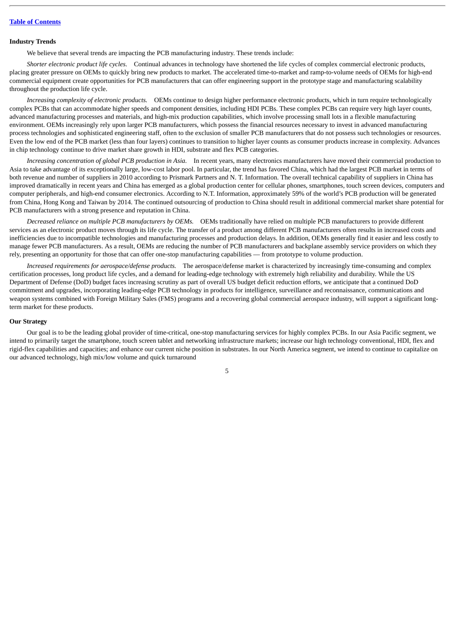#### **Industry Trends**

We believe that several trends are impacting the PCB manufacturing industry. These trends include:

*Shorter electronic product life cycles.* Continual advances in technology have shortened the life cycles of complex commercial electronic products, placing greater pressure on OEMs to quickly bring new products to market. The accelerated time-to-market and ramp-to-volume needs of OEMs for high-end commercial equipment create opportunities for PCB manufacturers that can offer engineering support in the prototype stage and manufacturing scalability throughout the production life cycle.

*Increasing complexity of electronic products.* OEMs continue to design higher performance electronic products, which in turn require technologically complex PCBs that can accommodate higher speeds and component densities, including HDI PCBs. These complex PCBs can require very high layer counts, advanced manufacturing processes and materials, and high-mix production capabilities, which involve processing small lots in a flexible manufacturing environment. OEMs increasingly rely upon larger PCB manufacturers, which possess the financial resources necessary to invest in advanced manufacturing process technologies and sophisticated engineering staff, often to the exclusion of smaller PCB manufacturers that do not possess such technologies or resources. Even the low end of the PCB market (less than four layers) continues to transition to higher layer counts as consumer products increase in complexity. Advances in chip technology continue to drive market share growth in HDI, substrate and flex PCB categories.

*Increasing concentration of global PCB production in Asia.* In recent years, many electronics manufacturers have moved their commercial production to Asia to take advantage of its exceptionally large, low-cost labor pool. In particular, the trend has favored China, which had the largest PCB market in terms of both revenue and number of suppliers in 2010 according to Prismark Partners and N. T. Information. The overall technical capability of suppliers in China has improved dramatically in recent years and China has emerged as a global production center for cellular phones, smartphones, touch screen devices, computers and computer peripherals, and high-end consumer electronics. According to N.T. Information, approximately 59% of the world's PCB production will be generated from China, Hong Kong and Taiwan by 2014. The continued outsourcing of production to China should result in additional commercial market share potential for PCB manufacturers with a strong presence and reputation in China.

*Decreased reliance on multiple PCB manufacturers by OEMs.* OEMs traditionally have relied on multiple PCB manufacturers to provide different services as an electronic product moves through its life cycle. The transfer of a product among different PCB manufacturers often results in increased costs and inefficiencies due to incompatible technologies and manufacturing processes and production delays. In addition, OEMs generally find it easier and less costly to manage fewer PCB manufacturers. As a result, OEMs are reducing the number of PCB manufacturers and backplane assembly service providers on which they rely, presenting an opportunity for those that can offer one-stop manufacturing capabilities — from prototype to volume production.

*Increased requirements for aerospace/defense products.* The aerospace/defense market is characterized by increasingly time-consuming and complex certification processes, long product life cycles, and a demand for leading-edge technology with extremely high reliability and durability. While the US Department of Defense (DoD) budget faces increasing scrutiny as part of overall US budget deficit reduction efforts, we anticipate that a continued DoD commitment and upgrades, incorporating leading-edge PCB technology in products for intelligence, surveillance and reconnaissance, communications and weapon systems combined with Foreign Military Sales (FMS) programs and a recovering global commercial aerospace industry, will support a significant longterm market for these products.

#### **Our Strategy**

Our goal is to be the leading global provider of time-critical, one-stop manufacturing services for highly complex PCBs. In our Asia Pacific segment, we intend to primarily target the smartphone, touch screen tablet and networking infrastructure markets; increase our high technology conventional, HDI, flex and rigid-flex capabilities and capacities; and enhance our current niche position in substrates. In our North America segment, we intend to continue to capitalize on our advanced technology, high mix/low volume and quick turnaround

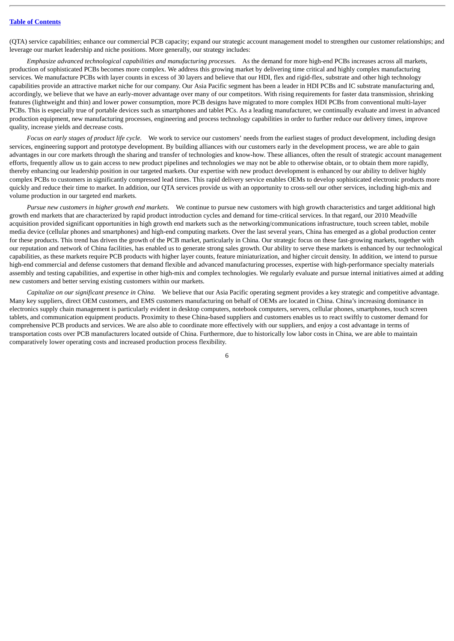(QTA) service capabilities; enhance our commercial PCB capacity; expand our strategic account management model to strengthen our customer relationships; and leverage our market leadership and niche positions. More generally, our strategy includes:

*Emphasize advanced technological capabilities and manufacturing processes.* As the demand for more high-end PCBs increases across all markets, production of sophisticated PCBs becomes more complex. We address this growing market by delivering time critical and highly complex manufacturing services. We manufacture PCBs with layer counts in excess of 30 layers and believe that our HDI, flex and rigid-flex, substrate and other high technology capabilities provide an attractive market niche for our company. Our Asia Pacific segment has been a leader in HDI PCBs and IC substrate manufacturing and, accordingly, we believe that we have an early-mover advantage over many of our competitors. With rising requirements for faster data transmission, shrinking features (lightweight and thin) and lower power consumption, more PCB designs have migrated to more complex HDI PCBs from conventional multi-layer PCBs. This is especially true of portable devices such as smartphones and tablet PCs. As a leading manufacturer, we continually evaluate and invest in advanced production equipment, new manufacturing processes, engineering and process technology capabilities in order to further reduce our delivery times, improve quality, increase yields and decrease costs.

*Focus on early stages of product life cycle.* We work to service our customers' needs from the earliest stages of product development, including design services, engineering support and prototype development. By building alliances with our customers early in the development process, we are able to gain advantages in our core markets through the sharing and transfer of technologies and know-how. These alliances, often the result of strategic account management efforts, frequently allow us to gain access to new product pipelines and technologies we may not be able to otherwise obtain, or to obtain them more rapidly, thereby enhancing our leadership position in our targeted markets. Our expertise with new product development is enhanced by our ability to deliver highly complex PCBs to customers in significantly compressed lead times. This rapid delivery service enables OEMs to develop sophisticated electronic products more quickly and reduce their time to market. In addition, our QTA services provide us with an opportunity to cross-sell our other services, including high-mix and volume production in our targeted end markets.

*Pursue new customers in higher growth end markets.* We continue to pursue new customers with high growth characteristics and target additional high growth end markets that are characterized by rapid product introduction cycles and demand for time-critical services. In that regard, our 2010 Meadville acquisition provided significant opportunities in high growth end markets such as the networking/communications infrastructure, touch screen tablet, mobile media device (cellular phones and smartphones) and high-end computing markets. Over the last several years, China has emerged as a global production center for these products. This trend has driven the growth of the PCB market, particularly in China. Our strategic focus on these fast-growing markets, together with our reputation and network of China facilities, has enabled us to generate strong sales growth. Our ability to serve these markets is enhanced by our technological capabilities, as these markets require PCB products with higher layer counts, feature miniaturization, and higher circuit density. In addition, we intend to pursue high-end commercial and defense customers that demand flexible and advanced manufacturing processes, expertise with high-performance specialty materials assembly and testing capabilities, and expertise in other high-mix and complex technologies. We regularly evaluate and pursue internal initiatives aimed at adding new customers and better serving existing customers within our markets.

*Capitalize on our significant presence in China.* We believe that our Asia Pacific operating segment provides a key strategic and competitive advantage. Many key suppliers, direct OEM customers, and EMS customers manufacturing on behalf of OEMs are located in China. China's increasing dominance in electronics supply chain management is particularly evident in desktop computers, notebook computers, servers, cellular phones, smartphones, touch screen tablets, and communication equipment products. Proximity to these China-based suppliers and customers enables us to react swiftly to customer demand for comprehensive PCB products and services. We are also able to coordinate more effectively with our suppliers, and enjoy a cost advantage in terms of transportation costs over PCB manufacturers located outside of China. Furthermore, due to historically low labor costs in China, we are able to maintain comparatively lower operating costs and increased production process flexibility.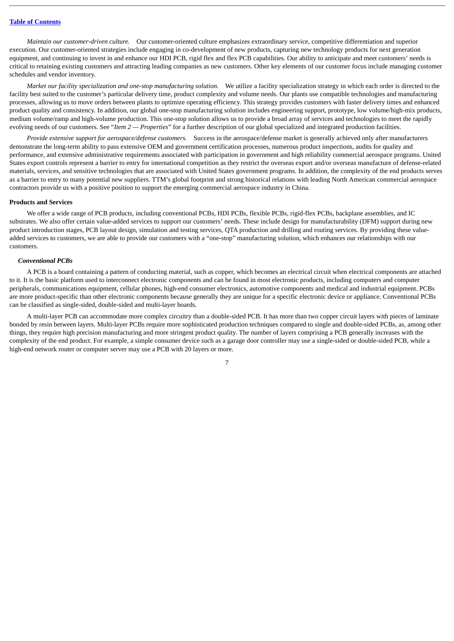*Maintain our customer-driven culture.* Our customer-oriented culture emphasizes extraordinary service, competitive differentiation and superior execution. Our customer-oriented strategies include engaging in co-development of new products, capturing new technology products for next generation equipment, and continuing to invest in and enhance our HDI PCB, rigid flex and flex PCB capabilities. Our ability to anticipate and meet customers' needs is critical to retaining existing customers and attracting leading companies as new customers. Other key elements of our customer focus include managing customer schedules and vendor inventory.

*Market our facility specialization and one-stop manufacturing solution.* We utilize a facility specialization strategy in which each order is directed to the facility best suited to the customer's particular delivery time, product complexity and volume needs. Our plants use compatible technologies and manufacturing processes, allowing us to move orders between plants to optimize operating efficiency. This strategy provides customers with faster delivery times and enhanced product quality and consistency. In addition, our global one-stop manufacturing solution includes engineering support, prototype, low volume/high-mix products, medium volume/ramp and high-volume production. This one-stop solution allows us to provide a broad array of services and technologies to meet the rapidly evolving needs of our customers. See "*Item 2 — Properties*" for a further description of our global specialized and integrated production facilities.

*Provide extensive support for aerospace/defense customers.* Success in the aerospace/defense market is generally achieved only after manufacturers demonstrate the long-term ability to pass extensive OEM and government certification processes, numerous product inspections, audits for quality and performance, and extensive administrative requirements associated with participation in government and high reliability commercial aerospace programs. United States export controls represent a barrier to entry for international competition as they restrict the overseas export and/or overseas manufacture of defense-related materials, services, and sensitive technologies that are associated with United States government programs. In addition, the complexity of the end products serves as a barrier to entry to many potential new suppliers. TTM's global footprint and strong historical relations with leading North American commercial aerospace contractors provide us with a positive position to support the emerging commercial aerospace industry in China.

#### **Products and Services**

We offer a wide range of PCB products, including conventional PCBs, HDI PCBs, flexible PCBs, rigid-flex PCBs, backplane assemblies, and IC substrates. We also offer certain value-added services to support our customers' needs. These include design for manufacturability (DFM) support during new product introduction stages, PCB layout design, simulation and testing services, QTA production and drilling and routing services. By providing these valueadded services to customers, we are able to provide our customers with a "one-stop" manufacturing solution, which enhances our relationships with our customers.

#### *Conventional PCBs*

A PCB is a board containing a pattern of conducting material, such as copper, which becomes an electrical circuit when electrical components are attached to it. It is the basic platform used to interconnect electronic components and can be found in most electronic products, including computers and computer peripherals, communications equipment, cellular phones, high-end consumer electronics, automotive components and medical and industrial equipment. PCBs are more product-specific than other electronic components because generally they are unique for a specific electronic device or appliance. Conventional PCBs can be classified as single-sided, double-sided and multi-layer boards.

A multi-layer PCB can accommodate more complex circuitry than a double-sided PCB. It has more than two copper circuit layers with pieces of laminate bonded by resin between layers. Multi-layer PCBs require more sophisticated production techniques compared to single and double-sided PCBs, as, among other things, they require high precision manufacturing and more stringent product quality. The number of layers comprising a PCB generally increases with the complexity of the end product. For example, a simple consumer device such as a garage door controller may use a single-sided or double-sided PCB, while a high-end network router or computer server may use a PCB with 20 layers or more.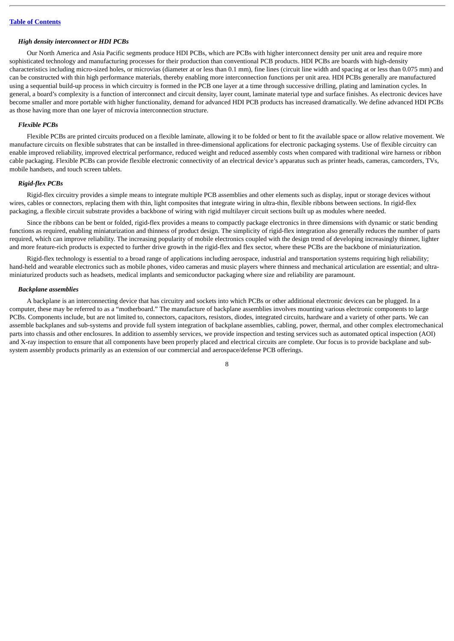#### *High density interconnect or HDI PCBs*

Our North America and Asia Pacific segments produce HDI PCBs, which are PCBs with higher interconnect density per unit area and require more sophisticated technology and manufacturing processes for their production than conventional PCB products. HDI PCBs are boards with high-density characteristics including micro-sized holes, or microvias (diameter at or less than 0.1 mm), fine lines (circuit line width and spacing at or less than 0.075 mm) and can be constructed with thin high performance materials, thereby enabling more interconnection functions per unit area. HDI PCBs generally are manufactured using a sequential build-up process in which circuitry is formed in the PCB one layer at a time through successive drilling, plating and lamination cycles. In general, a board's complexity is a function of interconnect and circuit density, layer count, laminate material type and surface finishes. As electronic devices have become smaller and more portable with higher functionality, demand for advanced HDI PCB products has increased dramatically. We define advanced HDI PCBs as those having more than one layer of microvia interconnection structure.

#### *Flexible PCBs*

Flexible PCBs are printed circuits produced on a flexible laminate, allowing it to be folded or bent to fit the available space or allow relative movement. We manufacture circuits on flexible substrates that can be installed in three-dimensional applications for electronic packaging systems. Use of flexible circuitry can enable improved reliability, improved electrical performance, reduced weight and reduced assembly costs when compared with traditional wire harness or ribbon cable packaging. Flexible PCBs can provide flexible electronic connectivity of an electrical device's apparatus such as printer heads, cameras, camcorders, TVs, mobile handsets, and touch screen tablets.

#### *Rigid-flex PCBs*

Rigid-flex circuitry provides a simple means to integrate multiple PCB assemblies and other elements such as display, input or storage devices without wires, cables or connectors, replacing them with thin, light composites that integrate wiring in ultra-thin, flexible ribbons between sections. In rigid-flex packaging, a flexible circuit substrate provides a backbone of wiring with rigid multilayer circuit sections built up as modules where needed.

Since the ribbons can be bent or folded, rigid-flex provides a means to compactly package electronics in three dimensions with dynamic or static bending functions as required, enabling miniaturization and thinness of product design. The simplicity of rigid-flex integration also generally reduces the number of parts required, which can improve reliability. The increasing popularity of mobile electronics coupled with the design trend of developing increasingly thinner, lighter and more feature-rich products is expected to further drive growth in the rigid-flex and flex sector, where these PCBs are the backbone of miniaturization.

Rigid-flex technology is essential to a broad range of applications including aerospace, industrial and transportation systems requiring high reliability; hand-held and wearable electronics such as mobile phones, video cameras and music players where thinness and mechanical articulation are essential; and ultraminiaturized products such as headsets, medical implants and semiconductor packaging where size and reliability are paramount.

#### *Backplane assemblies*

A backplane is an interconnecting device that has circuitry and sockets into which PCBs or other additional electronic devices can be plugged. In a computer, these may be referred to as a "motherboard." The manufacture of backplane assemblies involves mounting various electronic components to large PCBs. Components include, but are not limited to, connectors, capacitors, resistors, diodes, integrated circuits, hardware and a variety of other parts. We can assemble backplanes and sub-systems and provide full system integration of backplane assemblies, cabling, power, thermal, and other complex electromechanical parts into chassis and other enclosures. In addition to assembly services, we provide inspection and testing services such as automated optical inspection (AOI) and X-ray inspection to ensure that all components have been properly placed and electrical circuits are complete. Our focus is to provide backplane and subsystem assembly products primarily as an extension of our commercial and aerospace/defense PCB offerings.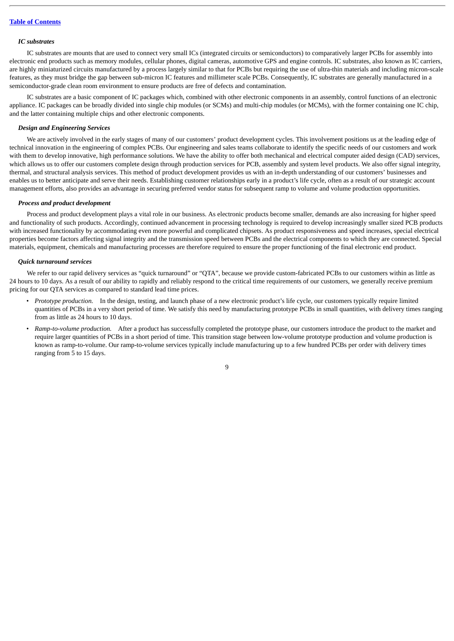#### *IC substrates*

IC substrates are mounts that are used to connect very small ICs (integrated circuits or semiconductors) to comparatively larger PCBs for assembly into electronic end products such as memory modules, cellular phones, digital cameras, automotive GPS and engine controls. IC substrates, also known as IC carriers, are highly miniaturized circuits manufactured by a process largely similar to that for PCBs but requiring the use of ultra-thin materials and including micron-scale features, as they must bridge the gap between sub-micron IC features and millimeter scale PCBs. Consequently, IC substrates are generally manufactured in a semiconductor-grade clean room environment to ensure products are free of defects and contamination.

IC substrates are a basic component of IC packages which, combined with other electronic components in an assembly, control functions of an electronic appliance. IC packages can be broadly divided into single chip modules (or SCMs) and multi-chip modules (or MCMs), with the former containing one IC chip, and the latter containing multiple chips and other electronic components.

# *Design and Engineering Services*

We are actively involved in the early stages of many of our customers' product development cycles. This involvement positions us at the leading edge of technical innovation in the engineering of complex PCBs. Our engineering and sales teams collaborate to identify the specific needs of our customers and work with them to develop innovative, high performance solutions. We have the ability to offer both mechanical and electrical computer aided design (CAD) services, which allows us to offer our customers complete design through production services for PCB, assembly and system level products. We also offer signal integrity, thermal, and structural analysis services. This method of product development provides us with an in-depth understanding of our customers' businesses and enables us to better anticipate and serve their needs. Establishing customer relationships early in a product's life cycle, often as a result of our strategic account management efforts, also provides an advantage in securing preferred vendor status for subsequent ramp to volume and volume production opportunities.

#### *Process and product development*

Process and product development plays a vital role in our business. As electronic products become smaller, demands are also increasing for higher speed and functionality of such products. Accordingly, continued advancement in processing technology is required to develop increasingly smaller sized PCB products with increased functionality by accommodating even more powerful and complicated chipsets. As product responsiveness and speed increases, special electrical properties become factors affecting signal integrity and the transmission speed between PCBs and the electrical components to which they are connected. Special materials, equipment, chemicals and manufacturing processes are therefore required to ensure the proper functioning of the final electronic end product.

#### *Quick turnaround services*

We refer to our rapid delivery services as "quick turnaround" or "QTA", because we provide custom-fabricated PCBs to our customers within as little as 24 hours to 10 days. As a result of our ability to rapidly and reliably respond to the critical time requirements of our customers, we generally receive premium pricing for our QTA services as compared to standard lead time prices.

- *Prototype production.* In the design, testing, and launch phase of a new electronic product's life cycle, our customers typically require limited quantities of PCBs in a very short period of time. We satisfy this need by manufacturing prototype PCBs in small quantities, with delivery times ranging from as little as 24 hours to 10 days.
- *Ramp-to-volume production.* After a product has successfully completed the prototype phase, our customers introduce the product to the market and require larger quantities of PCBs in a short period of time. This transition stage between low-volume prototype production and volume production is known as ramp-to-volume. Our ramp-to-volume services typically include manufacturing up to a few hundred PCBs per order with delivery times ranging from 5 to 15 days.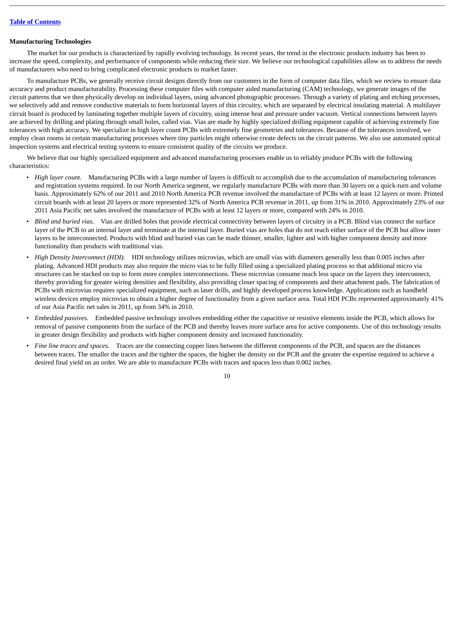#### **Manufacturing Technologies**

The market for our products is characterized by rapidly evolving technology. In recent years, the trend in the electronic products industry has been to increase the speed, complexity, and performance of components while reducing their size. We believe our technological capabilities allow us to address the needs of manufacturers who need to bring complicated electronic products to market faster.

To manufacture PCBs, we generally receive circuit designs directly from our customers in the form of computer data files, which we review to ensure data accuracy and product manufacturability. Processing these computer files with computer aided manufacturing (CAM) technology, we generate images of the circuit patterns that we then physically develop on individual layers, using advanced photographic processes. Through a variety of plating and etching processes, we selectively add and remove conductive materials to form horizontal layers of thin circuitry, which are separated by electrical insulating material. A multilayer circuit board is produced by laminating together multiple layers of circuitry, using intense heat and pressure under vacuum. Vertical connections between layers are achieved by drilling and plating through small holes, called vias. Vias are made by highly specialized drilling equipment capable of achieving extremely fine tolerances with high accuracy. We specialize in high layer count PCBs with extremely fine geometries and tolerances. Because of the tolerances involved, we employ clean rooms in certain manufacturing processes where tiny particles might otherwise create defects on the circuit patterns. We also use automated optical inspection systems and electrical testing systems to ensure consistent quality of the circuits we produce.

We believe that our highly specialized equipment and advanced manufacturing processes enable us to reliably produce PCBs with the following characteristics:

- *High layer count.* Manufacturing PCBs with a large number of layers is difficult to accomplish due to the accumulation of manufacturing tolerances and registration systems required. In our North America segment, we regularly manufacture PCBs with more than 30 layers on a quick-turn and volume basis. Approximately 62% of our 2011 and 2010 North America PCB revenue involved the manufacture of PCBs with at least 12 layers or more. Printed circuit boards with at least 20 layers or more represented 32% of North America PCB revenue in 2011, up from 31% in 2010. Approximately 23% of our 2011 Asia Pacific net sales involved the manufacture of PCBs with at least 12 layers or more, compared with 24% in 2010.
- *Blind and buried vias.* Vias are drilled holes that provide electrical connectivity between layers of circuitry in a PCB. Blind vias connect the surface layer of the PCB to an internal layer and terminate at the internal layer. Buried vias are holes that do not reach either surface of the PCB but allow inner layers to be interconnected. Products with blind and buried vias can be made thinner, smaller, lighter and with higher component density and more functionality than products with traditional vias.
- *High Density Interconnect (HDI).* HDI technology utilizes microvias, which are small vias with diameters generally less than 0.005 inches after plating. Advanced HDI products may also require the micro vias to be fully filled using a specialized plating process so that additional micro via structures can be stacked on top to form more complex interconnections. These microvias consume much less space on the layers they interconnect, thereby providing for greater wiring densities and flexibility, also providing closer spacing of components and their attachment pads. The fabrication of PCBs with microvias requires specialized equipment, such as laser drills, and highly developed process knowledge. Applications such as handheld wireless devices employ microvias to obtain a higher degree of functionality from a given surface area. Total HDI PCBs represented approximately 41% of our Asia Pacific net sales in 2011, up from 34% in 2010.
- *Embedded passives.* Embedded passive technology involves embedding either the capacitive or resistive elements inside the PCB, which allows for removal of passive components from the surface of the PCB and thereby leaves more surface area for active components. Use of this technology results in greater design flexibility and products with higher component density and increased functionality.
- *Fine line traces and spaces.* Traces are the connecting copper lines between the different components of the PCB, and spaces are the distances between traces. The smaller the traces and the tighter the spaces, the higher the density on the PCB and the greater the expertise required to achieve a desired final yield on an order. We are able to manufacture PCBs with traces and spaces less than 0.002 inches.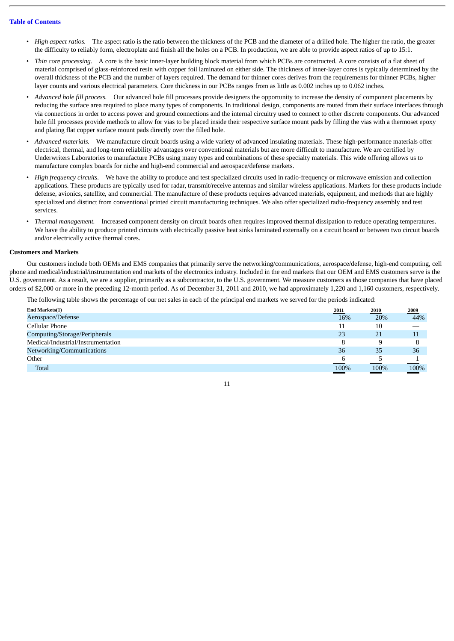- *High aspect ratios.* The aspect ratio is the ratio between the thickness of the PCB and the diameter of a drilled hole. The higher the ratio, the greater the difficulty to reliably form, electroplate and finish all the holes on a PCB. In production, we are able to provide aspect ratios of up to 15:1.
- *Thin core processing.* A core is the basic inner-layer building block material from which PCBs are constructed. A core consists of a flat sheet of material comprised of glass-reinforced resin with copper foil laminated on either side. The thickness of inner-layer cores is typically determined by the overall thickness of the PCB and the number of layers required. The demand for thinner cores derives from the requirements for thinner PCBs, higher layer counts and various electrical parameters. Core thickness in our PCBs ranges from as little as 0.002 inches up to 0.062 inches.
- *Advanced hole fill process.* Our advanced hole fill processes provide designers the opportunity to increase the density of component placements by reducing the surface area required to place many types of components. In traditional design, components are routed from their surface interfaces through via connections in order to access power and ground connections and the internal circuitry used to connect to other discrete components. Our advanced hole fill processes provide methods to allow for vias to be placed inside their respective surface mount pads by filling the vias with a thermoset epoxy and plating flat copper surface mount pads directly over the filled hole.
- *Advanced materials.* We manufacture circuit boards using a wide variety of advanced insulating materials. These high-performance materials offer electrical, thermal, and long-term reliability advantages over conventional materials but are more difficult to manufacture. We are certified by Underwriters Laboratories to manufacture PCBs using many types and combinations of these specialty materials. This wide offering allows us to manufacture complex boards for niche and high-end commercial and aerospace/defense markets.
- *High frequency circuits.* We have the ability to produce and test specialized circuits used in radio-frequency or microwave emission and collection applications. These products are typically used for radar, transmit/receive antennas and similar wireless applications. Markets for these products include defense, avionics, satellite, and commercial. The manufacture of these products requires advanced materials, equipment, and methods that are highly specialized and distinct from conventional printed circuit manufacturing techniques. We also offer specialized radio-frequency assembly and test services.
- *Thermal management.* Increased component density on circuit boards often requires improved thermal dissipation to reduce operating temperatures. We have the ability to produce printed circuits with electrically passive heat sinks laminated externally on a circuit board or between two circuit boards and/or electrically active thermal cores.

#### **Customers and Markets**

Our customers include both OEMs and EMS companies that primarily serve the networking/communications, aerospace/defense, high-end computing, cell phone and medical/industrial/instrumentation end markets of the electronics industry. Included in the end markets that our OEM and EMS customers serve is the U.S. government. As a result, we are a supplier, primarily as a subcontractor, to the U.S. government. We measure customers as those companies that have placed orders of \$2,000 or more in the preceding 12-month period. As of December 31, 2011 and 2010, we had approximately 1,220 and 1,160 customers, respectively.

The following table shows the percentage of our net sales in each of the principal end markets we served for the periods indicated:

| End Markets(1)                     | 2011 | 2010 | <b>2009</b> |
|------------------------------------|------|------|-------------|
| Aerospace/Defense                  | 16%  | 20%  | 44%         |
| Cellular Phone                     |      | 10   |             |
| Computing/Storage/Peripherals      | 23   | 21   | 11          |
| Medical/Industrial/Instrumentation | 8    | q    |             |
| Networking/Communications          | 36   | 35   | 36          |
| Other                              |      |      |             |
| Total                              | 100% | 100% | 100%        |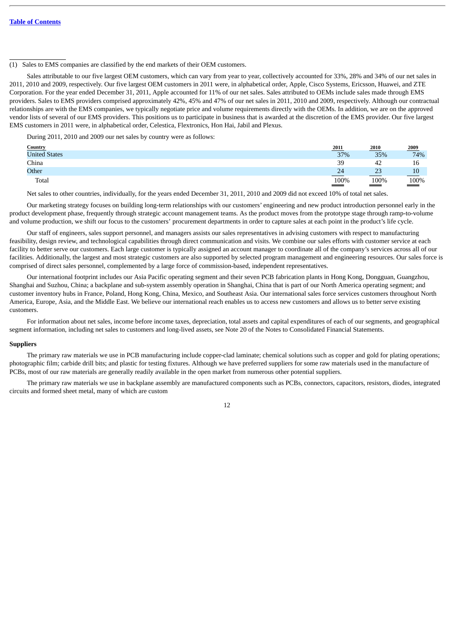(1) Sales to EMS companies are classified by the end markets of their OEM customers.

Sales attributable to our five largest OEM customers, which can vary from year to year, collectively accounted for 33%, 28% and 34% of our net sales in 2011, 2010 and 2009, respectively. Our five largest OEM customers in 2011 were, in alphabetical order, Apple, Cisco Systems, Ericsson, Huawei, and ZTE Corporation. For the year ended December 31, 2011, Apple accounted for 11% of our net sales. Sales attributed to OEMs include sales made through EMS providers. Sales to EMS providers comprised approximately 42%, 45% and 47% of our net sales in 2011, 2010 and 2009, respectively. Although our contractual relationships are with the EMS companies, we typically negotiate price and volume requirements directly with the OEMs. In addition, we are on the approved vendor lists of several of our EMS providers. This positions us to participate in business that is awarded at the discretion of the EMS provider. Our five largest EMS customers in 2011 were, in alphabetical order, Celestica, Flextronics, Hon Hai, Jabil and Plexus.

During 2011, 2010 and 2009 our net sales by country were as follows:

| Country              | 2011                   | 2010       | 2009                                |
|----------------------|------------------------|------------|-------------------------------------|
| <b>United States</b> | 37%                    | 35%        | 74%                                 |
| China                | 39                     | 42         | 16                                  |
| Other                | 24                     | 23         | 10                                  |
| Total                | __<br>100%<br>$\equiv$ | 100%<br>__ | $\sim$<br>100%<br>$\qquad \qquad =$ |

Net sales to other countries, individually, for the years ended December 31, 2011, 2010 and 2009 did not exceed 10% of total net sales.

Our marketing strategy focuses on building long-term relationships with our customers' engineering and new product introduction personnel early in the product development phase, frequently through strategic account management teams. As the product moves from the prototype stage through ramp-to-volume and volume production, we shift our focus to the customers' procurement departments in order to capture sales at each point in the product's life cycle.

Our staff of engineers, sales support personnel, and managers assists our sales representatives in advising customers with respect to manufacturing feasibility, design review, and technological capabilities through direct communication and visits. We combine our sales efforts with customer service at each facility to better serve our customers. Each large customer is typically assigned an account manager to coordinate all of the company's services across all of our facilities. Additionally, the largest and most strategic customers are also supported by selected program management and engineering resources. Our sales force is comprised of direct sales personnel, complemented by a large force of commission-based, independent representatives.

Our international footprint includes our Asia Pacific operating segment and their seven PCB fabrication plants in Hong Kong, Dongguan, Guangzhou, Shanghai and Suzhou, China; a backplane and sub-system assembly operation in Shanghai, China that is part of our North America operating segment; and customer inventory hubs in France, Poland, Hong Kong, China, Mexico, and Southeast Asia. Our international sales force services customers throughout North America, Europe, Asia, and the Middle East. We believe our international reach enables us to access new customers and allows us to better serve existing customers.

For information about net sales, income before income taxes, depreciation, total assets and capital expenditures of each of our segments, and geographical segment information, including net sales to customers and long-lived assets, see Note 20 of the Notes to Consolidated Financial Statements.

#### **Suppliers**

The primary raw materials we use in PCB manufacturing include copper-clad laminate; chemical solutions such as copper and gold for plating operations; photographic film; carbide drill bits; and plastic for testing fixtures. Although we have preferred suppliers for some raw materials used in the manufacture of PCBs, most of our raw materials are generally readily available in the open market from numerous other potential suppliers.

The primary raw materials we use in backplane assembly are manufactured components such as PCBs, connectors, capacitors, resistors, diodes, integrated circuits and formed sheet metal, many of which are custom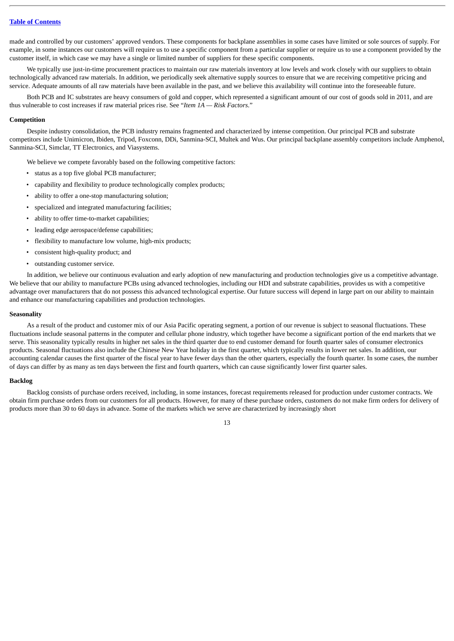made and controlled by our customers' approved vendors. These components for backplane assemblies in some cases have limited or sole sources of supply. For example, in some instances our customers will require us to use a specific component from a particular supplier or require us to use a component provided by the customer itself, in which case we may have a single or limited number of suppliers for these specific components.

We typically use just-in-time procurement practices to maintain our raw materials inventory at low levels and work closely with our suppliers to obtain technologically advanced raw materials. In addition, we periodically seek alternative supply sources to ensure that we are receiving competitive pricing and service. Adequate amounts of all raw materials have been available in the past, and we believe this availability will continue into the foreseeable future.

Both PCB and IC substrates are heavy consumers of gold and copper, which represented a significant amount of our cost of goods sold in 2011, and are thus vulnerable to cost increases if raw material prices rise. See "*Item 1A — Risk Factors*."

#### **Competition**

Despite industry consolidation, the PCB industry remains fragmented and characterized by intense competition. Our principal PCB and substrate competitors include Unimicron, Ibiden, Tripod, Foxconn, DDi, Sanmina-SCI, Multek and Wus. Our principal backplane assembly competitors include Amphenol, Sanmina-SCI, Simclar, TT Electronics, and Viasystems.

We believe we compete favorably based on the following competitive factors:

- status as a top five global PCB manufacturer;
- capability and flexibility to produce technologically complex products;
- ability to offer a one-stop manufacturing solution;
- specialized and integrated manufacturing facilities;
- ability to offer time-to-market capabilities;
- leading edge aerospace/defense capabilities;
- flexibility to manufacture low volume, high-mix products;
- consistent high-quality product; and
- outstanding customer service.

In addition, we believe our continuous evaluation and early adoption of new manufacturing and production technologies give us a competitive advantage. We believe that our ability to manufacture PCBs using advanced technologies, including our HDI and substrate capabilities, provides us with a competitive advantage over manufacturers that do not possess this advanced technological expertise. Our future success will depend in large part on our ability to maintain and enhance our manufacturing capabilities and production technologies.

#### **Seasonality**

As a result of the product and customer mix of our Asia Pacific operating segment, a portion of our revenue is subject to seasonal fluctuations. These fluctuations include seasonal patterns in the computer and cellular phone industry, which together have become a significant portion of the end markets that we serve. This seasonality typically results in higher net sales in the third quarter due to end customer demand for fourth quarter sales of consumer electronics products. Seasonal fluctuations also include the Chinese New Year holiday in the first quarter, which typically results in lower net sales. In addition, our accounting calendar causes the first quarter of the fiscal year to have fewer days than the other quarters, especially the fourth quarter. In some cases, the number of days can differ by as many as ten days between the first and fourth quarters, which can cause significantly lower first quarter sales.

# **Backlog**

Backlog consists of purchase orders received, including, in some instances, forecast requirements released for production under customer contracts. We obtain firm purchase orders from our customers for all products. However, for many of these purchase orders, customers do not make firm orders for delivery of products more than 30 to 60 days in advance. Some of the markets which we serve are characterized by increasingly short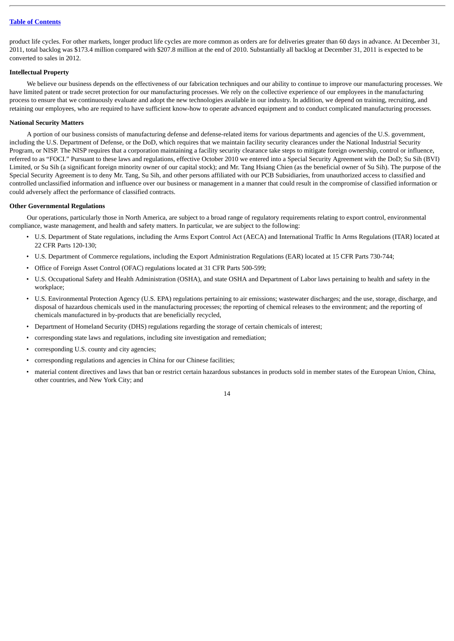product life cycles. For other markets, longer product life cycles are more common as orders are for deliveries greater than 60 days in advance. At December 31, 2011, total backlog was \$173.4 million compared with \$207.8 million at the end of 2010. Substantially all backlog at December 31, 2011 is expected to be converted to sales in 2012.

#### **Intellectual Property**

We believe our business depends on the effectiveness of our fabrication techniques and our ability to continue to improve our manufacturing processes. We have limited patent or trade secret protection for our manufacturing processes. We rely on the collective experience of our employees in the manufacturing process to ensure that we continuously evaluate and adopt the new technologies available in our industry. In addition, we depend on training, recruiting, and retaining our employees, who are required to have sufficient know-how to operate advanced equipment and to conduct complicated manufacturing processes.

# **National Security Matters**

A portion of our business consists of manufacturing defense and defense-related items for various departments and agencies of the U.S. government, including the U.S. Department of Defense, or the DoD, which requires that we maintain facility security clearances under the National Industrial Security Program, or NISP. The NISP requires that a corporation maintaining a facility security clearance take steps to mitigate foreign ownership, control or influence, referred to as "FOCI." Pursuant to these laws and regulations, effective October 2010 we entered into a Special Security Agreement with the DoD; Su Sih (BVI) Limited, or Su Sih (a significant foreign minority owner of our capital stock); and Mr. Tang Hsiang Chien (as the beneficial owner of Su Sih). The purpose of the Special Security Agreement is to deny Mr. Tang, Su Sih, and other persons affiliated with our PCB Subsidiaries, from unauthorized access to classified and controlled unclassified information and influence over our business or management in a manner that could result in the compromise of classified information or could adversely affect the performance of classified contracts.

# **Other Governmental Regulations**

Our operations, particularly those in North America, are subject to a broad range of regulatory requirements relating to export control, environmental compliance, waste management, and health and safety matters. In particular, we are subject to the following:

- U.S. Department of State regulations, including the Arms Export Control Act (AECA) and International Traffic In Arms Regulations (ITAR) located at 22 CFR Parts 120-130;
- U.S. Department of Commerce regulations, including the Export Administration Regulations (EAR) located at 15 CFR Parts 730-744;
- Office of Foreign Asset Control (OFAC) regulations located at 31 CFR Parts 500-599;
- U.S. Occupational Safety and Health Administration (OSHA), and state OSHA and Department of Labor laws pertaining to health and safety in the workplace;
- U.S. Environmental Protection Agency (U.S. EPA) regulations pertaining to air emissions; wastewater discharges; and the use, storage, discharge, and disposal of hazardous chemicals used in the manufacturing processes; the reporting of chemical releases to the environment; and the reporting of chemicals manufactured in by-products that are beneficially recycled,
- Department of Homeland Security (DHS) regulations regarding the storage of certain chemicals of interest;
- corresponding state laws and regulations, including site investigation and remediation;
- corresponding U.S. county and city agencies;
- corresponding regulations and agencies in China for our Chinese facilities;
- material content directives and laws that ban or restrict certain hazardous substances in products sold in member states of the European Union, China, other countries, and New York City; and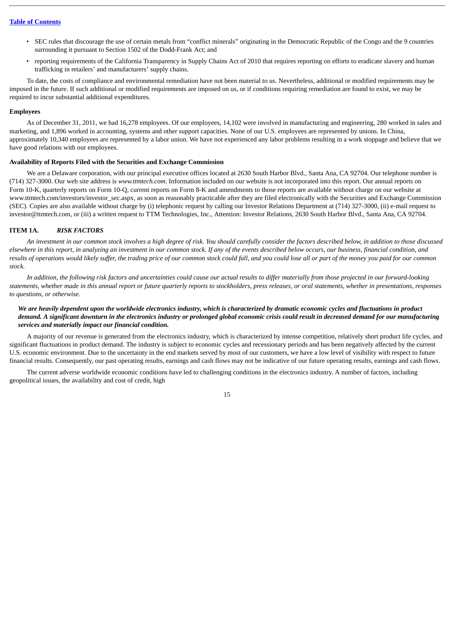- SEC rules that discourage the use of certain metals from "conflict minerals" originating in the Democratic Republic of the Congo and the 9 countries surrounding it pursuant to Section 1502 of the Dodd-Frank Act; and
- reporting requirements of the California Transparency in Supply Chains Act of 2010 that requires reporting on efforts to eradicate slavery and human trafficking in retailers' and manufacturers' supply chains.

To date, the costs of compliance and environmental remediation have not been material to us. Nevertheless, additional or modified requirements may be imposed in the future. If such additional or modified requirements are imposed on us, or if conditions requiring remediation are found to exist, we may be required to incur substantial additional expenditures.

#### **Employees**

As of December 31, 2011, we had 16,278 employees. Of our employees, 14,102 were involved in manufacturing and engineering, 280 worked in sales and marketing, and 1,896 worked in accounting, systems and other support capacities. None of our U.S. employees are represented by unions. In China, approximately 10,340 employees are represented by a labor union. We have not experienced any labor problems resulting in a work stoppage and believe that we have good relations with our employees.

# **Availability of Reports Filed with the Securities and Exchange Commission**

We are a Delaware corporation, with our principal executive offices located at 2630 South Harbor Blvd., Santa Ana, CA 92704. Our telephone number is (714) 327-3000. Our web site address is *www.ttmtech.com*. Information included on our website is not incorporated into this report. Our annual reports on Form 10-K, quarterly reports on Form 10-Q, current reports on Form 8-K and amendments to those reports are available without charge on our website at www.ttmtech.com/investors/investor\_sec.aspx, as soon as reasonably practicable after they are filed electronically with the Securities and Exchange Commission (SEC). Copies are also available without charge by (i) telephonic request by calling our Investor Relations Department at (714) 327-3000, (ii) e-mail request to investor@ttmtech.com, or (iii) a written request to TTM Technologies, Inc., Attention: Investor Relations, 2630 South Harbor Blvd., Santa Ana, CA 92704.

#### <span id="page-14-0"></span>**ITEM 1A.** *RISK FACTORS*

*An investment in our common stock involves a high degree of risk. You should carefully consider the factors described below, in addition to those discussed elsewhere in this report, in analyzing an investment in our common stock. If any of the events described below occurs, our business, financial condition, and results of operations would likely suffer, the trading price of our common stock could fall, and you could lose all or part of the money you paid for our common stock.*

*In addition, the following risk factors and uncertainties could cause our actual results to differ materially from those projected in our forward-looking statements, whether made in this annual report or future quarterly reports to stockholders, press releases, or oral statements, whether in presentations, responses to questions, or otherwise.*

# *We are heavily dependent upon the worldwide electronics industry, which is characterized by dramatic economic cycles and fluctuations in product demand. A significant downturn in the electronics industry or prolonged global economic crisis could result in decreased demand for our manufacturing services and materially impact our financial condition.*

A majority of our revenue is generated from the electronics industry, which is characterized by intense competition, relatively short product life cycles, and significant fluctuations in product demand. The industry is subject to economic cycles and recessionary periods and has been negatively affected by the current U.S. economic environment. Due to the uncertainty in the end markets served by most of our customers, we have a low level of visibility with respect to future financial results. Consequently, our past operating results, earnings and cash flows may not be indicative of our future operating results, earnings and cash flows.

The current adverse worldwide economic conditions have led to challenging conditions in the electronics industry. A number of factors, including geopolitical issues, the availability and cost of credit, high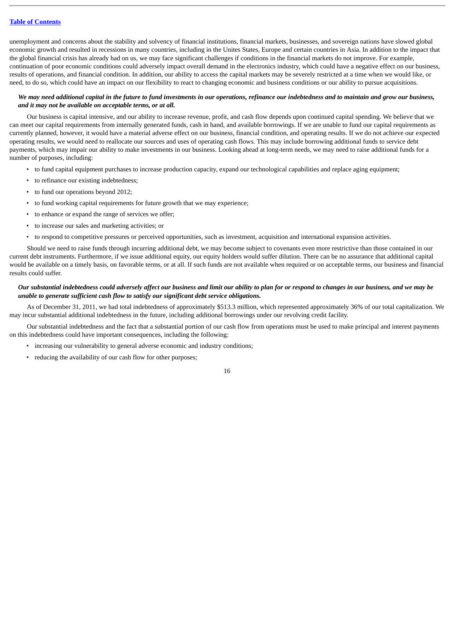unemployment and concerns about the stability and solvency of financial institutions, financial markets, businesses, and sovereign nations have slowed global economic growth and resulted in recessions in many countries, including in the Unites States, Europe and certain countries in Asia. In addition to the impact that the global financial crisis has already had on us, we may face significant challenges if conditions in the financial markets do not improve. For example, continuation of poor economic conditions could adversely impact overall demand in the electronics industry, which could have a negative effect on our business, results of operations, and financial condition. In addition, our ability to access the capital markets may be severely restricted at a time when we would like, or need, to do so, which could have an impact on our flexibility to react to changing economic and business conditions or our ability to pursue acquisitions.

# *We may need additional capital in the future to fund investments in our operations, refinance our indebtedness and to maintain and grow our business, and it may not be available on acceptable terms, or at all.*

Our business is capital intensive, and our ability to increase revenue, profit, and cash flow depends upon continued capital spending. We believe that we can meet our capital requirements from internally generated funds, cash in hand, and available borrowings. If we are unable to fund our capital requirements as currently planned, however, it would have a material adverse effect on our business, financial condition, and operating results. If we do not achieve our expected operating results, we would need to reallocate our sources and uses of operating cash flows. This may include borrowing additional funds to service debt payments, which may impair our ability to make investments in our business. Looking ahead at long-term needs, we may need to raise additional funds for a number of purposes, including:

- to fund capital equipment purchases to increase production capacity, expand our technological capabilities and replace aging equipment;
- to refinance our existing indebtedness;
- to fund our operations beyond 2012;
- to fund working capital requirements for future growth that we may experience;
- to enhance or expand the range of services we offer;
- to increase our sales and marketing activities; or
- to respond to competitive pressures or perceived opportunities, such as investment, acquisition and international expansion activities.

Should we need to raise funds through incurring additional debt, we may become subject to covenants even more restrictive than those contained in our current debt instruments. Furthermore, if we issue additional equity, our equity holders would suffer dilution. There can be no assurance that additional capital would be available on a timely basis, on favorable terms, or at all. If such funds are not available when required or on acceptable terms, our business and financial results could suffer.

# *Our substantial indebtedness could adversely affect our business and limit our ability to plan for or respond to changes in our business, and we may be unable to generate sufficient cash flow to satisfy our significant debt service obligations.*

As of December 31, 2011, we had total indebtedness of approximately \$513.3 million, which represented approximately 36% of our total capitalization. We may incur substantial additional indebtedness in the future, including additional borrowings under our revolving credit facility.

Our substantial indebtedness and the fact that a substantial portion of our cash flow from operations must be used to make principal and interest payments on this indebtedness could have important consequences, including the following:

- increasing our vulnerability to general adverse economic and industry conditions;
- reducing the availability of our cash flow for other purposes;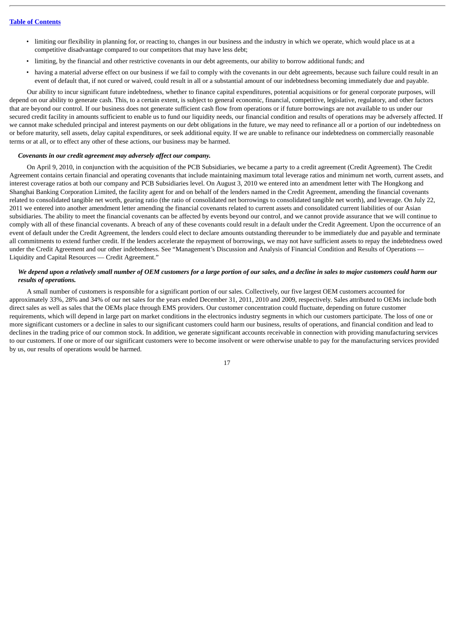- limiting our flexibility in planning for, or reacting to, changes in our business and the industry in which we operate, which would place us at a competitive disadvantage compared to our competitors that may have less debt;
- limiting, by the financial and other restrictive covenants in our debt agreements, our ability to borrow additional funds; and
- having a material adverse effect on our business if we fail to comply with the covenants in our debt agreements, because such failure could result in an event of default that, if not cured or waived, could result in all or a substantial amount of our indebtedness becoming immediately due and payable.

Our ability to incur significant future indebtedness, whether to finance capital expenditures, potential acquisitions or for general corporate purposes, will depend on our ability to generate cash. This, to a certain extent, is subject to general economic, financial, competitive, legislative, regulatory, and other factors that are beyond our control. If our business does not generate sufficient cash flow from operations or if future borrowings are not available to us under our secured credit facility in amounts sufficient to enable us to fund our liquidity needs, our financial condition and results of operations may be adversely affected. If we cannot make scheduled principal and interest payments on our debt obligations in the future, we may need to refinance all or a portion of our indebtedness on or before maturity, sell assets, delay capital expenditures, or seek additional equity. If we are unable to refinance our indebtedness on commercially reasonable terms or at all, or to effect any other of these actions, our business may be harmed.

#### *Covenants in our credit agreement may adversely affect our company.*

On April 9, 2010, in conjunction with the acquisition of the PCB Subsidiaries, we became a party to a credit agreement (Credit Agreement). The Credit Agreement contains certain financial and operating covenants that include maintaining maximum total leverage ratios and minimum net worth, current assets, and interest coverage ratios at both our company and PCB Subsidiaries level. On August 3, 2010 we entered into an amendment letter with The Hongkong and Shanghai Banking Corporation Limited, the facility agent for and on behalf of the lenders named in the Credit Agreement, amending the financial covenants related to consolidated tangible net worth, gearing ratio (the ratio of consolidated net borrowings to consolidated tangible net worth), and leverage. On July 22, 2011 we entered into another amendment letter amending the financial covenants related to current assets and consolidated current liabilities of our Asian subsidiaries. The ability to meet the financial covenants can be affected by events beyond our control, and we cannot provide assurance that we will continue to comply with all of these financial covenants. A breach of any of these covenants could result in a default under the Credit Agreement. Upon the occurrence of an event of default under the Credit Agreement, the lenders could elect to declare amounts outstanding thereunder to be immediately due and payable and terminate all commitments to extend further credit. If the lenders accelerate the repayment of borrowings, we may not have sufficient assets to repay the indebtedness owed under the Credit Agreement and our other indebtedness. See "Management's Discussion and Analysis of Financial Condition and Results of Operations — Liquidity and Capital Resources — Credit Agreement."

# *We depend upon a relatively small number of OEM customers for a large portion of our sales, and a decline in sales to major customers could harm our results of operations.*

A small number of customers is responsible for a significant portion of our sales. Collectively, our five largest OEM customers accounted for approximately 33%, 28% and 34% of our net sales for the years ended December 31, 2011, 2010 and 2009, respectively. Sales attributed to OEMs include both direct sales as well as sales that the OEMs place through EMS providers. Our customer concentration could fluctuate, depending on future customer requirements, which will depend in large part on market conditions in the electronics industry segments in which our customers participate. The loss of one or more significant customers or a decline in sales to our significant customers could harm our business, results of operations, and financial condition and lead to declines in the trading price of our common stock. In addition, we generate significant accounts receivable in connection with providing manufacturing services to our customers. If one or more of our significant customers were to become insolvent or were otherwise unable to pay for the manufacturing services provided by us, our results of operations would be harmed.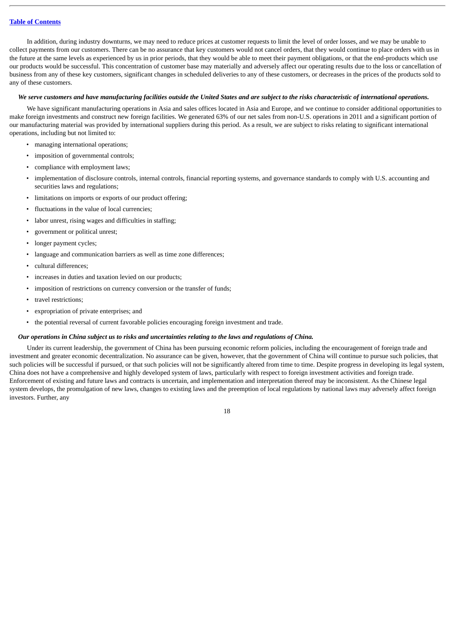In addition, during industry downturns, we may need to reduce prices at customer requests to limit the level of order losses, and we may be unable to collect payments from our customers. There can be no assurance that key customers would not cancel orders, that they would continue to place orders with us in the future at the same levels as experienced by us in prior periods, that they would be able to meet their payment obligations, or that the end-products which use our products would be successful. This concentration of customer base may materially and adversely affect our operating results due to the loss or cancellation of business from any of these key customers, significant changes in scheduled deliveries to any of these customers, or decreases in the prices of the products sold to any of these customers.

# *We serve customers and have manufacturing facilities outside the United States and are subject to the risks characteristic of international operations.*

We have significant manufacturing operations in Asia and sales offices located in Asia and Europe, and we continue to consider additional opportunities to make foreign investments and construct new foreign facilities. We generated 63% of our net sales from non-U.S. operations in 2011 and a significant portion of our manufacturing material was provided by international suppliers during this period. As a result, we are subject to risks relating to significant international operations, including but not limited to:

- managing international operations;
- imposition of governmental controls;
- compliance with employment laws;
- implementation of disclosure controls, internal controls, financial reporting systems, and governance standards to comply with U.S. accounting and securities laws and regulations;
- limitations on imports or exports of our product offering;
- fluctuations in the value of local currencies;
- labor unrest, rising wages and difficulties in staffing;
- government or political unrest;
- longer payment cycles;
- language and communication barriers as well as time zone differences;
- cultural differences;
- increases in duties and taxation levied on our products;
- imposition of restrictions on currency conversion or the transfer of funds;
- travel restrictions;
- expropriation of private enterprises; and
- the potential reversal of current favorable policies encouraging foreign investment and trade.

#### *Our operations in China subject us to risks and uncertainties relating to the laws and regulations of China.*

Under its current leadership, the government of China has been pursuing economic reform policies, including the encouragement of foreign trade and investment and greater economic decentralization. No assurance can be given, however, that the government of China will continue to pursue such policies, that such policies will be successful if pursued, or that such policies will not be significantly altered from time to time. Despite progress in developing its legal system, China does not have a comprehensive and highly developed system of laws, particularly with respect to foreign investment activities and foreign trade. Enforcement of existing and future laws and contracts is uncertain, and implementation and interpretation thereof may be inconsistent. As the Chinese legal system develops, the promulgation of new laws, changes to existing laws and the preemption of local regulations by national laws may adversely affect foreign investors. Further, any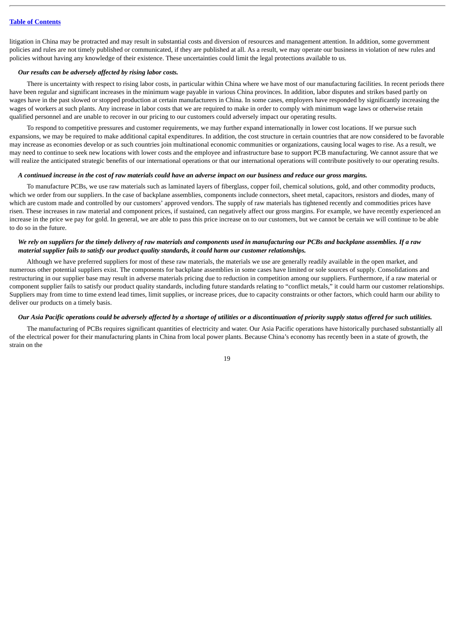litigation in China may be protracted and may result in substantial costs and diversion of resources and management attention. In addition, some government policies and rules are not timely published or communicated, if they are published at all. As a result, we may operate our business in violation of new rules and policies without having any knowledge of their existence. These uncertainties could limit the legal protections available to us.

# *Our results can be adversely affected by rising labor costs.*

There is uncertainty with respect to rising labor costs, in particular within China where we have most of our manufacturing facilities. In recent periods there have been regular and significant increases in the minimum wage payable in various China provinces. In addition, labor disputes and strikes based partly on wages have in the past slowed or stopped production at certain manufacturers in China. In some cases, employers have responded by significantly increasing the wages of workers at such plants. Any increase in labor costs that we are required to make in order to comply with minimum wage laws or otherwise retain qualified personnel and are unable to recover in our pricing to our customers could adversely impact our operating results.

To respond to competitive pressures and customer requirements, we may further expand internationally in lower cost locations. If we pursue such expansions, we may be required to make additional capital expenditures. In addition, the cost structure in certain countries that are now considered to be favorable may increase as economies develop or as such countries join multinational economic communities or organizations, causing local wages to rise. As a result, we may need to continue to seek new locations with lower costs and the employee and infrastructure base to support PCB manufacturing. We cannot assure that we will realize the anticipated strategic benefits of our international operations or that our international operations will contribute positively to our operating results.

#### *A continued increase in the cost of raw materials could have an adverse impact on our business and reduce our gross margins.*

To manufacture PCBs, we use raw materials such as laminated layers of fiberglass, copper foil, chemical solutions, gold, and other commodity products, which we order from our suppliers. In the case of backplane assemblies, components include connectors, sheet metal, capacitors, resistors and diodes, many of which are custom made and controlled by our customers' approved vendors. The supply of raw materials has tightened recently and commodities prices have risen. These increases in raw material and component prices, if sustained, can negatively affect our gross margins. For example, we have recently experienced an increase in the price we pay for gold. In general, we are able to pass this price increase on to our customers, but we cannot be certain we will continue to be able to do so in the future.

# *We rely on suppliers for the timely delivery of raw materials and components used in manufacturing our PCBs and backplane assemblies. If a raw material supplier fails to satisfy our product quality standards, it could harm our customer relationships.*

Although we have preferred suppliers for most of these raw materials, the materials we use are generally readily available in the open market, and numerous other potential suppliers exist. The components for backplane assemblies in some cases have limited or sole sources of supply. Consolidations and restructuring in our supplier base may result in adverse materials pricing due to reduction in competition among our suppliers. Furthermore, if a raw material or component supplier fails to satisfy our product quality standards, including future standards relating to "conflict metals," it could harm our customer relationships. Suppliers may from time to time extend lead times, limit supplies, or increase prices, due to capacity constraints or other factors, which could harm our ability to deliver our products on a timely basis.

#### *Our Asia Pacific operations could be adversely affected by a shortage of utilities or a discontinuation of priority supply status offered for such utilities.*

The manufacturing of PCBs requires significant quantities of electricity and water. Our Asia Pacific operations have historically purchased substantially all of the electrical power for their manufacturing plants in China from local power plants. Because China's economy has recently been in a state of growth, the strain on the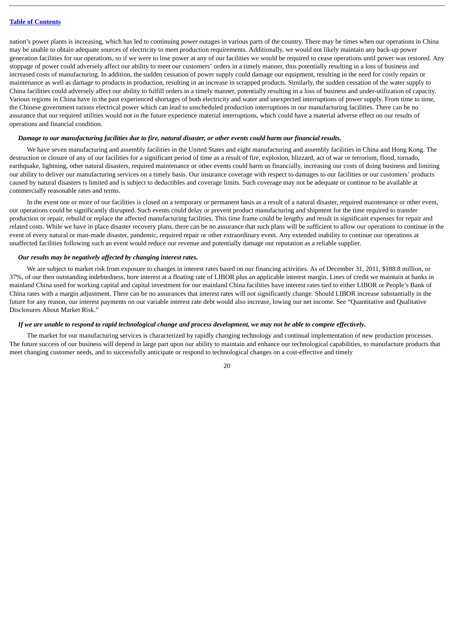nation's power plants is increasing, which has led to continuing power outages in various parts of the country. There may be times when our operations in China may be unable to obtain adequate sources of electricity to meet production requirements. Additionally, we would not likely maintain any back-up power generation facilities for our operations, so if we were to lose power at any of our facilities we would be required to cease operations until power was restored. Any stoppage of power could adversely affect our ability to meet our customers' orders in a timely manner, thus potentially resulting in a loss of business and increased costs of manufacturing. In addition, the sudden cessation of power supply could damage our equipment, resulting in the need for costly repairs or maintenance as well as damage to products in production, resulting in an increase in scrapped products. Similarly, the sudden cessation of the water supply to China facilities could adversely affect our ability to fulfill orders in a timely manner, potentially resulting in a loss of business and under-utilization of capacity. Various regions in China have in the past experienced shortages of both electricity and water and unexpected interruptions of power supply. From time to time, the Chinese government rations electrical power which can lead to unscheduled production interruptions in our manufacturing facilities. There can be no assurance that our required utilities would not in the future experience material interruptions, which could have a material adverse effect on our results of operations and financial condition.

#### *Damage to our manufacturing facilities due to fire, natural disaster, or other events could harm our financial results.*

We have seven manufacturing and assembly facilities in the United States and eight manufacturing and assembly facilities in China and Hong Kong. The destruction or closure of any of our facilities for a significant period of time as a result of fire, explosion, blizzard, act of war or terrorism, flood, tornado, earthquake, lightning, other natural disasters, required maintenance or other events could harm us financially, increasing our costs of doing business and limiting our ability to deliver our manufacturing services on a timely basis. Our insurance coverage with respect to damages to our facilities or our customers' products caused by natural disasters is limited and is subject to deductibles and coverage limits. Such coverage may not be adequate or continue to be available at commercially reasonable rates and terms.

In the event one or more of our facilities is closed on a temporary or permanent basis as a result of a natural disaster, required maintenance or other event, our operations could be significantly disrupted. Such events could delay or prevent product manufacturing and shipment for the time required to transfer production or repair, rebuild or replace the affected manufacturing facilities. This time frame could be lengthy and result in significant expenses for repair and related costs. While we have in place disaster recovery plans, there can be no assurance that such plans will be sufficient to allow our operations to continue in the event of every natural or man-made disaster, pandemic, required repair or other extraordinary event. Any extended inability to continue our operations at unaffected facilities following such an event would reduce our revenue and potentially damage our reputation as a reliable supplier.

#### *Our results may be negatively affected by changing interest rates.*

We are subject to market risk from exposure to changes in interest rates based on our financing activities. As of December 31, 2011, \$188.8 million, or 37%, of our then outstanding indebtedness, bore interest at a floating rate of LIBOR plus an applicable interest margin. Lines of credit we maintain at banks in mainland China used for working capital and capital investment for our mainland China facilities have interest rates tied to either LIBOR or People's Bank of China rates with a margin adjustment. There can be no assurances that interest rates will not significantly change. Should LIBOR increase substantially in the future for any reason, our interest payments on our variable interest rate debt would also increase, lowing our net income. See "Quantitative and Qualitative Disclosures About Market Risk."

#### *If we are unable to respond to rapid technological change and process development, we may not be able to compete effectively.*

The market for our manufacturing services is characterized by rapidly changing technology and continual implementation of new production processes. The future success of our business will depend in large part upon our ability to maintain and enhance our technological capabilities, to manufacture products that meet changing customer needs, and to successfully anticipate or respond to technological changes on a cost-effective and timely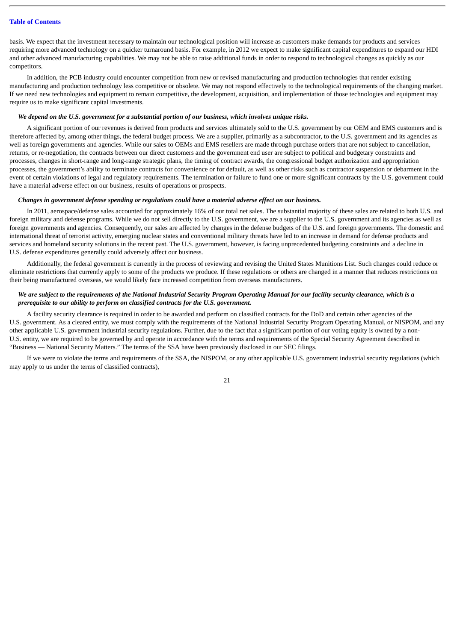basis. We expect that the investment necessary to maintain our technological position will increase as customers make demands for products and services requiring more advanced technology on a quicker turnaround basis. For example, in 2012 we expect to make significant capital expenditures to expand our HDI and other advanced manufacturing capabilities. We may not be able to raise additional funds in order to respond to technological changes as quickly as our competitors.

In addition, the PCB industry could encounter competition from new or revised manufacturing and production technologies that render existing manufacturing and production technology less competitive or obsolete. We may not respond effectively to the technological requirements of the changing market. If we need new technologies and equipment to remain competitive, the development, acquisition, and implementation of those technologies and equipment may require us to make significant capital investments.

#### *We depend on the U.S. government for a substantial portion of our business, which involves unique risks.*

A significant portion of our revenues is derived from products and services ultimately sold to the U.S. government by our OEM and EMS customers and is therefore affected by, among other things, the federal budget process. We are a supplier, primarily as a subcontractor, to the U.S. government and its agencies as well as foreign governments and agencies. While our sales to OEMs and EMS resellers are made through purchase orders that are not subject to cancellation, returns, or re-negotiation, the contracts between our direct customers and the government end user are subject to political and budgetary constraints and processes, changes in short-range and long-range strategic plans, the timing of contract awards, the congressional budget authorization and appropriation processes, the government's ability to terminate contracts for convenience or for default, as well as other risks such as contractor suspension or debarment in the event of certain violations of legal and regulatory requirements. The termination or failure to fund one or more significant contracts by the U.S. government could have a material adverse effect on our business, results of operations or prospects.

#### *Changes in government defense spending or regulations could have a material adverse effect on our business.*

In 2011, aerospace/defense sales accounted for approximately 16% of our total net sales. The substantial majority of these sales are related to both U.S. and foreign military and defense programs. While we do not sell directly to the U.S. government, we are a supplier to the U.S. government and its agencies as well as foreign governments and agencies. Consequently, our sales are affected by changes in the defense budgets of the U.S. and foreign governments. The domestic and international threat of terrorist activity, emerging nuclear states and conventional military threats have led to an increase in demand for defense products and services and homeland security solutions in the recent past. The U.S. government, however, is facing unprecedented budgeting constraints and a decline in U.S. defense expenditures generally could adversely affect our business.

Additionally, the federal government is currently in the process of reviewing and revising the United States Munitions List. Such changes could reduce or eliminate restrictions that currently apply to some of the products we produce. If these regulations or others are changed in a manner that reduces restrictions on their being manufactured overseas, we would likely face increased competition from overseas manufacturers.

# *We are subject to the requirements of the National Industrial Security Program Operating Manual for our facility security clearance, which is a prerequisite to our ability to perform on classified contracts for the U.S. government.*

A facility security clearance is required in order to be awarded and perform on classified contracts for the DoD and certain other agencies of the U.S. government. As a cleared entity, we must comply with the requirements of the National Industrial Security Program Operating Manual, or NISPOM, and any other applicable U.S. government industrial security regulations. Further, due to the fact that a significant portion of our voting equity is owned by a non-U.S. entity, we are required to be governed by and operate in accordance with the terms and requirements of the Special Security Agreement described in "Business — National Security Matters." The terms of the SSA have been previously disclosed in our SEC filings.

If we were to violate the terms and requirements of the SSA, the NISPOM, or any other applicable U.S. government industrial security regulations (which may apply to us under the terms of classified contracts),

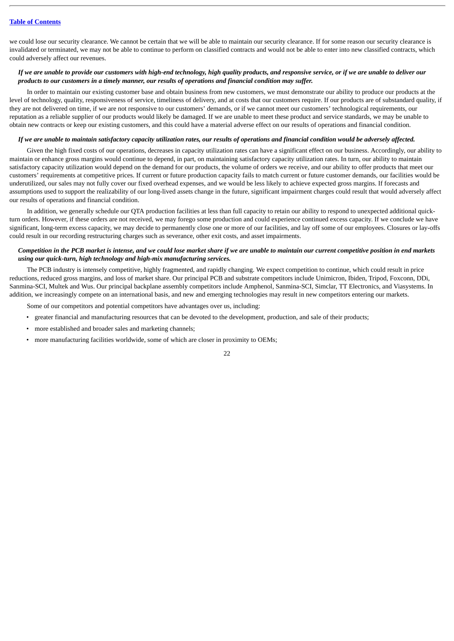we could lose our security clearance. We cannot be certain that we will be able to maintain our security clearance. If for some reason our security clearance is invalidated or terminated, we may not be able to continue to perform on classified contracts and would not be able to enter into new classified contracts, which could adversely affect our revenues.

# *If we are unable to provide our customers with high-end technology, high quality products, and responsive service, or if we are unable to deliver our products to our customers in a timely manner, our results of operations and financial condition may suffer.*

In order to maintain our existing customer base and obtain business from new customers, we must demonstrate our ability to produce our products at the level of technology, quality, responsiveness of service, timeliness of delivery, and at costs that our customers require. If our products are of substandard quality, if they are not delivered on time, if we are not responsive to our customers' demands, or if we cannot meet our customers' technological requirements, our reputation as a reliable supplier of our products would likely be damaged. If we are unable to meet these product and service standards, we may be unable to obtain new contracts or keep our existing customers, and this could have a material adverse effect on our results of operations and financial condition.

#### *If we are unable to maintain satisfactory capacity utilization rates, our results of operations and financial condition would be adversely affected.*

Given the high fixed costs of our operations, decreases in capacity utilization rates can have a significant effect on our business. Accordingly, our ability to maintain or enhance gross margins would continue to depend, in part, on maintaining satisfactory capacity utilization rates. In turn, our ability to maintain satisfactory capacity utilization would depend on the demand for our products, the volume of orders we receive, and our ability to offer products that meet our customers' requirements at competitive prices. If current or future production capacity fails to match current or future customer demands, our facilities would be underutilized, our sales may not fully cover our fixed overhead expenses, and we would be less likely to achieve expected gross margins. If forecasts and assumptions used to support the realizability of our long-lived assets change in the future, significant impairment charges could result that would adversely affect our results of operations and financial condition.

In addition, we generally schedule our QTA production facilities at less than full capacity to retain our ability to respond to unexpected additional quickturn orders. However, if these orders are not received, we may forego some production and could experience continued excess capacity. If we conclude we have significant, long-term excess capacity, we may decide to permanently close one or more of our facilities, and lay off some of our employees. Closures or lay-offs could result in our recording restructuring charges such as severance, other exit costs, and asset impairments.

# *Competition in the PCB market is intense, and we could lose market share if we are unable to maintain our current competitive position in end markets using our quick-turn, high technology and high-mix manufacturing services.*

The PCB industry is intensely competitive, highly fragmented, and rapidly changing. We expect competition to continue, which could result in price reductions, reduced gross margins, and loss of market share. Our principal PCB and substrate competitors include Unimicron, Ibiden, Tripod, Foxconn, DDi, Sanmina-SCI, Multek and Wus. Our principal backplane assembly competitors include Amphenol, Sanmina-SCI, Simclar, TT Electronics, and Viasystems. In addition, we increasingly compete on an international basis, and new and emerging technologies may result in new competitors entering our markets.

Some of our competitors and potential competitors have advantages over us, including:

- greater financial and manufacturing resources that can be devoted to the development, production, and sale of their products;
- more established and broader sales and marketing channels;
- more manufacturing facilities worldwide, some of which are closer in proximity to OEMs;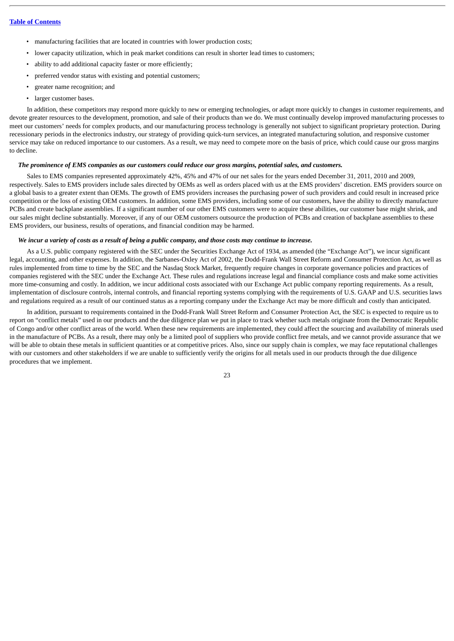- manufacturing facilities that are located in countries with lower production costs;
- lower capacity utilization, which in peak market conditions can result in shorter lead times to customers;
- ability to add additional capacity faster or more efficiently;
- preferred vendor status with existing and potential customers;
- greater name recognition; and
- larger customer bases.

In addition, these competitors may respond more quickly to new or emerging technologies, or adapt more quickly to changes in customer requirements, and devote greater resources to the development, promotion, and sale of their products than we do. We must continually develop improved manufacturing processes to meet our customers' needs for complex products, and our manufacturing process technology is generally not subject to significant proprietary protection. During recessionary periods in the electronics industry, our strategy of providing quick-turn services, an integrated manufacturing solution, and responsive customer service may take on reduced importance to our customers. As a result, we may need to compete more on the basis of price, which could cause our gross margins to decline.

# *The prominence of EMS companies as our customers could reduce our gross margins, potential sales, and customers.*

Sales to EMS companies represented approximately 42%, 45% and 47% of our net sales for the years ended December 31, 2011, 2010 and 2009, respectively. Sales to EMS providers include sales directed by OEMs as well as orders placed with us at the EMS providers' discretion. EMS providers source on a global basis to a greater extent than OEMs. The growth of EMS providers increases the purchasing power of such providers and could result in increased price competition or the loss of existing OEM customers. In addition, some EMS providers, including some of our customers, have the ability to directly manufacture PCBs and create backplane assemblies. If a significant number of our other EMS customers were to acquire these abilities, our customer base might shrink, and our sales might decline substantially. Moreover, if any of our OEM customers outsource the production of PCBs and creation of backplane assemblies to these EMS providers, our business, results of operations, and financial condition may be harmed.

#### *We incur a variety of costs as a result of being a public company, and those costs may continue to increase.*

As a U.S. public company registered with the SEC under the Securities Exchange Act of 1934, as amended (the "Exchange Act"), we incur significant legal, accounting, and other expenses. In addition, the Sarbanes-Oxley Act of 2002, the Dodd-Frank Wall Street Reform and Consumer Protection Act, as well as rules implemented from time to time by the SEC and the Nasdaq Stock Market, frequently require changes in corporate governance policies and practices of companies registered with the SEC under the Exchange Act. These rules and regulations increase legal and financial compliance costs and make some activities more time-consuming and costly. In addition, we incur additional costs associated with our Exchange Act public company reporting requirements. As a result, implementation of disclosure controls, internal controls, and financial reporting systems complying with the requirements of U.S. GAAP and U.S. securities laws and regulations required as a result of our continued status as a reporting company under the Exchange Act may be more difficult and costly than anticipated.

In addition, pursuant to requirements contained in the Dodd-Frank Wall Street Reform and Consumer Protection Act, the SEC is expected to require us to report on "conflict metals" used in our products and the due diligence plan we put in place to track whether such metals originate from the Democratic Republic of Congo and/or other conflict areas of the world. When these new requirements are implemented, they could affect the sourcing and availability of minerals used in the manufacture of PCBs. As a result, there may only be a limited pool of suppliers who provide conflict free metals, and we cannot provide assurance that we will be able to obtain these metals in sufficient quantities or at competitive prices. Also, since our supply chain is complex, we may face reputational challenges with our customers and other stakeholders if we are unable to sufficiently verify the origins for all metals used in our products through the due diligence procedures that we implement.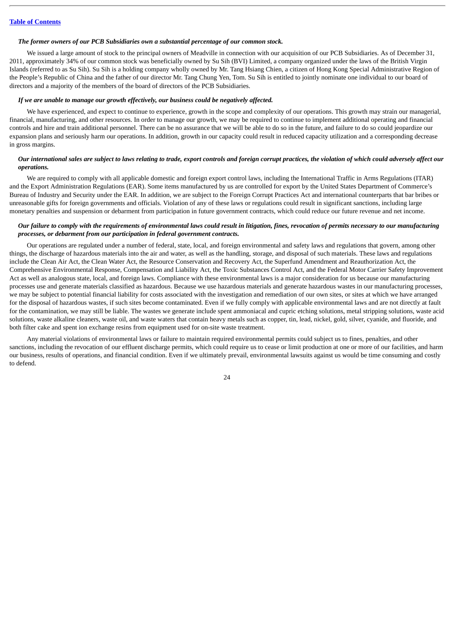# *The former owners of our PCB Subsidiaries own a substantial percentage of our common stock.*

We issued a large amount of stock to the principal owners of Meadville in connection with our acquisition of our PCB Subsidiaries. As of December 31, 2011, approximately 34% of our common stock was beneficially owned by Su Sih (BVI) Limited, a company organized under the laws of the British Virgin Islands (referred to as Su Sih). Su Sih is a holding company wholly owned by Mr. Tang Hsiang Chien, a citizen of Hong Kong Special Administrative Region of the People's Republic of China and the father of our director Mr. Tang Chung Yen, Tom. Su Sih is entitled to jointly nominate one individual to our board of directors and a majority of the members of the board of directors of the PCB Subsidiaries.

# *If we are unable to manage our growth effectively, our business could be negatively affected.*

We have experienced, and expect to continue to experience, growth in the scope and complexity of our operations. This growth may strain our managerial, financial, manufacturing, and other resources. In order to manage our growth, we may be required to continue to implement additional operating and financial controls and hire and train additional personnel. There can be no assurance that we will be able to do so in the future, and failure to do so could jeopardize our expansion plans and seriously harm our operations. In addition, growth in our capacity could result in reduced capacity utilization and a corresponding decrease in gross margins.

# *Our international sales are subject to laws relating to trade, export controls and foreign corrupt practices, the violation of which could adversely affect our operations.*

We are required to comply with all applicable domestic and foreign export control laws, including the International Traffic in Arms Regulations (ITAR) and the Export Administration Regulations (EAR). Some items manufactured by us are controlled for export by the United States Department of Commerce's Bureau of Industry and Security under the EAR. In addition, we are subject to the Foreign Corrupt Practices Act and international counterparts that bar bribes or unreasonable gifts for foreign governments and officials. Violation of any of these laws or regulations could result in significant sanctions, including large monetary penalties and suspension or debarment from participation in future government contracts, which could reduce our future revenue and net income.

# *Our failure to comply with the requirements of environmental laws could result in litigation, fines, revocation of permits necessary to our manufacturing processes, or debarment from our participation in federal government contracts.*

Our operations are regulated under a number of federal, state, local, and foreign environmental and safety laws and regulations that govern, among other things, the discharge of hazardous materials into the air and water, as well as the handling, storage, and disposal of such materials. These laws and regulations include the Clean Air Act, the Clean Water Act, the Resource Conservation and Recovery Act, the Superfund Amendment and Reauthorization Act, the Comprehensive Environmental Response, Compensation and Liability Act, the Toxic Substances Control Act, and the Federal Motor Carrier Safety Improvement Act as well as analogous state, local, and foreign laws. Compliance with these environmental laws is a major consideration for us because our manufacturing processes use and generate materials classified as hazardous. Because we use hazardous materials and generate hazardous wastes in our manufacturing processes, we may be subject to potential financial liability for costs associated with the investigation and remediation of our own sites, or sites at which we have arranged for the disposal of hazardous wastes, if such sites become contaminated. Even if we fully comply with applicable environmental laws and are not directly at fault for the contamination, we may still be liable. The wastes we generate include spent ammoniacal and cupric etching solutions, metal stripping solutions, waste acid solutions, waste alkaline cleaners, waste oil, and waste waters that contain heavy metals such as copper, tin, lead, nickel, gold, silver, cyanide, and fluoride, and both filter cake and spent ion exchange resins from equipment used for on-site waste treatment.

Any material violations of environmental laws or failure to maintain required environmental permits could subject us to fines, penalties, and other sanctions, including the revocation of our effluent discharge permits, which could require us to cease or limit production at one or more of our facilities, and harm our business, results of operations, and financial condition. Even if we ultimately prevail, environmental lawsuits against us would be time consuming and costly to defend.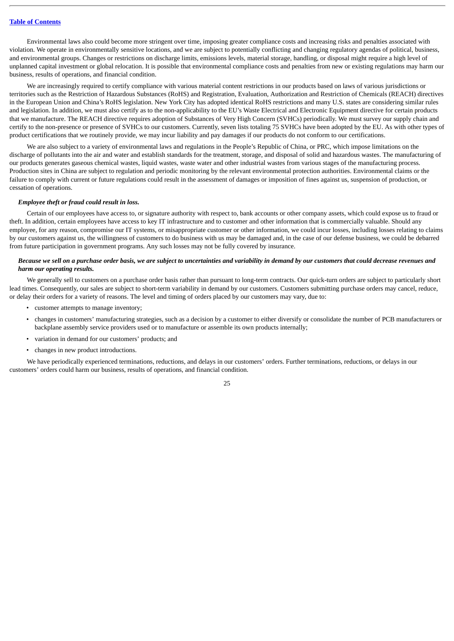Environmental laws also could become more stringent over time, imposing greater compliance costs and increasing risks and penalties associated with violation. We operate in environmentally sensitive locations, and we are subject to potentially conflicting and changing regulatory agendas of political, business, and environmental groups. Changes or restrictions on discharge limits, emissions levels, material storage, handling, or disposal might require a high level of unplanned capital investment or global relocation. It is possible that environmental compliance costs and penalties from new or existing regulations may harm our business, results of operations, and financial condition.

We are increasingly required to certify compliance with various material content restrictions in our products based on laws of various jurisdictions or territories such as the Restriction of Hazardous Substances (RoHS) and Registration, Evaluation, Authorization and Restriction of Chemicals (REACH) directives in the European Union and China's RoHS legislation. New York City has adopted identical RoHS restrictions and many U.S. states are considering similar rules and legislation. In addition, we must also certify as to the non-applicability to the EU's Waste Electrical and Electronic Equipment directive for certain products that we manufacture. The REACH directive requires adoption of Substances of Very High Concern (SVHCs) periodically. We must survey our supply chain and certify to the non-presence or presence of SVHCs to our customers. Currently, seven lists totaling 75 SVHCs have been adopted by the EU. As with other types of product certifications that we routinely provide, we may incur liability and pay damages if our products do not conform to our certifications.

We are also subject to a variety of environmental laws and regulations in the People's Republic of China, or PRC, which impose limitations on the discharge of pollutants into the air and water and establish standards for the treatment, storage, and disposal of solid and hazardous wastes. The manufacturing of our products generates gaseous chemical wastes, liquid wastes, waste water and other industrial wastes from various stages of the manufacturing process. Production sites in China are subject to regulation and periodic monitoring by the relevant environmental protection authorities. Environmental claims or the failure to comply with current or future regulations could result in the assessment of damages or imposition of fines against us, suspension of production, or cessation of operations.

#### *Employee theft or fraud could result in loss.*

Certain of our employees have access to, or signature authority with respect to, bank accounts or other company assets, which could expose us to fraud or theft. In addition, certain employees have access to key IT infrastructure and to customer and other information that is commercially valuable. Should any employee, for any reason, compromise our IT systems, or misappropriate customer or other information, we could incur losses, including losses relating to claims by our customers against us, the willingness of customers to do business with us may be damaged and, in the case of our defense business, we could be debarred from future participation in government programs. Any such losses may not be fully covered by insurance.

# *Because we sell on a purchase order basis, we are subject to uncertainties and variability in demand by our customers that could decrease revenues and harm our operating results.*

We generally sell to customers on a purchase order basis rather than pursuant to long-term contracts. Our quick-turn orders are subject to particularly short lead times. Consequently, our sales are subject to short-term variability in demand by our customers. Customers submitting purchase orders may cancel, reduce, or delay their orders for a variety of reasons. The level and timing of orders placed by our customers may vary, due to:

- customer attempts to manage inventory;
- changes in customers' manufacturing strategies, such as a decision by a customer to either diversify or consolidate the number of PCB manufacturers or backplane assembly service providers used or to manufacture or assemble its own products internally;
- variation in demand for our customers' products; and
- changes in new product introductions.

We have periodically experienced terminations, reductions, and delays in our customers' orders. Further terminations, reductions, or delays in our customers' orders could harm our business, results of operations, and financial condition.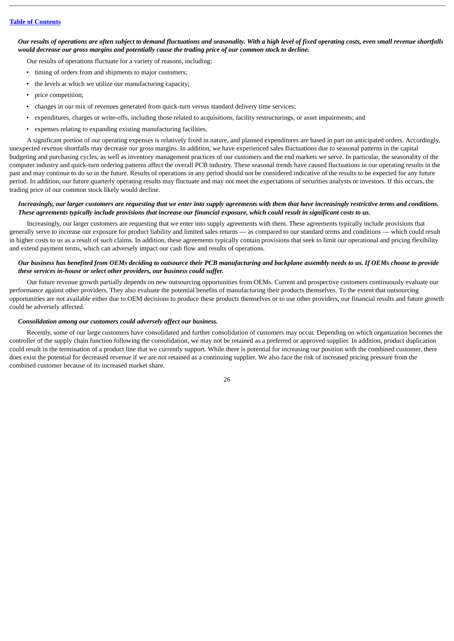*Our results of operations are often subject to demand fluctuations and seasonality. With a high level of fixed operating costs, even small revenue shortfalls would decrease our gross margins and potentially cause the trading price of our common stock to decline.*

Our results of operations fluctuate for a variety of reasons, including:

- timing of orders from and shipments to major customers;
- the levels at which we utilize our manufacturing capacity;
- price competition;
- changes in our mix of revenues generated from quick-turn versus standard delivery time services;
- expenditures, charges or write-offs, including those related to acquisitions, facility restructurings, or asset impairments; and
- expenses relating to expanding existing manufacturing facilities.

A significant portion of our operating expenses is relatively fixed in nature, and planned expenditures are based in part on anticipated orders. Accordingly, unexpected revenue shortfalls may decrease our gross margins. In addition, we have experienced sales fluctuations due to seasonal patterns in the capital budgeting and purchasing cycles, as well as inventory management practices of our customers and the end markets we serve. In particular, the seasonality of the computer industry and quick-turn ordering patterns affect the overall PCB industry. These seasonal trends have caused fluctuations in our operating results in the past and may continue to do so in the future. Results of operations in any period should not be considered indicative of the results to be expected for any future period. In addition, our future quarterly operating results may fluctuate and may not meet the expectations of securities analysts or investors. If this occurs, the trading price of our common stock likely would decline.

#### *Increasingly, our larger customers are requesting that we enter into supply agreements with them that have increasingly restrictive terms and conditions. These agreements typically include provisions that increase our financial exposure, which could result in significant costs to us.*

Increasingly, our larger customers are requesting that we enter into supply agreements with them. These agreements typically include provisions that generally serve to increase our exposure for product liability and limited sales returns — as compared to our standard terms and conditions — which could result in higher costs to us as a result of such claims. In addition, these agreements typically contain provisions that seek to limit our operational and pricing flexibility and extend payment terms, which can adversely impact our cash flow and results of operations.

# *Our business has benefited from OEMs deciding to outsource their PCB manufacturing and backplane assembly needs to us. If OEMs choose to provide these services in-house or select other providers, our business could suffer.*

Our future revenue growth partially depends on new outsourcing opportunities from OEMs. Current and prospective customers continuously evaluate our performance against other providers. They also evaluate the potential benefits of manufacturing their products themselves. To the extent that outsourcing opportunities are not available either due to OEM decisions to produce these products themselves or to use other providers, our financial results and future growth could be adversely affected.

#### *Consolidation among our customers could adversely affect our business.*

Recently, some of our large customers have consolidated and further consolidation of customers may occur. Depending on which organization becomes the controller of the supply chain function following the consolidation, we may not be retained as a preferred or approved supplier. In addition, product duplication could result in the termination of a product line that we currently support. While there is potential for increasing our position with the combined customer, there does exist the potential for decreased revenue if we are not retained as a continuing supplier. We also face the risk of increased pricing pressure from the combined customer because of its increased market share.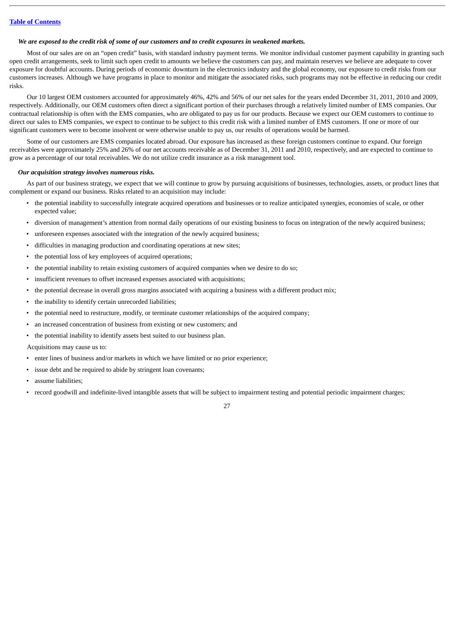#### *We are exposed to the credit risk of some of our customers and to credit exposures in weakened markets.*

Most of our sales are on an "open credit" basis, with standard industry payment terms. We monitor individual customer payment capability in granting such open credit arrangements, seek to limit such open credit to amounts we believe the customers can pay, and maintain reserves we believe are adequate to cover exposure for doubtful accounts. During periods of economic downturn in the electronics industry and the global economy, our exposure to credit risks from our customers increases. Although we have programs in place to monitor and mitigate the associated risks, such programs may not be effective in reducing our credit risks.

Our 10 largest OEM customers accounted for approximately 46%, 42% and 56% of our net sales for the years ended December 31, 2011, 2010 and 2009, respectively. Additionally, our OEM customers often direct a significant portion of their purchases through a relatively limited number of EMS companies. Our contractual relationship is often with the EMS companies, who are obligated to pay us for our products. Because we expect our OEM customers to continue to direct our sales to EMS companies, we expect to continue to be subject to this credit risk with a limited number of EMS customers. If one or more of our significant customers were to become insolvent or were otherwise unable to pay us, our results of operations would be harmed.

Some of our customers are EMS companies located abroad. Our exposure has increased as these foreign customers continue to expand. Our foreign receivables were approximately 25% and 26% of our net accounts receivable as of December 31, 2011 and 2010, respectively, and are expected to continue to grow as a percentage of our total receivables. We do not utilize credit insurance as a risk management tool.

#### *Our acquisition strategy involves numerous risks.*

As part of our business strategy, we expect that we will continue to grow by pursuing acquisitions of businesses, technologies, assets, or product lines that complement or expand our business. Risks related to an acquisition may include:

- the potential inability to successfully integrate acquired operations and businesses or to realize anticipated synergies, economies of scale, or other expected value;
- diversion of management's attention from normal daily operations of our existing business to focus on integration of the newly acquired business;
- unforeseen expenses associated with the integration of the newly acquired business;
- difficulties in managing production and coordinating operations at new sites;
- the potential loss of key employees of acquired operations:
- the potential inability to retain existing customers of acquired companies when we desire to do so;
- insufficient revenues to offset increased expenses associated with acquisitions;
- the potential decrease in overall gross margins associated with acquiring a business with a different product mix;
- the inability to identify certain unrecorded liabilities;
- the potential need to restructure, modify, or terminate customer relationships of the acquired company;
- an increased concentration of business from existing or new customers; and
- the potential inability to identify assets best suited to our business plan.

Acquisitions may cause us to:

- enter lines of business and/or markets in which we have limited or no prior experience;
- issue debt and be required to abide by stringent loan covenants;
- assume liabilities;
- record goodwill and indefinite-lived intangible assets that will be subject to impairment testing and potential periodic impairment charges;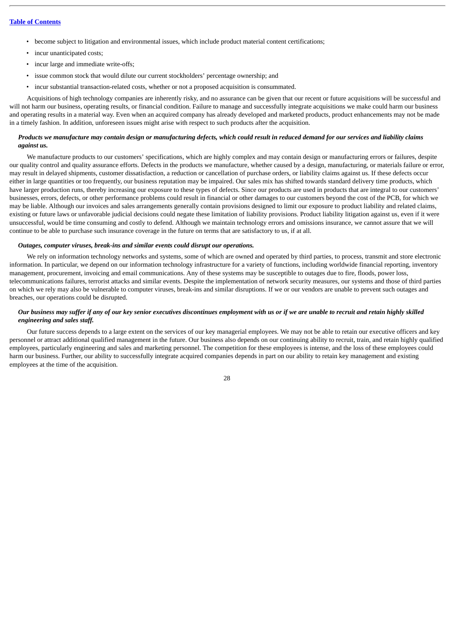- become subject to litigation and environmental issues, which include product material content certifications;
- incur unanticipated costs;
- incur large and immediate write-offs;
- issue common stock that would dilute our current stockholders' percentage ownership; and
- incur substantial transaction-related costs, whether or not a proposed acquisition is consummated.

Acquisitions of high technology companies are inherently risky, and no assurance can be given that our recent or future acquisitions will be successful and will not harm our business, operating results, or financial condition. Failure to manage and successfully integrate acquisitions we make could harm our business and operating results in a material way. Even when an acquired company has already developed and marketed products, product enhancements may not be made in a timely fashion. In addition, unforeseen issues might arise with respect to such products after the acquisition.

# *Products we manufacture may contain design or manufacturing defects, which could result in reduced demand for our services and liability claims against us.*

We manufacture products to our customers' specifications, which are highly complex and may contain design or manufacturing errors or failures, despite our quality control and quality assurance efforts. Defects in the products we manufacture, whether caused by a design, manufacturing, or materials failure or error, may result in delayed shipments, customer dissatisfaction, a reduction or cancellation of purchase orders, or liability claims against us. If these defects occur either in large quantities or too frequently, our business reputation may be impaired. Our sales mix has shifted towards standard delivery time products, which have larger production runs, thereby increasing our exposure to these types of defects. Since our products are used in products that are integral to our customers' businesses, errors, defects, or other performance problems could result in financial or other damages to our customers beyond the cost of the PCB, for which we may be liable. Although our invoices and sales arrangements generally contain provisions designed to limit our exposure to product liability and related claims, existing or future laws or unfavorable judicial decisions could negate these limitation of liability provisions. Product liability litigation against us, even if it were unsuccessful, would be time consuming and costly to defend. Although we maintain technology errors and omissions insurance, we cannot assure that we will continue to be able to purchase such insurance coverage in the future on terms that are satisfactory to us, if at all.

# *Outages, computer viruses, break-ins and similar events could disrupt our operations.*

We rely on information technology networks and systems, some of which are owned and operated by third parties, to process, transmit and store electronic information. In particular, we depend on our information technology infrastructure for a variety of functions, including worldwide financial reporting, inventory management, procurement, invoicing and email communications. Any of these systems may be susceptible to outages due to fire, floods, power loss, telecommunications failures, terrorist attacks and similar events. Despite the implementation of network security measures, our systems and those of third parties on which we rely may also be vulnerable to computer viruses, break-ins and similar disruptions. If we or our vendors are unable to prevent such outages and breaches, our operations could be disrupted.

# *Our business may suffer if any of our key senior executives discontinues employment with us or if we are unable to recruit and retain highly skilled engineering and sales staff.*

Our future success depends to a large extent on the services of our key managerial employees. We may not be able to retain our executive officers and key personnel or attract additional qualified management in the future. Our business also depends on our continuing ability to recruit, train, and retain highly qualified employees, particularly engineering and sales and marketing personnel. The competition for these employees is intense, and the loss of these employees could harm our business. Further, our ability to successfully integrate acquired companies depends in part on our ability to retain key management and existing employees at the time of the acquisition.

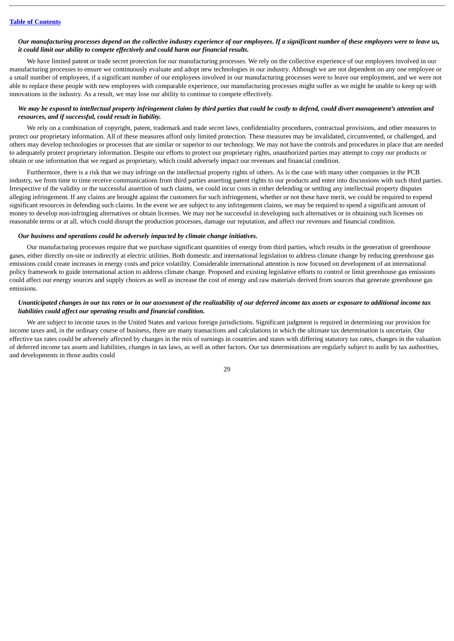#### *Our manufacturing processes depend on the collective industry experience of our employees. If a significant number of these employees were to leave us, it could limit our ability to compete effectively and could harm our financial results.*

We have limited patent or trade secret protection for our manufacturing processes. We rely on the collective experience of our employees involved in our manufacturing processes to ensure we continuously evaluate and adopt new technologies in our industry. Although we are not dependent on any one employee or a small number of employees, if a significant number of our employees involved in our manufacturing processes were to leave our employment, and we were not able to replace these people with new employees with comparable experience, our manufacturing processes might suffer as we might be unable to keep up with innovations in the industry. As a result, we may lose our ability to continue to compete effectively.

#### *We may be exposed to intellectual property infringement claims by third parties that could be costly to defend, could divert management's attention and resources, and if successful, could result in liability.*

We rely on a combination of copyright, patent, trademark and trade secret laws, confidentiality procedures, contractual provisions, and other measures to protect our proprietary information. All of these measures afford only limited protection. These measures may be invalidated, circumvented, or challenged, and others may develop technologies or processes that are similar or superior to our technology. We may not have the controls and procedures in place that are needed to adequately protect proprietary information. Despite our efforts to protect our proprietary rights, unauthorized parties may attempt to copy our products or obtain or use information that we regard as proprietary, which could adversely impact our revenues and financial condition.

Furthermore, there is a risk that we may infringe on the intellectual property rights of others. As is the case with many other companies in the PCB industry, we from time to time receive communications from third parties asserting patent rights to our products and enter into discussions with such third parties. Irrespective of the validity or the successful assertion of such claims, we could incur costs in either defending or settling any intellectual property disputes alleging infringement. If any claims are brought against the customers for such infringement, whether or not these have merit, we could be required to expend significant resources in defending such claims. In the event we are subject to any infringement claims, we may be required to spend a significant amount of money to develop non-infringing alternatives or obtain licenses. We may not be successful in developing such alternatives or in obtaining such licenses on reasonable terms or at all, which could disrupt the production processes, damage our reputation, and affect our revenues and financial condition.

#### *Our business and operations could be adversely impacted by climate change initiatives.*

Our manufacturing processes require that we purchase significant quantities of energy from third parties, which results in the generation of greenhouse gases, either directly on-site or indirectly at electric utilities. Both domestic and international legislation to address climate change by reducing greenhouse gas emissions could create increases in energy costs and price volatility. Considerable international attention is now focused on development of an international policy framework to guide international action to address climate change. Proposed and existing legislative efforts to control or limit greenhouse gas emissions could affect our energy sources and supply choices as well as increase the cost of energy and raw materials derived from sources that generate greenhouse gas emissions.

## *Unanticipated changes in our tax rates or in our assessment of the realizability of our deferred income tax assets or exposure to additional income tax liabilities could affect our operating results and financial condition.*

We are subject to income taxes in the United States and various foreign jurisdictions. Significant judgment is required in determining our provision for income taxes and, in the ordinary course of business, there are many transactions and calculations in which the ultimate tax determination is uncertain. Our effective tax rates could be adversely affected by changes in the mix of earnings in countries and states with differing statutory tax rates, changes in the valuation of deferred income tax assets and liabilities, changes in tax laws, as well as other factors. Our tax determinations are regularly subject to audit by tax authorities, and developments in those audits could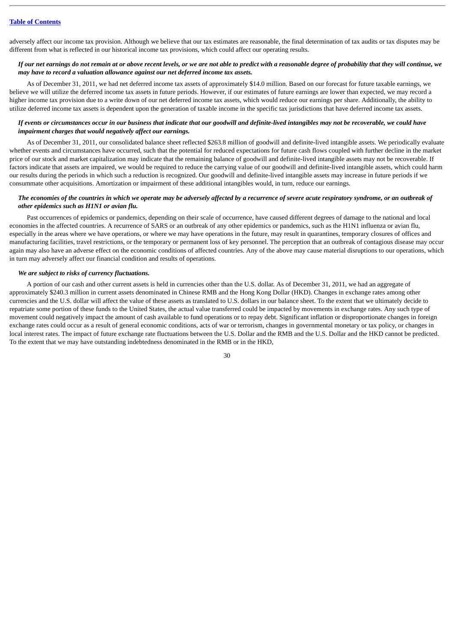adversely affect our income tax provision. Although we believe that our tax estimates are reasonable, the final determination of tax audits or tax disputes may be different from what is reflected in our historical income tax provisions, which could affect our operating results.

# *If our net earnings do not remain at or above recent levels, or we are not able to predict with a reasonable degree of probability that they will continue, we may have to record a valuation allowance against our net deferred income tax assets.*

As of December 31, 2011, we had net deferred income tax assets of approximately \$14.0 million. Based on our forecast for future taxable earnings, we believe we will utilize the deferred income tax assets in future periods. However, if our estimates of future earnings are lower than expected, we may record a higher income tax provision due to a write down of our net deferred income tax assets, which would reduce our earnings per share. Additionally, the ability to utilize deferred income tax assets is dependent upon the generation of taxable income in the specific tax jurisdictions that have deferred income tax assets.

# *If events or circumstances occur in our business that indicate that our goodwill and definite-lived intangibles may not be recoverable, we could have impairment charges that would negatively affect our earnings.*

As of December 31, 2011, our consolidated balance sheet reflected \$263.8 million of goodwill and definite-lived intangible assets. We periodically evaluate whether events and circumstances have occurred, such that the potential for reduced expectations for future cash flows coupled with further decline in the market price of our stock and market capitalization may indicate that the remaining balance of goodwill and definite-lived intangible assets may not be recoverable. If factors indicate that assets are impaired, we would be required to reduce the carrying value of our goodwill and definite-lived intangible assets, which could harm our results during the periods in which such a reduction is recognized. Our goodwill and definite-lived intangible assets may increase in future periods if we consummate other acquisitions. Amortization or impairment of these additional intangibles would, in turn, reduce our earnings.

#### *The economies of the countries in which we operate may be adversely affected by a recurrence of severe acute respiratory syndrome, or an outbreak of other epidemics such as H1N1 or avian flu.*

Past occurrences of epidemics or pandemics, depending on their scale of occurrence, have caused different degrees of damage to the national and local economies in the affected countries. A recurrence of SARS or an outbreak of any other epidemics or pandemics, such as the H1N1 influenza or avian flu, especially in the areas where we have operations, or where we may have operations in the future, may result in quarantines, temporary closures of offices and manufacturing facilities, travel restrictions, or the temporary or permanent loss of key personnel. The perception that an outbreak of contagious disease may occur again may also have an adverse effect on the economic conditions of affected countries. Any of the above may cause material disruptions to our operations, which in turn may adversely affect our financial condition and results of operations.

#### *We are subject to risks of currency fluctuations.*

A portion of our cash and other current assets is held in currencies other than the U.S. dollar. As of December 31, 2011, we had an aggregate of approximately \$240.3 million in current assets denominated in Chinese RMB and the Hong Kong Dollar (HKD). Changes in exchange rates among other currencies and the U.S. dollar will affect the value of these assets as translated to U.S. dollars in our balance sheet. To the extent that we ultimately decide to repatriate some portion of these funds to the United States, the actual value transferred could be impacted by movements in exchange rates. Any such type of movement could negatively impact the amount of cash available to fund operations or to repay debt. Significant inflation or disproportionate changes in foreign exchange rates could occur as a result of general economic conditions, acts of war or terrorism, changes in governmental monetary or tax policy, or changes in local interest rates. The impact of future exchange rate fluctuations between the U.S. Dollar and the RMB and the U.S. Dollar and the HKD cannot be predicted. To the extent that we may have outstanding indebtedness denominated in the RMB or in the HKD,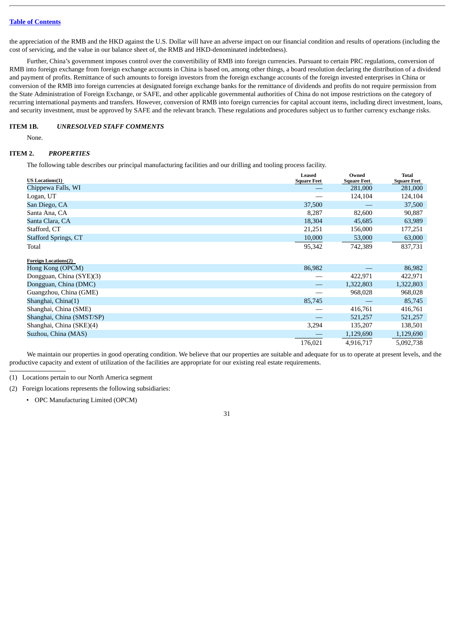the appreciation of the RMB and the HKD against the U.S. Dollar will have an adverse impact on our financial condition and results of operations (including the cost of servicing, and the value in our balance sheet of, the RMB and HKD-denominated indebtedness).

Further, China's government imposes control over the convertibility of RMB into foreign currencies. Pursuant to certain PRC regulations, conversion of RMB into foreign exchange from foreign exchange accounts in China is based on, among other things, a board resolution declaring the distribution of a dividend and payment of profits. Remittance of such amounts to foreign investors from the foreign exchange accounts of the foreign invested enterprises in China or conversion of the RMB into foreign currencies at designated foreign exchange banks for the remittance of dividends and profits do not require permission from the State Administration of Foreign Exchange, or SAFE, and other applicable governmental authorities of China do not impose restrictions on the category of recurring international payments and transfers. However, conversion of RMB into foreign currencies for capital account items, including direct investment, loans, and security investment, must be approved by SAFE and the relevant branch. These regulations and procedures subject us to further currency exchange risks.

#### <span id="page-30-0"></span>**ITEM 1B.** *UNRESOLVED STAFF COMMENTS*

None.

#### <span id="page-30-1"></span>**ITEM 2.** *PROPERTIES*

The following table describes our principal manufacturing facilities and our drilling and tooling process facility.

|                             | <b>Leased</b>      | Owned              | Total              |
|-----------------------------|--------------------|--------------------|--------------------|
| <b>US Locations(1)</b>      | <b>Square Feet</b> | <b>Square Feet</b> | <b>Square Feet</b> |
| Chippewa Falls, WI          |                    | 281,000            | 281,000            |
| Logan, UT                   |                    | 124,104            | 124,104            |
| San Diego, CA               | 37,500             |                    | 37,500             |
| Santa Ana, CA               | 8,287              | 82,600             | 90,887             |
| Santa Clara, CA             | 18,304             | 45,685             | 63,989             |
| Stafford, CT                | 21,251             | 156,000            | 177,251            |
| <b>Stafford Springs, CT</b> | 10,000             | 53,000             | 63,000             |
| Total                       | 95,342             | 742,389            | 837,731            |
| <b>Foreign Locations(2)</b> |                    |                    |                    |
| Hong Kong (OPCM)            | 86,982             |                    | 86,982             |
| Dongguan, China (SYE)(3)    |                    | 422,971            | 422,971            |
| Dongguan, China (DMC)       |                    | 1,322,803          | 1,322,803          |
| Guangzhou, China (GME)      |                    | 968,028            | 968,028            |
| Shanghai, China(1)          | 85,745             |                    | 85,745             |
| Shanghai, China (SME)       |                    | 416,761            | 416,761            |
| Shanghai, China (SMST/SP)   |                    | 521,257            | 521,257            |
| Shanghai, China (SKE)(4)    | 3,294              | 135,207            | 138,501            |
| Suzhou, China (MAS)         |                    | 1,129,690          | 1,129,690          |
|                             | 176,021            | 4,916,717          | 5,092,738          |

We maintain our properties in good operating condition. We believe that our properties are suitable and adequate for us to operate at present levels, and the productive capacity and extent of utilization of the facilities are appropriate for our existing real estate requirements.

31

(1) Locations pertain to our North America segment

(2) Foreign locations represents the following subsidiaries:

• OPC Manufacturing Limited (OPCM)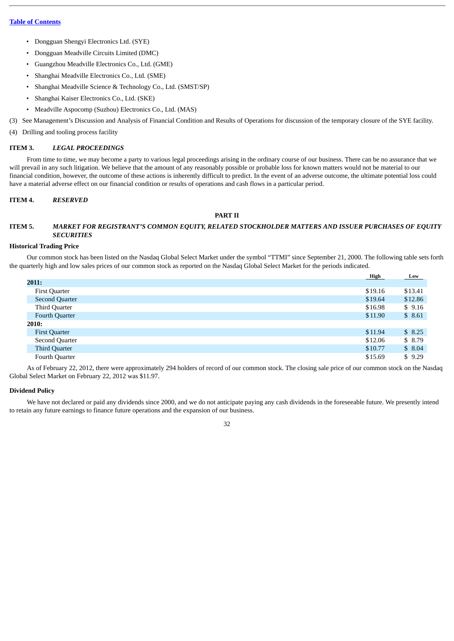- Dongguan Shengyi Electronics Ltd. (SYE)
- Dongguan Meadville Circuits Limited (DMC)
- Guangzhou Meadville Electronics Co., Ltd. (GME)
- Shanghai Meadville Electronics Co., Ltd. (SME)
- Shanghai Meadville Science & Technology Co., Ltd. (SMST/SP)
- Shanghai Kaiser Electronics Co., Ltd. (SKE)
- Meadville Aspocomp (Suzhou) Electronics Co., Ltd. (MAS)
- (3) See Management's Discussion and Analysis of Financial Condition and Results of Operations for discussion of the temporary closure of the SYE facility.
- (4) Drilling and tooling process facility

# <span id="page-31-0"></span>**ITEM 3.** *LEGAL PROCEEDINGS*

From time to time, we may become a party to various legal proceedings arising in the ordinary course of our business. There can be no assurance that we will prevail in any such litigation. We believe that the amount of any reasonably possible or probable loss for known matters would not be material to our financial condition, however, the outcome of these actions is inherently difficult to predict. In the event of an adverse outcome, the ultimate potential loss could have a material adverse effect on our financial condition or results of operations and cash flows in a particular period.

#### <span id="page-31-1"></span>**ITEM 4.** *RESERVED*

# **PART II**

# <span id="page-31-2"></span>**ITEM 5.** *MARKET FOR REGISTRANT'S COMMON EQUITY, RELATED STOCKHOLDER MATTERS AND ISSUER PURCHASES OF EQUITY SECURITIES*

# **Historical Trading Price**

Our common stock has been listed on the Nasdaq Global Select Market under the symbol "TTMI" since September 21, 2000. The following table sets forth the quarterly high and low sales prices of our common stock as reported on the Nasdaq Global Select Market for the periods indicated.

|                       | High    | Low     |
|-----------------------|---------|---------|
| 2011:                 |         |         |
| <b>First Quarter</b>  | \$19.16 | \$13.41 |
| <b>Second Quarter</b> | \$19.64 | \$12.86 |
| Third Quarter         | \$16.98 | \$9.16  |
| Fourth Quarter        | \$11.90 | \$8.61  |
| 2010:                 |         |         |
| <b>First Quarter</b>  | \$11.94 | \$8.25  |
| Second Quarter        | \$12.06 | \$8.79  |
| <b>Third Quarter</b>  | \$10.77 | \$8.04  |
| Fourth Quarter        | \$15.69 | \$9.29  |

As of February 22, 2012, there were approximately 294 holders of record of our common stock. The closing sale price of our common stock on the Nasdaq Global Select Market on February 22, 2012 was \$11.97.

#### **Dividend Policy**

We have not declared or paid any dividends since 2000, and we do not anticipate paying any cash dividends in the foreseeable future. We presently intend to retain any future earnings to finance future operations and the expansion of our business.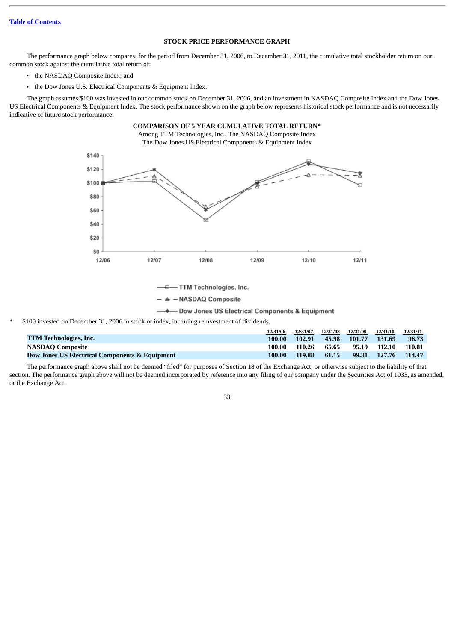# **STOCK PRICE PERFORMANCE GRAPH**

The performance graph below compares, for the period from December 31, 2006, to December 31, 2011, the cumulative total stockholder return on our common stock against the cumulative total return of:

- the NASDAQ Composite Index; and
- the Dow Jones U.S. Electrical Components & Equipment Index.

The graph assumes \$100 was invested in our common stock on December 31, 2006, and an investment in NASDAQ Composite Index and the Dow Jones US Electrical Components & Equipment Index. The stock performance shown on the graph below represents historical stock performance and is not necessarily indicative of future stock performance.



O TTM Technologies, Inc.

- A -NASDAQ Composite

- + Dow Jones US Electrical Components & Equipment

\$100 invested on December 31, 2006 in stock or index, including reinvestment of dividends.

|                                                           | 12/31/06 | 12/31/07 | 12/31/08 | 12/31/09 | 12/31/10 | 12/31/11 |
|-----------------------------------------------------------|----------|----------|----------|----------|----------|----------|
| TTM Technologies, Inc.                                    | 100.00   | 102.91   | 45.98    | 101.77   | 131.69   | 96.73    |
| <b>NASDAQ Composite</b>                                   | 100.00   | 110.26   | 65.65    | 95.19    | 112.10   | 110.81   |
| <b>Dow Jones US Electrical Components &amp; Equipment</b> | 100.00   | 119.88   | 61.15    | 99.31    | 127.76   | 114.47   |

The performance graph above shall not be deemed "filed" for purposes of Section 18 of the Exchange Act, or otherwise subject to the liability of that section. The performance graph above will not be deemed incorporated by reference into any filing of our company under the Securities Act of 1933, as amended, or the Exchange Act.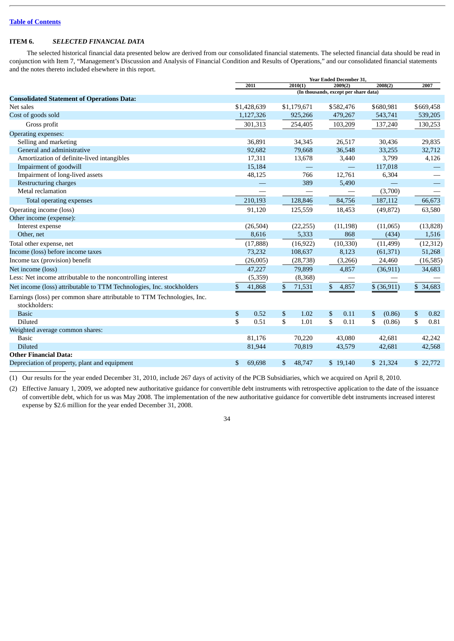# <span id="page-33-0"></span>**ITEM 6.** *SELECTED FINANCIAL DATA*

The selected historical financial data presented below are derived from our consolidated financial statements. The selected financial data should be read in conjunction with Item 7, "Management's Discussion and Analysis of Financial Condition and Results of Operations," and our consolidated financial statements and the notes thereto included elsewhere in this report.

|                                                                                          | <b>Year Ended December 31,</b> |              |                                                  |              |            |
|------------------------------------------------------------------------------------------|--------------------------------|--------------|--------------------------------------------------|--------------|------------|
|                                                                                          | 2011                           | 2010(1)      | 2009(2)<br>(In thousands, except per share data) | 2008(2)      | 2007       |
|                                                                                          |                                |              |                                                  |              |            |
| <b>Consolidated Statement of Operations Data:</b>                                        |                                |              |                                                  |              |            |
| Net sales                                                                                | \$1,428,639                    | \$1,179,671  | \$582,476                                        | \$680,981    | \$669,458  |
| Cost of goods sold                                                                       | 1,127,326                      | 925,266      | 479,267                                          | 543,741      | 539,205    |
| Gross profit                                                                             | 301,313                        | 254,405      | 103,209                                          | 137,240      | 130,253    |
| <b>Operating expenses:</b>                                                               |                                |              |                                                  |              |            |
| Selling and marketing                                                                    | 36,891                         | 34,345       | 26,517                                           | 30,436       | 29,835     |
| General and administrative                                                               | 92,682                         | 79,668       | 36,548                                           | 33,255       | 32,712     |
| Amortization of definite-lived intangibles                                               | 17,311                         | 13,678       | 3,440                                            | 3,799        | 4,126      |
| Impairment of goodwill                                                                   | 15,184                         |              |                                                  | 117,018      |            |
| Impairment of long-lived assets                                                          | 48,125                         | 766          | 12,761                                           | 6,304        |            |
| Restructuring charges                                                                    |                                | 389          | 5,490                                            |              |            |
| Metal reclamation                                                                        |                                |              |                                                  | (3,700)      |            |
| Total operating expenses                                                                 | 210,193                        | 128,846      | 84,756                                           | 187,112      | 66,673     |
| Operating income (loss)                                                                  | 91,120                         | 125,559      | 18,453                                           | (49, 872)    | 63,580     |
| Other income (expense):                                                                  |                                |              |                                                  |              |            |
| Interest expense                                                                         | (26, 504)                      | (22, 255)    | (11, 198)                                        | (11,065)     | (13, 828)  |
| Other, net                                                                               | 8.616                          | 5,333        | 868                                              | (434)        | 1,516      |
| Total other expense, net                                                                 | (17, 888)                      | (16, 922)    | (10, 330)                                        | (11, 499)    | (12, 312)  |
| Income (loss) before income taxes                                                        | 73,232                         | 108,637      | 8,123                                            | (61, 371)    | 51,268     |
| Income tax (provision) benefit                                                           | (26,005)                       | (28, 738)    | (3,266)                                          | 24,460       | (16, 585)  |
| Net income (loss)                                                                        | 47,227                         | 79,899       | 4,857                                            | (36, 911)    | 34,683     |
| Less: Net income attributable to the noncontrolling interest                             | (5,359)                        | (8,368)      |                                                  |              |            |
| Net income (loss) attributable to TTM Technologies, Inc. stockholders                    | \$<br>41,868                   | \$<br>71,531 | \$<br>4,857                                      | \$ (36,911)  | \$ 34,683  |
| Earnings (loss) per common share attributable to TTM Technologies, Inc.<br>stockholders: |                                |              |                                                  |              |            |
| <b>Basic</b>                                                                             | \$<br>0.52                     | \$<br>1.02   | \$<br>0.11                                       | \$<br>(0.86) | \$<br>0.82 |
| Diluted                                                                                  | \$<br>0.51                     | \$<br>1.01   | \$<br>0.11                                       | \$<br>(0.86) | \$<br>0.81 |
| Weighted average common shares:                                                          |                                |              |                                                  |              |            |
| <b>Basic</b>                                                                             | 81,176                         | 70,220       | 43,080                                           | 42,681       | 42,242     |
| <b>Diluted</b>                                                                           | 81,944                         | 70,819       | 43,579                                           | 42,681       | 42,568     |
| <b>Other Financial Data:</b>                                                             |                                |              |                                                  |              |            |
| Depreciation of property, plant and equipment                                            | \$<br>69,698                   | \$<br>48,747 | \$19,140                                         | \$21,324     | \$22,772   |

(1) Our results for the year ended December 31, 2010, include 267 days of activity of the PCB Subsidiaries, which we acquired on April 8, 2010.

(2) Effective January 1, 2009, we adopted new authoritative guidance for convertible debt instruments with retrospective application to the date of the issuance of convertible debt, which for us was May 2008. The implementation of the new authoritative guidance for convertible debt instruments increased interest expense by \$2.6 million for the year ended December 31, 2008.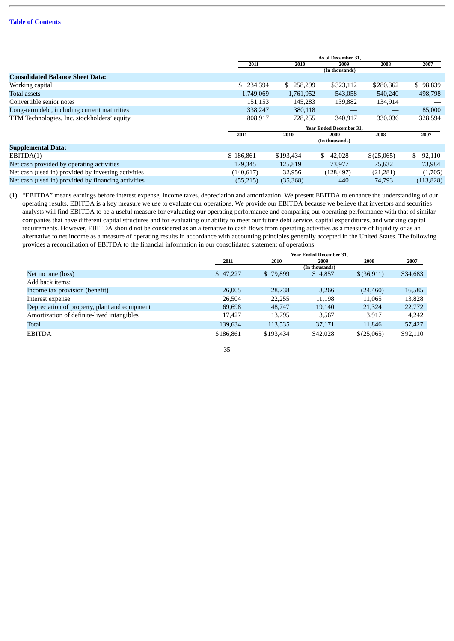|                                                     | As of December 31, |           |                         |            |              |
|-----------------------------------------------------|--------------------|-----------|-------------------------|------------|--------------|
|                                                     | 2011               | 2010      | 2009                    | 2008       | 2007         |
|                                                     |                    |           | (In thousands)          |            |              |
| <b>Consolidated Balance Sheet Data:</b>             |                    |           |                         |            |              |
| Working capital                                     | \$ 234,394         | \$258,299 | \$323,112               | \$280,362  | \$98,839     |
| <b>Total assets</b>                                 | 1,749,069          | 1,761,952 | 543,058                 | 540,240    | 498,798      |
| Convertible senior notes                            | 151,153            | 145,283   | 139,882                 | 134,914    |              |
| Long-term debt, including current maturities        | 338,247            | 380,118   |                         |            | 85,000       |
| TTM Technologies, Inc. stockholders' equity         | 808,917            | 728,255   | 340,917                 | 330,036    | 328,594      |
|                                                     |                    |           | Year Ended December 31, |            |              |
|                                                     | 2011               | 2010      | 2009                    | 2008       | 2007         |
|                                                     |                    |           | (In thousands)          |            |              |
| <b>Supplemental Data:</b>                           |                    |           |                         |            |              |
| EBITDA(1)                                           | \$186,861          | \$193,434 | \$<br>42,028            | \$(25,065) | \$<br>92,110 |
| Net cash provided by operating activities           | 179,345            | 125,819   | 73,977                  | 75,632     | 73,984       |
| Net cash (used in) provided by investing activities | (140,617)          | 32,956    | (128, 497)              | (21, 281)  | (1,705)      |
| Net cash (used in) provided by financing activities | (55,215)           | (35,368)  | 440                     | 74,793     | (113, 828)   |

(1) "EBITDA" means earnings before interest expense, income taxes, depreciation and amortization. We present EBITDA to enhance the understanding of our operating results. EBITDA is a key measure we use to evaluate our operations. We provide our EBITDA because we believe that investors and securities analysts will find EBITDA to be a useful measure for evaluating our operating performance and comparing our operating performance with that of similar companies that have different capital structures and for evaluating our ability to meet our future debt service, capital expenditures, and working capital requirements. However, EBITDA should not be considered as an alternative to cash flows from operating activities as a measure of liquidity or as an alternative to net income as a measure of operating results in accordance with accounting principles generally accepted in the United States. The following provides a reconciliation of EBITDA to the financial information in our consolidated statement of operations.

|                                               |           |           | <b>Year Ended December 31.</b> |              |          |
|-----------------------------------------------|-----------|-----------|--------------------------------|--------------|----------|
|                                               | 2011      | 2010      | 2009                           | 2008         | 2007     |
|                                               |           |           | (In thousands)                 |              |          |
| Net income (loss)                             | \$47,227  | \$79,899  | \$4,857                        | $$$ (36,911) | \$34,683 |
| Add back items:                               |           |           |                                |              |          |
| Income tax provision (benefit)                | 26,005    | 28,738    | 3.266                          | (24, 460)    | 16,585   |
| Interest expense                              | 26.504    | 22,255    | 11,198                         | 11,065       | 13,828   |
| Depreciation of property, plant and equipment | 69,698    | 48,747    | 19,140                         | 21,324       | 22,772   |
| Amortization of definite-lived intangibles    | 17,427    | 13,795    | 3,567                          | 3,917        | 4,242    |
| <b>Total</b>                                  | 139,634   | 113,535   | 37,171                         | 11,846       | 57,427   |
| <b>EBITDA</b>                                 | \$186,861 | \$193,434 | \$42,028                       | \$(25,065)   | \$92,110 |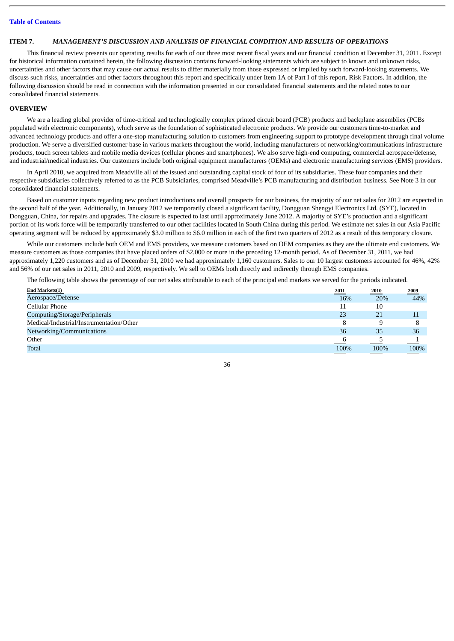# <span id="page-35-0"></span>**ITEM 7.** *MANAGEMENT'S DISCUSSION AND ANALYSIS OF FINANCIAL CONDITION AND RESULTS OF OPERATIONS*

This financial review presents our operating results for each of our three most recent fiscal years and our financial condition at December 31, 2011. Except for historical information contained herein, the following discussion contains forward-looking statements which are subject to known and unknown risks, uncertainties and other factors that may cause our actual results to differ materially from those expressed or implied by such forward-looking statements. We discuss such risks, uncertainties and other factors throughout this report and specifically under Item 1A of Part I of this report, Risk Factors. In addition, the following discussion should be read in connection with the information presented in our consolidated financial statements and the related notes to our consolidated financial statements.

# **OVERVIEW**

We are a leading global provider of time-critical and technologically complex printed circuit board (PCB) products and backplane assemblies (PCBs populated with electronic components), which serve as the foundation of sophisticated electronic products. We provide our customers time-to-market and advanced technology products and offer a one-stop manufacturing solution to customers from engineering support to prototype development through final volume production. We serve a diversified customer base in various markets throughout the world, including manufacturers of networking/communications infrastructure products, touch screen tablets and mobile media devices (cellular phones and smartphones). We also serve high-end computing, commercial aerospace/defense, and industrial/medical industries. Our customers include both original equipment manufacturers (OEMs) and electronic manufacturing services (EMS) providers.

In April 2010, we acquired from Meadville all of the issued and outstanding capital stock of four of its subsidiaries. These four companies and their respective subsidiaries collectively referred to as the PCB Subsidiaries, comprised Meadville's PCB manufacturing and distribution business. See Note 3 in our consolidated financial statements.

Based on customer inputs regarding new product introductions and overall prospects for our business, the majority of our net sales for 2012 are expected in the second half of the year. Additionally, in January 2012 we temporarily closed a significant facility, Dongguan Shengyi Electronics Ltd. (SYE), located in Dongguan, China, for repairs and upgrades. The closure is expected to last until approximately June 2012. A majority of SYE's production and a significant portion of its work force will be temporarily transferred to our other facilities located in South China during this period. We estimate net sales in our Asia Pacific operating segment will be reduced by approximately \$3.0 million to \$6.0 million in each of the first two quarters of 2012 as a result of this temporary closure.

While our customers include both OEM and EMS providers, we measure customers based on OEM companies as they are the ultimate end customers. We measure customers as those companies that have placed orders of \$2,000 or more in the preceding 12-month period. As of December 31, 2011, we had approximately 1,220 customers and as of December 31, 2010 we had approximately 1,160 customers. Sales to our 10 largest customers accounted for 46%, 42% and 56% of our net sales in 2011, 2010 and 2009, respectively. We sell to OEMs both directly and indirectly through EMS companies.

The following table shows the percentage of our net sales attributable to each of the principal end markets we served for the periods indicated.

| End Markets(1)                           | 2011 | 2010 | 2009                                       |
|------------------------------------------|------|------|--------------------------------------------|
| Aerospace/Defense                        | 16%  | 20%  | 44%                                        |
| Cellular Phone                           | 11   | 10   |                                            |
| Computing/Storage/Peripherals            | 23   | 21   |                                            |
| Medical/Industrial/Instrumentation/Other |      |      |                                            |
| Networking/Communications                | 36   | 35   | 36                                         |
| Other                                    |      |      |                                            |
| <b>Total</b>                             | 100% | 100% | 100%                                       |
|                                          |      | __   | <b>Contract Contract Contract Contract</b> |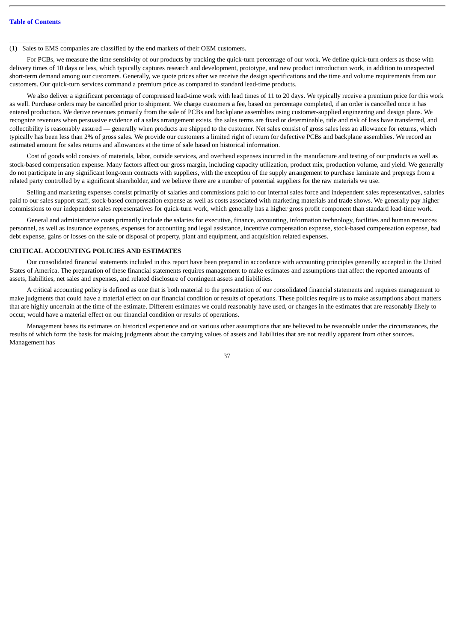(1) Sales to EMS companies are classified by the end markets of their OEM customers.

For PCBs, we measure the time sensitivity of our products by tracking the quick-turn percentage of our work. We define quick-turn orders as those with delivery times of 10 days or less, which typically captures research and development, prototype, and new product introduction work, in addition to unexpected short-term demand among our customers. Generally, we quote prices after we receive the design specifications and the time and volume requirements from our customers. Our quick-turn services command a premium price as compared to standard lead-time products.

We also deliver a significant percentage of compressed lead-time work with lead times of 11 to 20 days. We typically receive a premium price for this work as well. Purchase orders may be cancelled prior to shipment. We charge customers a fee, based on percentage completed, if an order is cancelled once it has entered production. We derive revenues primarily from the sale of PCBs and backplane assemblies using customer-supplied engineering and design plans. We recognize revenues when persuasive evidence of a sales arrangement exists, the sales terms are fixed or determinable, title and risk of loss have transferred, and collectibility is reasonably assured — generally when products are shipped to the customer. Net sales consist of gross sales less an allowance for returns, which typically has been less than 2% of gross sales. We provide our customers a limited right of return for defective PCBs and backplane assemblies. We record an estimated amount for sales returns and allowances at the time of sale based on historical information.

Cost of goods sold consists of materials, labor, outside services, and overhead expenses incurred in the manufacture and testing of our products as well as stock-based compensation expense. Many factors affect our gross margin, including capacity utilization, product mix, production volume, and yield. We generally do not participate in any significant long-term contracts with suppliers, with the exception of the supply arrangement to purchase laminate and prepregs from a related party controlled by a significant shareholder, and we believe there are a number of potential suppliers for the raw materials we use.

Selling and marketing expenses consist primarily of salaries and commissions paid to our internal sales force and independent sales representatives, salaries paid to our sales support staff, stock-based compensation expense as well as costs associated with marketing materials and trade shows. We generally pay higher commissions to our independent sales representatives for quick-turn work, which generally has a higher gross profit component than standard lead-time work.

General and administrative costs primarily include the salaries for executive, finance, accounting, information technology, facilities and human resources personnel, as well as insurance expenses, expenses for accounting and legal assistance, incentive compensation expense, stock-based compensation expense, bad debt expense, gains or losses on the sale or disposal of property, plant and equipment, and acquisition related expenses.

## **CRITICAL ACCOUNTING POLICIES AND ESTIMATES**

Our consolidated financial statements included in this report have been prepared in accordance with accounting principles generally accepted in the United States of America. The preparation of these financial statements requires management to make estimates and assumptions that affect the reported amounts of assets, liabilities, net sales and expenses, and related disclosure of contingent assets and liabilities.

A critical accounting policy is defined as one that is both material to the presentation of our consolidated financial statements and requires management to make judgments that could have a material effect on our financial condition or results of operations. These policies require us to make assumptions about matters that are highly uncertain at the time of the estimate. Different estimates we could reasonably have used, or changes in the estimates that are reasonably likely to occur, would have a material effect on our financial condition or results of operations.

Management bases its estimates on historical experience and on various other assumptions that are believed to be reasonable under the circumstances, the results of which form the basis for making judgments about the carrying values of assets and liabilities that are not readily apparent from other sources. Management has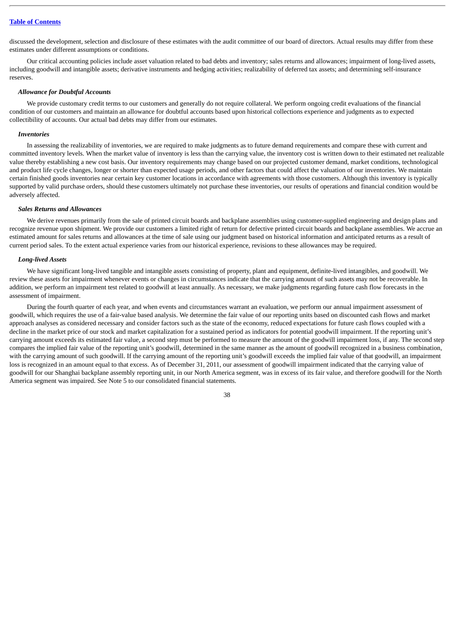discussed the development, selection and disclosure of these estimates with the audit committee of our board of directors. Actual results may differ from these estimates under different assumptions or conditions.

Our critical accounting policies include asset valuation related to bad debts and inventory; sales returns and allowances; impairment of long-lived assets, including goodwill and intangible assets; derivative instruments and hedging activities; realizability of deferred tax assets; and determining self-insurance reserves.

#### *Allowance for Doubtful Accounts*

We provide customary credit terms to our customers and generally do not require collateral. We perform ongoing credit evaluations of the financial condition of our customers and maintain an allowance for doubtful accounts based upon historical collections experience and judgments as to expected collectibility of accounts. Our actual bad debts may differ from our estimates.

### *Inventories*

In assessing the realizability of inventories, we are required to make judgments as to future demand requirements and compare these with current and committed inventory levels. When the market value of inventory is less than the carrying value, the inventory cost is written down to their estimated net realizable value thereby establishing a new cost basis. Our inventory requirements may change based on our projected customer demand, market conditions, technological and product life cycle changes, longer or shorter than expected usage periods, and other factors that could affect the valuation of our inventories. We maintain certain finished goods inventories near certain key customer locations in accordance with agreements with those customers. Although this inventory is typically supported by valid purchase orders, should these customers ultimately not purchase these inventories, our results of operations and financial condition would be adversely affected.

### *Sales Returns and Allowances*

We derive revenues primarily from the sale of printed circuit boards and backplane assemblies using customer-supplied engineering and design plans and recognize revenue upon shipment. We provide our customers a limited right of return for defective printed circuit boards and backplane assemblies. We accrue an estimated amount for sales returns and allowances at the time of sale using our judgment based on historical information and anticipated returns as a result of current period sales. To the extent actual experience varies from our historical experience, revisions to these allowances may be required.

#### *Long-lived Assets*

We have significant long-lived tangible and intangible assets consisting of property, plant and equipment, definite-lived intangibles, and goodwill. We review these assets for impairment whenever events or changes in circumstances indicate that the carrying amount of such assets may not be recoverable. In addition, we perform an impairment test related to goodwill at least annually. As necessary, we make judgments regarding future cash flow forecasts in the assessment of impairment.

During the fourth quarter of each year, and when events and circumstances warrant an evaluation, we perform our annual impairment assessment of goodwill, which requires the use of a fair-value based analysis. We determine the fair value of our reporting units based on discounted cash flows and market approach analyses as considered necessary and consider factors such as the state of the economy, reduced expectations for future cash flows coupled with a decline in the market price of our stock and market capitalization for a sustained period as indicators for potential goodwill impairment. If the reporting unit's carrying amount exceeds its estimated fair value, a second step must be performed to measure the amount of the goodwill impairment loss, if any. The second step compares the implied fair value of the reporting unit's goodwill, determined in the same manner as the amount of goodwill recognized in a business combination, with the carrying amount of such goodwill. If the carrying amount of the reporting unit's goodwill exceeds the implied fair value of that goodwill, an impairment loss is recognized in an amount equal to that excess. As of December 31, 2011, our assessment of goodwill impairment indicated that the carrying value of goodwill for our Shanghai backplane assembly reporting unit, in our North America segment, was in excess of its fair value, and therefore goodwill for the North America segment was impaired. See Note 5 to our consolidated financial statements.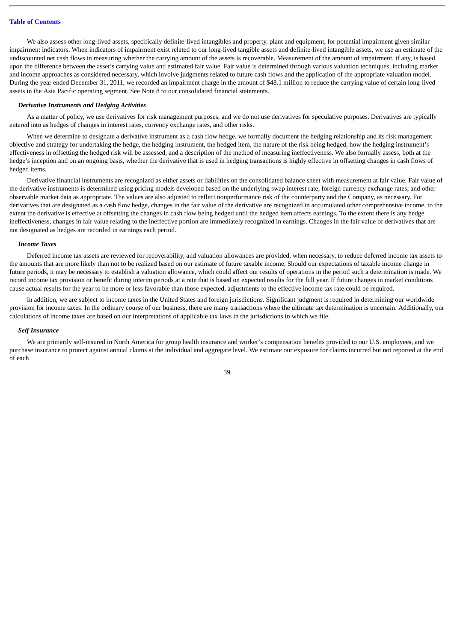We also assess other long-lived assets, specifically definite-lived intangibles and property, plant and equipment, for potential impairment given similar impairment indicators. When indicators of impairment exist related to our long-lived tangible assets and definite-lived intangible assets, we use an estimate of the undiscounted net cash flows in measuring whether the carrying amount of the assets is recoverable. Measurement of the amount of impairment, if any, is based upon the difference between the asset's carrying value and estimated fair value. Fair value is determined through various valuation techniques, including market and income approaches as considered necessary, which involve judgments related to future cash flows and the application of the appropriate valuation model. During the year ended December 31, 2011, we recorded an impairment charge in the amount of \$48.1 million to reduce the carrying value of certain long-lived assets in the Asia Pacific operating segment. See Note 8 to our consolidated financial statements.

#### *Derivative Instruments and Hedging Activities*

As a matter of policy, we use derivatives for risk management purposes, and we do not use derivatives for speculative purposes. Derivatives are typically entered into as hedges of changes in interest rates, currency exchange rates, and other risks.

When we determine to designate a derivative instrument as a cash flow hedge, we formally document the hedging relationship and its risk management objective and strategy for undertaking the hedge, the hedging instrument, the hedged item, the nature of the risk being hedged, how the hedging instrument's effectiveness in offsetting the hedged risk will be assessed, and a description of the method of measuring ineffectiveness. We also formally assess, both at the hedge's inception and on an ongoing basis, whether the derivative that is used in hedging transactions is highly effective in offsetting changes in cash flows of hedged items.

Derivative financial instruments are recognized as either assets or liabilities on the consolidated balance sheet with measurement at fair value. Fair value of the derivative instruments is determined using pricing models developed based on the underlying swap interest rate, foreign currency exchange rates, and other observable market data as appropriate. The values are also adjusted to reflect nonperformance risk of the counterparty and the Company, as necessary. For derivatives that are designated as a cash flow hedge, changes in the fair value of the derivative are recognized in accumulated other comprehensive income, to the extent the derivative is effective at offsetting the changes in cash flow being hedged until the hedged item affects earnings. To the extent there is any hedge ineffectiveness, changes in fair value relating to the ineffective portion are immediately recognized in earnings. Changes in the fair value of derivatives that are not designated as hedges are recorded in earnings each period.

## *Income Taxes*

Deferred income tax assets are reviewed for recoverability, and valuation allowances are provided, when necessary, to reduce deferred income tax assets to the amounts that are more likely than not to be realized based on our estimate of future taxable income. Should our expectations of taxable income change in future periods, it may be necessary to establish a valuation allowance, which could affect our results of operations in the period such a determination is made. We record income tax provision or benefit during interim periods at a rate that is based on expected results for the full year. If future changes in market conditions cause actual results for the year to be more or less favorable than those expected, adjustments to the effective income tax rate could be required.

In addition, we are subject to income taxes in the United States and foreign jurisdictions. Significant judgment is required in determining our worldwide provision for income taxes. In the ordinary course of our business, there are many transactions where the ultimate tax determination is uncertain. Additionally, our calculations of income taxes are based on our interpretations of applicable tax laws in the jurisdictions in which we file.

#### *Self Insurance*

We are primarily self-insured in North America for group health insurance and worker's compensation benefits provided to our U.S. employees, and we purchase insurance to protect against annual claims at the individual and aggregate level. We estimate our exposure for claims incurred but not reported at the end of each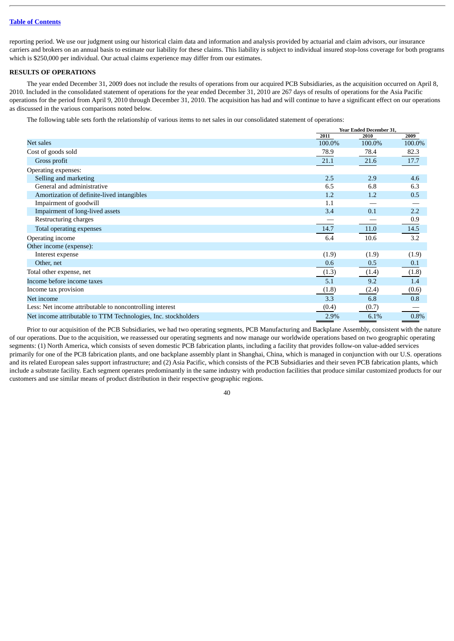reporting period. We use our judgment using our historical claim data and information and analysis provided by actuarial and claim advisors, our insurance carriers and brokers on an annual basis to estimate our liability for these claims. This liability is subject to individual insured stop-loss coverage for both programs which is \$250,000 per individual. Our actual claims experience may differ from our estimates.

## **RESULTS OF OPERATIONS**

The year ended December 31, 2009 does not include the results of operations from our acquired PCB Subsidiaries, as the acquisition occurred on April 8, 2010. Included in the consolidated statement of operations for the year ended December 31, 2010 are 267 days of results of operations for the Asia Pacific operations for the period from April 9, 2010 through December 31, 2010. The acquisition has had and will continue to have a significant effect on our operations as discussed in the various comparisons noted below.

The following table sets forth the relationship of various items to net sales in our consolidated statement of operations:

|                                                                |        | Year Ended December 31, |        |
|----------------------------------------------------------------|--------|-------------------------|--------|
|                                                                | 2011   | 2010                    | 2009   |
| Net sales                                                      | 100.0% | 100.0%                  | 100.0% |
| Cost of goods sold                                             | 78.9   | 78.4                    | 82.3   |
| Gross profit                                                   | 21.1   | 21.6                    | 17.7   |
| Operating expenses:                                            |        |                         |        |
| Selling and marketing                                          | 2.5    | 2.9                     | 4.6    |
| General and administrative                                     | 6.5    | 6.8                     | 6.3    |
| Amortization of definite-lived intangibles                     | 1.2    | 1.2                     | 0.5    |
| Impairment of goodwill                                         | 1.1    |                         |        |
| Impairment of long-lived assets                                | 3.4    | 0.1                     | 2.2    |
| Restructuring charges                                          |        |                         | 0.9    |
| Total operating expenses                                       | 14.7   | 11.0                    | 14.5   |
| Operating income                                               | 6.4    | 10.6                    | 3.2    |
| Other income (expense):                                        |        |                         |        |
| Interest expense                                               | (1.9)  | (1.9)                   | (1.9)  |
| Other, net                                                     | 0.6    | 0.5                     | 0.1    |
| Total other expense, net                                       | (1.3)  | (1.4)                   | (1.8)  |
| Income before income taxes                                     | 5.1    | 9.2                     | 1.4    |
| Income tax provision                                           | (1.8)  | (2.4)                   | (0.6)  |
| Net income                                                     | 3.3    | 6.8                     | 0.8    |
| Less: Net income attributable to noncontrolling interest       | (0.4)  | (0.7)                   |        |
| Net income attributable to TTM Technologies, Inc. stockholders | 2.9%   | 6.1%                    | 0.8%   |

Prior to our acquisition of the PCB Subsidiaries, we had two operating segments, PCB Manufacturing and Backplane Assembly, consistent with the nature of our operations. Due to the acquisition, we reassessed our operating segments and now manage our worldwide operations based on two geographic operating segments: (1) North America, which consists of seven domestic PCB fabrication plants, including a facility that provides follow-on value-added services primarily for one of the PCB fabrication plants, and one backplane assembly plant in Shanghai, China, which is managed in conjunction with our U.S. operations and its related European sales support infrastructure; and (2) Asia Pacific, which consists of the PCB Subsidiaries and their seven PCB fabrication plants, which include a substrate facility. Each segment operates predominantly in the same industry with production facilities that produce similar customized products for our customers and use similar means of product distribution in their respective geographic regions.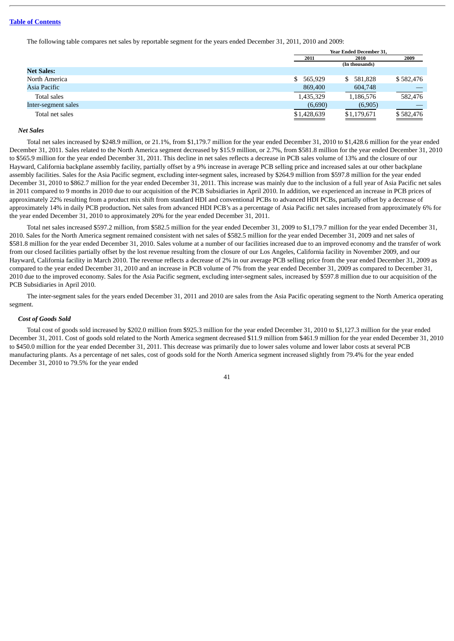The following table compares net sales by reportable segment for the years ended December 31, 2011, 2010 and 2009:

|                     |             | Year Ended December 31, |           |  |
|---------------------|-------------|-------------------------|-----------|--|
|                     | 2011        | 2010                    | 2009      |  |
|                     |             | (In thousands)          |           |  |
| <b>Net Sales:</b>   |             |                         |           |  |
| North America       | \$ 565,929  | \$ 581,828              | \$582,476 |  |
| Asia Pacific        | 869,400     | 604,748                 |           |  |
| Total sales         | 1,435,329   | 1,186,576               | 582,476   |  |
| Inter-segment sales | (6,690)     | (6,905)                 |           |  |
| Total net sales     | \$1,428,639 | \$1,179,671             | \$582,476 |  |

### *Net Sales*

Total net sales increased by \$248.9 million, or 21.1%, from \$1,179.7 million for the year ended December 31, 2010 to \$1,428.6 million for the year ended December 31, 2011. Sales related to the North America segment decreased by \$15.9 million, or 2.7%, from \$581.8 million for the year ended December 31, 2010 to \$565.9 million for the year ended December 31, 2011. This decline in net sales reflects a decrease in PCB sales volume of 13% and the closure of our Hayward, California backplane assembly facility, partially offset by a 9% increase in average PCB selling price and increased sales at our other backplane assembly facilities. Sales for the Asia Pacific segment, excluding inter-segment sales, increased by \$264.9 million from \$597.8 million for the year ended December 31, 2010 to \$862.7 million for the year ended December 31, 2011. This increase was mainly due to the inclusion of a full year of Asia Pacific net sales in 2011 compared to 9 months in 2010 due to our acquisition of the PCB Subsidiaries in April 2010. In addition, we experienced an increase in PCB prices of approximately 22% resulting from a product mix shift from standard HDI and conventional PCBs to advanced HDI PCBs, partially offset by a decrease of approximately 14% in daily PCB production**.** Net sales from advanced HDI PCB's as a percentage of Asia Pacific net sales increased from approximately 6% for the year ended December 31, 2010 to approximately 20% for the year ended December 31, 2011.

Total net sales increased \$597.2 million, from \$582.5 million for the year ended December 31, 2009 to \$1,179.7 million for the year ended December 31, 2010. Sales for the North America segment remained consistent with net sales of \$582.5 million for the year ended December 31, 2009 and net sales of \$581.8 million for the year ended December 31, 2010. Sales volume at a number of our facilities increased due to an improved economy and the transfer of work from our closed facilities partially offset by the lost revenue resulting from the closure of our Los Angeles, California facility in November 2009, and our Hayward, California facility in March 2010. The revenue reflects a decrease of 2% in our average PCB selling price from the year ended December 31, 2009 as compared to the year ended December 31, 2010 and an increase in PCB volume of 7% from the year ended December 31, 2009 as compared to December 31, 2010 due to the improved economy. Sales for the Asia Pacific segment, excluding inter-segment sales, increased by \$597.8 million due to our acquisition of the PCB Subsidiaries in April 2010.

The inter-segment sales for the years ended December 31, 2011 and 2010 are sales from the Asia Pacific operating segment to the North America operating segment.

### *Cost of Goods Sold*

Total cost of goods sold increased by \$202.0 million from \$925.3 million for the year ended December 31, 2010 to \$1,127.3 million for the year ended December 31, 2011. Cost of goods sold related to the North America segment decreased \$11.9 million from \$461.9 million for the year ended December 31, 2010 to \$450.0 million for the year ended December 31, 2011. This decrease was primarily due to lower sales volume and lower labor costs at several PCB manufacturing plants. As a percentage of net sales, cost of goods sold for the North America segment increased slightly from 79.4% for the year ended December 31, 2010 to 79.5% for the year ended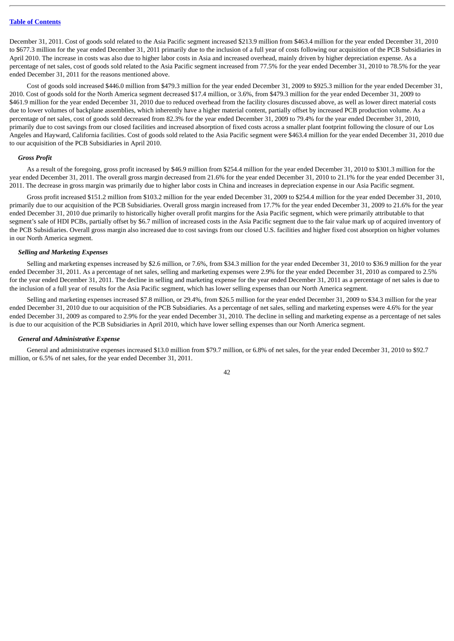December 31, 2011. Cost of goods sold related to the Asia Pacific segment increased \$213.9 million from \$463.4 million for the year ended December 31, 2010 to \$677.3 million for the year ended December 31, 2011 primarily due to the inclusion of a full year of costs following our acquisition of the PCB Subsidiaries in April 2010. The increase in costs was also due to higher labor costs in Asia and increased overhead, mainly driven by higher depreciation expense. As a percentage of net sales, cost of goods sold related to the Asia Pacific segment increased from 77.5% for the year ended December 31, 2010 to 78.5% for the year ended December 31, 2011 for the reasons mentioned above.

Cost of goods sold increased \$446.0 million from \$479.3 million for the year ended December 31, 2009 to \$925.3 million for the year ended December 31, 2010. Cost of goods sold for the North America segment decreased \$17.4 million, or 3.6%, from \$479.3 million for the year ended December 31, 2009 to \$461.9 million for the year ended December 31, 2010 due to reduced overhead from the facility closures discussed above, as well as lower direct material costs due to lower volumes of backplane assemblies, which inherently have a higher material content, partially offset by increased PCB production volume. As a percentage of net sales, cost of goods sold decreased from 82.3% for the year ended December 31, 2009 to 79.4% for the year ended December 31, 2010, primarily due to cost savings from our closed facilities and increased absorption of fixed costs across a smaller plant footprint following the closure of our Los Angeles and Hayward, California facilities. Cost of goods sold related to the Asia Pacific segment were \$463.4 million for the year ended December 31, 2010 due to our acquisition of the PCB Subsidiaries in April 2010.

### *Gross Profit*

As a result of the foregoing, gross profit increased by \$46.9 million from \$254.4 million for the year ended December 31, 2010 to \$301.3 million for the year ended December 31, 2011. The overall gross margin decreased from 21.6% for the year ended December 31, 2010 to 21.1% for the year ended December 31, 2011. The decrease in gross margin was primarily due to higher labor costs in China and increases in depreciation expense in our Asia Pacific segment.

Gross profit increased \$151.2 million from \$103.2 million for the year ended December 31, 2009 to \$254.4 million for the year ended December 31, 2010, primarily due to our acquisition of the PCB Subsidiaries. Overall gross margin increased from 17.7% for the year ended December 31, 2009 to 21.6% for the year ended December 31, 2010 due primarily to historically higher overall profit margins for the Asia Pacific segment, which were primarily attributable to that segment's sale of HDI PCBs, partially offset by \$6.7 million of increased costs in the Asia Pacific segment due to the fair value mark up of acquired inventory of the PCB Subsidiaries. Overall gross margin also increased due to cost savings from our closed U.S. facilities and higher fixed cost absorption on higher volumes in our North America segment.

### *Selling and Marketing Expenses*

Selling and marketing expenses increased by \$2.6 million, or 7.6%, from \$34.3 million for the year ended December 31, 2010 to \$36.9 million for the year ended December 31, 2011. As a percentage of net sales, selling and marketing expenses were 2.9% for the year ended December 31, 2010 as compared to 2.5% for the year ended December 31, 2011. The decline in selling and marketing expense for the year ended December 31, 2011 as a percentage of net sales is due to the inclusion of a full year of results for the Asia Pacific segment, which has lower selling expenses than our North America segment.

Selling and marketing expenses increased \$7.8 million, or 29.4%, from \$26.5 million for the year ended December 31, 2009 to \$34.3 million for the year ended December 31, 2010 due to our acquisition of the PCB Subsidiaries. As a percentage of net sales, selling and marketing expenses were 4.6% for the year ended December 31, 2009 as compared to 2.9% for the year ended December 31, 2010. The decline in selling and marketing expense as a percentage of net sales is due to our acquisition of the PCB Subsidiaries in April 2010, which have lower selling expenses than our North America segment.

#### *General and Administrative Expense*

General and administrative expenses increased \$13.0 million from \$79.7 million, or 6.8% of net sales, for the year ended December 31, 2010 to \$92.7 million, or 6.5% of net sales, for the year ended December 31, 2011.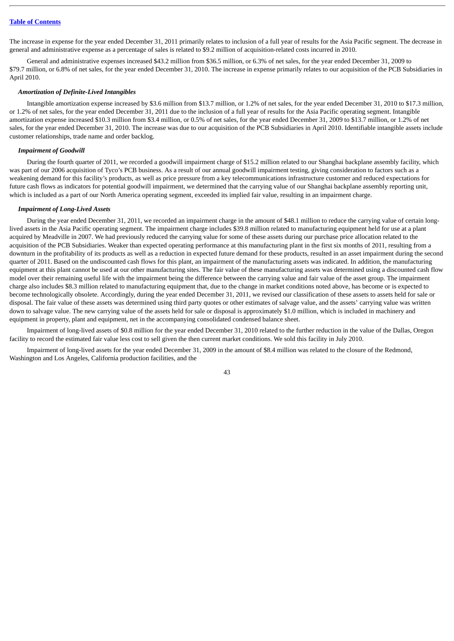The increase in expense for the year ended December 31, 2011 primarily relates to inclusion of a full year of results for the Asia Pacific segment. The decrease in general and administrative expense as a percentage of sales is related to \$9.2 million of acquisition-related costs incurred in 2010.

General and administrative expenses increased \$43.2 million from \$36.5 million, or 6.3% of net sales, for the year ended December 31, 2009 to \$79.7 million, or 6.8% of net sales, for the year ended December 31, 2010. The increase in expense primarily relates to our acquisition of the PCB Subsidiaries in April 2010.

#### *Amortization of Definite-Lived Intangibles*

Intangible amortization expense increased by \$3.6 million from \$13.7 million, or 1.2% of net sales, for the year ended December 31, 2010 to \$17.3 million, or 1.2% of net sales, for the year ended December 31, 2011 due to the inclusion of a full year of results for the Asia Pacific operating segment. Intangible amortization expense increased \$10.3 million from \$3.4 million, or 0.5% of net sales, for the year ended December 31, 2009 to \$13.7 million, or 1.2% of net sales, for the year ended December 31, 2010. The increase was due to our acquisition of the PCB Subsidiaries in April 2010. Identifiable intangible assets include customer relationships, trade name and order backlog.

### *Impairment of Goodwill*

During the fourth quarter of 2011, we recorded a goodwill impairment charge of \$15.2 million related to our Shanghai backplane assembly facility, which was part of our 2006 acquisition of Tyco's PCB business. As a result of our annual goodwill impairment testing, giving consideration to factors such as a weakening demand for this facility's products, as well as price pressure from a key telecommunications infrastructure customer and reduced expectations for future cash flows as indicators for potential goodwill impairment, we determined that the carrying value of our Shanghai backplane assembly reporting unit, which is included as a part of our North America operating segment, exceeded its implied fair value, resulting in an impairment charge.

## *Impairment of Long-Lived Assets*

During the year ended December 31, 2011, we recorded an impairment charge in the amount of \$48.1 million to reduce the carrying value of certain longlived assets in the Asia Pacific operating segment. The impairment charge includes \$39.8 million related to manufacturing equipment held for use at a plant acquired by Meadville in 2007. We had previously reduced the carrying value for some of these assets during our purchase price allocation related to the acquisition of the PCB Subsidiaries. Weaker than expected operating performance at this manufacturing plant in the first six months of 2011, resulting from a downturn in the profitability of its products as well as a reduction in expected future demand for these products, resulted in an asset impairment during the second quarter of 2011. Based on the undiscounted cash flows for this plant, an impairment of the manufacturing assets was indicated. In addition, the manufacturing equipment at this plant cannot be used at our other manufacturing sites. The fair value of these manufacturing assets was determined using a discounted cash flow model over their remaining useful life with the impairment being the difference between the carrying value and fair value of the asset group. The impairment charge also includes \$8.3 million related to manufacturing equipment that, due to the change in market conditions noted above, has become or is expected to become technologically obsolete. Accordingly, during the year ended December 31, 2011, we revised our classification of these assets to assets held for sale or disposal. The fair value of these assets was determined using third party quotes or other estimates of salvage value, and the assets' carrying value was written down to salvage value. The new carrying value of the assets held for sale or disposal is approximately \$1.0 million, which is included in machinery and equipment in property, plant and equipment, net in the accompanying consolidated condensed balance sheet.

Impairment of long-lived assets of \$0.8 million for the year ended December 31, 2010 related to the further reduction in the value of the Dallas, Oregon facility to record the estimated fair value less cost to sell given the then current market conditions. We sold this facility in July 2010.

Impairment of long-lived assets for the year ended December 31, 2009 in the amount of \$8.4 million was related to the closure of the Redmond, Washington and Los Angeles, California production facilities, and the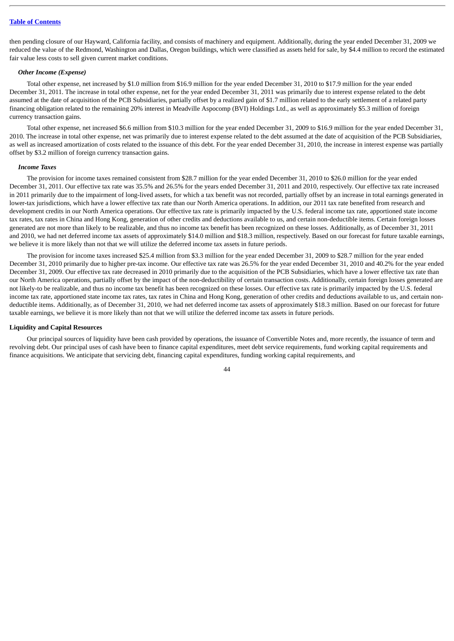then pending closure of our Hayward, California facility, and consists of machinery and equipment. Additionally, during the year ended December 31, 2009 we reduced the value of the Redmond, Washington and Dallas, Oregon buildings, which were classified as assets held for sale, by \$4.4 million to record the estimated fair value less costs to sell given current market conditions.

## *Other Income (Expense)*

Total other expense, net increased by \$1.0 million from \$16.9 million for the year ended December 31, 2010 to \$17.9 million for the year ended December 31, 2011. The increase in total other expense, net for the year ended December 31, 2011 was primarily due to interest expense related to the debt assumed at the date of acquisition of the PCB Subsidiaries, partially offset by a realized gain of \$1.7 million related to the early settlement of a related party financing obligation related to the remaining 20% interest in Meadville Aspocomp (BVI) Holdings Ltd., as well as approximately \$5.3 million of foreign currency transaction gains.

Total other expense, net increased \$6.6 million from \$10.3 million for the year ended December 31, 2009 to \$16.9 million for the year ended December 31, 2010. The increase in total other expense, net was primarily due to interest expense related to the debt assumed at the date of acquisition of the PCB Subsidiaries, as well as increased amortization of costs related to the issuance of this debt. For the year ended December 31, 2010, the increase in interest expense was partially offset by \$3.2 million of foreign currency transaction gains.

#### *Income Taxes*

The provision for income taxes remained consistent from \$28.7 million for the year ended December 31, 2010 to \$26.0 million for the year ended December 31, 2011. Our effective tax rate was 35.5% and 26.5% for the years ended December 31, 2011 and 2010, respectively. Our effective tax rate increased in 2011 primarily due to the impairment of long-lived assets, for which a tax benefit was not recorded, partially offset by an increase in total earnings generated in lower-tax jurisdictions, which have a lower effective tax rate than our North America operations. In addition, our 2011 tax rate benefited from research and development credits in our North America operations. Our effective tax rate is primarily impacted by the U.S. federal income tax rate, apportioned state income tax rates, tax rates in China and Hong Kong, generation of other credits and deductions available to us, and certain non-deductible items. Certain foreign losses generated are not more than likely to be realizable, and thus no income tax benefit has been recognized on these losses. Additionally, as of December 31, 2011 and 2010, we had net deferred income tax assets of approximately \$14.0 million and \$18.3 million, respectively. Based on our forecast for future taxable earnings, we believe it is more likely than not that we will utilize the deferred income tax assets in future periods.

The provision for income taxes increased \$25.4 million from \$3.3 million for the year ended December 31, 2009 to \$28.7 million for the year ended December 31, 2010 primarily due to higher pre-tax income. Our effective tax rate was 26.5% for the year ended December 31, 2010 and 40.2% for the year ended December 31, 2009. Our effective tax rate decreased in 2010 primarily due to the acquisition of the PCB Subsidiaries, which have a lower effective tax rate than our North America operations, partially offset by the impact of the non-deductibility of certain transaction costs. Additionally, certain foreign losses generated are not likely-to be realizable, and thus no income tax benefit has been recognized on these losses. Our effective tax rate is primarily impacted by the U.S. federal income tax rate, apportioned state income tax rates, tax rates in China and Hong Kong, generation of other credits and deductions available to us, and certain nondeductible items. Additionally, as of December 31, 2010, we had net deferred income tax assets of approximately \$18.3 million. Based on our forecast for future taxable earnings, we believe it is more likely than not that we will utilize the deferred income tax assets in future periods.

## **Liquidity and Capital Resources**

Our principal sources of liquidity have been cash provided by operations, the issuance of Convertible Notes and, more recently, the issuance of term and revolving debt. Our principal uses of cash have been to finance capital expenditures, meet debt service requirements, fund working capital requirements and finance acquisitions. We anticipate that servicing debt, financing capital expenditures, funding working capital requirements, and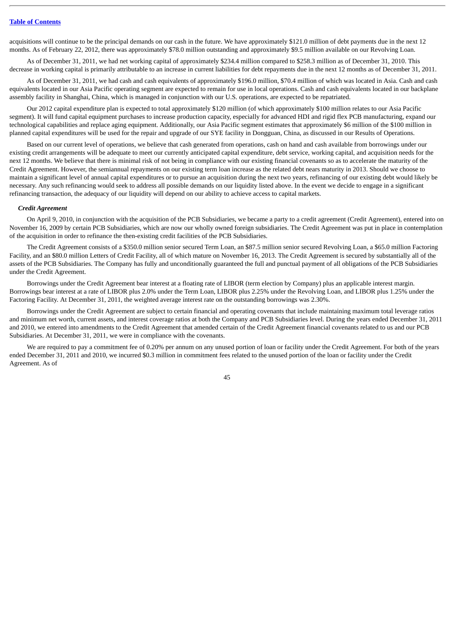acquisitions will continue to be the principal demands on our cash in the future. We have approximately \$121.0 million of debt payments due in the next 12 months. As of February 22, 2012, there was approximately \$78.0 million outstanding and approximately \$9.5 million available on our Revolving Loan.

As of December 31, 2011, we had net working capital of approximately \$234.4 million compared to \$258.3 million as of December 31, 2010. This decrease in working capital is primarily attributable to an increase in current liabilities for debt repayments due in the next 12 months as of December 31, 2011.

As of December 31, 2011, we had cash and cash equivalents of approximately \$196.0 million, \$70.4 million of which was located in Asia. Cash and cash equivalents located in our Asia Pacific operating segment are expected to remain for use in local operations. Cash and cash equivalents located in our backplane assembly facility in Shanghai, China, which is managed in conjunction with our U.S. operations, are expected to be repatriated.

Our 2012 capital expenditure plan is expected to total approximately \$120 million (of which approximately \$100 million relates to our Asia Pacific segment). It will fund capital equipment purchases to increase production capacity, especially for advanced HDI and rigid flex PCB manufacturing, expand our technological capabilities and replace aging equipment. Additionally, our Asia Pacific segment estimates that approximately \$6 million of the \$100 million in planned capital expenditures will be used for the repair and upgrade of our SYE facility in Dongguan, China, as discussed in our Results of Operations.

Based on our current level of operations, we believe that cash generated from operations, cash on hand and cash available from borrowings under our existing credit arrangements will be adequate to meet our currently anticipated capital expenditure, debt service, working capital, and acquisition needs for the next 12 months. We believe that there is minimal risk of not being in compliance with our existing financial covenants so as to accelerate the maturity of the Credit Agreement. However, the semiannual repayments on our existing term loan increase as the related debt nears maturity in 2013. Should we choose to maintain a significant level of annual capital expenditures or to pursue an acquisition during the next two years, refinancing of our existing debt would likely be necessary. Any such refinancing would seek to address all possible demands on our liquidity listed above. In the event we decide to engage in a significant refinancing transaction, the adequacy of our liquidity will depend on our ability to achieve access to capital markets.

#### *Credit Agreement*

On April 9, 2010, in conjunction with the acquisition of the PCB Subsidiaries, we became a party to a credit agreement (Credit Agreement), entered into on November 16, 2009 by certain PCB Subsidiaries, which are now our wholly owned foreign subsidiaries. The Credit Agreement was put in place in contemplation of the acquisition in order to refinance the then-existing credit facilities of the PCB Subsidiaries.

The Credit Agreement consists of a \$350.0 million senior secured Term Loan, an \$87.5 million senior secured Revolving Loan, a \$65.0 million Factoring Facility, and an \$80.0 million Letters of Credit Facility, all of which mature on November 16, 2013. The Credit Agreement is secured by substantially all of the assets of the PCB Subsidiaries. The Company has fully and unconditionally guaranteed the full and punctual payment of all obligations of the PCB Subsidiaries under the Credit Agreement.

Borrowings under the Credit Agreement bear interest at a floating rate of LIBOR (term election by Company) plus an applicable interest margin. Borrowings bear interest at a rate of LIBOR plus 2.0% under the Term Loan, LIBOR plus 2.25% under the Revolving Loan, and LIBOR plus 1.25% under the Factoring Facility. At December 31, 2011, the weighted average interest rate on the outstanding borrowings was 2.30%.

Borrowings under the Credit Agreement are subject to certain financial and operating covenants that include maintaining maximum total leverage ratios and minimum net worth, current assets, and interest coverage ratios at both the Company and PCB Subsidiaries level. During the years ended December 31, 2011 and 2010, we entered into amendments to the Credit Agreement that amended certain of the Credit Agreement financial covenants related to us and our PCB Subsidiaries. At December 31, 2011, we were in compliance with the covenants.

We are required to pay a commitment fee of 0.20% per annum on any unused portion of loan or facility under the Credit Agreement. For both of the years ended December 31, 2011 and 2010, we incurred \$0.3 million in commitment fees related to the unused portion of the loan or facility under the Credit Agreement. As of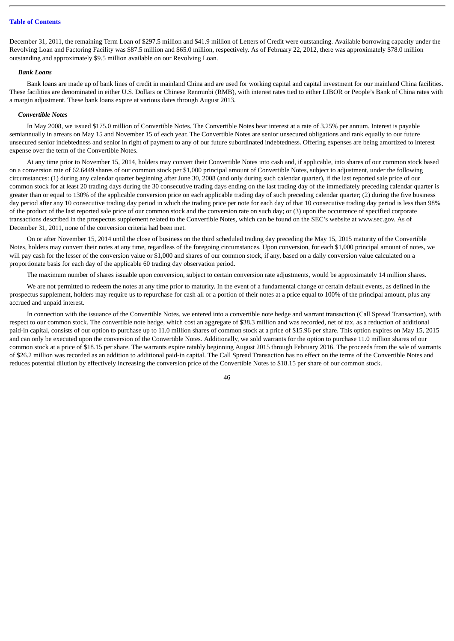December 31, 2011, the remaining Term Loan of \$297.5 million and \$41.9 million of Letters of Credit were outstanding. Available borrowing capacity under the Revolving Loan and Factoring Facility was \$87.5 million and \$65.0 million, respectively. As of February 22, 2012, there was approximately \$78.0 million outstanding and approximately \$9.5 million available on our Revolving Loan.

### *Bank Loans*

Bank loans are made up of bank lines of credit in mainland China and are used for working capital and capital investment for our mainland China facilities. These facilities are denominated in either U.S. Dollars or Chinese Renminbi (RMB), with interest rates tied to either LIBOR or People's Bank of China rates with a margin adjustment. These bank loans expire at various dates through August 2013.

### *Convertible Notes*

In May 2008, we issued \$175.0 million of Convertible Notes. The Convertible Notes bear interest at a rate of 3.25% per annum. Interest is payable semiannually in arrears on May 15 and November 15 of each year. The Convertible Notes are senior unsecured obligations and rank equally to our future unsecured senior indebtedness and senior in right of payment to any of our future subordinated indebtedness. Offering expenses are being amortized to interest expense over the term of the Convertible Notes.

At any time prior to November 15, 2014, holders may convert their Convertible Notes into cash and, if applicable, into shares of our common stock based on a conversion rate of 62.6449 shares of our common stock per \$1,000 principal amount of Convertible Notes, subject to adjustment, under the following circumstances: (1) during any calendar quarter beginning after June 30, 2008 (and only during such calendar quarter), if the last reported sale price of our common stock for at least 20 trading days during the 30 consecutive trading days ending on the last trading day of the immediately preceding calendar quarter is greater than or equal to 130% of the applicable conversion price on each applicable trading day of such preceding calendar quarter; (2) during the five business day period after any 10 consecutive trading day period in which the trading price per note for each day of that 10 consecutive trading day period is less than 98% of the product of the last reported sale price of our common stock and the conversion rate on such day; or (3) upon the occurrence of specified corporate transactions described in the prospectus supplement related to the Convertible Notes, which can be found on the SEC's website at www.sec.gov. As of December 31, 2011, none of the conversion criteria had been met.

On or after November 15, 2014 until the close of business on the third scheduled trading day preceding the May 15, 2015 maturity of the Convertible Notes, holders may convert their notes at any time, regardless of the foregoing circumstances. Upon conversion, for each \$1,000 principal amount of notes, we will pay cash for the lesser of the conversion value or \$1,000 and shares of our common stock, if any, based on a daily conversion value calculated on a proportionate basis for each day of the applicable 60 trading day observation period.

The maximum number of shares issuable upon conversion, subject to certain conversion rate adjustments, would be approximately 14 million shares.

We are not permitted to redeem the notes at any time prior to maturity. In the event of a fundamental change or certain default events, as defined in the prospectus supplement, holders may require us to repurchase for cash all or a portion of their notes at a price equal to 100% of the principal amount, plus any accrued and unpaid interest.

In connection with the issuance of the Convertible Notes, we entered into a convertible note hedge and warrant transaction (Call Spread Transaction), with respect to our common stock. The convertible note hedge, which cost an aggregate of \$38.3 million and was recorded, net of tax, as a reduction of additional paid-in capital, consists of our option to purchase up to 11.0 million shares of common stock at a price of \$15.96 per share. This option expires on May 15, 2015 and can only be executed upon the conversion of the Convertible Notes. Additionally, we sold warrants for the option to purchase 11.0 million shares of our common stock at a price of \$18.15 per share. The warrants expire ratably beginning August 2015 through February 2016. The proceeds from the sale of warrants of \$26.2 million was recorded as an addition to additional paid-in capital. The Call Spread Transaction has no effect on the terms of the Convertible Notes and reduces potential dilution by effectively increasing the conversion price of the Convertible Notes to \$18.15 per share of our common stock.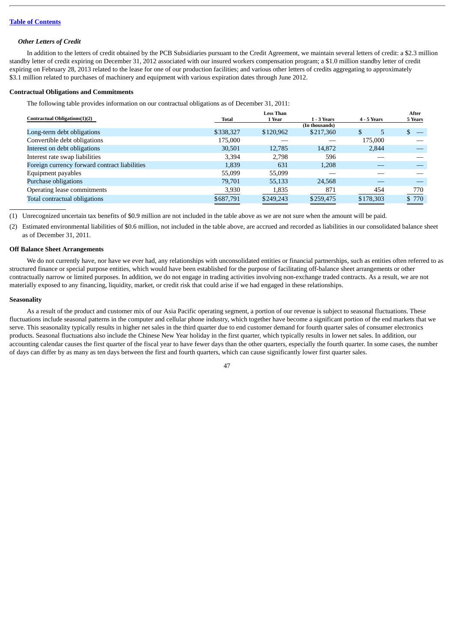### *Other Letters of Credit*

In addition to the letters of credit obtained by the PCB Subsidiaries pursuant to the Credit Agreement, we maintain several letters of credit: a \$2.3 million standby letter of credit expiring on December 31, 2012 associated with our insured workers compensation program; a \$1.0 million standby letter of credit expiring on February 28, 2013 related to the lease for one of our production facilities; and various other letters of credits aggregating to approximately \$3.1 million related to purchases of machinery and equipment with various expiration dates through June 2012.

## **Contractual Obligations and Commitments**

The following table provides information on our contractual obligations as of December 31, 2011:

| Contractual Obligations(1)(2)                 | Total     | <b>Less Than</b><br>1 Year | $1 - 3$ Years  | 4 - 5 Years | After<br>5 Years |
|-----------------------------------------------|-----------|----------------------------|----------------|-------------|------------------|
|                                               |           |                            | (In thousands) |             |                  |
| Long-term debt obligations                    | \$338,327 | \$120,962                  | \$217,360      | \$<br>Ь     |                  |
| Convertible debt obligations                  | 175,000   |                            |                | 175,000     |                  |
| Interest on debt obligations                  | 30,501    | 12,785                     | 14,872         | 2,844       |                  |
| Interest rate swap liabilities                | 3.394     | 2.798                      | 596            |             |                  |
| Foreign currency forward contract liabilities | 1,839     | 631                        | 1,208          |             |                  |
| Equipment payables                            | 55.099    | 55,099                     |                |             |                  |
| <b>Purchase obligations</b>                   | 79.701    | 55,133                     | 24,568         |             |                  |
| Operating lease commitments                   | 3,930     | 1,835                      | 871            | 454         | 770              |
| Total contractual obligations                 | \$687,791 | \$249,243                  | \$259,475      | \$178,303   | \$770            |
|                                               |           |                            |                |             |                  |

(1) Unrecognized uncertain tax benefits of \$0.9 million are not included in the table above as we are not sure when the amount will be paid.

(2) Estimated environmental liabilities of \$0.6 million, not included in the table above, are accrued and recorded as liabilities in our consolidated balance sheet as of December 31, 2011.

## **Off Balance Sheet Arrangements**

We do not currently have, nor have we ever had, any relationships with unconsolidated entities or financial partnerships, such as entities often referred to as structured finance or special purpose entities, which would have been established for the purpose of facilitating off-balance sheet arrangements or other contractually narrow or limited purposes. In addition, we do not engage in trading activities involving non-exchange traded contracts. As a result, we are not materially exposed to any financing, liquidity, market, or credit risk that could arise if we had engaged in these relationships.

### **Seasonality**

As a result of the product and customer mix of our Asia Pacific operating segment, a portion of our revenue is subject to seasonal fluctuations. These fluctuations include seasonal patterns in the computer and cellular phone industry, which together have become a significant portion of the end markets that we serve. This seasonality typically results in higher net sales in the third quarter due to end customer demand for fourth quarter sales of consumer electronics products. Seasonal fluctuations also include the Chinese New Year holiday in the first quarter, which typically results in lower net sales. In addition, our accounting calendar causes the first quarter of the fiscal year to have fewer days than the other quarters, especially the fourth quarter. In some cases, the number of days can differ by as many as ten days between the first and fourth quarters, which can cause significantly lower first quarter sales.

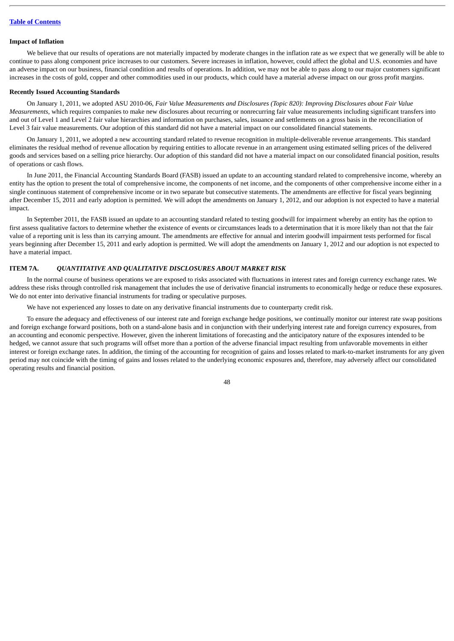### **Impact of Inflation**

We believe that our results of operations are not materially impacted by moderate changes in the inflation rate as we expect that we generally will be able to continue to pass along component price increases to our customers. Severe increases in inflation, however, could affect the global and U.S. economies and have an adverse impact on our business, financial condition and results of operations. In addition, we may not be able to pass along to our major customers significant increases in the costs of gold, copper and other commodities used in our products, which could have a material adverse impact on our gross profit margins.

### **Recently Issued Accounting Standards**

On January 1, 2011, we adopted ASU 2010-06, *Fair Value Measurements and Disclosures (Topic 820): Improving Disclosures about Fair Value Measurements*, which requires companies to make new disclosures about recurring or nonrecurring fair value measurements including significant transfers into and out of Level 1 and Level 2 fair value hierarchies and information on purchases, sales, issuance and settlements on a gross basis in the reconciliation of Level 3 fair value measurements. Our adoption of this standard did not have a material impact on our consolidated financial statements.

On January 1, 2011, we adopted a new accounting standard related to revenue recognition in multiple-deliverable revenue arrangements. This standard eliminates the residual method of revenue allocation by requiring entities to allocate revenue in an arrangement using estimated selling prices of the delivered goods and services based on a selling price hierarchy. Our adoption of this standard did not have a material impact on our consolidated financial position, results of operations or cash flows.

In June 2011, the Financial Accounting Standards Board (FASB) issued an update to an accounting standard related to comprehensive income, whereby an entity has the option to present the total of comprehensive income, the components of net income, and the components of other comprehensive income either in a single continuous statement of comprehensive income or in two separate but consecutive statements. The amendments are effective for fiscal years beginning after December 15, 2011 and early adoption is permitted. We will adopt the amendments on January 1, 2012, and our adoption is not expected to have a material impact.

In September 2011, the FASB issued an update to an accounting standard related to testing goodwill for impairment whereby an entity has the option to first assess qualitative factors to determine whether the existence of events or circumstances leads to a determination that it is more likely than not that the fair value of a reporting unit is less than its carrying amount. The amendments are effective for annual and interim goodwill impairment tests performed for fiscal years beginning after December 15, 2011 and early adoption is permitted. We will adopt the amendments on January 1, 2012 and our adoption is not expected to have a material impact.

## **ITEM 7A.** *QUANTITATIVE AND QUALITATIVE DISCLOSURES ABOUT MARKET RISK*

In the normal course of business operations we are exposed to risks associated with fluctuations in interest rates and foreign currency exchange rates. We address these risks through controlled risk management that includes the use of derivative financial instruments to economically hedge or reduce these exposures. We do not enter into derivative financial instruments for trading or speculative purposes.

We have not experienced any losses to date on any derivative financial instruments due to counterparty credit risk.

To ensure the adequacy and effectiveness of our interest rate and foreign exchange hedge positions, we continually monitor our interest rate swap positions and foreign exchange forward positions, both on a stand-alone basis and in conjunction with their underlying interest rate and foreign currency exposures, from an accounting and economic perspective. However, given the inherent limitations of forecasting and the anticipatory nature of the exposures intended to be hedged, we cannot assure that such programs will offset more than a portion of the adverse financial impact resulting from unfavorable movements in either interest or foreign exchange rates. In addition, the timing of the accounting for recognition of gains and losses related to mark-to-market instruments for any given period may not coincide with the timing of gains and losses related to the underlying economic exposures and, therefore, may adversely affect our consolidated operating results and financial position.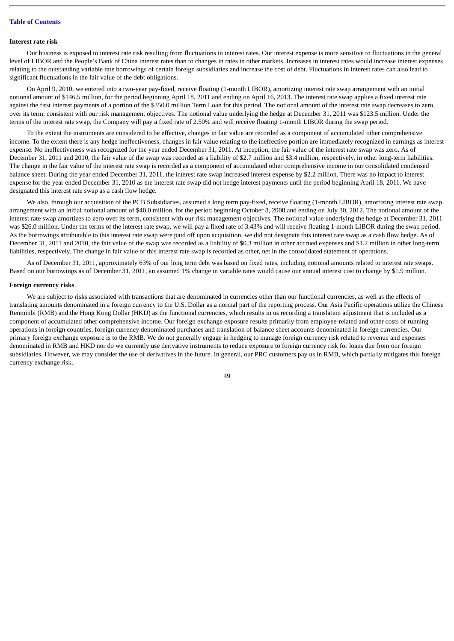### **Interest rate risk**

Our business is exposed to interest rate risk resulting from fluctuations in interest rates. Our interest expense is more sensitive to fluctuations in the general level of LIBOR and the People's Bank of China interest rates than to changes in rates in other markets. Increases in interest rates would increase interest expenses relating to the outstanding variable rate borrowings of certain foreign subsidiaries and increase the cost of debt. Fluctuations in interest rates can also lead to significant fluctuations in the fair value of the debt obligations.

On April 9, 2010, we entered into a two-year pay-fixed, receive floating (1-month LIBOR), amortizing interest rate swap arrangement with an initial notional amount of \$146.5 million, for the period beginning April 18, 2011 and ending on April 16, 2013. The interest rate swap applies a fixed interest rate against the first interest payments of a portion of the \$350.0 million Term Loan for this period. The notional amount of the interest rate swap decreases to zero over its term, consistent with our risk management objectives. The notional value underlying the hedge at December 31, 2011 was \$123.5 million. Under the terms of the interest rate swap, the Company will pay a fixed rate of 2.50% and will receive floating 1-month LIBOR during the swap period.

To the extent the instruments are considered to be effective, changes in fair value are recorded as a component of accumulated other comprehensive income. To the extent there is any hedge ineffectiveness, changes in fair value relating to the ineffective portion are immediately recognized in earnings as interest expense. No ineffectiveness was recognized for the year ended December 31, 2011. At inception, the fair value of the interest rate swap was zero. As of December 31, 2011 and 2010, the fair value of the swap was recorded as a liability of \$2.7 million and \$3.4 million, respectively, in other long-term liabilities. The change in the fair value of the interest rate swap is recorded as a component of accumulated other comprehensive income in our consolidated condensed balance sheet. During the year ended December 31, 2011, the interest rate swap increased interest expense by \$2.2 million. There was no impact to interest expense for the year ended December 31, 2010 as the interest rate swap did not hedge interest payments until the period beginning April 18, 2011. We have designated this interest rate swap as a cash flow hedge.

We also, through our acquisition of the PCB Subsidiaries, assumed a long term pay-fixed, receive floating (1-month LIBOR), amortizing interest rate swap arrangement with an initial notional amount of \$40.0 million, for the period beginning October 8, 2008 and ending on July 30, 2012. The notional amount of the interest rate swap amortizes to zero over its term, consistent with our risk management objectives. The notional value underlying the hedge at December 31, 2011 was \$26.0 million. Under the terms of the interest rate swap, we will pay a fixed rate of 3.43% and will receive floating 1-month LIBOR during the swap period. As the borrowings attributable to this interest rate swap were paid off upon acquisition, we did not designate this interest rate swap as a cash flow hedge. As of December 31, 2011 and 2010, the fair value of the swap was recorded as a liability of \$0.3 million in other accrued expenses and \$1.2 million in other long-term liabilities, respectively. The change in fair value of this interest rate swap is recorded as other, net in the consolidated statement of operations.

As of December 31, 2011, approximately 63% of our long term debt was based on fixed rates, including notional amounts related to interest rate swaps. Based on our borrowings as of December 31, 2011, an assumed 1% change in variable rates would cause our annual interest cost to change by \$1.9 million.

### **Foreign currency risks**

We are subject to risks associated with transactions that are denominated in currencies other than our functional currencies, as well as the effects of translating amounts denominated in a foreign currency to the U.S. Dollar as a normal part of the reporting process. Our Asia Pacific operations utilize the Chinese Renminbi (RMB) and the Hong Kong Dollar (HKD) as the functional currencies, which results in us recording a translation adjustment that is included as a component of accumulated other comprehensive income. Our foreign exchange exposure results primarily from employee-related and other costs of running operations in foreign countries, foreign currency denominated purchases and translation of balance sheet accounts denominated in foreign currencies. Our primary foreign exchange exposure is to the RMB. We do not generally engage in hedging to manage foreign currency risk related to revenue and expenses denominated in RMB and HKD nor do we currently use derivative instruments to reduce exposure to foreign currency risk for loans due from our foreign subsidiaries. However, we may consider the use of derivatives in the future. In general, our PRC customers pay us in RMB, which partially mitigates this foreign currency exchange risk.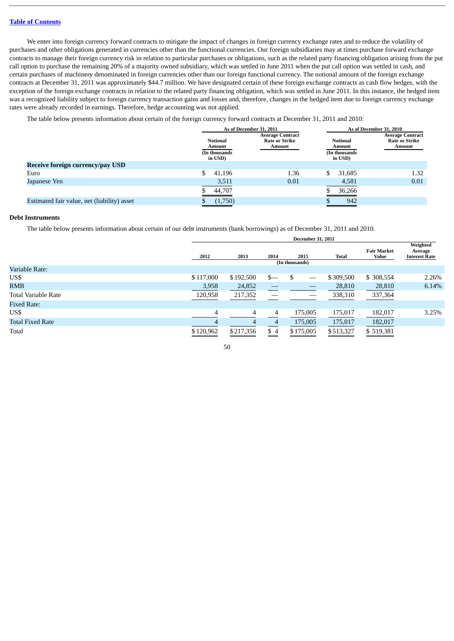We enter into foreign currency forward contracts to mitigate the impact of changes in foreign currency exchange rates and to reduce the volatility of purchases and other obligations generated in currencies other than the functional currencies. Our foreign subsidiaries may at times purchase forward exchange contracts to manage their foreign currency risk in relation to particular purchases or obligations, such as the related party financing obligation arising from the put call option to purchase the remaining 20% of a majority owned subsidiary, which was settled in June 2011 when the put call option was settled in cash, and certain purchases of machinery denominated in foreign currencies other than our foreign functional currency. The notional amount of the foreign exchange contracts at December 31, 2011 was approximately \$44.7 million. We have designated certain of these foreign exchange contracts as cash flow hedges, with the exception of the foreign exchange contracts in relation to the related party financing obligation, which was settled in June 2011. In this instance, the hedged item was a recognized liability subject to foreign currency transaction gains and losses and, therefore, changes in the hedged item due to foreign currency exchange rates were already recorded in earnings. Therefore, hedge accounting was not applied.

The table below presents information about certain of the foreign currency forward contracts at December 31, 2011 and 2010:

|                                             |                                                       | As of December 31, 2011                                    |                                                       | As of December 31, 2010                                    |
|---------------------------------------------|-------------------------------------------------------|------------------------------------------------------------|-------------------------------------------------------|------------------------------------------------------------|
|                                             | <b>Notional</b><br>Amount<br>(In thousands<br>in USD) | <b>Average Contract</b><br><b>Rate or Strike</b><br>Amount | <b>Notional</b><br>Amount<br>(In thousands<br>in USD) | <b>Average Contract</b><br><b>Rate or Strike</b><br>Amount |
| Receive foreign currency/pay USD            |                                                       |                                                            |                                                       |                                                            |
| Euro                                        | 41,196<br>S.                                          | 1.36                                                       | \$<br>31,685                                          | 1.32                                                       |
| Japanese Yen                                | 3,511                                                 | 0.01                                                       | 4,581                                                 | 0.01                                                       |
|                                             | 44,707                                                |                                                            | 36,266                                                |                                                            |
| Estimated fair value, net (liability) asset | (1,750)                                               |                                                            | 942                                                   |                                                            |

## **Debt Instruments**

The table below presents information about certain of our debt instruments (bank borrowings) as of December 31, 2011 and 2010.

|                            |           | <b>December 31, 2011</b> |                |                        |              |                             |                                             |
|----------------------------|-----------|--------------------------|----------------|------------------------|--------------|-----------------------------|---------------------------------------------|
|                            | 2012      | 2013                     | 2014           | 2015<br>(In thousands) | <b>Total</b> | <b>Fair Market</b><br>Value | Weighted<br>Average<br><b>Interest Rate</b> |
| Variable Rate:             |           |                          |                |                        |              |                             |                                             |
| US\$                       | \$117,000 | \$192,500                | $s-$           | S<br>$\qquad \qquad$   | \$309,500    | \$308,554                   | 2.26%                                       |
| <b>RMB</b>                 | 3,958     | 24,852                   |                | __                     | 28,810       | 28,810                      | 6.14%                                       |
| <b>Total Variable Rate</b> | 120,958   | 217,352                  |                |                        | 338,310      | 337,364                     |                                             |
| <b>Fixed Rate:</b>         |           |                          |                |                        |              |                             |                                             |
| US\$                       | 4         | $\overline{4}$           | $\overline{4}$ | 175,005                | 175,017      | 182,017                     | 3.25%                                       |
| <b>Total Fixed Rate</b>    | 4         | 4                        | $\overline{4}$ | 175,005                | 175,017      | 182,017                     |                                             |
| Total                      | \$120,962 | \$217,356                | \$4            | \$175,005              | \$513,327    | \$519,381                   |                                             |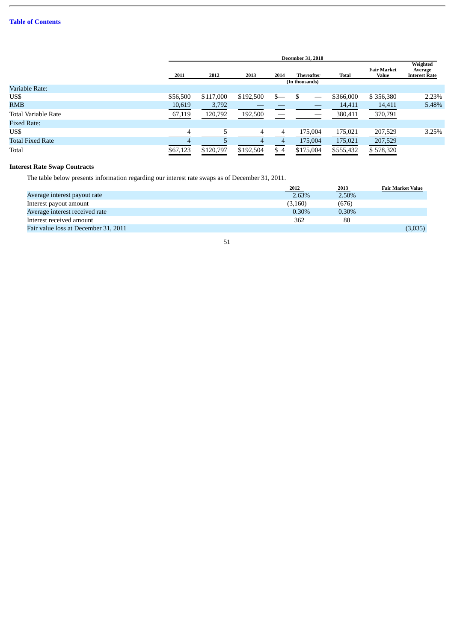|                     |                |           |                |                | <b>December 31, 2010</b> |              |                             |                                             |
|---------------------|----------------|-----------|----------------|----------------|--------------------------|--------------|-----------------------------|---------------------------------------------|
|                     | 2011           | 2012      | 2013           | 2014           | <b>Thereafter</b>        | <b>Total</b> | <b>Fair Market</b><br>Value | Weighted<br>Average<br><b>Interest Rate</b> |
| Variable Rate:      |                |           |                |                | (In thousands)           |              |                             |                                             |
| US\$                | \$56,500       | \$117,000 | \$192,500      | $s-$           |                          | \$366,000    | \$356,380                   | 2.23%                                       |
| <b>RMB</b>          | 10,619         | 3,792     |                |                |                          | 14,411       | 14,411                      | 5.48%                                       |
| Total Variable Rate | 67,119         | 120,792   | 192,500        |                |                          | 380,411      | 370,791                     |                                             |
| <b>Fixed Rate:</b>  |                |           |                |                |                          |              |                             |                                             |
| US\$                | 4              | 5         | $\overline{4}$ | $\overline{4}$ | 175,004                  | 175,021      | 207,529                     | 3.25%                                       |
| Total Fixed Rate    | $\overline{4}$ |           | 4              | 4              | 175,004                  | 175,021      | 207,529                     |                                             |
| Total               | \$67,123       | \$120,797 | \$192,504      | \$4            | \$175,004                | \$555,432    | \$578,320                   |                                             |

## **Interest Rate Swap Contracts**

The table below presents information regarding our interest rate swaps as of December 31, 2011.

|                                      | 2012     | 2013     | <b>Fair Market Value</b> |
|--------------------------------------|----------|----------|--------------------------|
| Average interest payout rate         | 2.63%    | 2.50%    |                          |
| Interest payout amount               | (3,160)  | (676)    |                          |
| Average interest received rate       | $0.30\%$ | $0.30\%$ |                          |
| Interest received amount             | 362      | 80       |                          |
| Fair value loss at December 31, 2011 |          |          | (3,035)                  |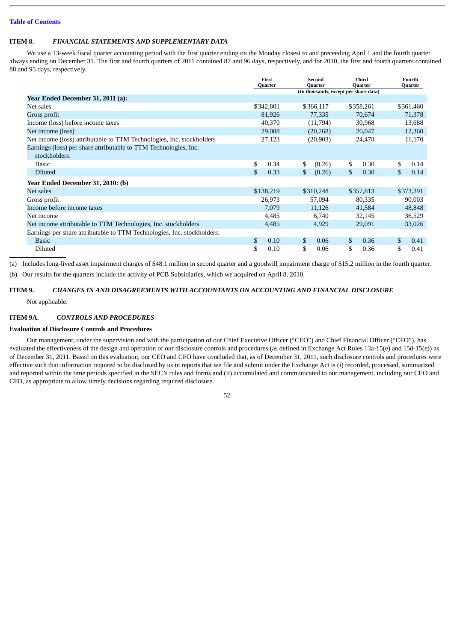## **ITEM 8.** *FINANCIAL STATEMENTS AND SUPPLEMENTARY DATA*

We use a 13-week fiscal quarter accounting period with the first quarter ending on the Monday closest to and preceeding April 1 and the fourth quarter always ending on December 31. The first and fourth quarters of 2011 contained 87 and 96 days, respectively, and for 2010, the first and fourth quarters contained 88 and 95 days, respectively.

|                                                                         | First      | Second                                | Third                | Fourth     |
|-------------------------------------------------------------------------|------------|---------------------------------------|----------------------|------------|
|                                                                         | Quarter    | Ouarter                               | Quarter              | Quarter    |
|                                                                         |            | (In thousands, except per share data) |                      |            |
| Year Ended December 31, 2011 (a):                                       |            |                                       |                      |            |
| Net sales                                                               | \$342,801  | \$366,117                             | \$358,261            | \$361,460  |
| Gross profit                                                            | 81,926     | 77,335                                | 70,674               | 71,378     |
| Income (loss) before income taxes                                       | 40,370     | (11,794)                              | 30,968               | 13,688     |
| Net income (loss)                                                       | 29,088     | (20, 268)                             | 26,047               | 12,360     |
| Net income (loss) attributable to TTM Technologies, Inc. stockholders   | 27,123     | (20, 903)                             | 24,478               | 11,170     |
| Earnings (loss) per share attributable to TTM Technologies, Inc.        |            |                                       |                      |            |
| stockholders:                                                           |            |                                       |                      |            |
| <b>Basic</b>                                                            | \$<br>0.34 | \$<br>(0.26)                          | \$<br>0.30           | \$<br>0.14 |
| <b>Diluted</b>                                                          | \$<br>0.33 | \$<br>(0.26)                          | \$<br>0.30           | \$<br>0.14 |
| Year Ended December 31, 2010: (b)                                       |            |                                       |                      |            |
| Net sales                                                               | \$138,219  | \$310,248                             | \$357,813            | \$373,391  |
| Gross profit                                                            | 26,973     | 57,094                                | 80,335               | 90,003     |
| Income before income taxes                                              | 7,079      | 11,126                                | 41,584               | 48,848     |
| Net income                                                              | 4,485      | 6,740                                 | 32,145               | 36,529     |
| Net income attributable to TTM Technologies, Inc. stockholders          | 4,485      | 4,929                                 | 29,091               | 33,026     |
| Earnings per share attributable to TTM Technologies, Inc. stockholders: |            |                                       |                      |            |
| <b>Basic</b>                                                            | \$<br>0.10 | \$<br>0.06                            | $\mathbb{S}$<br>0.36 | \$<br>0.41 |
| Diluted                                                                 | \$<br>0.10 | \$<br>0.06                            | \$<br>0.36           | \$<br>0.41 |

(a) Includes long-lived asset impairment charges of \$48.1 million in second quarter and a goodwill impairment charge of \$15.2 million in the fourth quarter.

(b) Our results for the quarters include the activity of PCB Subsidiaries, which we acquired on April 8, 2010.

# **ITEM 9.** *CHANGES IN AND DISAGREEMENTS WITH ACCOUNTANTS ON ACCOUNTING AND FINANCIAL DISCLOSURE*

Not applicable.

## **ITEM 9A.** *CONTROLS AND PROCEDURES*

## **Evaluation of Disclosure Controls and Procedures**

Our management, under the supervision and with the participation of our Chief Executive Officer ("CEO") and Chief Financial Officer ("CFO"), has evaluated the effectiveness of the design and operation of our disclosure controls and procedures (as defined in Exchange Act Rules 13a-15(e) and 15d-15(e)) as of December 31, 2011. Based on this evaluation, our CEO and CFO have concluded that, as of December 31, 2011, such disclosure controls and procedures were effective such that information required to be disclosed by us in reports that we file and submit under the Exchange Act is (i) recorded, processed, summarized and reported within the time periods specified in the SEC's rules and forms and (ii) accumulated and communicated to our management, including our CEO and CFO, as appropriate to allow timely decisions regarding required disclosure.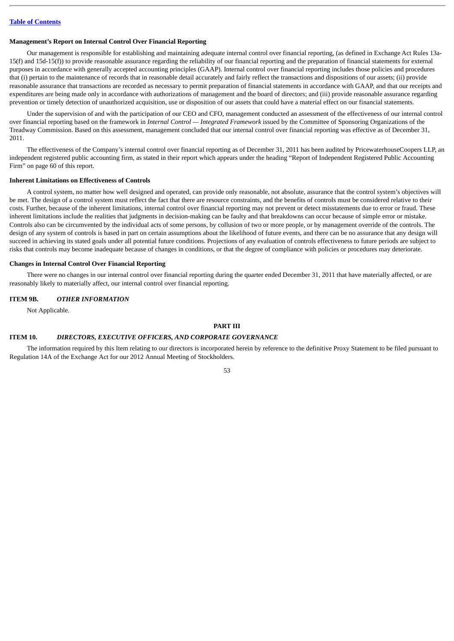### **Management's Report on Internal Control Over Financial Reporting**

Our management is responsible for establishing and maintaining adequate internal control over financial reporting, (as defined in Exchange Act Rules 13a- $15(f)$  and  $15d-15(f)$ ) to provide reasonable assurance regarding the reliability of our financial reporting and the preparation of financial statements for external purposes in accordance with generally accepted accounting principles (GAAP). Internal control over financial reporting includes those policies and procedures that (i) pertain to the maintenance of records that in reasonable detail accurately and fairly reflect the transactions and dispositions of our assets; (ii) provide reasonable assurance that transactions are recorded as necessary to permit preparation of financial statements in accordance with GAAP, and that our receipts and expenditures are being made only in accordance with authorizations of management and the board of directors; and (iii) provide reasonable assurance regarding prevention or timely detection of unauthorized acquisition, use or disposition of our assets that could have a material effect on our financial statements.

Under the supervision of and with the participation of our CEO and CFO, management conducted an assessment of the effectiveness of our internal control over financial reporting based on the framework in *Internal Control — Integrated Framework* issued by the Committee of Sponsoring Organizations of the Treadway Commission. Based on this assessment, management concluded that our internal control over financial reporting was effective as of December 31, 2011.

The effectiveness of the Company's internal control over financial reporting as of December 31, 2011 has been audited by PricewaterhouseCoopers LLP, an independent registered public accounting firm, as stated in their report which appears under the heading "Report of Independent Registered Public Accounting Firm" on page 60 of this report.

## **Inherent Limitations on Effectiveness of Controls**

A control system, no matter how well designed and operated, can provide only reasonable, not absolute, assurance that the control system's objectives will be met. The design of a control system must reflect the fact that there are resource constraints, and the benefits of controls must be considered relative to their costs. Further, because of the inherent limitations, internal control over financial reporting may not prevent or detect misstatements due to error or fraud. These inherent limitations include the realities that judgments in decision-making can be faulty and that breakdowns can occur because of simple error or mistake. Controls also can be circumvented by the individual acts of some persons, by collusion of two or more people, or by management override of the controls. The design of any system of controls is based in part on certain assumptions about the likelihood of future events, and there can be no assurance that any design will succeed in achieving its stated goals under all potential future conditions. Projections of any evaluation of controls effectiveness to future periods are subject to risks that controls may become inadequate because of changes in conditions, or that the degree of compliance with policies or procedures may deteriorate.

### **Changes in Internal Control Over Financial Reporting**

There were no changes in our internal control over financial reporting during the quarter ended December 31, 2011 that have materially affected, or are reasonably likely to materially affect, our internal control over financial reporting.

## **ITEM 9B.** *OTHER INFORMATION*

Not Applicable.

### **PART III**

## **ITEM 10.** *DIRECTORS, EXECUTIVE OFFICERS, AND CORPORATE GOVERNANCE*

The information required by this Item relating to our directors is incorporated herein by reference to the definitive Proxy Statement to be filed pursuant to Regulation 14A of the Exchange Act for our 2012 Annual Meeting of Stockholders.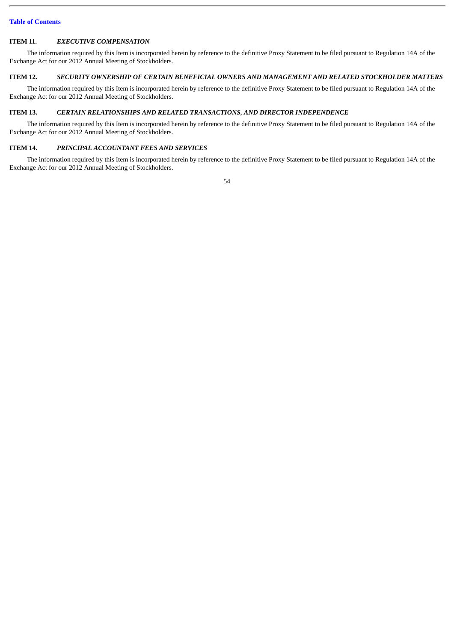## **ITEM 11.** *EXECUTIVE COMPENSATION*

The information required by this Item is incorporated herein by reference to the definitive Proxy Statement to be filed pursuant to Regulation 14A of the Exchange Act for our 2012 Annual Meeting of Stockholders.

## **ITEM 12.** *SECURITY OWNERSHIP OF CERTAIN BENEFICIAL OWNERS AND MANAGEMENT AND RELATED STOCKHOLDER MATTERS*

The information required by this Item is incorporated herein by reference to the definitive Proxy Statement to be filed pursuant to Regulation 14A of the Exchange Act for our 2012 Annual Meeting of Stockholders.

## **ITEM 13.** *CERTAIN RELATIONSHIPS AND RELATED TRANSACTIONS, AND DIRECTOR INDEPENDENCE*

The information required by this Item is incorporated herein by reference to the definitive Proxy Statement to be filed pursuant to Regulation 14A of the Exchange Act for our 2012 Annual Meeting of Stockholders.

## **ITEM 14.** *PRINCIPAL ACCOUNTANT FEES AND SERVICES*

The information required by this Item is incorporated herein by reference to the definitive Proxy Statement to be filed pursuant to Regulation 14A of the Exchange Act for our 2012 Annual Meeting of Stockholders.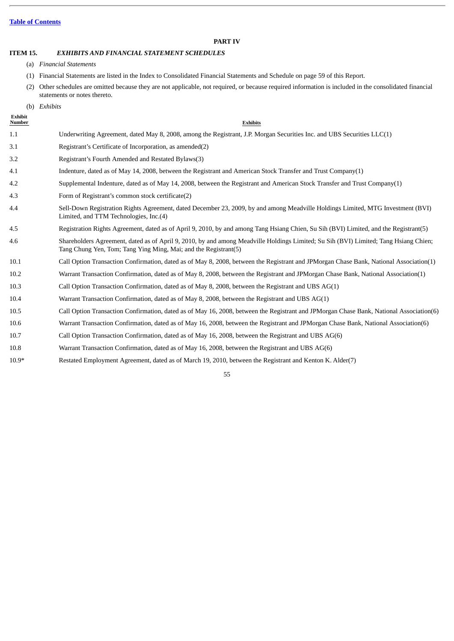## **PART IV**

## **ITEM 15.** *EXHIBITS AND FINANCIAL STATEMENT SCHEDULES*

## (a) *Financial Statements*

- (1) Financial Statements are listed in the Index to Consolidated Financial Statements and Schedule on page 59 of this Report.
- (2) Other schedules are omitted because they are not applicable, not required, or because required information is included in the consolidated financial statements or notes thereto.

## (b) *Exhibits*

| Exhibit<br>Number | <b>Exhibits</b>                                                                                                                                                                                         |
|-------------------|---------------------------------------------------------------------------------------------------------------------------------------------------------------------------------------------------------|
| 1.1               | Underwriting Agreement, dated May 8, 2008, among the Registrant, J.P. Morgan Securities Inc. and UBS Securities LLC(1)                                                                                  |
| 3.1               | Registrant's Certificate of Incorporation, as amended(2)                                                                                                                                                |
| 3.2               | Registrant's Fourth Amended and Restated Bylaws(3)                                                                                                                                                      |
| 4.1               | Indenture, dated as of May 14, 2008, between the Registrant and American Stock Transfer and Trust Company(1)                                                                                            |
| 4.2               | Supplemental Indenture, dated as of May 14, 2008, between the Registrant and American Stock Transfer and Trust Company(1)                                                                               |
| 4.3               | Form of Registrant's common stock certificate(2)                                                                                                                                                        |
| 4.4               | Sell-Down Registration Rights Agreement, dated December 23, 2009, by and among Meadville Holdings Limited, MTG Investment (BVI)<br>Limited, and TTM Technologies, Inc.(4)                               |
| 4.5               | Registration Rights Agreement, dated as of April 9, 2010, by and among Tang Hsiang Chien, Su Sih (BVI) Limited, and the Registrant(5)                                                                   |
| 4.6               | Shareholders Agreement, dated as of April 9, 2010, by and among Meadville Holdings Limited; Su Sih (BVI) Limited; Tang Hsiang Chien;<br>Tang Chung Yen, Tom; Tang Ying Ming, Mai; and the Registrant(5) |
| 10.1              | Call Option Transaction Confirmation, dated as of May 8, 2008, between the Registrant and JPMorgan Chase Bank, National Association(1)                                                                  |
| 10.2              | Warrant Transaction Confirmation, dated as of May 8, 2008, between the Registrant and JPMorgan Chase Bank, National Association(1)                                                                      |
| 10.3              | Call Option Transaction Confirmation, dated as of May 8, 2008, between the Registrant and UBS AG(1)                                                                                                     |
| 10.4              | Warrant Transaction Confirmation, dated as of May 8, 2008, between the Registrant and UBS AG(1)                                                                                                         |
| 10.5              | Call Option Transaction Confirmation, dated as of May 16, 2008, between the Registrant and JPMorgan Chase Bank, National Association(6)                                                                 |
| 10.6              | Warrant Transaction Confirmation, dated as of May 16, 2008, between the Registrant and JPMorgan Chase Bank, National Association(6)                                                                     |
| 10.7              | Call Option Transaction Confirmation, dated as of May 16, 2008, between the Registrant and UBS AG(6)                                                                                                    |

- 10.8 Warrant Transaction Confirmation, dated as of May 16, 2008, between the Registrant and UBS AG(6)
- 10.9\* Restated Employment Agreement, dated as of March 19, 2010, between the Registrant and Kenton K. Alder(7)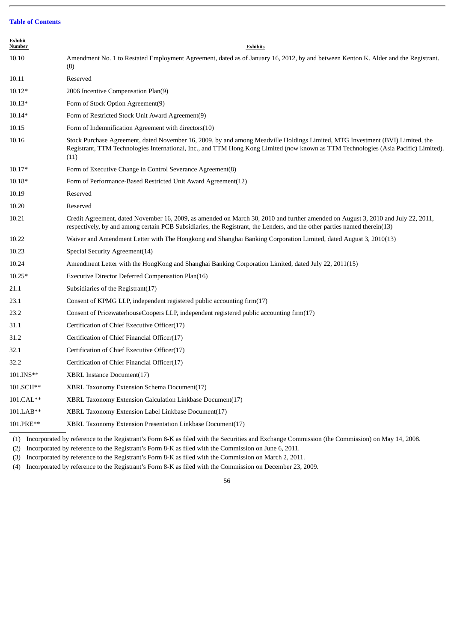| <b>Exhibit</b><br>Number | <b>Exhibits</b>                                                                                                                                                                                                                                                              |
|--------------------------|------------------------------------------------------------------------------------------------------------------------------------------------------------------------------------------------------------------------------------------------------------------------------|
| 10.10                    | Amendment No. 1 to Restated Employment Agreement, dated as of January 16, 2012, by and between Kenton K. Alder and the Registrant.<br>(8)                                                                                                                                    |
| 10.11                    | Reserved                                                                                                                                                                                                                                                                     |
| $10.12*$                 | 2006 Incentive Compensation Plan(9)                                                                                                                                                                                                                                          |
| $10.13*$                 | Form of Stock Option Agreement(9)                                                                                                                                                                                                                                            |
| $10.14*$                 | Form of Restricted Stock Unit Award Agreement(9)                                                                                                                                                                                                                             |
| 10.15                    | Form of Indemnification Agreement with directors(10)                                                                                                                                                                                                                         |
| 10.16                    | Stock Purchase Agreement, dated November 16, 2009, by and among Meadville Holdings Limited, MTG Investment (BVI) Limited, the<br>Registrant, TTM Technologies International, Inc., and TTM Hong Kong Limited (now known as TTM Technologies (Asia Pacific) Limited).<br>(11) |
| $10.17*$                 | Form of Executive Change in Control Severance Agreement(8)                                                                                                                                                                                                                   |
| $10.18*$                 | Form of Performance-Based Restricted Unit Award Agreement(12)                                                                                                                                                                                                                |
| 10.19                    | Reserved                                                                                                                                                                                                                                                                     |
| 10.20                    | Reserved                                                                                                                                                                                                                                                                     |
| 10.21                    | Credit Agreement, dated November 16, 2009, as amended on March 30, 2010 and further amended on August 3, 2010 and July 22, 2011,<br>respectively, by and among certain PCB Subsidiaries, the Registrant, the Lenders, and the other parties named therein(13)                |
| 10.22                    | Waiver and Amendment Letter with The Hongkong and Shanghai Banking Corporation Limited, dated August 3, 2010(13)                                                                                                                                                             |
| 10.23                    | Special Security Agreement(14)                                                                                                                                                                                                                                               |
| 10.24                    | Amendment Letter with the HongKong and Shanghai Banking Corporation Limited, dated July 22, 2011(15)                                                                                                                                                                         |
| $10.25*$                 | Executive Director Deferred Compensation Plan(16)                                                                                                                                                                                                                            |
| 21.1                     | Subsidiaries of the Registrant(17)                                                                                                                                                                                                                                           |
| 23.1                     | Consent of KPMG LLP, independent registered public accounting firm(17)                                                                                                                                                                                                       |
| 23.2                     | Consent of PricewaterhouseCoopers LLP, independent registered public accounting firm(17)                                                                                                                                                                                     |
| 31.1                     | Certification of Chief Executive Officer(17)                                                                                                                                                                                                                                 |
| 31.2                     | Certification of Chief Financial Officer(17)                                                                                                                                                                                                                                 |
| 32.1                     | Certification of Chief Executive Officer(17)                                                                                                                                                                                                                                 |
| 32.2                     | Certification of Chief Financial Officer(17)                                                                                                                                                                                                                                 |
| 101.INS**                | XBRL Instance Document(17)                                                                                                                                                                                                                                                   |
| 101.SCH**                | XBRL Taxonomy Extension Schema Document(17)                                                                                                                                                                                                                                  |
| 101.CAL**                | XBRL Taxonomy Extension Calculation Linkbase Document(17)                                                                                                                                                                                                                    |
| $101.LAB**$              | XBRL Taxonomy Extension Label Linkbase Document(17)                                                                                                                                                                                                                          |
| 101.PRE**                | XBRL Taxonomy Extension Presentation Linkbase Document(17)                                                                                                                                                                                                                   |

(1) Incorporated by reference to the Registrant's Form 8-K as filed with the Securities and Exchange Commission (the Commission) on May 14, 2008.

(2) Incorporated by reference to the Registrant's Form 8-K as filed with the Commission on June 6, 2011.

(3) Incorporated by reference to the Registrant's Form 8-K as filed with the Commission on March 2, 2011.

(4) Incorporated by reference to the Registrant's Form 8-K as filed with the Commission on December 23, 2009.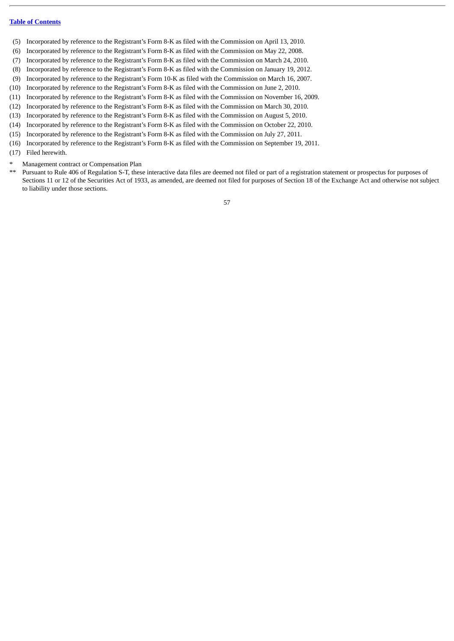- (5) Incorporated by reference to the Registrant's Form 8-K as filed with the Commission on April 13, 2010.
- (6) Incorporated by reference to the Registrant's Form 8-K as filed with the Commission on May 22, 2008.
- (7) Incorporated by reference to the Registrant's Form 8-K as filed with the Commission on March 24, 2010.
- (8) Incorporated by reference to the Registrant's Form 8-K as filed with the Commission on January 19, 2012.
- (9) Incorporated by reference to the Registrant's Form 10-K as filed with the Commission on March 16, 2007.
- (10) Incorporated by reference to the Registrant's Form 8-K as filed with the Commission on June 2, 2010.
- (11) Incorporated by reference to the Registrant's Form 8-K as filed with the Commission on November 16, 2009.
- (12) Incorporated by reference to the Registrant's Form 8-K as filed with the Commission on March 30, 2010.
- (13) Incorporated by reference to the Registrant's Form 8-K as filed with the Commission on August 5, 2010.
- (14) Incorporated by reference to the Registrant's Form 8-K as filed with the Commission on October 22, 2010.
- (15) Incorporated by reference to the Registrant's Form 8-K as filed with the Commission on July 27, 2011.
- (16) Incorporated by reference to the Registrant's Form 8-K as filed with the Commission on September 19, 2011.
- (17) Filed herewith.
- Management contract or Compensation Plan
- \*\* Pursuant to Rule 406 of Regulation S-T, these interactive data files are deemed not filed or part of a registration statement or prospectus for purposes of Sections 11 or 12 of the Securities Act of 1933, as amended, are deemed not filed for purposes of Section 18 of the Exchange Act and otherwise not subject to liability under those sections.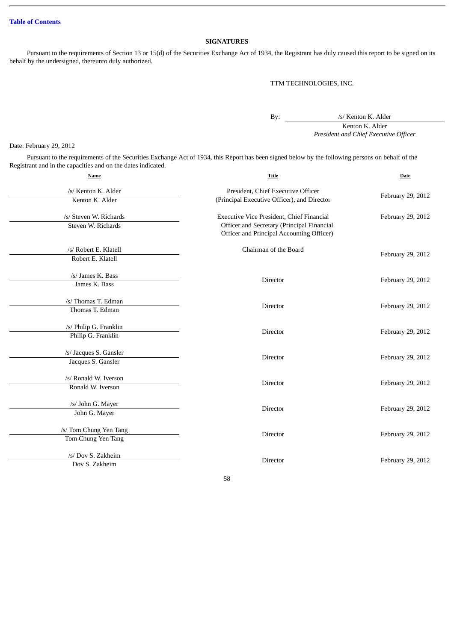## **SIGNATURES**

Pursuant to the requirements of Section 13 or 15(d) of the Securities Exchange Act of 1934, the Registrant has duly caused this report to be signed on its behalf by the undersigned, thereunto duly authorized.

TTM TECHNOLOGIES, INC.

By: /s/ Kenton K. Alder

Kenton K. Alder *President and Chief Executive Officer*

Date: February 29, 2012

Pursuant to the requirements of the Securities Exchange Act of 1934, this Report has been signed below by the following persons on behalf of the Registrant and in the capacities and on the dates indicated.

| Name                                         | Title                                                                                                                                | Date              |
|----------------------------------------------|--------------------------------------------------------------------------------------------------------------------------------------|-------------------|
| /s/ Kenton K. Alder<br>Kenton K. Alder       | President, Chief Executive Officer<br>(Principal Executive Officer), and Director                                                    | February 29, 2012 |
| /s/ Steven W. Richards<br>Steven W. Richards | Executive Vice President, Chief Financial<br>Officer and Secretary (Principal Financial<br>Officer and Principal Accounting Officer) | February 29, 2012 |
| /s/ Robert E. Klatell<br>Robert E. Klatell   | Chairman of the Board                                                                                                                | February 29, 2012 |
| /s/ James K. Bass<br>James K. Bass           | Director                                                                                                                             | February 29, 2012 |
| /s/ Thomas T. Edman<br>Thomas T. Edman       | Director                                                                                                                             | February 29, 2012 |
| /s/ Philip G. Franklin<br>Philip G. Franklin | Director                                                                                                                             | February 29, 2012 |
| /s/ Jacques S. Gansler<br>Jacques S. Gansler | Director                                                                                                                             | February 29, 2012 |
| /s/ Ronald W. Iverson<br>Ronald W. Iverson   | Director                                                                                                                             | February 29, 2012 |
| /s/ John G. Mayer<br>John G. Mayer           | Director                                                                                                                             | February 29, 2012 |
| /s/ Tom Chung Yen Tang<br>Tom Chung Yen Tang | Director                                                                                                                             | February 29, 2012 |
| /s/ Dov S. Zakheim<br>Dov S. Zakheim         | Director                                                                                                                             | February 29, 2012 |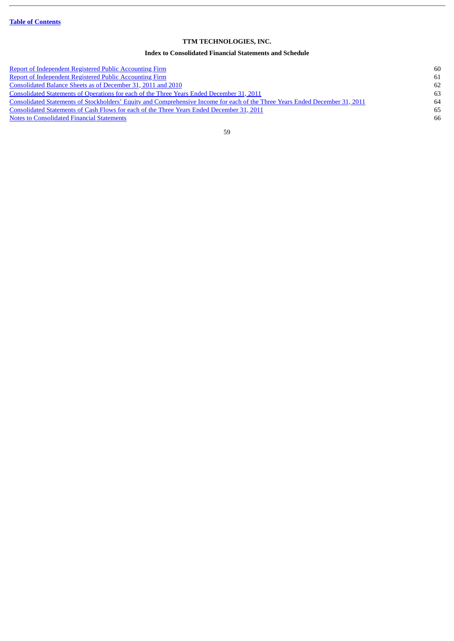## **Index to Consolidated Financial Statements and Schedule**

| <b>Report of Independent Registered Public Accounting Firm</b>                                                               | 60 |
|------------------------------------------------------------------------------------------------------------------------------|----|
| <b>Report of Independent Registered Public Accounting Firm</b>                                                               | 61 |
| Consolidated Balance Sheets as of December 31, 2011 and 2010                                                                 | 62 |
| Consolidated Statements of Operations for each of the Three Years Ended December 31, 2011                                    | 63 |
| Consolidated Statements of Stockholders' Equity and Comprehensive Income for each of the Three Years Ended December 31, 2011 | 64 |
| <b>Consolidated Statements of Cash Flows for each of the Three Years Ended December 31, 2011</b>                             | 65 |
| <b>Notes to Consolidated Financial Statements</b>                                                                            | 66 |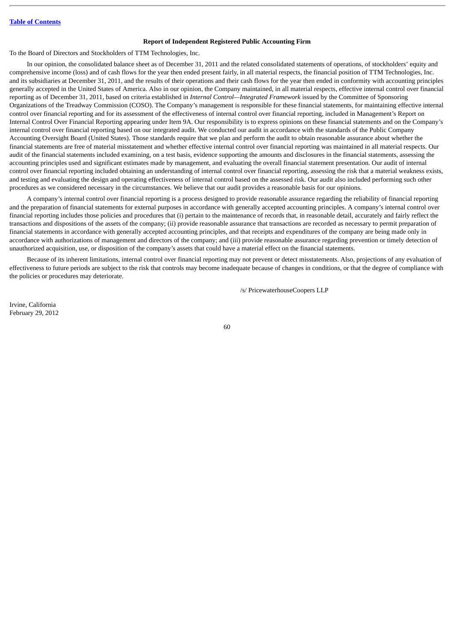#### **Report of Independent Registered Public Accounting Firm**

<span id="page-59-0"></span>To the Board of Directors and Stockholders of TTM Technologies, Inc.

In our opinion, the consolidated balance sheet as of December 31, 2011 and the related consolidated statements of operations, of stockholders' equity and comprehensive income (loss) and of cash flows for the year then ended present fairly, in all material respects, the financial position of TTM Technologies, Inc. and its subsidiaries at December 31, 2011, and the results of their operations and their cash flows for the year then ended in conformity with accounting principles generally accepted in the United States of America. Also in our opinion, the Company maintained, in all material respects, effective internal control over financial reporting as of December 31, 2011, based on criteria established in *Internal Control—Integrated Framework* issued by the Committee of Sponsoring Organizations of the Treadway Commission (COSO). The Company's management is responsible for these financial statements, for maintaining effective internal control over financial reporting and for its assessment of the effectiveness of internal control over financial reporting, included in Management's Report on Internal Control Over Financial Reporting appearing under Item 9A. Our responsibility is to express opinions on these financial statements and on the Company's internal control over financial reporting based on our integrated audit. We conducted our audit in accordance with the standards of the Public Company Accounting Oversight Board (United States). Those standards require that we plan and perform the audit to obtain reasonable assurance about whether the financial statements are free of material misstatement and whether effective internal control over financial reporting was maintained in all material respects. Our audit of the financial statements included examining, on a test basis, evidence supporting the amounts and disclosures in the financial statements, assessing the accounting principles used and significant estimates made by management, and evaluating the overall financial statement presentation. Our audit of internal control over financial reporting included obtaining an understanding of internal control over financial reporting, assessing the risk that a material weakness exists, and testing and evaluating the design and operating effectiveness of internal control based on the assessed risk. Our audit also included performing such other procedures as we considered necessary in the circumstances. We believe that our audit provides a reasonable basis for our opinions.

A company's internal control over financial reporting is a process designed to provide reasonable assurance regarding the reliability of financial reporting and the preparation of financial statements for external purposes in accordance with generally accepted accounting principles. A company's internal control over financial reporting includes those policies and procedures that (i) pertain to the maintenance of records that, in reasonable detail, accurately and fairly reflect the transactions and dispositions of the assets of the company; (ii) provide reasonable assurance that transactions are recorded as necessary to permit preparation of financial statements in accordance with generally accepted accounting principles, and that receipts and expenditures of the company are being made only in accordance with authorizations of management and directors of the company; and (iii) provide reasonable assurance regarding prevention or timely detection of unauthorized acquisition, use, or disposition of the company's assets that could have a material effect on the financial statements.

Because of its inherent limitations, internal control over financial reporting may not prevent or detect misstatements. Also, projections of any evaluation of effectiveness to future periods are subject to the risk that controls may become inadequate because of changes in conditions, or that the degree of compliance with the policies or procedures may deteriorate.

/s/ PricewaterhouseCoopers LLP

Irvine, California February 29, 2012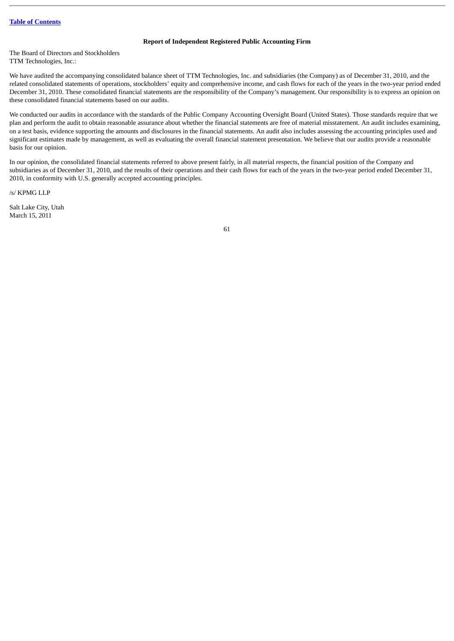### **Report of Independent Registered Public Accounting Firm**

<span id="page-60-0"></span>The Board of Directors and Stockholders TTM Technologies, Inc.:

We have audited the accompanying consolidated balance sheet of TTM Technologies, Inc. and subsidiaries (the Company) as of December 31, 2010, and the related consolidated statements of operations, stockholders' equity and comprehensive income, and cash flows for each of the years in the two-year period ended December 31, 2010. These consolidated financial statements are the responsibility of the Company's management. Our responsibility is to express an opinion on these consolidated financial statements based on our audits.

We conducted our audits in accordance with the standards of the Public Company Accounting Oversight Board (United States). Those standards require that we plan and perform the audit to obtain reasonable assurance about whether the financial statements are free of material misstatement. An audit includes examining, on a test basis, evidence supporting the amounts and disclosures in the financial statements. An audit also includes assessing the accounting principles used and significant estimates made by management, as well as evaluating the overall financial statement presentation. We believe that our audits provide a reasonable basis for our opinion.

In our opinion, the consolidated financial statements referred to above present fairly, in all material respects, the financial position of the Company and subsidiaries as of December 31, 2010, and the results of their operations and their cash flows for each of the years in the two-year period ended December 31, 2010, in conformity with U.S. generally accepted accounting principles.

/s/ KPMG LLP

Salt Lake City, Utah March 15, 2011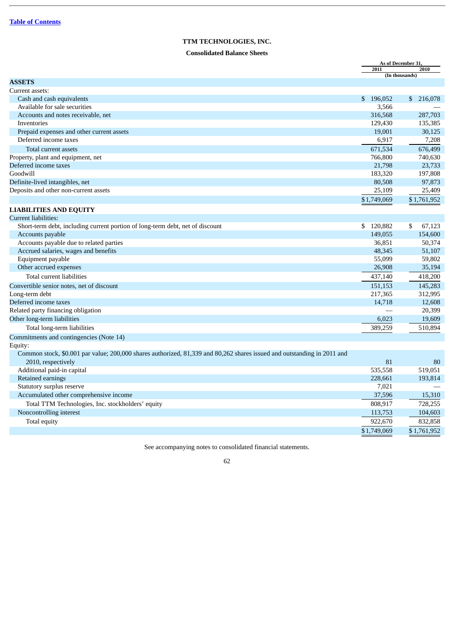## **Consolidated Balance Sheets**

<span id="page-61-0"></span>

|                                                                                                                         |             | As of December 31, |
|-------------------------------------------------------------------------------------------------------------------------|-------------|--------------------|
|                                                                                                                         | 2011        | 2010               |
| <b>ASSETS</b>                                                                                                           |             | (In thousands)     |
| Current assets:                                                                                                         |             |                    |
| Cash and cash equivalents                                                                                               | \$196,052   | \$216,078          |
| Available for sale securities                                                                                           | 3,566       |                    |
| Accounts and notes receivable, net                                                                                      | 316,568     | 287,703            |
| Inventories                                                                                                             | 129,430     | 135,385            |
| Prepaid expenses and other current assets                                                                               | 19,001      | 30,125             |
| Deferred income taxes                                                                                                   | 6,917       | 7,208              |
| Total current assets                                                                                                    | 671,534     | 676,499            |
| Property, plant and equipment, net                                                                                      | 766,800     | 740,630            |
| Deferred income taxes                                                                                                   | 21,798      | 23,733             |
| Goodwill                                                                                                                | 183,320     | 197,808            |
| Definite-lived intangibles, net                                                                                         | 80,508      | 97,873             |
| Deposits and other non-current assets                                                                                   | 25,109      | 25,409             |
|                                                                                                                         | \$1,749,069 | \$1,761,952        |
| <b>LIABILITIES AND EQUITY</b>                                                                                           |             |                    |
| Current liabilities:                                                                                                    |             |                    |
| Short-term debt, including current portion of long-term debt, net of discount                                           | \$120,882   | \$<br>67,123       |
| Accounts payable                                                                                                        | 149.055     | 154,600            |
| Accounts payable due to related parties                                                                                 | 36,851      | 50,374             |
| Accrued salaries, wages and benefits                                                                                    | 48,345      | 51,107             |
| Equipment payable                                                                                                       | 55,099      | 59,802             |
| Other accrued expenses                                                                                                  | 26,908      | 35,194             |
| Total current liabilities                                                                                               | 437,140     | 418,200            |
| Convertible senior notes, net of discount                                                                               | 151,153     | 145,283            |
| Long-term debt                                                                                                          | 217,365     | 312,995            |
| Deferred income taxes                                                                                                   | 14,718      | 12,608             |
| Related party financing obligation                                                                                      |             | 20,399             |
| Other long-term liabilities                                                                                             | 6,023       | 19,609             |
| Total long-term liabilities                                                                                             | 389,259     | 510,894            |
|                                                                                                                         |             |                    |
| Commitments and contingencies (Note 14)                                                                                 |             |                    |
| Equity:                                                                                                                 |             |                    |
| Common stock, \$0.001 par value; 200,000 shares authorized, 81,339 and 80,262 shares issued and outstanding in 2011 and | 81          |                    |
| 2010, respectively                                                                                                      | 535,558     | 80<br>519,051      |
| Additional paid-in capital<br>Retained earnings                                                                         | 228,661     | 193,814            |
| Statutory surplus reserve                                                                                               | 7,021       |                    |
| Accumulated other comprehensive income                                                                                  | 37,596      | 15,310             |
|                                                                                                                         |             |                    |
| Total TTM Technologies, Inc. stockholders' equity                                                                       | 808,917     | 728,255            |
| Noncontrolling interest                                                                                                 | 113,753     | 104,603            |
| Total equity                                                                                                            | 922,670     | 832,858            |
|                                                                                                                         | \$1,749,069 | \$1,761,952        |

See accompanying notes to consolidated financial statements.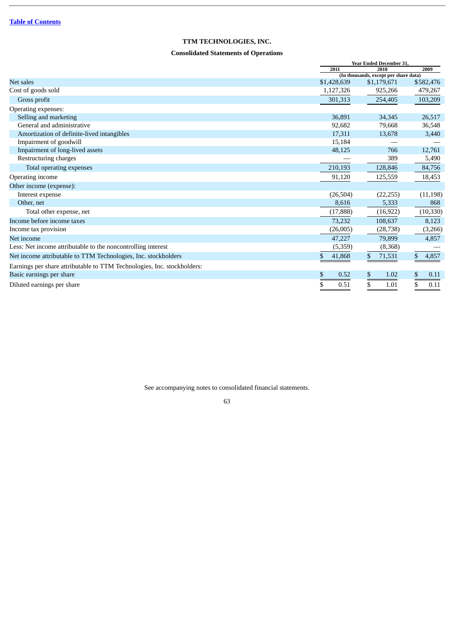## **Consolidated Statements of Operations**

<span id="page-62-0"></span>

|                                                                         |              | <b>Year Ended December 31,</b>        |             |  |  |
|-------------------------------------------------------------------------|--------------|---------------------------------------|-------------|--|--|
|                                                                         | 2011         | 2010                                  | 2009        |  |  |
|                                                                         |              | (In thousands, except per share data) |             |  |  |
| Net sales                                                               | \$1,428,639  | \$1,179,671                           | \$582,476   |  |  |
| Cost of goods sold                                                      | 1,127,326    | 925,266                               | 479,267     |  |  |
| Gross profit                                                            | 301,313      | 254,405                               | 103,209     |  |  |
| Operating expenses:                                                     |              |                                       |             |  |  |
| Selling and marketing                                                   | 36,891       | 34,345                                | 26,517      |  |  |
| General and administrative                                              | 92,682       | 79,668                                | 36,548      |  |  |
| Amortization of definite-lived intangibles                              | 17,311       | 13,678                                | 3,440       |  |  |
| Impairment of goodwill                                                  | 15,184       |                                       |             |  |  |
| Impairment of long-lived assets                                         | 48,125       | 766                                   | 12,761      |  |  |
| Restructuring charges                                                   |              | 389                                   | 5,490       |  |  |
| Total operating expenses                                                | 210,193      | 128,846                               | 84,756      |  |  |
| Operating income                                                        | 91,120       | 125,559                               | 18,453      |  |  |
| Other income (expense):                                                 |              |                                       |             |  |  |
| Interest expense                                                        | (26, 504)    | (22, 255)                             | (11, 198)   |  |  |
| Other, net                                                              | 8,616        | 5,333                                 | 868         |  |  |
| Total other expense, net                                                | (17, 888)    | (16, 922)                             | (10, 330)   |  |  |
| Income before income taxes                                              | 73,232       | 108,637                               | 8,123       |  |  |
| Income tax provision                                                    | (26,005)     | (28, 738)                             | (3,266)     |  |  |
| Net income                                                              | 47,227       | 79,899                                | 4,857       |  |  |
| Less: Net income attributable to the noncontrolling interest            | (5,359)      | (8,368)                               |             |  |  |
| Net income attributable to TTM Technologies, Inc. stockholders          | \$<br>41,868 | \$<br>71,531                          | 4,857<br>\$ |  |  |
| Earnings per share attributable to TTM Technologies, Inc. stockholders: |              |                                       |             |  |  |
| Basic earnings per share                                                | 0.52<br>\$   | 1.02<br>\$                            | 0.11<br>\$  |  |  |
| Diluted earnings per share                                              | 0.51<br>\$   | 1.01<br>\$                            | \$<br>0.11  |  |  |

See accompanying notes to consolidated financial statements.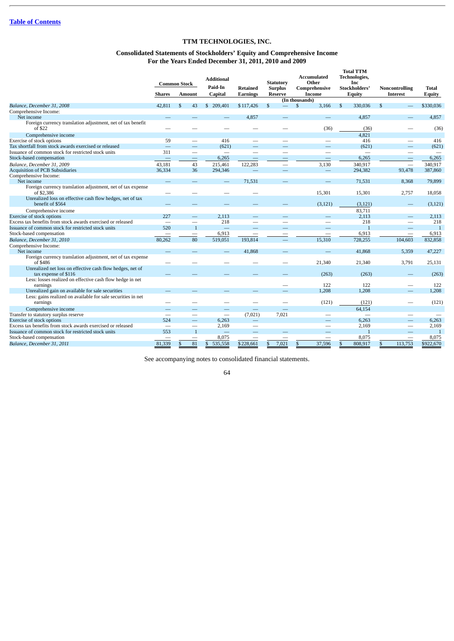## **Consolidated Statements of Stockholders' Equity and Comprehensive Income For the Years Ended December 31, 2011, 2010 and 2009**

<span id="page-63-0"></span>

| Capital<br>Income<br>Equity<br><b>Amount</b><br>Earnings<br><b>Reserve</b><br><b>Interest</b><br>Equity<br>Shares<br>(In thousands)<br>42.811<br>$\mathbf{s}$<br>$\mathbb{S}$<br>$\mathbf{s}$<br>330,036<br>\$330,036<br>Balance, December 31, 2008<br>\$<br>43<br>\$ 209,401<br>\$117,426<br>3.166<br>$\mathbf{s}$<br>$\overline{\phantom{0}}$<br>$\qquad \qquad -$<br>Comprehensive Income:<br>4,857<br>4,857<br>4,857<br>Net income<br>Foreign currency translation adjustment, net of tax benefit<br>(36)<br>of \$22<br>(36)<br>(36)<br>4,821<br>Comprehensive income<br>Exercise of stock options<br>59<br>416<br>416<br>416<br>$\overline{\phantom{0}}$<br>$\frac{1}{2}$<br>Tax shortfall from stock awards exercised or released<br>(621)<br>(621)<br>$\equiv$<br>(621)<br>$\frac{1}{2}$<br>$\equiv$<br>$\equiv$<br>$\equiv$<br>Issuance of common stock for restricted stock units<br>311<br>$\overline{\phantom{0}}$<br>$\frac{1}{2}$<br>6,265<br>Stock-based compensation<br>6,265<br>6,265<br>$\qquad \qquad -$<br>$\qquad \qquad -$<br>$\overline{\phantom{0}}$<br>$\overline{\phantom{m}}$<br>$\qquad \qquad$<br>$\qquad \qquad$<br>340,917<br>Balance, December 31, 2009<br>43.181<br>215,461<br>122,283<br>3,130<br>340,917<br>43<br>$\equiv$<br>$\frac{1}{2}$<br>36<br><b>Acquisition of PCB Subsidiaries</b><br>36,334<br>294,346<br>$\equiv$<br>294,382<br>93,478<br>387,860<br>÷,<br>Comprehensive Income:<br>71,531<br>Net income<br>71,531<br>79,899<br>8,368<br>$\qquad \qquad -$<br><u>in</u><br>$\equiv$<br>$\equiv$<br>Foreign currency translation adjustment, net of tax expense<br>of \$2,386<br>15,301<br>15,301<br>2,757<br>18.058<br>Unrealized loss on effective cash flow hedges, net of tax<br>benefit of \$564<br>(3, 121)<br>(3, 121)<br>(3, 121)<br>83,711<br>Comprehensive income<br>2,113<br>Exercise of stock options<br>227<br>2.113<br>2,113<br>$\overline{\phantom{0}}$<br><b>Contract Contract Contract Contract Contract Contract Contract Contract Contract Contract Contract Contract Co</b><br>Excess tax benefits from stock awards exercised or released<br>218<br>218<br>218<br>$\overline{\phantom{0}}$<br>$\overline{\phantom{0}}$<br>$\overline{\phantom{0}}$<br>$\overline{\phantom{0}}$<br>Issuance of common stock for restricted stock units<br>520<br>$\mathbf{1}$<br>$\overline{1}$<br>$\overline{\phantom{m}}$<br>$\overline{1}$<br>$\equiv$<br>6,913<br>6,913<br>Stock-based compensation<br>6,913<br>$\frac{1}{2}$<br>80,262<br>80<br>519,051<br>193.814<br>15,310<br>728,255<br>104,603<br>832,858<br>Balance, December 31, 2010<br>Comprehensive Income:<br>41,868<br>5,359<br>47,227<br>Net income<br>41,868<br>Foreign currency translation adjustment, net of tax expense<br>of \$486<br>3,791<br>25,131<br>21,340<br>21,340<br>--<br>Unrealized net loss on effective cash flow hedges, net of<br>tax expense of \$116<br>(263)<br>(263)<br>(263)<br>Less: losses realized on effective cash flow hedge in net<br>earnings<br>122<br>122<br>122<br>—<br>Unrealized gain on available for sale securities<br>1,208<br>1,208<br>1,208<br>$\overline{\phantom{0}}$<br>Less: gains realized on available for sale securities in net<br>earnings<br>(121)<br>(121)<br>(121)<br>$\overline{\phantom{0}}$<br>and the<br>$\overline{\phantom{0}}$<br>Comprehensive income<br>64,154<br>ш.<br>二<br>$\equiv$<br>Transfer to statutory surplus reserve<br>(7,021)<br>7,021<br>$\equiv$<br>$\overline{\phantom{0}}$<br>$\overline{\phantom{0}}$<br>$\overline{\phantom{0}}$<br>6,263<br><b>Exercise of stock options</b><br>524<br>$\equiv$<br>6,263<br>6.263<br>Excess tax benefits from stock awards exercised or released<br>2,169<br>2,169<br>2,169<br>$\frac{1}{2}$<br>$\overline{\phantom{0}}$<br>$\overline{\phantom{m}}$<br>$\overline{\phantom{m}}$<br>Issuance of common stock for restricted stock units<br>553<br>$\mathbf{1}$<br>$\overline{1}$<br>$\mathbf{1}$<br>$\overline{\phantom{0}}$<br>÷. |                          | <b>Common Stock</b> |  | <b>Additional</b><br>Paid-In | <b>Retained</b> | <b>Statutory</b><br><b>Surplus</b> | <b>Accumulated</b><br>Other<br>Comprehensive | <b>Total TTM</b><br><b>Technologies,</b><br>Inc<br>Stockholders' | Noncontrolling | Total |
|-------------------------------------------------------------------------------------------------------------------------------------------------------------------------------------------------------------------------------------------------------------------------------------------------------------------------------------------------------------------------------------------------------------------------------------------------------------------------------------------------------------------------------------------------------------------------------------------------------------------------------------------------------------------------------------------------------------------------------------------------------------------------------------------------------------------------------------------------------------------------------------------------------------------------------------------------------------------------------------------------------------------------------------------------------------------------------------------------------------------------------------------------------------------------------------------------------------------------------------------------------------------------------------------------------------------------------------------------------------------------------------------------------------------------------------------------------------------------------------------------------------------------------------------------------------------------------------------------------------------------------------------------------------------------------------------------------------------------------------------------------------------------------------------------------------------------------------------------------------------------------------------------------------------------------------------------------------------------------------------------------------------------------------------------------------------------------------------------------------------------------------------------------------------------------------------------------------------------------------------------------------------------------------------------------------------------------------------------------------------------------------------------------------------------------------------------------------------------------------------------------------------------------------------------------------------------------------------------------------------------------------------------------------------------------------------------------------------------------------------------------------------------------------------------------------------------------------------------------------------------------------------------------------------------------------------------------------------------------------------------------------------------------------------------------------------------------------------------------------------------------------------------------------------------------------------------------------------------------------------------------------------------------------------------------------------------------------------------------------------------------------------------------------------------------------------------------------------------------------------------------------------------------------------------------------------------------------------------------------------------------------------------------------------------------------------------------------------------------------------------------------------------------------------------------------------------------------------------------------------------------------------------------------------------------------------------------------------------|--------------------------|---------------------|--|------------------------------|-----------------|------------------------------------|----------------------------------------------|------------------------------------------------------------------|----------------|-------|
|                                                                                                                                                                                                                                                                                                                                                                                                                                                                                                                                                                                                                                                                                                                                                                                                                                                                                                                                                                                                                                                                                                                                                                                                                                                                                                                                                                                                                                                                                                                                                                                                                                                                                                                                                                                                                                                                                                                                                                                                                                                                                                                                                                                                                                                                                                                                                                                                                                                                                                                                                                                                                                                                                                                                                                                                                                                                                                                                                                                                                                                                                                                                                                                                                                                                                                                                                                                                                                                                                                                                                                                                                                                                                                                                                                                                                                                                                                                                                                         |                          |                     |  |                              |                 |                                    |                                              |                                                                  |                |       |
|                                                                                                                                                                                                                                                                                                                                                                                                                                                                                                                                                                                                                                                                                                                                                                                                                                                                                                                                                                                                                                                                                                                                                                                                                                                                                                                                                                                                                                                                                                                                                                                                                                                                                                                                                                                                                                                                                                                                                                                                                                                                                                                                                                                                                                                                                                                                                                                                                                                                                                                                                                                                                                                                                                                                                                                                                                                                                                                                                                                                                                                                                                                                                                                                                                                                                                                                                                                                                                                                                                                                                                                                                                                                                                                                                                                                                                                                                                                                                                         |                          |                     |  |                              |                 |                                    |                                              |                                                                  |                |       |
|                                                                                                                                                                                                                                                                                                                                                                                                                                                                                                                                                                                                                                                                                                                                                                                                                                                                                                                                                                                                                                                                                                                                                                                                                                                                                                                                                                                                                                                                                                                                                                                                                                                                                                                                                                                                                                                                                                                                                                                                                                                                                                                                                                                                                                                                                                                                                                                                                                                                                                                                                                                                                                                                                                                                                                                                                                                                                                                                                                                                                                                                                                                                                                                                                                                                                                                                                                                                                                                                                                                                                                                                                                                                                                                                                                                                                                                                                                                                                                         |                          |                     |  |                              |                 |                                    |                                              |                                                                  |                |       |
|                                                                                                                                                                                                                                                                                                                                                                                                                                                                                                                                                                                                                                                                                                                                                                                                                                                                                                                                                                                                                                                                                                                                                                                                                                                                                                                                                                                                                                                                                                                                                                                                                                                                                                                                                                                                                                                                                                                                                                                                                                                                                                                                                                                                                                                                                                                                                                                                                                                                                                                                                                                                                                                                                                                                                                                                                                                                                                                                                                                                                                                                                                                                                                                                                                                                                                                                                                                                                                                                                                                                                                                                                                                                                                                                                                                                                                                                                                                                                                         |                          |                     |  |                              |                 |                                    |                                              |                                                                  |                |       |
|                                                                                                                                                                                                                                                                                                                                                                                                                                                                                                                                                                                                                                                                                                                                                                                                                                                                                                                                                                                                                                                                                                                                                                                                                                                                                                                                                                                                                                                                                                                                                                                                                                                                                                                                                                                                                                                                                                                                                                                                                                                                                                                                                                                                                                                                                                                                                                                                                                                                                                                                                                                                                                                                                                                                                                                                                                                                                                                                                                                                                                                                                                                                                                                                                                                                                                                                                                                                                                                                                                                                                                                                                                                                                                                                                                                                                                                                                                                                                                         |                          |                     |  |                              |                 |                                    |                                              |                                                                  |                |       |
|                                                                                                                                                                                                                                                                                                                                                                                                                                                                                                                                                                                                                                                                                                                                                                                                                                                                                                                                                                                                                                                                                                                                                                                                                                                                                                                                                                                                                                                                                                                                                                                                                                                                                                                                                                                                                                                                                                                                                                                                                                                                                                                                                                                                                                                                                                                                                                                                                                                                                                                                                                                                                                                                                                                                                                                                                                                                                                                                                                                                                                                                                                                                                                                                                                                                                                                                                                                                                                                                                                                                                                                                                                                                                                                                                                                                                                                                                                                                                                         |                          |                     |  |                              |                 |                                    |                                              |                                                                  |                |       |
|                                                                                                                                                                                                                                                                                                                                                                                                                                                                                                                                                                                                                                                                                                                                                                                                                                                                                                                                                                                                                                                                                                                                                                                                                                                                                                                                                                                                                                                                                                                                                                                                                                                                                                                                                                                                                                                                                                                                                                                                                                                                                                                                                                                                                                                                                                                                                                                                                                                                                                                                                                                                                                                                                                                                                                                                                                                                                                                                                                                                                                                                                                                                                                                                                                                                                                                                                                                                                                                                                                                                                                                                                                                                                                                                                                                                                                                                                                                                                                         |                          |                     |  |                              |                 |                                    |                                              |                                                                  |                |       |
|                                                                                                                                                                                                                                                                                                                                                                                                                                                                                                                                                                                                                                                                                                                                                                                                                                                                                                                                                                                                                                                                                                                                                                                                                                                                                                                                                                                                                                                                                                                                                                                                                                                                                                                                                                                                                                                                                                                                                                                                                                                                                                                                                                                                                                                                                                                                                                                                                                                                                                                                                                                                                                                                                                                                                                                                                                                                                                                                                                                                                                                                                                                                                                                                                                                                                                                                                                                                                                                                                                                                                                                                                                                                                                                                                                                                                                                                                                                                                                         |                          |                     |  |                              |                 |                                    |                                              |                                                                  |                |       |
|                                                                                                                                                                                                                                                                                                                                                                                                                                                                                                                                                                                                                                                                                                                                                                                                                                                                                                                                                                                                                                                                                                                                                                                                                                                                                                                                                                                                                                                                                                                                                                                                                                                                                                                                                                                                                                                                                                                                                                                                                                                                                                                                                                                                                                                                                                                                                                                                                                                                                                                                                                                                                                                                                                                                                                                                                                                                                                                                                                                                                                                                                                                                                                                                                                                                                                                                                                                                                                                                                                                                                                                                                                                                                                                                                                                                                                                                                                                                                                         |                          |                     |  |                              |                 |                                    |                                              |                                                                  |                |       |
|                                                                                                                                                                                                                                                                                                                                                                                                                                                                                                                                                                                                                                                                                                                                                                                                                                                                                                                                                                                                                                                                                                                                                                                                                                                                                                                                                                                                                                                                                                                                                                                                                                                                                                                                                                                                                                                                                                                                                                                                                                                                                                                                                                                                                                                                                                                                                                                                                                                                                                                                                                                                                                                                                                                                                                                                                                                                                                                                                                                                                                                                                                                                                                                                                                                                                                                                                                                                                                                                                                                                                                                                                                                                                                                                                                                                                                                                                                                                                                         |                          |                     |  |                              |                 |                                    |                                              |                                                                  |                |       |
|                                                                                                                                                                                                                                                                                                                                                                                                                                                                                                                                                                                                                                                                                                                                                                                                                                                                                                                                                                                                                                                                                                                                                                                                                                                                                                                                                                                                                                                                                                                                                                                                                                                                                                                                                                                                                                                                                                                                                                                                                                                                                                                                                                                                                                                                                                                                                                                                                                                                                                                                                                                                                                                                                                                                                                                                                                                                                                                                                                                                                                                                                                                                                                                                                                                                                                                                                                                                                                                                                                                                                                                                                                                                                                                                                                                                                                                                                                                                                                         |                          |                     |  |                              |                 |                                    |                                              |                                                                  |                |       |
|                                                                                                                                                                                                                                                                                                                                                                                                                                                                                                                                                                                                                                                                                                                                                                                                                                                                                                                                                                                                                                                                                                                                                                                                                                                                                                                                                                                                                                                                                                                                                                                                                                                                                                                                                                                                                                                                                                                                                                                                                                                                                                                                                                                                                                                                                                                                                                                                                                                                                                                                                                                                                                                                                                                                                                                                                                                                                                                                                                                                                                                                                                                                                                                                                                                                                                                                                                                                                                                                                                                                                                                                                                                                                                                                                                                                                                                                                                                                                                         |                          |                     |  |                              |                 |                                    |                                              |                                                                  |                |       |
|                                                                                                                                                                                                                                                                                                                                                                                                                                                                                                                                                                                                                                                                                                                                                                                                                                                                                                                                                                                                                                                                                                                                                                                                                                                                                                                                                                                                                                                                                                                                                                                                                                                                                                                                                                                                                                                                                                                                                                                                                                                                                                                                                                                                                                                                                                                                                                                                                                                                                                                                                                                                                                                                                                                                                                                                                                                                                                                                                                                                                                                                                                                                                                                                                                                                                                                                                                                                                                                                                                                                                                                                                                                                                                                                                                                                                                                                                                                                                                         |                          |                     |  |                              |                 |                                    |                                              |                                                                  |                |       |
|                                                                                                                                                                                                                                                                                                                                                                                                                                                                                                                                                                                                                                                                                                                                                                                                                                                                                                                                                                                                                                                                                                                                                                                                                                                                                                                                                                                                                                                                                                                                                                                                                                                                                                                                                                                                                                                                                                                                                                                                                                                                                                                                                                                                                                                                                                                                                                                                                                                                                                                                                                                                                                                                                                                                                                                                                                                                                                                                                                                                                                                                                                                                                                                                                                                                                                                                                                                                                                                                                                                                                                                                                                                                                                                                                                                                                                                                                                                                                                         |                          |                     |  |                              |                 |                                    |                                              |                                                                  |                |       |
|                                                                                                                                                                                                                                                                                                                                                                                                                                                                                                                                                                                                                                                                                                                                                                                                                                                                                                                                                                                                                                                                                                                                                                                                                                                                                                                                                                                                                                                                                                                                                                                                                                                                                                                                                                                                                                                                                                                                                                                                                                                                                                                                                                                                                                                                                                                                                                                                                                                                                                                                                                                                                                                                                                                                                                                                                                                                                                                                                                                                                                                                                                                                                                                                                                                                                                                                                                                                                                                                                                                                                                                                                                                                                                                                                                                                                                                                                                                                                                         |                          |                     |  |                              |                 |                                    |                                              |                                                                  |                |       |
|                                                                                                                                                                                                                                                                                                                                                                                                                                                                                                                                                                                                                                                                                                                                                                                                                                                                                                                                                                                                                                                                                                                                                                                                                                                                                                                                                                                                                                                                                                                                                                                                                                                                                                                                                                                                                                                                                                                                                                                                                                                                                                                                                                                                                                                                                                                                                                                                                                                                                                                                                                                                                                                                                                                                                                                                                                                                                                                                                                                                                                                                                                                                                                                                                                                                                                                                                                                                                                                                                                                                                                                                                                                                                                                                                                                                                                                                                                                                                                         |                          |                     |  |                              |                 |                                    |                                              |                                                                  |                |       |
|                                                                                                                                                                                                                                                                                                                                                                                                                                                                                                                                                                                                                                                                                                                                                                                                                                                                                                                                                                                                                                                                                                                                                                                                                                                                                                                                                                                                                                                                                                                                                                                                                                                                                                                                                                                                                                                                                                                                                                                                                                                                                                                                                                                                                                                                                                                                                                                                                                                                                                                                                                                                                                                                                                                                                                                                                                                                                                                                                                                                                                                                                                                                                                                                                                                                                                                                                                                                                                                                                                                                                                                                                                                                                                                                                                                                                                                                                                                                                                         |                          |                     |  |                              |                 |                                    |                                              |                                                                  |                |       |
|                                                                                                                                                                                                                                                                                                                                                                                                                                                                                                                                                                                                                                                                                                                                                                                                                                                                                                                                                                                                                                                                                                                                                                                                                                                                                                                                                                                                                                                                                                                                                                                                                                                                                                                                                                                                                                                                                                                                                                                                                                                                                                                                                                                                                                                                                                                                                                                                                                                                                                                                                                                                                                                                                                                                                                                                                                                                                                                                                                                                                                                                                                                                                                                                                                                                                                                                                                                                                                                                                                                                                                                                                                                                                                                                                                                                                                                                                                                                                                         |                          |                     |  |                              |                 |                                    |                                              |                                                                  |                |       |
|                                                                                                                                                                                                                                                                                                                                                                                                                                                                                                                                                                                                                                                                                                                                                                                                                                                                                                                                                                                                                                                                                                                                                                                                                                                                                                                                                                                                                                                                                                                                                                                                                                                                                                                                                                                                                                                                                                                                                                                                                                                                                                                                                                                                                                                                                                                                                                                                                                                                                                                                                                                                                                                                                                                                                                                                                                                                                                                                                                                                                                                                                                                                                                                                                                                                                                                                                                                                                                                                                                                                                                                                                                                                                                                                                                                                                                                                                                                                                                         |                          |                     |  |                              |                 |                                    |                                              |                                                                  |                |       |
|                                                                                                                                                                                                                                                                                                                                                                                                                                                                                                                                                                                                                                                                                                                                                                                                                                                                                                                                                                                                                                                                                                                                                                                                                                                                                                                                                                                                                                                                                                                                                                                                                                                                                                                                                                                                                                                                                                                                                                                                                                                                                                                                                                                                                                                                                                                                                                                                                                                                                                                                                                                                                                                                                                                                                                                                                                                                                                                                                                                                                                                                                                                                                                                                                                                                                                                                                                                                                                                                                                                                                                                                                                                                                                                                                                                                                                                                                                                                                                         |                          |                     |  |                              |                 |                                    |                                              |                                                                  |                |       |
|                                                                                                                                                                                                                                                                                                                                                                                                                                                                                                                                                                                                                                                                                                                                                                                                                                                                                                                                                                                                                                                                                                                                                                                                                                                                                                                                                                                                                                                                                                                                                                                                                                                                                                                                                                                                                                                                                                                                                                                                                                                                                                                                                                                                                                                                                                                                                                                                                                                                                                                                                                                                                                                                                                                                                                                                                                                                                                                                                                                                                                                                                                                                                                                                                                                                                                                                                                                                                                                                                                                                                                                                                                                                                                                                                                                                                                                                                                                                                                         |                          |                     |  |                              |                 |                                    |                                              |                                                                  |                |       |
|                                                                                                                                                                                                                                                                                                                                                                                                                                                                                                                                                                                                                                                                                                                                                                                                                                                                                                                                                                                                                                                                                                                                                                                                                                                                                                                                                                                                                                                                                                                                                                                                                                                                                                                                                                                                                                                                                                                                                                                                                                                                                                                                                                                                                                                                                                                                                                                                                                                                                                                                                                                                                                                                                                                                                                                                                                                                                                                                                                                                                                                                                                                                                                                                                                                                                                                                                                                                                                                                                                                                                                                                                                                                                                                                                                                                                                                                                                                                                                         |                          |                     |  |                              |                 |                                    |                                              |                                                                  |                |       |
|                                                                                                                                                                                                                                                                                                                                                                                                                                                                                                                                                                                                                                                                                                                                                                                                                                                                                                                                                                                                                                                                                                                                                                                                                                                                                                                                                                                                                                                                                                                                                                                                                                                                                                                                                                                                                                                                                                                                                                                                                                                                                                                                                                                                                                                                                                                                                                                                                                                                                                                                                                                                                                                                                                                                                                                                                                                                                                                                                                                                                                                                                                                                                                                                                                                                                                                                                                                                                                                                                                                                                                                                                                                                                                                                                                                                                                                                                                                                                                         |                          |                     |  |                              |                 |                                    |                                              |                                                                  |                |       |
|                                                                                                                                                                                                                                                                                                                                                                                                                                                                                                                                                                                                                                                                                                                                                                                                                                                                                                                                                                                                                                                                                                                                                                                                                                                                                                                                                                                                                                                                                                                                                                                                                                                                                                                                                                                                                                                                                                                                                                                                                                                                                                                                                                                                                                                                                                                                                                                                                                                                                                                                                                                                                                                                                                                                                                                                                                                                                                                                                                                                                                                                                                                                                                                                                                                                                                                                                                                                                                                                                                                                                                                                                                                                                                                                                                                                                                                                                                                                                                         |                          |                     |  |                              |                 |                                    |                                              |                                                                  |                |       |
|                                                                                                                                                                                                                                                                                                                                                                                                                                                                                                                                                                                                                                                                                                                                                                                                                                                                                                                                                                                                                                                                                                                                                                                                                                                                                                                                                                                                                                                                                                                                                                                                                                                                                                                                                                                                                                                                                                                                                                                                                                                                                                                                                                                                                                                                                                                                                                                                                                                                                                                                                                                                                                                                                                                                                                                                                                                                                                                                                                                                                                                                                                                                                                                                                                                                                                                                                                                                                                                                                                                                                                                                                                                                                                                                                                                                                                                                                                                                                                         |                          |                     |  |                              |                 |                                    |                                              |                                                                  |                |       |
|                                                                                                                                                                                                                                                                                                                                                                                                                                                                                                                                                                                                                                                                                                                                                                                                                                                                                                                                                                                                                                                                                                                                                                                                                                                                                                                                                                                                                                                                                                                                                                                                                                                                                                                                                                                                                                                                                                                                                                                                                                                                                                                                                                                                                                                                                                                                                                                                                                                                                                                                                                                                                                                                                                                                                                                                                                                                                                                                                                                                                                                                                                                                                                                                                                                                                                                                                                                                                                                                                                                                                                                                                                                                                                                                                                                                                                                                                                                                                                         |                          |                     |  |                              |                 |                                    |                                              |                                                                  |                |       |
|                                                                                                                                                                                                                                                                                                                                                                                                                                                                                                                                                                                                                                                                                                                                                                                                                                                                                                                                                                                                                                                                                                                                                                                                                                                                                                                                                                                                                                                                                                                                                                                                                                                                                                                                                                                                                                                                                                                                                                                                                                                                                                                                                                                                                                                                                                                                                                                                                                                                                                                                                                                                                                                                                                                                                                                                                                                                                                                                                                                                                                                                                                                                                                                                                                                                                                                                                                                                                                                                                                                                                                                                                                                                                                                                                                                                                                                                                                                                                                         |                          |                     |  |                              |                 |                                    |                                              |                                                                  |                |       |
|                                                                                                                                                                                                                                                                                                                                                                                                                                                                                                                                                                                                                                                                                                                                                                                                                                                                                                                                                                                                                                                                                                                                                                                                                                                                                                                                                                                                                                                                                                                                                                                                                                                                                                                                                                                                                                                                                                                                                                                                                                                                                                                                                                                                                                                                                                                                                                                                                                                                                                                                                                                                                                                                                                                                                                                                                                                                                                                                                                                                                                                                                                                                                                                                                                                                                                                                                                                                                                                                                                                                                                                                                                                                                                                                                                                                                                                                                                                                                                         |                          |                     |  |                              |                 |                                    |                                              |                                                                  |                |       |
|                                                                                                                                                                                                                                                                                                                                                                                                                                                                                                                                                                                                                                                                                                                                                                                                                                                                                                                                                                                                                                                                                                                                                                                                                                                                                                                                                                                                                                                                                                                                                                                                                                                                                                                                                                                                                                                                                                                                                                                                                                                                                                                                                                                                                                                                                                                                                                                                                                                                                                                                                                                                                                                                                                                                                                                                                                                                                                                                                                                                                                                                                                                                                                                                                                                                                                                                                                                                                                                                                                                                                                                                                                                                                                                                                                                                                                                                                                                                                                         |                          |                     |  |                              |                 |                                    |                                              |                                                                  |                |       |
|                                                                                                                                                                                                                                                                                                                                                                                                                                                                                                                                                                                                                                                                                                                                                                                                                                                                                                                                                                                                                                                                                                                                                                                                                                                                                                                                                                                                                                                                                                                                                                                                                                                                                                                                                                                                                                                                                                                                                                                                                                                                                                                                                                                                                                                                                                                                                                                                                                                                                                                                                                                                                                                                                                                                                                                                                                                                                                                                                                                                                                                                                                                                                                                                                                                                                                                                                                                                                                                                                                                                                                                                                                                                                                                                                                                                                                                                                                                                                                         |                          |                     |  |                              |                 |                                    |                                              |                                                                  |                |       |
|                                                                                                                                                                                                                                                                                                                                                                                                                                                                                                                                                                                                                                                                                                                                                                                                                                                                                                                                                                                                                                                                                                                                                                                                                                                                                                                                                                                                                                                                                                                                                                                                                                                                                                                                                                                                                                                                                                                                                                                                                                                                                                                                                                                                                                                                                                                                                                                                                                                                                                                                                                                                                                                                                                                                                                                                                                                                                                                                                                                                                                                                                                                                                                                                                                                                                                                                                                                                                                                                                                                                                                                                                                                                                                                                                                                                                                                                                                                                                                         |                          |                     |  |                              |                 |                                    |                                              |                                                                  |                |       |
|                                                                                                                                                                                                                                                                                                                                                                                                                                                                                                                                                                                                                                                                                                                                                                                                                                                                                                                                                                                                                                                                                                                                                                                                                                                                                                                                                                                                                                                                                                                                                                                                                                                                                                                                                                                                                                                                                                                                                                                                                                                                                                                                                                                                                                                                                                                                                                                                                                                                                                                                                                                                                                                                                                                                                                                                                                                                                                                                                                                                                                                                                                                                                                                                                                                                                                                                                                                                                                                                                                                                                                                                                                                                                                                                                                                                                                                                                                                                                                         |                          |                     |  |                              |                 |                                    |                                              |                                                                  |                |       |
|                                                                                                                                                                                                                                                                                                                                                                                                                                                                                                                                                                                                                                                                                                                                                                                                                                                                                                                                                                                                                                                                                                                                                                                                                                                                                                                                                                                                                                                                                                                                                                                                                                                                                                                                                                                                                                                                                                                                                                                                                                                                                                                                                                                                                                                                                                                                                                                                                                                                                                                                                                                                                                                                                                                                                                                                                                                                                                                                                                                                                                                                                                                                                                                                                                                                                                                                                                                                                                                                                                                                                                                                                                                                                                                                                                                                                                                                                                                                                                         |                          |                     |  |                              |                 |                                    |                                              |                                                                  |                |       |
|                                                                                                                                                                                                                                                                                                                                                                                                                                                                                                                                                                                                                                                                                                                                                                                                                                                                                                                                                                                                                                                                                                                                                                                                                                                                                                                                                                                                                                                                                                                                                                                                                                                                                                                                                                                                                                                                                                                                                                                                                                                                                                                                                                                                                                                                                                                                                                                                                                                                                                                                                                                                                                                                                                                                                                                                                                                                                                                                                                                                                                                                                                                                                                                                                                                                                                                                                                                                                                                                                                                                                                                                                                                                                                                                                                                                                                                                                                                                                                         |                          |                     |  |                              |                 |                                    |                                              |                                                                  |                |       |
|                                                                                                                                                                                                                                                                                                                                                                                                                                                                                                                                                                                                                                                                                                                                                                                                                                                                                                                                                                                                                                                                                                                                                                                                                                                                                                                                                                                                                                                                                                                                                                                                                                                                                                                                                                                                                                                                                                                                                                                                                                                                                                                                                                                                                                                                                                                                                                                                                                                                                                                                                                                                                                                                                                                                                                                                                                                                                                                                                                                                                                                                                                                                                                                                                                                                                                                                                                                                                                                                                                                                                                                                                                                                                                                                                                                                                                                                                                                                                                         |                          |                     |  |                              |                 |                                    |                                              |                                                                  |                |       |
|                                                                                                                                                                                                                                                                                                                                                                                                                                                                                                                                                                                                                                                                                                                                                                                                                                                                                                                                                                                                                                                                                                                                                                                                                                                                                                                                                                                                                                                                                                                                                                                                                                                                                                                                                                                                                                                                                                                                                                                                                                                                                                                                                                                                                                                                                                                                                                                                                                                                                                                                                                                                                                                                                                                                                                                                                                                                                                                                                                                                                                                                                                                                                                                                                                                                                                                                                                                                                                                                                                                                                                                                                                                                                                                                                                                                                                                                                                                                                                         |                          |                     |  |                              |                 |                                    |                                              |                                                                  |                |       |
|                                                                                                                                                                                                                                                                                                                                                                                                                                                                                                                                                                                                                                                                                                                                                                                                                                                                                                                                                                                                                                                                                                                                                                                                                                                                                                                                                                                                                                                                                                                                                                                                                                                                                                                                                                                                                                                                                                                                                                                                                                                                                                                                                                                                                                                                                                                                                                                                                                                                                                                                                                                                                                                                                                                                                                                                                                                                                                                                                                                                                                                                                                                                                                                                                                                                                                                                                                                                                                                                                                                                                                                                                                                                                                                                                                                                                                                                                                                                                                         |                          |                     |  |                              |                 |                                    |                                              |                                                                  |                |       |
|                                                                                                                                                                                                                                                                                                                                                                                                                                                                                                                                                                                                                                                                                                                                                                                                                                                                                                                                                                                                                                                                                                                                                                                                                                                                                                                                                                                                                                                                                                                                                                                                                                                                                                                                                                                                                                                                                                                                                                                                                                                                                                                                                                                                                                                                                                                                                                                                                                                                                                                                                                                                                                                                                                                                                                                                                                                                                                                                                                                                                                                                                                                                                                                                                                                                                                                                                                                                                                                                                                                                                                                                                                                                                                                                                                                                                                                                                                                                                                         | Stock-based compensation |                     |  | 8,075                        |                 |                                    |                                              | 8,075                                                            |                | 8,075 |
| 81,339<br>81<br>535,558<br>\$228,661<br>37,596<br>113,753<br>\$922,670<br>Balance, December 31, 2011<br>7.021<br>\$<br>808,917<br>$\mathbb{S}$<br>\$<br>$\mathbb{S}$<br>\$<br>\$                                                                                                                                                                                                                                                                                                                                                                                                                                                                                                                                                                                                                                                                                                                                                                                                                                                                                                                                                                                                                                                                                                                                                                                                                                                                                                                                                                                                                                                                                                                                                                                                                                                                                                                                                                                                                                                                                                                                                                                                                                                                                                                                                                                                                                                                                                                                                                                                                                                                                                                                                                                                                                                                                                                                                                                                                                                                                                                                                                                                                                                                                                                                                                                                                                                                                                                                                                                                                                                                                                                                                                                                                                                                                                                                                                                        |                          |                     |  |                              |                 |                                    |                                              |                                                                  |                |       |

See accompanying notes to consolidated financial statements.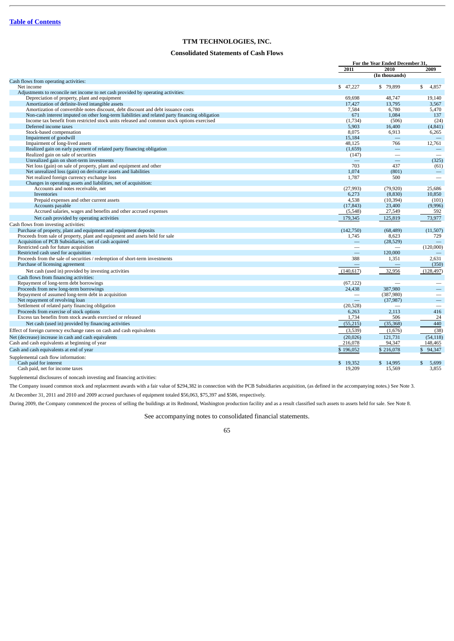## **Consolidated Statements of Cash Flows**

<span id="page-64-0"></span>

|                                                                                                 |                          | For the Year Ended December 31, |                          |
|-------------------------------------------------------------------------------------------------|--------------------------|---------------------------------|--------------------------|
|                                                                                                 | 2011                     | 2010                            | 2009                     |
|                                                                                                 |                          | (In thousands)                  |                          |
| Cash flows from operating activities:                                                           |                          |                                 |                          |
| Net income                                                                                      | \$47,227                 | \$79,899                        | \$<br>4,857              |
| Adjustments to reconcile net income to net cash provided by operating activities:               |                          |                                 |                          |
| Depreciation of property, plant and equipment                                                   | 69.698                   | 48.747                          | 19,140                   |
| Amortization of definite-lived intangible assets                                                | 17,427                   | 13.795                          | 3,567                    |
| Amortization of convertible notes discount, debt discount and debt issuance costs               | 7,584                    | 6,780                           | 5,470                    |
| Non-cash interest imputed on other long-term liabilities and related party financing obligation | 671                      | 1,084                           | 137                      |
| Income tax benefit from restricted stock units released and common stock options exercised      | (1,734)                  | (506)                           | (24)                     |
| Deferred income taxes                                                                           | 5,903                    | 16,400                          | (4,841)                  |
| Stock-based compensation                                                                        | 8,075                    | 6,913                           | 6,265                    |
| Impairment of goodwill                                                                          | 15,184                   |                                 |                          |
| Impairment of long-lived assets                                                                 | 48,125                   | 766                             | 12,761                   |
| Realized gain on early payment of related party financing obligation                            | (1,659)                  | $\overline{\phantom{a}}$        |                          |
| Realized gain on sale of securities                                                             | (147)                    | $\overline{\phantom{a}}$        |                          |
| Unrealized gain on short-term investments                                                       |                          |                                 | (325)                    |
| Net loss (gain) on sale of property, plant and equipment and other                              | 703                      | 437                             | (61)                     |
| Net unrealized loss (gain) on derivative assets and liabilities                                 | 1,074                    | (801)                           |                          |
| Net realized foreign currency exchange loss                                                     | 1,787                    | 500                             |                          |
| Changes in operating assets and liabilities, net of acquisition:                                |                          |                                 |                          |
| Accounts and notes receivable, net                                                              | (27,993)                 | (79, 920)                       | 25,686                   |
| Inventories                                                                                     | 6,273                    | (8,830)                         | 10,850                   |
| Prepaid expenses and other current assets                                                       | 4,538                    | (10, 394)                       | (101)                    |
| Accounts payable                                                                                | (17, 843)                | 23,400                          | (9,996)                  |
| Accrued salaries, wages and benefits and other accrued expenses                                 | (5,548)                  | 27,549                          | 592                      |
| Net cash provided by operating activities                                                       | 179,345                  | 125,819                         | 73,977                   |
| Cash flows from investing activities:                                                           |                          |                                 |                          |
| Purchase of property, plant and equipment and equipment deposits                                | (142,750)                | (68, 489)                       | (11,507)                 |
| Proceeds from sale of property, plant and equipment and assets held for sale                    | 1,745                    | 8,623                           | 729                      |
| Acquisition of PCB Subsidiaries, net of cash acquired                                           |                          | (28, 529)                       |                          |
| Restricted cash for future acquisition                                                          |                          |                                 | (120,000)                |
| Restricted cash used for acquisition                                                            | $\equiv$                 | 120,000                         |                          |
| Proceeds from the sale of securities / redemption of short-term investments                     | 388                      | 1,351                           | 2,631                    |
| Purchase of licensing agreement                                                                 |                          |                                 | (350)                    |
| Net cash (used in) provided by investing activities                                             | (140, 617)               | 32,956                          | (128, 497)               |
| Cash flows from financing activities:                                                           |                          |                                 |                          |
| Repayment of long-term debt borrowings                                                          | (67, 122)                |                                 |                          |
| Proceeds from new long-term borrowings                                                          | 24,438                   | 387,980                         |                          |
| Repayment of assumed long-term debt in acquisition                                              | $\overline{\phantom{m}}$ | (387,980)                       | $\overline{\phantom{m}}$ |
| Net repayment of revolving loan                                                                 |                          | (37, 987)                       |                          |
| Settlement of related party financing obligation                                                | (20, 528)                |                                 |                          |
| Proceeds from exercise of stock options                                                         | 6,263                    | 2.113                           | 416                      |
| Excess tax benefits from stock awards exercised or released                                     | 1,734                    | 506                             | 24                       |
| Net cash (used in) provided by financing activities                                             | (55, 215)                | (35,368)                        | 440                      |
|                                                                                                 |                          |                                 |                          |
| Effect of foreign currency exchange rates on cash and cash equivalents                          | (3,539)                  | (1,676)                         | (38)                     |
| Net (decrease) increase in cash and cash equivalents                                            | (20, 026)                | 121,731                         | (54, 118)                |
| Cash and cash equivalents at beginning of year                                                  | 216,078                  | 94,347                          | 148,465                  |
| Cash and cash equivalents at end of year                                                        | \$196,052                | \$216,078                       | 94,347                   |
| Supplemental cash flow information:                                                             |                          |                                 |                          |
| Cash paid for interest                                                                          | \$19,352                 | \$14,995                        | \$<br>5,699              |
| Cash paid, net for income taxes                                                                 | 19,209                   | 15,569                          | 3,855                    |

Supplemental disclosures of noncash investing and financing activities:

The Company issued common stock and replacement awards with a fair value of \$294,382 in connection with the PCB Subsidiaries acquisition, (as defined in the accompanying notes.) See Note 3.

At December 31, 2011 and 2010 and 2009 accrued purchases of equipment totaled \$56,063, \$75,397 and \$586, respectively.

During 2009, the Company commenced the process of selling the buildings at its Redmond, Washington production facility and as a result classified such assets to assets held for sale. See Note 8.

See accompanying notes to consolidated financial statements.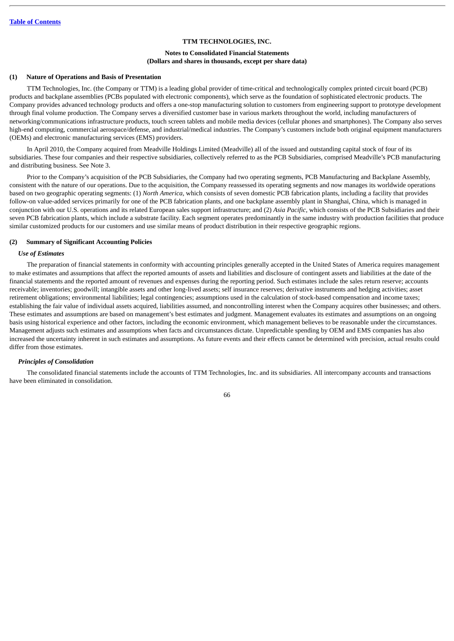## **Notes to Consolidated Financial Statements (Dollars and shares in thousands, except per share data)**

## <span id="page-65-0"></span>**(1) Nature of Operations and Basis of Presentation**

TTM Technologies, Inc. (the Company or TTM) is a leading global provider of time-critical and technologically complex printed circuit board (PCB) products and backplane assemblies (PCBs populated with electronic components), which serve as the foundation of sophisticated electronic products. The Company provides advanced technology products and offers a one-stop manufacturing solution to customers from engineering support to prototype development through final volume production. The Company serves a diversified customer base in various markets throughout the world, including manufacturers of networking/communications infrastructure products, touch screen tablets and mobile media devices (cellular phones and smartphones). The Company also serves high-end computing, commercial aerospace/defense, and industrial/medical industries. The Company's customers include both original equipment manufacturers (OEMs) and electronic manufacturing services (EMS) providers.

In April 2010, the Company acquired from Meadville Holdings Limited (Meadville) all of the issued and outstanding capital stock of four of its subsidiaries. These four companies and their respective subsidiaries, collectively referred to as the PCB Subsidiaries, comprised Meadville's PCB manufacturing and distributing business. See Note 3.

Prior to the Company's acquisition of the PCB Subsidiaries, the Company had two operating segments, PCB Manufacturing and Backplane Assembly, consistent with the nature of our operations. Due to the acquisition, the Company reassessed its operating segments and now manages its worldwide operations based on two geographic operating segments: (1) *North America*, which consists of seven domestic PCB fabrication plants, including a facility that provides follow-on value-added services primarily for one of the PCB fabrication plants, and one backplane assembly plant in Shanghai, China, which is managed in conjunction with our U.S. operations and its related European sales support infrastructure; and (2) *Asia Pacific*, which consists of the PCB Subsidiaries and their seven PCB fabrication plants, which include a substrate facility. Each segment operates predominantly in the same industry with production facilities that produce similar customized products for our customers and use similar means of product distribution in their respective geographic regions.

## **(2) Summary of Significant Accounting Policies**

### *Use of Estimates*

The preparation of financial statements in conformity with accounting principles generally accepted in the United States of America requires management to make estimates and assumptions that affect the reported amounts of assets and liabilities and disclosure of contingent assets and liabilities at the date of the financial statements and the reported amount of revenues and expenses during the reporting period. Such estimates include the sales return reserve; accounts receivable; inventories; goodwill; intangible assets and other long-lived assets; self insurance reserves; derivative instruments and hedging activities; asset retirement obligations; environmental liabilities; legal contingencies; assumptions used in the calculation of stock-based compensation and income taxes; establishing the fair value of individual assets acquired, liabilities assumed, and noncontrolling interest when the Company acquires other businesses; and others. These estimates and assumptions are based on management's best estimates and judgment. Management evaluates its estimates and assumptions on an ongoing basis using historical experience and other factors, including the economic environment, which management believes to be reasonable under the circumstances. Management adjusts such estimates and assumptions when facts and circumstances dictate. Unpredictable spending by OEM and EMS companies has also increased the uncertainty inherent in such estimates and assumptions. As future events and their effects cannot be determined with precision, actual results could differ from those estimates.

## *Principles of Consolidation*

The consolidated financial statements include the accounts of TTM Technologies, Inc. and its subsidiaries. All intercompany accounts and transactions have been eliminated in consolidation.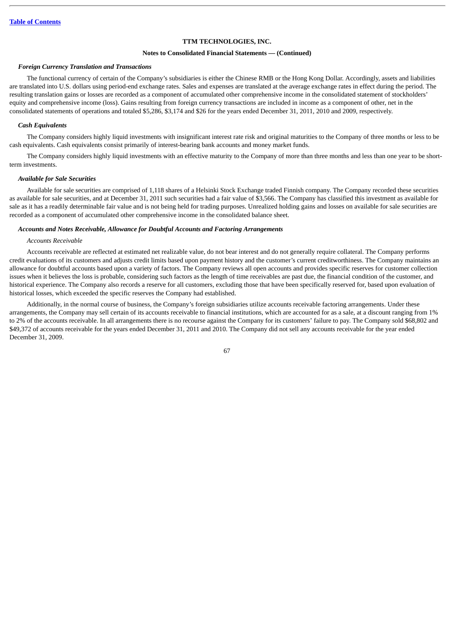## **Notes to Consolidated Financial Statements — (Continued)**

### *Foreign Currency Translation and Transactions*

The functional currency of certain of the Company's subsidiaries is either the Chinese RMB or the Hong Kong Dollar. Accordingly, assets and liabilities are translated into U.S. dollars using period-end exchange rates. Sales and expenses are translated at the average exchange rates in effect during the period. The resulting translation gains or losses are recorded as a component of accumulated other comprehensive income in the consolidated statement of stockholders' equity and comprehensive income (loss). Gains resulting from foreign currency transactions are included in income as a component of other, net in the consolidated statements of operations and totaled \$5,286, \$3,174 and \$26 for the years ended December 31, 2011, 2010 and 2009, respectively.

#### *Cash Equivalents*

The Company considers highly liquid investments with insignificant interest rate risk and original maturities to the Company of three months or less to be cash equivalents. Cash equivalents consist primarily of interest-bearing bank accounts and money market funds.

The Company considers highly liquid investments with an effective maturity to the Company of more than three months and less than one year to be shortterm investments.

### *Available for Sale Securities*

Available for sale securities are comprised of 1,118 shares of a Helsinki Stock Exchange traded Finnish company. The Company recorded these securities as available for sale securities, and at December 31, 2011 such securities had a fair value of \$3,566. The Company has classified this investment as available for sale as it has a readily determinable fair value and is not being held for trading purposes. Unrealized holding gains and losses on available for sale securities are recorded as a component of accumulated other comprehensive income in the consolidated balance sheet.

### *Accounts and Notes Receivable, Allowance for Doubtful Accounts and Factoring Arrangements*

### *Accounts Receivable*

Accounts receivable are reflected at estimated net realizable value, do not bear interest and do not generally require collateral. The Company performs credit evaluations of its customers and adjusts credit limits based upon payment history and the customer's current creditworthiness. The Company maintains an allowance for doubtful accounts based upon a variety of factors. The Company reviews all open accounts and provides specific reserves for customer collection issues when it believes the loss is probable, considering such factors as the length of time receivables are past due, the financial condition of the customer, and historical experience. The Company also records a reserve for all customers, excluding those that have been specifically reserved for, based upon evaluation of historical losses, which exceeded the specific reserves the Company had established.

Additionally, in the normal course of business, the Company's foreign subsidiaries utilize accounts receivable factoring arrangements. Under these arrangements, the Company may sell certain of its accounts receivable to financial institutions, which are accounted for as a sale, at a discount ranging from 1% to 2% of the accounts receivable. In all arrangements there is no recourse against the Company for its customers' failure to pay. The Company sold \$68,802 and \$49,372 of accounts receivable for the years ended December 31, 2011 and 2010. The Company did not sell any accounts receivable for the year ended December 31, 2009.

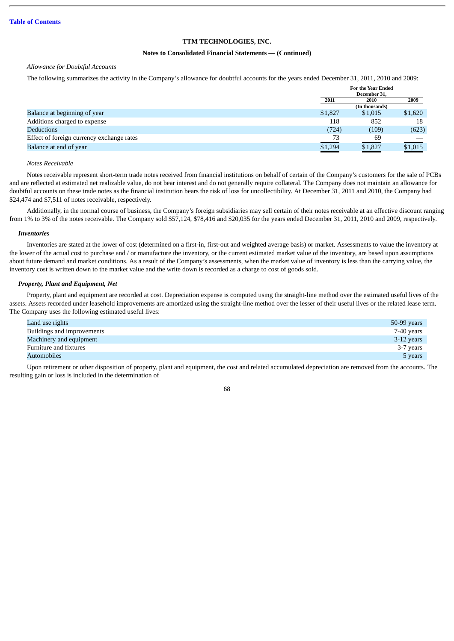## **Notes to Consolidated Financial Statements — (Continued)**

## *Allowance for Doubtful Accounts*

The following summarizes the activity in the Company's allowance for doubtful accounts for the years ended December 31, 2011, 2010 and 2009:

|                                           |         | <b>For the Year Ended</b> |                       |  |
|-------------------------------------------|---------|---------------------------|-----------------------|--|
|                                           |         | December 31,              |                       |  |
|                                           | 2011    | 2010                      | 2009                  |  |
|                                           |         | (In thousands)            |                       |  |
| Balance at beginning of year              | \$1,827 | \$1,015                   | \$1,620               |  |
| Additions charged to expense              | 118     | 852                       | 18                    |  |
| <b>Deductions</b>                         | (724)   | (109)                     | (623)                 |  |
| Effect of foreign currency exchange rates | 73      | -69                       |                       |  |
| Balance at end of year                    | \$1,294 | \$1,827                   | $\underline{\$1,015}$ |  |
|                                           |         |                           |                       |  |

## *Notes Receivable*

Notes receivable represent short-term trade notes received from financial institutions on behalf of certain of the Company's customers for the sale of PCBs and are reflected at estimated net realizable value, do not bear interest and do not generally require collateral. The Company does not maintain an allowance for doubtful accounts on these trade notes as the financial institution bears the risk of loss for uncollectibility. At December 31, 2011 and 2010, the Company had \$24,474 and \$7,511 of notes receivable, respectively.

Additionally, in the normal course of business, the Company's foreign subsidiaries may sell certain of their notes receivable at an effective discount ranging from 1% to 3% of the notes receivable. The Company sold \$57,124, \$78,416 and \$20,035 for the years ended December 31, 2011, 2010 and 2009, respectively.

#### *Inventories*

Inventories are stated at the lower of cost (determined on a first-in, first-out and weighted average basis) or market. Assessments to value the inventory at the lower of the actual cost to purchase and / or manufacture the inventory, or the current estimated market value of the inventory, are based upon assumptions about future demand and market conditions. As a result of the Company's assessments, when the market value of inventory is less than the carrying value, the inventory cost is written down to the market value and the write down is recorded as a charge to cost of goods sold.

### *Property, Plant and Equipment, Net*

Property, plant and equipment are recorded at cost. Depreciation expense is computed using the straight-line method over the estimated useful lives of the assets. Assets recorded under leasehold improvements are amortized using the straight-line method over the lesser of their useful lives or the related lease term. The Company uses the following estimated useful lives:

| Land use rights            | 50-99 years |
|----------------------------|-------------|
| Buildings and improvements | 7-40 years  |
| Machinery and equipment    | 3-12 years  |
| Furniture and fixtures     | 3-7 years   |
| <b>Automobiles</b>         | 5 years     |

Upon retirement or other disposition of property, plant and equipment, the cost and related accumulated depreciation are removed from the accounts. The resulting gain or loss is included in the determination of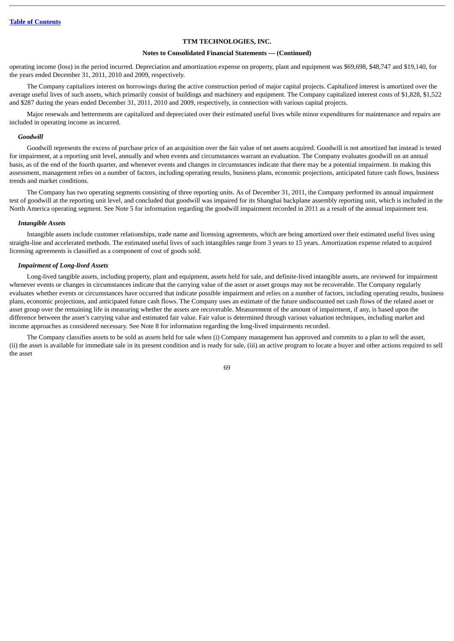## **Notes to Consolidated Financial Statements — (Continued)**

operating income (loss) in the period incurred. Depreciation and amortization expense on property, plant and equipment was \$69,698, \$48,747 and \$19,140, for the years ended December 31, 2011, 2010 and 2009, respectively.

The Company capitalizes interest on borrowings during the active construction period of major capital projects. Capitalized interest is amortized over the average useful lives of such assets, which primarily consist of buildings and machinery and equipment. The Company capitalized interest costs of \$1,828, \$1,522 and \$287 during the years ended December 31, 2011, 2010 and 2009, respectively, in connection with various capital projects.

Major renewals and betterments are capitalized and depreciated over their estimated useful lives while minor expenditures for maintenance and repairs are included in operating income as incurred.

## *Goodwill*

Goodwill represents the excess of purchase price of an acquisition over the fair value of net assets acquired. Goodwill is not amortized but instead is tested for impairment, at a reporting unit level, annually and when events and circumstances warrant an evaluation. The Company evaluates goodwill on an annual basis, as of the end of the fourth quarter, and whenever events and changes in circumstances indicate that there may be a potential impairment. In making this assessment, management relies on a number of factors, including operating results, business plans, economic projections, anticipated future cash flows, business trends and market conditions.

The Company has two operating segments consisting of three reporting units. As of December 31, 2011, the Company performed its annual impairment test of goodwill at the reporting unit level, and concluded that goodwill was impaired for its Shanghai backplane assembly reporting unit, which is included in the North America operating segment. See Note 5 for information regarding the goodwill impairment recorded in 2011 as a result of the annual impairment test.

#### *Intangible Assets*

Intangible assets include customer relationships, trade name and licensing agreements, which are being amortized over their estimated useful lives using straight-line and accelerated methods. The estimated useful lives of such intangibles range from 3 years to 15 years. Amortization expense related to acquired licensing agreements is classified as a component of cost of goods sold.

### *Impairment of Long-lived Assets*

Long-lived tangible assets, including property, plant and equipment, assets held for sale, and definite-lived intangible assets, are reviewed for impairment whenever events or changes in circumstances indicate that the carrying value of the asset or asset groups may not be recoverable. The Company regularly evaluates whether events or circumstances have occurred that indicate possible impairment and relies on a number of factors, including operating results, business plans, economic projections, and anticipated future cash flows. The Company uses an estimate of the future undiscounted net cash flows of the related asset or asset group over the remaining life in measuring whether the assets are recoverable. Measurement of the amount of impairment, if any, is based upon the difference between the asset's carrying value and estimated fair value. Fair value is determined through various valuation techniques, including market and income approaches as considered necessary. See Note 8 for information regarding the long-lived impairments recorded.

The Company classifies assets to be sold as assets held for sale when (i) Company management has approved and commits to a plan to sell the asset, (ii) the asset is available for immediate sale in its present condition and is ready for sale, (iii) an active program to locate a buyer and other actions required to sell the asset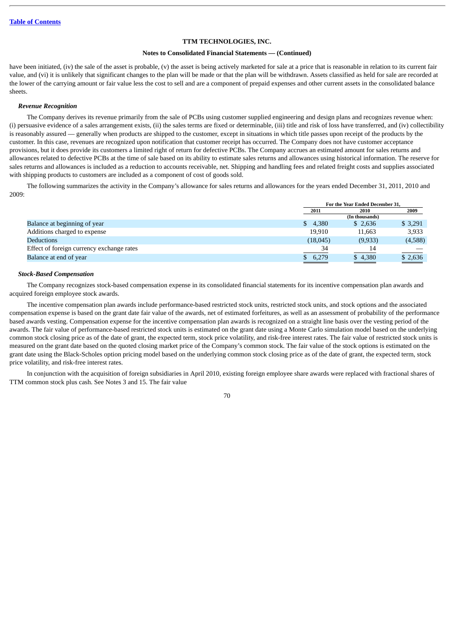## **Notes to Consolidated Financial Statements — (Continued)**

have been initiated, (iv) the sale of the asset is probable, (v) the asset is being actively marketed for sale at a price that is reasonable in relation to its current fair value, and (vi) it is unlikely that significant changes to the plan will be made or that the plan will be withdrawn. Assets classified as held for sale are recorded at the lower of the carrying amount or fair value less the cost to sell and are a component of prepaid expenses and other current assets in the consolidated balance sheets.

#### *Revenue Recognition*

The Company derives its revenue primarily from the sale of PCBs using customer supplied engineering and design plans and recognizes revenue when: (i) persuasive evidence of a sales arrangement exists, (ii) the sales terms are fixed or determinable, (iii) title and risk of loss have transferred, and (iv) collectibility is reasonably assured — generally when products are shipped to the customer, except in situations in which title passes upon receipt of the products by the customer. In this case, revenues are recognized upon notification that customer receipt has occurred. The Company does not have customer acceptance provisions, but it does provide its customers a limited right of return for defective PCBs. The Company accrues an estimated amount for sales returns and allowances related to defective PCBs at the time of sale based on its ability to estimate sales returns and allowances using historical information. The reserve for sales returns and allowances is included as a reduction to accounts receivable, net. Shipping and handling fees and related freight costs and supplies associated with shipping products to customers are included as a component of cost of goods sold.

The following summarizes the activity in the Company's allowance for sales returns and allowances for the years ended December 31, 2011, 2010 and 2009:

|                                           |           | For the Year Ended December 31. |         |  |  |
|-------------------------------------------|-----------|---------------------------------|---------|--|--|
|                                           | 2011      | 2010                            |         |  |  |
|                                           |           | (In thousands)                  |         |  |  |
| Balance at beginning of year              | \$4,380   | \$2.636                         | \$3,291 |  |  |
| Additions charged to expense              | 19.910    | 11,663                          | 3,933   |  |  |
| <b>Deductions</b>                         | (18, 045) | (9,933)                         | (4,588) |  |  |
| Effect of foreign currency exchange rates | 34        | 14                              |         |  |  |
| Balance at end of year                    | 6,279     | \$4,380                         | \$2,636 |  |  |
|                                           |           |                                 |         |  |  |

### *Stock-Based Compensation*

The Company recognizes stock-based compensation expense in its consolidated financial statements for its incentive compensation plan awards and acquired foreign employee stock awards.

The incentive compensation plan awards include performance-based restricted stock units, restricted stock units, and stock options and the associated compensation expense is based on the grant date fair value of the awards, net of estimated forfeitures, as well as an assessment of probability of the performance based awards vesting. Compensation expense for the incentive compensation plan awards is recognized on a straight line basis over the vesting period of the awards. The fair value of performance-based restricted stock units is estimated on the grant date using a Monte Carlo simulation model based on the underlying common stock closing price as of the date of grant, the expected term, stock price volatility, and risk-free interest rates. The fair value of restricted stock units is measured on the grant date based on the quoted closing market price of the Company's common stock. The fair value of the stock options is estimated on the grant date using the Black-Scholes option pricing model based on the underlying common stock closing price as of the date of grant, the expected term, stock price volatility, and risk-free interest rates.

In conjunction with the acquisition of foreign subsidiaries in April 2010, existing foreign employee share awards were replaced with fractional shares of TTM common stock plus cash. See Notes 3 and 15. The fair value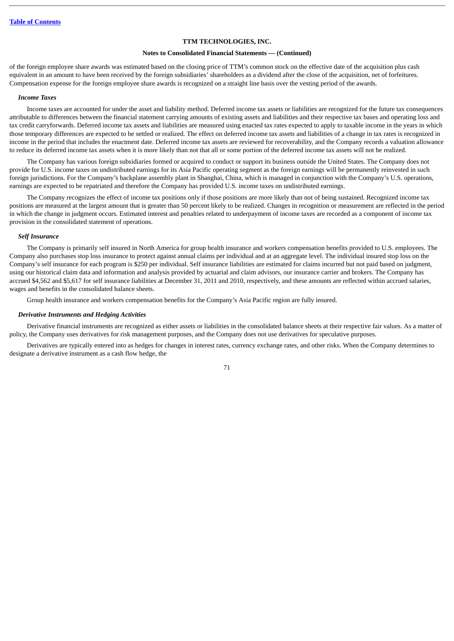## **Notes to Consolidated Financial Statements — (Continued)**

of the foreign employee share awards was estimated based on the closing price of TTM's common stock on the effective date of the acquisition plus cash equivalent in an amount to have been received by the foreign subsidiaries' shareholders as a dividend after the close of the acquisition, net of forfeitures. Compensation expense for the foreign employee share awards is recognized on a straight line basis over the vesting period of the awards.

#### *Income Taxes*

Income taxes are accounted for under the asset and liability method. Deferred income tax assets or liabilities are recognized for the future tax consequences attributable to differences between the financial statement carrying amounts of existing assets and liabilities and their respective tax bases and operating loss and tax credit carryforwards. Deferred income tax assets and liabilities are measured using enacted tax rates expected to apply to taxable income in the years in which those temporary differences are expected to be settled or realized. The effect on deferred income tax assets and liabilities of a change in tax rates is recognized in income in the period that includes the enactment date. Deferred income tax assets are reviewed for recoverability, and the Company records a valuation allowance to reduce its deferred income tax assets when it is more likely than not that all or some portion of the deferred income tax assets will not be realized.

The Company has various foreign subsidiaries formed or acquired to conduct or support its business outside the United States. The Company does not provide for U.S. income taxes on undistributed earnings for its Asia Pacific operating segment as the foreign earnings will be permanently reinvested in such foreign jurisdictions. For the Company's backplane assembly plant in Shanghai, China, which is managed in conjunction with the Company's U.S. operations, earnings are expected to be repatriated and therefore the Company has provided U.S. income taxes on undistributed earnings.

The Company recognizes the effect of income tax positions only if those positions are more likely than not of being sustained. Recognized income tax positions are measured at the largest amount that is greater than 50 percent likely to be realized. Changes in recognition or measurement are reflected in the period in which the change in judgment occurs. Estimated interest and penalties related to underpayment of income taxes are recorded as a component of income tax provision in the consolidated statement of operations.

### *Self Insurance*

The Company is primarily self insured in North America for group health insurance and workers compensation benefits provided to U.S. employees. The Company also purchases stop loss insurance to protect against annual claims per individual and at an aggregate level. The individual insured stop loss on the Company's self insurance for each program is \$250 per individual. Self insurance liabilities are estimated for claims incurred but not paid based on judgment, using our historical claim data and information and analysis provided by actuarial and claim advisors, our insurance carrier and brokers. The Company has accrued \$4,562 and \$5,617 for self insurance liabilities at December 31, 2011 and 2010, respectively, and these amounts are reflected within accrued salaries, wages and benefits in the consolidated balance sheets.

Group health insurance and workers compensation benefits for the Company's Asia Pacific region are fully insured.

## *Derivative Instruments and Hedging Activities*

Derivative financial instruments are recognized as either assets or liabilities in the consolidated balance sheets at their respective fair values. As a matter of policy, the Company uses derivatives for risk management purposes, and the Company does not use derivatives for speculative purposes.

Derivatives are typically entered into as hedges for changes in interest rates, currency exchange rates, and other risks. When the Company determines to designate a derivative instrument as a cash flow hedge, the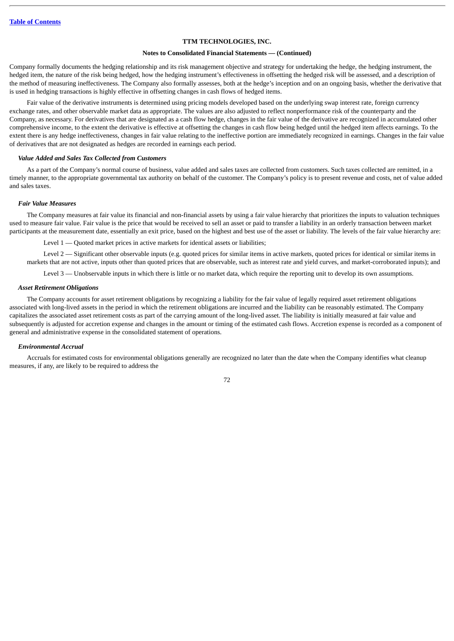## **Notes to Consolidated Financial Statements — (Continued)**

Company formally documents the hedging relationship and its risk management objective and strategy for undertaking the hedge, the hedging instrument, the hedged item, the nature of the risk being hedged, how the hedging instrument's effectiveness in offsetting the hedged risk will be assessed, and a description of the method of measuring ineffectiveness. The Company also formally assesses, both at the hedge's inception and on an ongoing basis, whether the derivative that is used in hedging transactions is highly effective in offsetting changes in cash flows of hedged items.

Fair value of the derivative instruments is determined using pricing models developed based on the underlying swap interest rate, foreign currency exchange rates, and other observable market data as appropriate. The values are also adjusted to reflect nonperformance risk of the counterparty and the Company, as necessary. For derivatives that are designated as a cash flow hedge, changes in the fair value of the derivative are recognized in accumulated other comprehensive income, to the extent the derivative is effective at offsetting the changes in cash flow being hedged until the hedged item affects earnings. To the extent there is any hedge ineffectiveness, changes in fair value relating to the ineffective portion are immediately recognized in earnings. Changes in the fair value of derivatives that are not designated as hedges are recorded in earnings each period.

### *Value Added and Sales Tax Collected from Customers*

As a part of the Company's normal course of business, value added and sales taxes are collected from customers. Such taxes collected are remitted, in a timely manner, to the appropriate governmental tax authority on behalf of the customer. The Company's policy is to present revenue and costs, net of value added and sales taxes.

## *Fair Value Measures*

The Company measures at fair value its financial and non-financial assets by using a fair value hierarchy that prioritizes the inputs to valuation techniques used to measure fair value. Fair value is the price that would be received to sell an asset or paid to transfer a liability in an orderly transaction between market participants at the measurement date, essentially an exit price, based on the highest and best use of the asset or liability. The levels of the fair value hierarchy are:

Level 1 — Quoted market prices in active markets for identical assets or liabilities;

Level 2 — Significant other observable inputs (e.g. quoted prices for similar items in active markets, quoted prices for identical or similar items in markets that are not active, inputs other than quoted prices that are observable, such as interest rate and yield curves, and market-corroborated inputs); and

Level 3 — Unobservable inputs in which there is little or no market data, which require the reporting unit to develop its own assumptions.

#### *Asset Retirement Obligations*

The Company accounts for asset retirement obligations by recognizing a liability for the fair value of legally required asset retirement obligations associated with long-lived assets in the period in which the retirement obligations are incurred and the liability can be reasonably estimated. The Company capitalizes the associated asset retirement costs as part of the carrying amount of the long-lived asset. The liability is initially measured at fair value and subsequently is adjusted for accretion expense and changes in the amount or timing of the estimated cash flows. Accretion expense is recorded as a component of general and administrative expense in the consolidated statement of operations.

## *Environmental Accrual*

Accruals for estimated costs for environmental obligations generally are recognized no later than the date when the Company identifies what cleanup measures, if any, are likely to be required to address the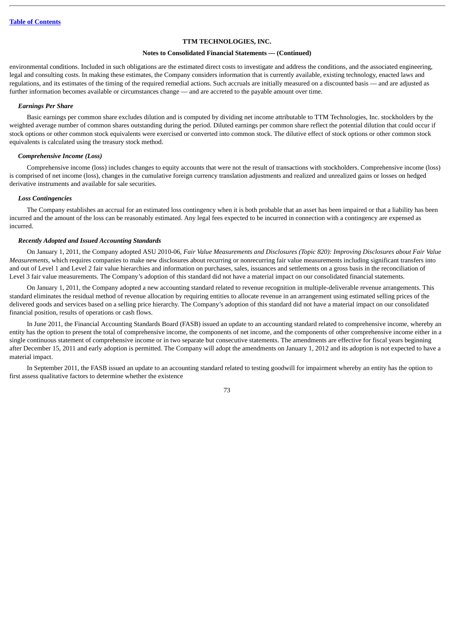### **Notes to Consolidated Financial Statements — (Continued)**

environmental conditions. Included in such obligations are the estimated direct costs to investigate and address the conditions, and the associated engineering, legal and consulting costs. In making these estimates, the Company considers information that is currently available, existing technology, enacted laws and regulations, and its estimates of the timing of the required remedial actions. Such accruals are initially measured on a discounted basis — and are adjusted as further information becomes available or circumstances change — and are accreted to the payable amount over time.

#### *Earnings Per Share*

Basic earnings per common share excludes dilution and is computed by dividing net income attributable to TTM Technologies, Inc. stockholders by the weighted average number of common shares outstanding during the period. Diluted earnings per common share reflect the potential dilution that could occur if stock options or other common stock equivalents were exercised or converted into common stock. The dilutive effect of stock options or other common stock equivalents is calculated using the treasury stock method.

#### *Comprehensive Income (Loss)*

Comprehensive income (loss) includes changes to equity accounts that were not the result of transactions with stockholders. Comprehensive income (loss) is comprised of net income (loss), changes in the cumulative foreign currency translation adjustments and realized and unrealized gains or losses on hedged derivative instruments and available for sale securities.

#### *Loss Contingencies*

The Company establishes an accrual for an estimated loss contingency when it is both probable that an asset has been impaired or that a liability has been incurred and the amount of the loss can be reasonably estimated. Any legal fees expected to be incurred in connection with a contingency are expensed as incurred.

#### *Recently Adopted and Issued Accounting Standards*

On January 1, 2011, the Company adopted ASU 2010-06, *Fair Value Measurements and Disclosures (Topic 820): Improving Disclosures about Fair Value Measurements*, which requires companies to make new disclosures about recurring or nonrecurring fair value measurements including significant transfers into and out of Level 1 and Level 2 fair value hierarchies and information on purchases, sales, issuances and settlements on a gross basis in the reconciliation of Level 3 fair value measurements. The Company's adoption of this standard did not have a material impact on our consolidated financial statements.

On January 1, 2011, the Company adopted a new accounting standard related to revenue recognition in multiple-deliverable revenue arrangements. This standard eliminates the residual method of revenue allocation by requiring entities to allocate revenue in an arrangement using estimated selling prices of the delivered goods and services based on a selling price hierarchy. The Company's adoption of this standard did not have a material impact on our consolidated financial position, results of operations or cash flows.

In June 2011, the Financial Accounting Standards Board (FASB) issued an update to an accounting standard related to comprehensive income, whereby an entity has the option to present the total of comprehensive income, the components of net income, and the components of other comprehensive income either in a single continuous statement of comprehensive income or in two separate but consecutive statements. The amendments are effective for fiscal years beginning after December 15, 2011 and early adoption is permitted. The Company will adopt the amendments on January 1, 2012 and its adoption is not expected to have a material impact.

In September 2011, the FASB issued an update to an accounting standard related to testing goodwill for impairment whereby an entity has the option to first assess qualitative factors to determine whether the existence

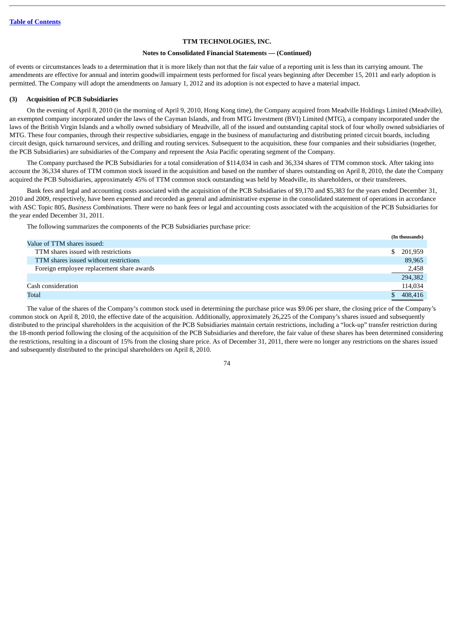### **Notes to Consolidated Financial Statements — (Continued)**

of events or circumstances leads to a determination that it is more likely than not that the fair value of a reporting unit is less than its carrying amount. The amendments are effective for annual and interim goodwill impairment tests performed for fiscal years beginning after December 15, 2011 and early adoption is permitted. The Company will adopt the amendments on January 1, 2012 and its adoption is not expected to have a material impact.

#### **(3) Acquisition of PCB Subsidiaries**

On the evening of April 8, 2010 (in the morning of April 9, 2010, Hong Kong time), the Company acquired from Meadville Holdings Limited (Meadville), an exempted company incorporated under the laws of the Cayman Islands, and from MTG Investment (BVI) Limited (MTG), a company incorporated under the laws of the British Virgin Islands and a wholly owned subsidiary of Meadville, all of the issued and outstanding capital stock of four wholly owned subsidiaries of MTG. These four companies, through their respective subsidiaries, engage in the business of manufacturing and distributing printed circuit boards, including circuit design, quick turnaround services, and drilling and routing services. Subsequent to the acquisition, these four companies and their subsidiaries (together, the PCB Subsidiaries) are subsidiaries of the Company and represent the Asia Pacific operating segment of the Company.

The Company purchased the PCB Subsidiaries for a total consideration of \$114,034 in cash and 36,334 shares of TTM common stock. After taking into account the 36,334 shares of TTM common stock issued in the acquisition and based on the number of shares outstanding on April 8, 2010, the date the Company acquired the PCB Subsidiaries, approximately 45% of TTM common stock outstanding was held by Meadville, its shareholders, or their transferees.

Bank fees and legal and accounting costs associated with the acquisition of the PCB Subsidiaries of \$9,170 and \$5,383 for the years ended December 31, 2010 and 2009, respectively, have been expensed and recorded as general and administrative expense in the consolidated statement of operations in accordance with ASC Topic 805, *Business Combinations.* There were no bank fees or legal and accounting costs associated with the acquisition of the PCB Subsidiaries for the year ended December 31, 2011.

The following summarizes the components of the PCB Subsidiaries purchase price:

|                                           |    | (In thousands) |
|-------------------------------------------|----|----------------|
| Value of TTM shares issued:               |    |                |
| TTM shares issued with restrictions       | S. | 201,959        |
| TTM shares issued without restrictions    |    | 89,965         |
| Foreign employee replacement share awards |    | 2,458          |
|                                           |    | 294,382        |
| Cash consideration                        |    | 114,034        |
| Total                                     |    | 408,416        |

The value of the shares of the Company's common stock used in determining the purchase price was \$9.06 per share, the closing price of the Company's common stock on April 8, 2010, the effective date of the acquisition. Additionally, approximately 26,225 of the Company's shares issued and subsequently distributed to the principal shareholders in the acquisition of the PCB Subsidiaries maintain certain restrictions, including a "lock-up" transfer restriction during the 18-month period following the closing of the acquisition of the PCB Subsidiaries and therefore, the fair value of these shares has been determined considering the restrictions, resulting in a discount of 15% from the closing share price. As of December 31, 2011, there were no longer any restrictions on the shares issued and subsequently distributed to the principal shareholders on April 8, 2010.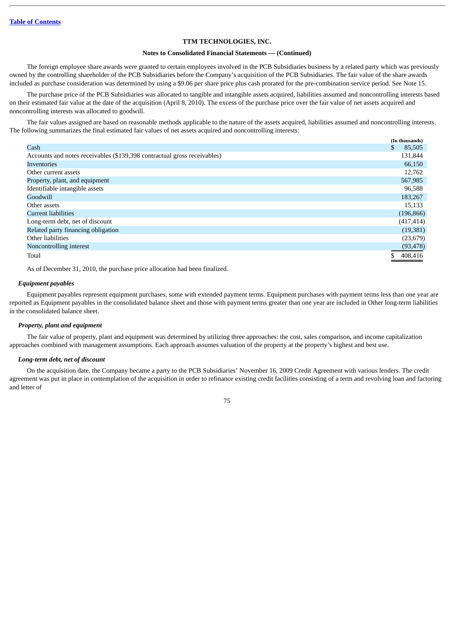### **Notes to Consolidated Financial Statements — (Continued)**

The foreign employee share awards were granted to certain employees involved in the PCB Subsidiaries business by a related party which was previously owned by the controlling shareholder of the PCB Subsidiaries before the Company's acquisition of the PCB Subsidiaries. The fair value of the share awards included as purchase consideration was determined by using a \$9.06 per share price plus cash prorated for the pre-combination service period. See Note 15.

The purchase price of the PCB Subsidiaries was allocated to tangible and intangible assets acquired, liabilities assumed and noncontrolling interests based on their estimated fair value at the date of the acquisition (April 8, 2010). The excess of the purchase price over the fair value of net assets acquired and noncontrolling interests was allocated to goodwill.

The fair values assigned are based on reasonable methods applicable to the nature of the assets acquired, liabilities assumed and noncontrolling interests. The following summarizes the final estimated fair values of net assets acquired and noncontrolling interests:

|                                                                          | (In thousands) |
|--------------------------------------------------------------------------|----------------|
| Cash                                                                     | \$<br>85,505   |
| Accounts and notes receivables (\$139,398 contractual gross receivables) | 131,844        |
| <b>Inventories</b>                                                       | 66,150         |
| Other current assets                                                     | 12,762         |
| Property, plant, and equipment                                           | 567,985        |
| Identifiable intangible assets                                           | 96,588         |
| Goodwill                                                                 | 183,267        |
| Other assets                                                             | 15,133         |
| Current liabilities                                                      | (196, 866)     |
| Long-term debt, net of discount                                          | (417, 414)     |
| Related party financing obligation                                       | (19, 381)      |
| Other liabilities                                                        | (23, 679)      |
| Noncontrolling interest                                                  | (93, 478)      |
| Total                                                                    | 408,416        |

As of December 31, 2010, the purchase price allocation had been finalized.

#### *Equipment payables*

Equipment payables represent equipment purchases, some with extended payment terms. Equipment purchases with payment terms less than one year are reported as Equipment payables in the consolidated balance sheet and those with payment terms greater than one year are included in Other long-term liabilities in the consolidated balance sheet.

#### *Property, plant and equipment*

The fair value of property, plant and equipment was determined by utilizing three approaches: the cost, sales comparison, and income capitalization approaches combined with management assumptions. Each approach assumes valuation of the property at the property's highest and best use.

#### *Long-term debt, net of discount*

On the acquisition date, the Company became a party to the PCB Subsidiaries' November 16, 2009 Credit Agreement with various lenders. The credit agreement was put in place in contemplation of the acquisition in order to refinance existing credit facilities consisting of a term and revolving loan and factoring and letter of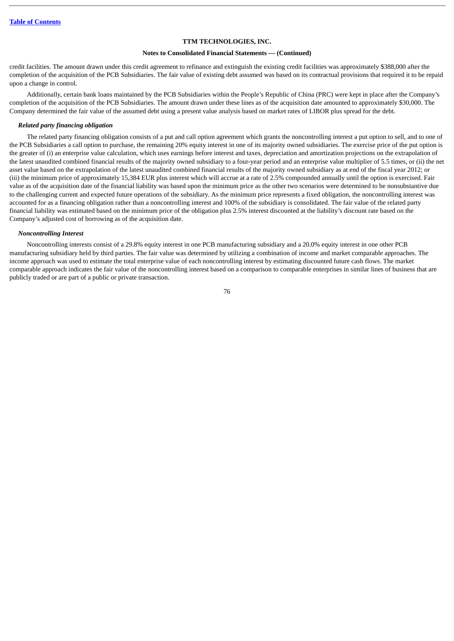### **Notes to Consolidated Financial Statements — (Continued)**

credit facilities. The amount drawn under this credit agreement to refinance and extinguish the existing credit facilities was approximately \$388,000 after the completion of the acquisition of the PCB Subsidiaries. The fair value of existing debt assumed was based on its contractual provisions that required it to be repaid upon a change in control.

Additionally, certain bank loans maintained by the PCB Subsidiaries within the People's Republic of China (PRC) were kept in place after the Company's completion of the acquisition of the PCB Subsidiaries. The amount drawn under these lines as of the acquisition date amounted to approximately \$30,000. The Company determined the fair value of the assumed debt using a present value analysis based on market rates of LIBOR plus spread for the debt.

### *Related party financing obligation*

The related party financing obligation consists of a put and call option agreement which grants the noncontrolling interest a put option to sell, and to one of the PCB Subsidiaries a call option to purchase, the remaining 20% equity interest in one of its majority owned subsidiaries. The exercise price of the put option is the greater of (i) an enterprise value calculation, which uses earnings before interest and taxes, depreciation and amortization projections on the extrapolation of the latest unaudited combined financial results of the majority owned subsidiary to a four-year period and an enterprise value multiplier of 5.5 times, or (ii) the net asset value based on the extrapolation of the latest unaudited combined financial results of the majority owned subsidiary as at end of the fiscal year 2012; or (iii) the minimum price of approximately 15,384 EUR plus interest which will accrue at a rate of 2.5% compounded annually until the option is exercised. Fair value as of the acquisition date of the financial liability was based upon the minimum price as the other two scenarios were determined to be nonsubstantive due to the challenging current and expected future operations of the subsidiary. As the minimum price represents a fixed obligation, the noncontrolling interest was accounted for as a financing obligation rather than a noncontrolling interest and 100% of the subsidiary is consolidated. The fair value of the related party financial liability was estimated based on the minimum price of the obligation plus 2.5% interest discounted at the liability's discount rate based on the Company's adjusted cost of borrowing as of the acquisition date.

### *Noncontrolling Interest*

Noncontrolling interests consist of a 29.8% equity interest in one PCB manufacturing subsidiary and a 20.0% equity interest in one other PCB manufacturing subsidiary held by third parties. The fair value was determined by utilizing a combination of income and market comparable approaches. The income approach was used to estimate the total enterprise value of each noncontrolling interest by estimating discounted future cash flows. The market comparable approach indicates the fair value of the noncontrolling interest based on a comparison to comparable enterprises in similar lines of business that are publicly traded or are part of a public or private transaction.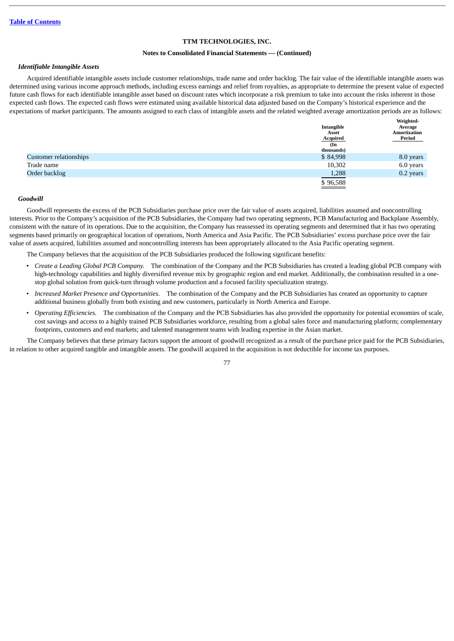### **Notes to Consolidated Financial Statements — (Continued)**

#### *Identifiable Intangible Assets*

Acquired identifiable intangible assets include customer relationships, trade name and order backlog. The fair value of the identifiable intangible assets was determined using various income approach methods, including excess earnings and relief from royalties, as appropriate to determine the present value of expected future cash flows for each identifiable intangible asset based on discount rates which incorporate a risk premium to take into account the risks inherent in those expected cash flows. The expected cash flows were estimated using available historical data adjusted based on the Company's historical experience and the expectations of market participants. The amounts assigned to each class of intangible assets and the related weighted average amortization periods are as follows:

**Weighted-**

|                               | Intangible<br>Asset<br><b>Acquired</b><br>(In<br>thousands) | $\overline{\phantom{a}}$<br>Average<br><b>Amortization</b><br>Period |
|-------------------------------|-------------------------------------------------------------|----------------------------------------------------------------------|
| <b>Customer relationships</b> | \$84,998                                                    | 8.0 years                                                            |
| Trade name                    | 10,302                                                      | 6.0 years                                                            |
| Order backlog                 | 1,288                                                       | 0.2 years                                                            |
|                               | \$96,588                                                    |                                                                      |

### *Goodwill*

Goodwill represents the excess of the PCB Subsidiaries purchase price over the fair value of assets acquired, liabilities assumed and noncontrolling interests. Prior to the Company's acquisition of the PCB Subsidiaries, the Company had two operating segments, PCB Manufacturing and Backplane Assembly, consistent with the nature of its operations. Due to the acquisition, the Company has reassessed its operating segments and determined that it has two operating segments based primarily on geographical location of operations, North America and Asia Pacific. The PCB Subsidiaries' excess purchase price over the fair value of assets acquired, liabilities assumed and noncontrolling interests has been appropriately allocated to the Asia Pacific operating segment.

The Company believes that the acquisition of the PCB Subsidiaries produced the following significant benefits:

- *Create a Leading Global PCB Company.* The combination of the Company and the PCB Subsidiaries has created a leading global PCB company with high-technology capabilities and highly diversified revenue mix by geographic region and end market. Additionally, the combination resulted in a onestop global solution from quick-turn through volume production and a focused facility specialization strategy.
- *Increased Market Presence and Opportunities.* The combination of the Company and the PCB Subsidiaries has created an opportunity to capture additional business globally from both existing and new customers, particularly in North America and Europe.
- *Operating Efficiencies.* The combination of the Company and the PCB Subsidiaries has also provided the opportunity for potential economies of scale, cost savings and access to a highly trained PCB Subsidiaries workforce, resulting from a global sales force and manufacturing platform; complementary footprints, customers and end markets; and talented management teams with leading expertise in the Asian market.

The Company believes that these primary factors support the amount of goodwill recognized as a result of the purchase price paid for the PCB Subsidiaries, in relation to other acquired tangible and intangible assets. The goodwill acquired in the acquisition is not deductible for income tax purposes.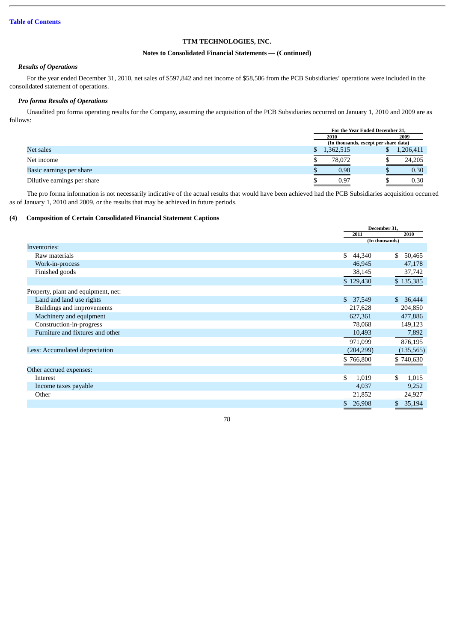# **Notes to Consolidated Financial Statements — (Continued)**

# *Results of Operations*

For the year ended December 31, 2010, net sales of \$597,842 and net income of \$58,586 from the PCB Subsidiaries' operations were included in the consolidated statement of operations.

# *Pro forma Results of Operations*

Unaudited pro forma operating results for the Company, assuming the acquisition of the PCB Subsidiaries occurred on January 1, 2010 and 2009 are as follows:

|                             | For the Year Ended December 31.       |      |           |
|-----------------------------|---------------------------------------|------|-----------|
|                             | 2010                                  | 2009 |           |
|                             | (In thousands, except per share data) |      |           |
| Net sales                   | 1,362,515                             |      | 1,206,411 |
| Net income                  | 78,072                                |      | 24,205    |
| Basic earnings per share    | 0.98                                  |      | 0.30      |
| Dilutive earnings per share | 0.97                                  |      | 0.30      |

The pro forma information is not necessarily indicative of the actual results that would have been achieved had the PCB Subsidiaries acquisition occurred as of January 1, 2010 and 2009, or the results that may be achieved in future periods.

## **(4) Composition of Certain Consolidated Financial Statement Captions**

|                                     |              | December 31,   |
|-------------------------------------|--------------|----------------|
|                                     | 2011         | 2010           |
|                                     |              | (In thousands) |
| Inventories:                        |              |                |
| Raw materials                       | \$<br>44,340 | \$<br>50,465   |
| Work-in-process                     | 46,945       | 47,178         |
| Finished goods                      | 38,145       | 37,742         |
|                                     | \$129,430    | \$135,385      |
| Property, plant and equipment, net: |              |                |
| Land and land use rights            | 37,549<br>\$ | 36,444<br>\$   |
| Buildings and improvements          | 217,628      | 204,850        |
| Machinery and equipment             | 627,361      | 477,886        |
| Construction-in-progress            | 78,068       | 149,123        |
| Furniture and fixtures and other    | 10,493       | 7,892          |
|                                     | 971,099      | 876,195        |
| Less: Accumulated depreciation      | (204, 299)   | (135, 565)     |
|                                     | \$766,800    | \$740,630      |
| Other accrued expenses:             |              |                |
| Interest                            | \$<br>1,019  | \$<br>1,015    |
| Income taxes payable                | 4,037        | 9,252          |
| Other                               | 21,852       | 24,927         |
|                                     | \$<br>26,908 | \$<br>35,194   |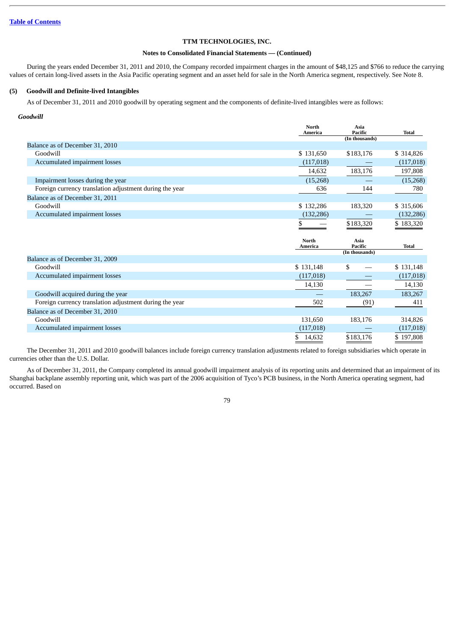### **Notes to Consolidated Financial Statements — (Continued)**

During the years ended December 31, 2011 and 2010, the Company recorded impairment charges in the amount of \$48,125 and \$766 to reduce the carrying values of certain long-lived assets in the Asia Pacific operating segment and an asset held for sale in the North America segment, respectively. See Note 8.

### **(5) Goodwill and Definite-lived Intangibles**

As of December 31, 2011 and 2010 goodwill by operating segment and the components of definite-lived intangibles were as follows:

# *Goodwill*

|                                                         | <b>North</b><br>America | Asia<br>Pacific | <b>Total</b> |
|---------------------------------------------------------|-------------------------|-----------------|--------------|
|                                                         |                         | (In thousands)  |              |
| Balance as of December 31, 2010                         |                         |                 |              |
| Goodwill                                                | \$131,650               | \$183,176       | \$314,826    |
| Accumulated impairment losses                           | (117, 018)              |                 | (117,018)    |
|                                                         | 14,632                  | 183,176         | 197,808      |
| Impairment losses during the year                       | (15,268)                |                 | (15,268)     |
| Foreign currency translation adjustment during the year | 636                     | 144             | 780          |
| Balance as of December 31, 2011                         |                         |                 |              |
| Goodwill                                                | \$132,286               | 183,320         | \$315,606    |
| Accumulated impairment losses                           | (132, 286)              |                 | (132, 286)   |
|                                                         |                         | \$183,320       | \$183,320    |
|                                                         |                         |                 |              |
|                                                         |                         |                 |              |
|                                                         | North                   | Asia            |              |
|                                                         | America                 | Pacific         | <b>Total</b> |
| Balance as of December 31, 2009                         |                         | (In thousands)  |              |
| Goodwill                                                | \$131,148               | \$              | \$131,148    |
| Accumulated impairment losses                           | (117, 018)              |                 | (117,018)    |
|                                                         | 14,130                  |                 | 14,130       |
| Goodwill acquired during the year                       |                         | 183,267         | 183,267      |
| Foreign currency translation adjustment during the year | 502                     | (91)            | 411          |
| Balance as of December 31, 2010                         |                         |                 |              |
| Goodwill                                                | 131,650                 | 183,176         | 314,826      |
| Accumulated impairment losses                           | (117, 018)              |                 | (117,018)    |

The December 31, 2011 and 2010 goodwill balances include foreign currency translation adjustments related to foreign subsidiaries which operate in currencies other than the U.S. Dollar.

As of December 31, 2011, the Company completed its annual goodwill impairment analysis of its reporting units and determined that an impairment of its Shanghai backplane assembly reporting unit, which was part of the 2006 acquisition of Tyco's PCB business, in the North America operating segment, had occurred. Based on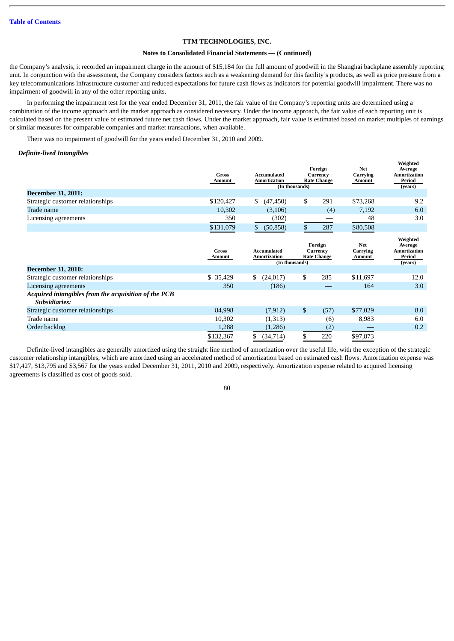### **Notes to Consolidated Financial Statements — (Continued)**

the Company's analysis, it recorded an impairment charge in the amount of \$15,184 for the full amount of goodwill in the Shanghai backplane assembly reporting unit. In conjunction with the assessment, the Company considers factors such as a weakening demand for this facility's products, as well as price pressure from a key telecommunications infrastructure customer and reduced expectations for future cash flows as indicators for potential goodwill impairment. There was no impairment of goodwill in any of the other reporting units.

In performing the impairment test for the year ended December 31, 2011, the fair value of the Company's reporting units are determined using a combination of the income approach and the market approach as considered necessary. Under the income approach, the fair value of each reporting unit is calculated based on the present value of estimated future net cash flows. Under the market approach, fair value is estimated based on market multiples of earnings or similar measures for comparable companies and market transactions, when available.

**Weighted**

There was no impairment of goodwill for the years ended December 31, 2010 and 2009.

# *Definite-lived Intangibles*

|                                                                       | Gross<br>Amount        | Accumulated<br><b>Amortization</b><br>(In thousands) | Foreign<br>Currency<br><b>Rate Change</b> | <b>Net</b><br>Carrying<br>Amount        | weighted<br>Average<br><b>Amortization</b><br>Period<br>(years) |
|-----------------------------------------------------------------------|------------------------|------------------------------------------------------|-------------------------------------------|-----------------------------------------|-----------------------------------------------------------------|
| <b>December 31, 2011:</b>                                             |                        |                                                      |                                           |                                         |                                                                 |
| Strategic customer relationships                                      | \$120,427              | (47, 450)<br>\$                                      | \$<br>291                                 | \$73,268                                | 9.2                                                             |
| Trade name                                                            | 10,302                 | (3, 106)                                             | (4)                                       | 7,192                                   | 6.0                                                             |
| Licensing agreements                                                  | 350                    | (302)                                                |                                           | 48                                      | 3.0                                                             |
|                                                                       | \$131,079              | \$<br>(50, 858)                                      | \$<br>287                                 | \$80,508                                |                                                                 |
|                                                                       | Gross<br><b>Amount</b> | Accumulated<br><b>Amortization</b><br>(In thousands) | Foreign<br>Currency<br><b>Rate Change</b> | <b>Net</b><br>Carrying<br><b>Amount</b> | Weighted<br>Average<br><b>Amortization</b><br>Period<br>(years) |
| <b>December 31, 2010:</b>                                             |                        |                                                      |                                           |                                         |                                                                 |
| Strategic customer relationships                                      | \$ 35,429              | \$<br>(24, 017)                                      | \$<br>285                                 | \$11,697                                | 12.0                                                            |
| Licensing agreements                                                  | 350                    | (186)                                                |                                           | 164                                     | 3.0                                                             |
| Acquired intangibles from the acquisition of the PCB<br>Subsidiaries: |                        |                                                      |                                           |                                         |                                                                 |
| Strategic customer relationships                                      | 84,998                 | (7, 912)                                             | \$<br>(57)                                | \$77,029                                | 8.0                                                             |
| Trade name                                                            | 10,302                 | (1,313)                                              | (6)                                       | 8,983                                   | 6.0                                                             |
| Order backlog                                                         | 1,288                  | (1,286)                                              | (2)                                       |                                         | 0.2                                                             |
|                                                                       | \$132,367              | \$<br>(34,714)                                       | \$<br>220                                 | \$97,873                                |                                                                 |

Definite-lived intangibles are generally amortized using the straight line method of amortization over the useful life, with the exception of the strategic customer relationship intangibles, which are amortized using an accelerated method of amortization based on estimated cash flows. Amortization expense was \$17,427, \$13,795 and \$3,567 for the years ended December 31, 2011, 2010 and 2009, respectively. Amortization expense related to acquired licensing agreements is classified as cost of goods sold.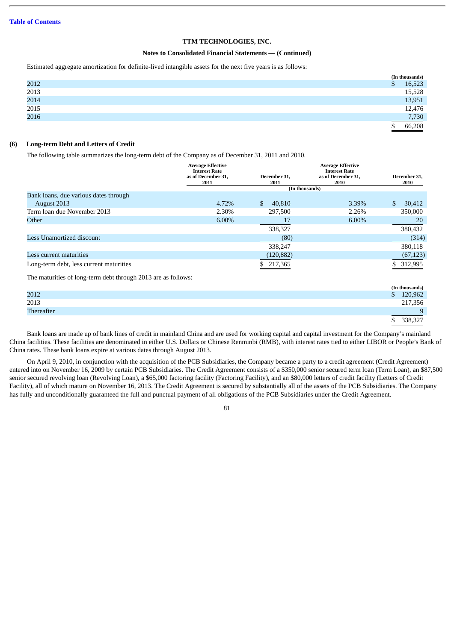### **Notes to Consolidated Financial Statements — (Continued)**

Estimated aggregate amortization for definite-lived intangible assets for the next five years is as follows:

|              |    | (In thousands) |
|--------------|----|----------------|
| 2012         | \$ | 16,523         |
| 2013         |    | 15,528         |
| 2014         |    | 13,951         |
| 2015<br>2016 |    | 12,476         |
|              |    | 7,730          |
|              | ъ  | 66,208         |

### **(6) Long-term Debt and Letters of Credit**

The following table summarizes the long-term debt of the Company as of December 31, 2011 and 2010.

|                                                               | <b>Average Effective</b><br><b>Interest Rate</b> |                        | <b>Average Effective</b><br><b>Interest Rate</b> |                      |
|---------------------------------------------------------------|--------------------------------------------------|------------------------|--------------------------------------------------|----------------------|
|                                                               | as of December 31,<br>2011                       | December 31,<br>2011   | as of December 31,<br>2010                       | December 31.<br>2010 |
|                                                               |                                                  | (In thousands)         |                                                  |                      |
| Bank loans, due various dates through                         |                                                  |                        |                                                  |                      |
| August 2013                                                   | 4.72%                                            | $\mathbf{s}$<br>40,810 | 3.39%                                            | \$<br>30,412         |
| Term loan due November 2013                                   | 2.30%                                            | 297,500                | 2.26%                                            | 350,000              |
| Other                                                         | 6.00%                                            | 17                     | 6.00%                                            | 20                   |
|                                                               |                                                  | 338,327                |                                                  | 380,432              |
| Less Unamortized discount                                     |                                                  | (80)                   |                                                  | (314)                |
|                                                               |                                                  | 338,247                |                                                  | 380,118              |
| Less current maturities                                       |                                                  | (120, 882)             |                                                  | (67, 123)            |
| Long-term debt, less current maturities                       |                                                  | \$ 217,365             |                                                  | 312,995              |
| The maturities of long-term debt through 2013 are as follows: |                                                  |                        |                                                  |                      |
|                                                               |                                                  |                        |                                                  | (In thousands)       |
| 2012                                                          |                                                  |                        |                                                  | 120,962              |

| 2012       |        | 120,902 |
|------------|--------|---------|
| 2013       |        | 217,356 |
| Thereafter |        |         |
|            | c<br>ч | 338,327 |

Bank loans are made up of bank lines of credit in mainland China and are used for working capital and capital investment for the Company's mainland China facilities. These facilities are denominated in either U.S. Dollars or Chinese Renminbi (RMB), with interest rates tied to either LIBOR or People's Bank of China rates. These bank loans expire at various dates through August 2013.

On April 9, 2010, in conjunction with the acquisition of the PCB Subsidiaries, the Company became a party to a credit agreement (Credit Agreement) entered into on November 16, 2009 by certain PCB Subsidiaries. The Credit Agreement consists of a \$350,000 senior secured term loan (Term Loan), an \$87,500 senior secured revolving loan (Revolving Loan), a \$65,000 factoring facility (Factoring Facility), and an \$80,000 letters of credit facility (Letters of Credit Facility), all of which mature on November 16, 2013. The Credit Agreement is secured by substantially all of the assets of the PCB Subsidiaries. The Company has fully and unconditionally guaranteed the full and punctual payment of all obligations of the PCB Subsidiaries under the Credit Agreement.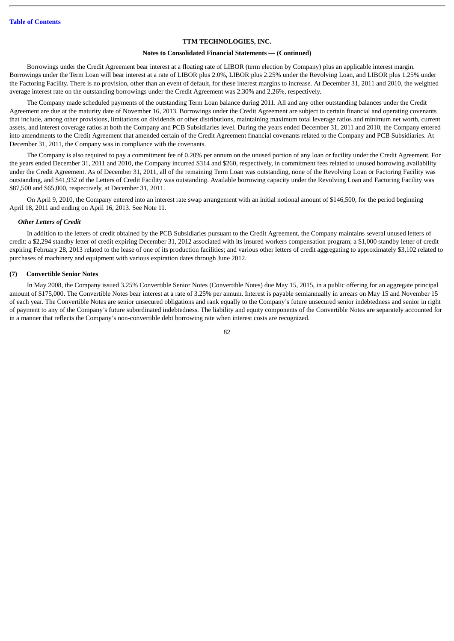### **Notes to Consolidated Financial Statements — (Continued)**

Borrowings under the Credit Agreement bear interest at a floating rate of LIBOR (term election by Company) plus an applicable interest margin. Borrowings under the Term Loan will bear interest at a rate of LIBOR plus 2.0%, LIBOR plus 2.25% under the Revolving Loan, and LIBOR plus 1.25% under the Factoring Facility. There is no provision, other than an event of default, for these interest margins to increase. At December 31, 2011 and 2010, the weighted average interest rate on the outstanding borrowings under the Credit Agreement was 2.30% and 2.26%, respectively.

The Company made scheduled payments of the outstanding Term Loan balance during 2011. All and any other outstanding balances under the Credit Agreement are due at the maturity date of November 16, 2013. Borrowings under the Credit Agreement are subject to certain financial and operating covenants that include, among other provisions, limitations on dividends or other distributions, maintaining maximum total leverage ratios and minimum net worth, current assets, and interest coverage ratios at both the Company and PCB Subsidiaries level. During the years ended December 31, 2011 and 2010, the Company entered into amendments to the Credit Agreement that amended certain of the Credit Agreement financial covenants related to the Company and PCB Subsidiaries. At December 31, 2011, the Company was in compliance with the covenants.

The Company is also required to pay a commitment fee of 0.20% per annum on the unused portion of any loan or facility under the Credit Agreement. For the years ended December 31, 2011 and 2010, the Company incurred \$314 and \$260, respectively, in commitment fees related to unused borrowing availability under the Credit Agreement. As of December 31, 2011, all of the remaining Term Loan was outstanding, none of the Revolving Loan or Factoring Facility was outstanding, and \$41,932 of the Letters of Credit Facility was outstanding. Available borrowing capacity under the Revolving Loan and Factoring Facility was \$87,500 and \$65,000, respectively, at December 31, 2011.

On April 9, 2010, the Company entered into an interest rate swap arrangement with an initial notional amount of \$146,500, for the period beginning April 18, 2011 and ending on April 16, 2013. See Note 11.

#### *Other Letters of Credit*

In addition to the letters of credit obtained by the PCB Subsidiaries pursuant to the Credit Agreement, the Company maintains several unused letters of credit: a \$2,294 standby letter of credit expiring December 31, 2012 associated with its insured workers compensation program; a \$1,000 standby letter of credit expiring February 28, 2013 related to the lease of one of its production facilities; and various other letters of credit aggregating to approximately \$3,102 related to purchases of machinery and equipment with various expiration dates through June 2012.

#### **(7) Convertible Senior Notes**

In May 2008, the Company issued 3.25% Convertible Senior Notes (Convertible Notes) due May 15, 2015, in a public offering for an aggregate principal amount of \$175,000. The Convertible Notes bear interest at a rate of 3.25% per annum. Interest is payable semiannually in arrears on May 15 and November 15 of each year. The Convertible Notes are senior unsecured obligations and rank equally to the Company's future unsecured senior indebtedness and senior in right of payment to any of the Company's future subordinated indebtedness. The liability and equity components of the Convertible Notes are separately accounted for in a manner that reflects the Company's non-convertible debt borrowing rate when interest costs are recognized.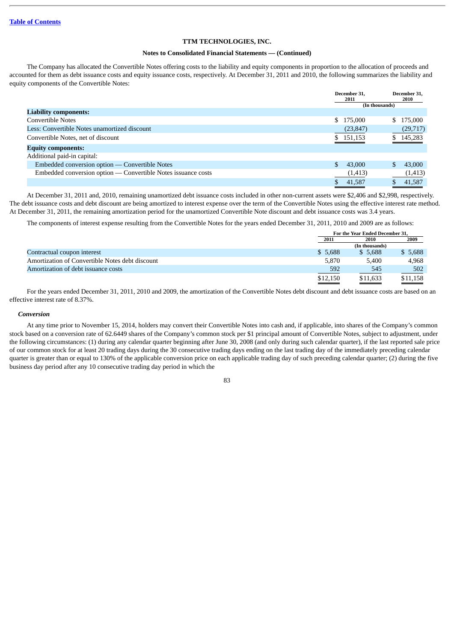### **Notes to Consolidated Financial Statements — (Continued)**

The Company has allocated the Convertible Notes offering costs to the liability and equity components in proportion to the allocation of proceeds and accounted for them as debt issuance costs and equity issuance costs, respectively. At December 31, 2011 and 2010, the following summarizes the liability and equity components of the Convertible Notes:

|                                                               | December 31.<br>2011 | December 31.<br>2010 |
|---------------------------------------------------------------|----------------------|----------------------|
|                                                               | (In thousands)       |                      |
| <b>Liability components:</b>                                  |                      |                      |
| Convertible Notes                                             | \$175,000            | S.<br>175,000        |
| Less: Convertible Notes unamortized discount                  | (23, 847)            | (29,717)             |
| Convertible Notes, net of discount                            | \$151,153            | 145,283              |
| <b>Equity components:</b>                                     |                      |                      |
| Additional paid-in capital:                                   |                      |                      |
| Embedded conversion option — Convertible Notes                | 43,000               | \$<br>43,000         |
| Embedded conversion option — Convertible Notes issuance costs | (1, 413)             | (1, 413)             |
|                                                               | 41,587               | 41,587               |

At December 31, 2011 and, 2010, remaining unamortized debt issuance costs included in other non-current assets were \$2,406 and \$2,998, respectively. The debt issuance costs and debt discount are being amortized to interest expense over the term of the Convertible Notes using the effective interest rate method. At December 31, 2011, the remaining amortization period for the unamortized Convertible Note discount and debt issuance costs was 3.4 years.

The components of interest expense resulting from the Convertible Notes for the years ended December 31, 2011, 2010 and 2009 are as follows:

|                                                 |          | For the Year Ended December 31. |          |  |
|-------------------------------------------------|----------|---------------------------------|----------|--|
|                                                 | 2011     | 2010                            | 2009     |  |
|                                                 |          | (In thousands)                  |          |  |
| Contractual coupon interest                     | \$5,688  | \$5,688                         | \$5,688  |  |
| Amortization of Convertible Notes debt discount | 5,870    | 5.400                           | 4,968    |  |
| Amortization of debt issuance costs             | 592      | 545                             | 502      |  |
|                                                 | \$12,150 | \$11,633                        | \$11,158 |  |

For the years ended December 31, 2011, 2010 and 2009, the amortization of the Convertible Notes debt discount and debt issuance costs are based on an effective interest rate of 8.37%.

# *Conversion*

At any time prior to November 15, 2014, holders may convert their Convertible Notes into cash and, if applicable, into shares of the Company's common stock based on a conversion rate of 62.6449 shares of the Company's common stock per \$1 principal amount of Convertible Notes, subject to adjustment, under the following circumstances: (1) during any calendar quarter beginning after June 30, 2008 (and only during such calendar quarter), if the last reported sale price of our common stock for at least 20 trading days during the 30 consecutive trading days ending on the last trading day of the immediately preceding calendar quarter is greater than or equal to 130% of the applicable conversion price on each applicable trading day of such preceding calendar quarter; (2) during the five business day period after any 10 consecutive trading day period in which the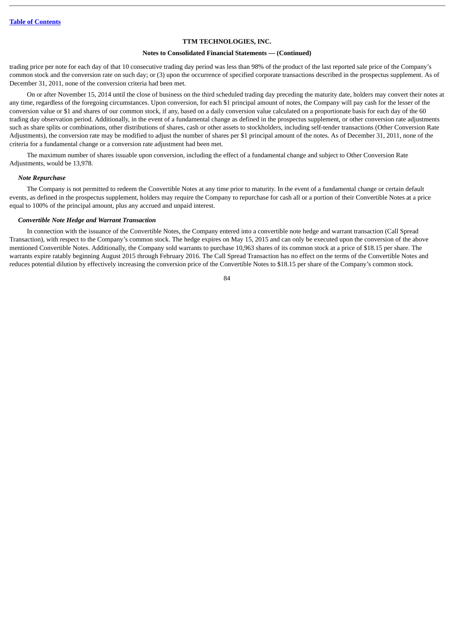### **Notes to Consolidated Financial Statements — (Continued)**

trading price per note for each day of that 10 consecutive trading day period was less than 98% of the product of the last reported sale price of the Company's common stock and the conversion rate on such day; or (3) upon the occurrence of specified corporate transactions described in the prospectus supplement. As of December 31, 2011, none of the conversion criteria had been met.

On or after November 15, 2014 until the close of business on the third scheduled trading day preceding the maturity date, holders may convert their notes at any time, regardless of the foregoing circumstances. Upon conversion, for each \$1 principal amount of notes, the Company will pay cash for the lesser of the conversion value or \$1 and shares of our common stock, if any, based on a daily conversion value calculated on a proportionate basis for each day of the 60 trading day observation period. Additionally, in the event of a fundamental change as defined in the prospectus supplement, or other conversion rate adjustments such as share splits or combinations, other distributions of shares, cash or other assets to stockholders, including self-tender transactions (Other Conversion Rate Adjustments), the conversion rate may be modified to adjust the number of shares per \$1 principal amount of the notes. As of December 31, 2011, none of the criteria for a fundamental change or a conversion rate adjustment had been met.

The maximum number of shares issuable upon conversion, including the effect of a fundamental change and subject to Other Conversion Rate Adjustments, would be 13,978.

### *Note Repurchase*

The Company is not permitted to redeem the Convertible Notes at any time prior to maturity. In the event of a fundamental change or certain default events, as defined in the prospectus supplement, holders may require the Company to repurchase for cash all or a portion of their Convertible Notes at a price equal to 100% of the principal amount, plus any accrued and unpaid interest.

### *Convertible Note Hedge and Warrant Transaction*

In connection with the issuance of the Convertible Notes, the Company entered into a convertible note hedge and warrant transaction (Call Spread Transaction), with respect to the Company's common stock. The hedge expires on May 15, 2015 and can only be executed upon the conversion of the above mentioned Convertible Notes. Additionally, the Company sold warrants to purchase 10,963 shares of its common stock at a price of \$18.15 per share. The warrants expire ratably beginning August 2015 through February 2016. The Call Spread Transaction has no effect on the terms of the Convertible Notes and reduces potential dilution by effectively increasing the conversion price of the Convertible Notes to \$18.15 per share of the Company's common stock.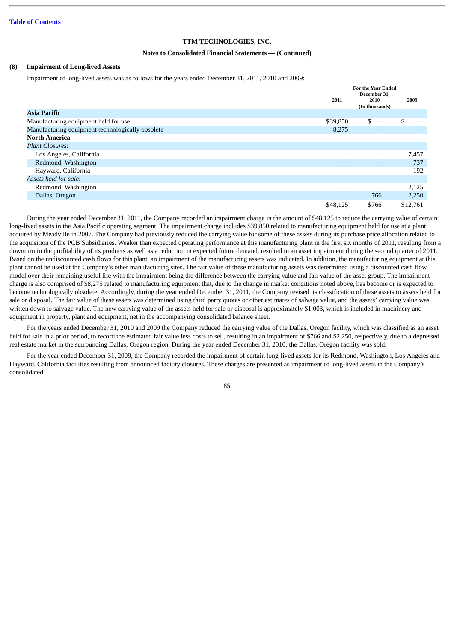## **Notes to Consolidated Financial Statements — (Continued)**

#### **(8) Impairment of Long-lived Assets**

Impairment of long-lived assets was as follows for the years ended December 31, 2011, 2010 and 2009:

|                                                  |          | For the Year Ended   |          |
|--------------------------------------------------|----------|----------------------|----------|
|                                                  | 2011     | December 31,<br>2010 | 2009     |
|                                                  |          | (In thousands)       |          |
| Asia Pacific                                     |          |                      |          |
| Manufacturing equipment held for use             | \$39,850 | $s =$                | \$.      |
| Manufacturing equipment technologically obsolete | 8.275    |                      |          |
| <b>North America</b>                             |          |                      |          |
| <b>Plant Closures:</b>                           |          |                      |          |
| Los Angeles, California                          |          |                      | 7,457    |
| Redmond, Washington                              |          |                      | 737      |
| Hayward, California                              |          |                      | 192      |
| Assets held for sale:                            |          |                      |          |
| Redmond, Washington                              |          |                      | 2,125    |
| Dallas, Oregon                                   |          | 766                  | 2,250    |
|                                                  | \$48,125 | \$766                | \$12,761 |

During the year ended December 31, 2011, the Company recorded an impairment charge in the amount of \$48,125 to reduce the carrying value of certain long-lived assets in the Asia Pacific operating segment. The impairment charge includes \$39,850 related to manufacturing equipment held for use at a plant acquired by Meadville in 2007. The Company had previously reduced the carrying value for some of these assets during its purchase price allocation related to the acquisition of the PCB Subsidiaries. Weaker than expected operating performance at this manufacturing plant in the first six months of 2011, resulting from a downturn in the profitability of its products as well as a reduction in expected future demand, resulted in an asset impairment during the second quarter of 2011. Based on the undiscounted cash flows for this plant, an impairment of the manufacturing assets was indicated. In addition, the manufacturing equipment at this plant cannot be used at the Company's other manufacturing sites. The fair value of these manufacturing assets was determined using a discounted cash flow model over their remaining useful life with the impairment being the difference between the carrying value and fair value of the asset group. The impairment charge is also comprised of \$8,275 related to manufacturing equipment that, due to the change in market conditions noted above, has become or is expected to become technologically obsolete. Accordingly, during the year ended December 31, 2011, the Company revised its classification of these assets to assets held for sale or disposal. The fair value of these assets was determined using third party quotes or other estimates of salvage value, and the assets' carrying value was written down to salvage value. The new carrying value of the assets held for sale or disposal is approximately \$1,003, which is included in machinery and equipment in property, plant and equipment, net in the accompanying consolidated balance sheet.

For the years ended December 31, 2010 and 2009 the Company reduced the carrying value of the Dallas, Oregon facility, which was classified as an asset held for sale in a prior period, to record the estimated fair value less costs to sell, resulting in an impairment of \$766 and \$2,250, respectively, due to a depressed real estate market in the surrounding Dallas, Oregon region. During the year ended December 31, 2010, the Dallas, Oregon facility was sold.

For the year ended December 31, 2009, the Company recorded the impairment of certain long-lived assets for its Redmond, Washington, Los Angeles and Hayward, California facilities resulting from announced facility closures. These charges are presented as impairment of long-lived assets in the Company's consolidated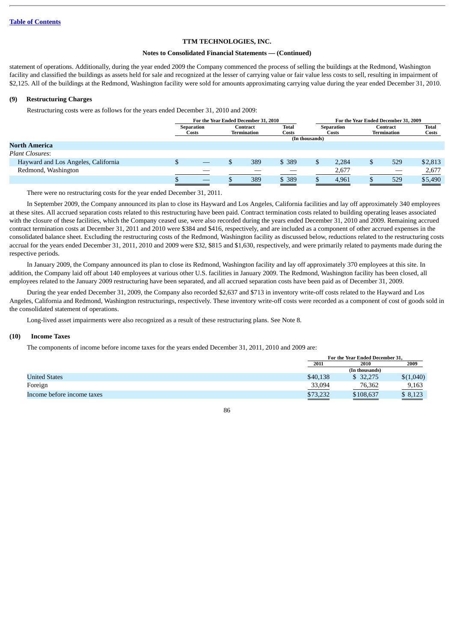### **Notes to Consolidated Financial Statements — (Continued)**

statement of operations. Additionally, during the year ended 2009 the Company commenced the process of selling the buildings at the Redmond, Washington facility and classified the buildings as assets held for sale and recognized at the lesser of carrying value or fair value less costs to sell, resulting in impairment of \$2,125. All of the buildings at the Redmond, Washington facility were sold for amounts approximating carrying value during the year ended December 31, 2010.

### **(9) Restructuring Charges**

Restructuring costs were as follows for the years ended December 31, 2010 and 2009:

|                                     | For the Year Ended December 31, 2010 |    |                         |                |  | For the Year Ended December 31, 2009 |   |                         |         |  |
|-------------------------------------|--------------------------------------|----|-------------------------|----------------|--|--------------------------------------|---|-------------------------|---------|--|
|                                     | Separation<br>Costs                  |    | Contract<br>Termination | Total<br>Costs |  | Separation<br>Costs                  |   | Contract<br>Termination |         |  |
|                                     | (In thousands)                       |    |                         |                |  |                                      |   |                         |         |  |
| North America                       |                                      |    |                         |                |  |                                      |   |                         |         |  |
| <b>Plant Closures:</b>              |                                      |    |                         |                |  |                                      |   |                         |         |  |
| Hayward and Los Angeles, California |                                      | \$ | 389                     | \$ 389         |  | 2,284                                | S | 529                     | \$2,813 |  |
| Redmond, Washington                 |                                      |    |                         |                |  | 2,677                                |   |                         | 2,677   |  |
|                                     |                                      |    | 389                     | \$ 389         |  | 4,961                                |   | 529                     | \$5,490 |  |

There were no restructuring costs for the year ended December 31, 2011.

In September 2009, the Company announced its plan to close its Hayward and Los Angeles, California facilities and lay off approximately 340 employees at these sites. All accrued separation costs related to this restructuring have been paid. Contract termination costs related to building operating leases associated with the closure of these facilities, which the Company ceased use, were also recorded during the years ended December 31, 2010 and 2009. Remaining accrued contract termination costs at December 31, 2011 and 2010 were \$384 and \$416, respectively, and are included as a component of other accrued expenses in the consolidated balance sheet. Excluding the restructuring costs of the Redmond, Washington facility as discussed below, reductions related to the restructuring costs accrual for the years ended December 31, 2011, 2010 and 2009 were \$32, \$815 and \$1,630, respectively, and were primarily related to payments made during the respective periods.

In January 2009, the Company announced its plan to close its Redmond, Washington facility and lay off approximately 370 employees at this site. In addition, the Company laid off about 140 employees at various other U.S. facilities in January 2009. The Redmond, Washington facility has been closed, all employees related to the January 2009 restructuring have been separated, and all accrued separation costs have been paid as of December 31, 2009.

During the year ended December 31, 2009, the Company also recorded \$2,637 and \$713 in inventory write-off costs related to the Hayward and Los Angeles, California and Redmond, Washington restructurings, respectively. These inventory write-off costs were recorded as a component of cost of goods sold in the consolidated statement of operations.

Long-lived asset impairments were also recognized as a result of these restructuring plans. See Note 8.

# **(10) Income Taxes**

The components of income before income taxes for the years ended December 31, 2011, 2010 and 2009 are:

|                            |          | For the Year Ended December 31. |           |  |  |
|----------------------------|----------|---------------------------------|-----------|--|--|
|                            | 2011     | 2010                            | 2009      |  |  |
|                            |          | (In thousands)                  |           |  |  |
| <b>United States</b>       | \$40,138 | \$32,275                        | \$(1,040) |  |  |
| Foreign                    | 33,094   | 76,362                          | 9,163     |  |  |
| Income before income taxes | \$73,232 | \$108,637                       | \$8,123   |  |  |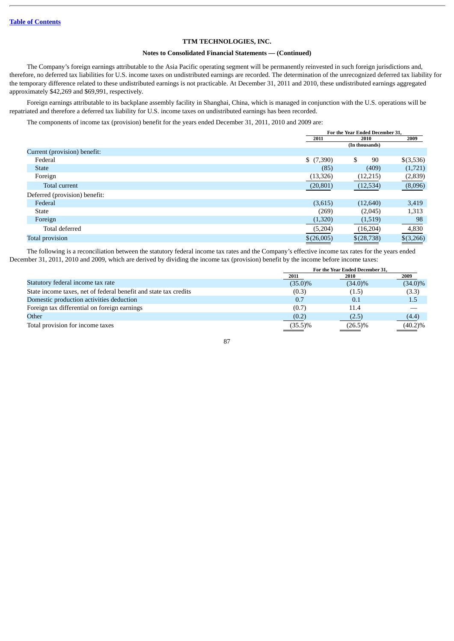### **Notes to Consolidated Financial Statements — (Continued)**

The Company's foreign earnings attributable to the Asia Pacific operating segment will be permanently reinvested in such foreign jurisdictions and, therefore, no deferred tax liabilities for U.S. income taxes on undistributed earnings are recorded. The determination of the unrecognized deferred tax liability for the temporary difference related to these undistributed earnings is not practicable. At December 31, 2011 and 2010, these undistributed earnings aggregated approximately \$42,269 and \$69,991, respectively.

Foreign earnings attributable to its backplane assembly facility in Shanghai, China, which is managed in conjunction with the U.S. operations will be repatriated and therefore a deferred tax liability for U.S. income taxes on undistributed earnings has been recorded.

The components of income tax (provision) benefit for the years ended December 31, 2011, 2010 and 2009 are:

|                               |            | For the Year Ended December 31. |             |  |  |  |
|-------------------------------|------------|---------------------------------|-------------|--|--|--|
|                               | 2011       | 2010                            | 2009        |  |  |  |
|                               |            | (In thousands)                  |             |  |  |  |
| Current (provision) benefit:  |            |                                 |             |  |  |  |
| Federal                       | \$(7,390)  | \$<br>90                        | \$(3,536)   |  |  |  |
| <b>State</b>                  | (85)       | (409)                           | (1,721)     |  |  |  |
| Foreign                       | (13, 326)  | (12,215)                        | (2,839)     |  |  |  |
| Total current                 | (20, 801)  | (12, 534)                       | (8,096)     |  |  |  |
| Deferred (provision) benefit: |            |                                 |             |  |  |  |
| Federal                       | (3,615)    | (12,640)                        | 3,419       |  |  |  |
| <b>State</b>                  | (269)      | (2,045)                         | 1,313       |  |  |  |
| Foreign                       | (1,320)    | (1,519)                         | 98          |  |  |  |
| Total deferred                | (5,204)    | (16,204)                        | 4,830       |  |  |  |
| <b>Total provision</b>        | \$(26,005) | \$(28,738)                      | $$$ (3,266) |  |  |  |

The following is a reconciliation between the statutory federal income tax rates and the Company's effective income tax rates for the years ended December 31, 2011, 2010 and 2009, which are derived by dividing the income tax (provision) benefit by the income before income taxes:

|                                                                  | For the Year Ended December 31. |            |            |  |
|------------------------------------------------------------------|---------------------------------|------------|------------|--|
|                                                                  | 2011                            | 2010       | 2009       |  |
| Statutory federal income tax rate                                | $(35.0)\%$                      | $(34.0)\%$ | $(34.0)\%$ |  |
| State income taxes, net of federal benefit and state tax credits | (0.3)                           | (1.5)      | (3.3)      |  |
| Domestic production activities deduction                         | 0.7                             | 0.1        | 1.5        |  |
| Foreign tax differential on foreign earnings                     | (0.7)                           | 11.4       |            |  |
| Other                                                            | (0.2)                           | (2.5)      | (4.4)      |  |
| Total provision for income taxes                                 | $\frac{(35.5)\%}{2}$            | $(26.5)\%$ | $(40.2)\%$ |  |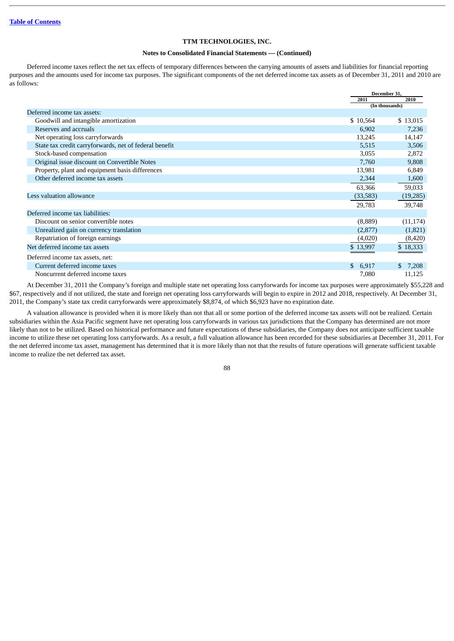### **Notes to Consolidated Financial Statements — (Continued)**

Deferred income taxes reflect the net tax effects of temporary differences between the carrying amounts of assets and liabilities for financial reporting purposes and the amounts used for income tax purposes. The significant components of the net deferred income tax assets as of December 31, 2011 and 2010 are as follows:

|                                                        |          | December 31,   |
|--------------------------------------------------------|----------|----------------|
|                                                        | 2011     | 2010           |
|                                                        |          | (In thousands) |
| Deferred income tax assets:                            |          |                |
| Goodwill and intangible amortization                   | \$10,564 | \$13,015       |
| Reserves and accruals                                  | 6,902    | 7,236          |
| Net operating loss carryforwards                       | 13,245   | 14,147         |
| State tax credit carryforwards, net of federal benefit | 5,515    | 3,506          |
| Stock-based compensation                               | 3,055    | 2,872          |
| Original issue discount on Convertible Notes           | 7,760    | 9,808          |
| Property, plant and equipment basis differences        | 13,981   | 6,849          |
| Other deferred income tax assets                       | 2,344    | 1,600          |
|                                                        | 63,366   | 59,033         |
| Less valuation allowance                               | (33,583) | (19, 285)      |
|                                                        | 29,783   | 39,748         |
| Deferred income tax liabilities:                       |          |                |
| Discount on senior convertible notes                   | (8,889)  | (11, 174)      |
| Unrealized gain on currency translation                | (2,877)  | (1,821)        |
| Repatriation of foreign earnings                       | (4,020)  | (8,420)        |
| Net deferred income tax assets                         | \$13,997 | \$18,333       |
| Deferred income tax assets, net:                       |          |                |
| Current deferred income taxes                          | \$6,917  | 7,208<br>\$.   |
| Noncurrent deferred income taxes                       | 7,080    | 11,125         |

At December 31, 2011 the Company's foreign and multiple state net operating loss carryforwards for income tax purposes were approximately \$55,228 and \$67, respectively and if not utilized, the state and foreign net operating loss carryforwards will begin to expire in 2012 and 2018, respectively. At December 31, 2011, the Company's state tax credit carryforwards were approximately \$8,874, of which \$6,923 have no expiration date.

A valuation allowance is provided when it is more likely than not that all or some portion of the deferred income tax assets will not be realized. Certain subsidiaries within the Asia Pacific segment have net operating loss carryforwards in various tax jurisdictions that the Company has determined are not more likely than not to be utilized. Based on historical performance and future expectations of these subsidiaries, the Company does not anticipate sufficient taxable income to utilize these net operating loss carryforwards. As a result, a full valuation allowance has been recorded for these subsidiaries at December 31, 2011. For the net deferred income tax asset, management has determined that it is more likely than not that the results of future operations will generate sufficient taxable income to realize the net deferred tax asset.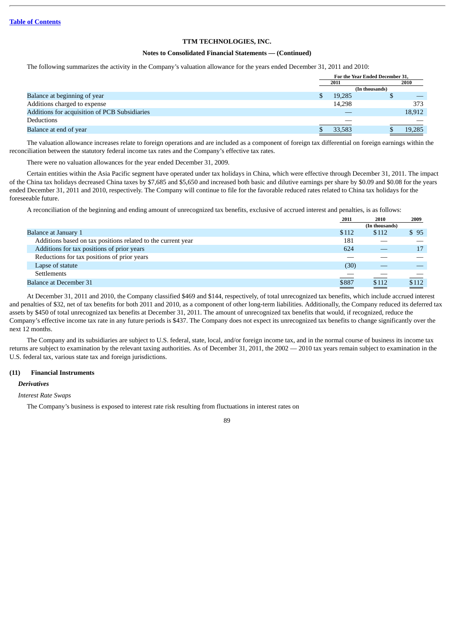## **Notes to Consolidated Financial Statements — (Continued)**

The following summarizes the activity in the Company's valuation allowance for the years ended December 31, 2011 and 2010:

| 2010   |
|--------|
|        |
|        |
|        |
| 373    |
| 18,912 |
|        |
| 19,285 |
|        |

The valuation allowance increases relate to foreign operations and are included as a component of foreign tax differential on foreign earnings within the reconciliation between the statutory federal income tax rates and the Company's effective tax rates.

There were no valuation allowances for the year ended December 31, 2009.

Certain entities within the Asia Pacific segment have operated under tax holidays in China, which were effective through December 31, 2011. The impact of the China tax holidays decreased China taxes by \$7,685 and \$5,650 and increased both basic and dilutive earnings per share by \$0.09 and \$0.08 for the years ended December 31, 2011 and 2010, respectively. The Company will continue to file for the favorable reduced rates related to China tax holidays for the foreseeable future.

A reconciliation of the beginning and ending amount of unrecognized tax benefits, exclusive of accrued interest and penalties, is as follows:

|                                                              | 2011  | 2010           | 2009                |
|--------------------------------------------------------------|-------|----------------|---------------------|
|                                                              |       | (In thousands) |                     |
| Balance at January 1                                         | \$112 | \$112          | \$95                |
| Additions based on tax positions related to the current year | 181   |                |                     |
| Additions for tax positions of prior years                   | 624   |                |                     |
| Reductions for tax positions of prior years                  |       |                |                     |
| Lapse of statute                                             | (30)  |                |                     |
| <b>Settlements</b>                                           |       |                |                     |
| Balance at December 31                                       | \$887 | \$112          | $\underline{\$112}$ |
|                                                              |       |                |                     |

At December 31, 2011 and 2010, the Company classified \$469 and \$144, respectively, of total unrecognized tax benefits, which include accrued interest and penalties of \$32, net of tax benefits for both 2011 and 2010, as a component of other long-term liabilities. Additionally, the Company reduced its deferred tax assets by \$450 of total unrecognized tax benefits at December 31, 2011. The amount of unrecognized tax benefits that would, if recognized, reduce the Company's effective income tax rate in any future periods is \$437. The Company does not expect its unrecognized tax benefits to change significantly over the next 12 months.

The Company and its subsidiaries are subject to U.S. federal, state, local, and/or foreign income tax, and in the normal course of business its income tax returns are subject to examination by the relevant taxing authorities. As of December 31, 2011, the 2002 — 2010 tax years remain subject to examination in the U.S. federal tax, various state tax and foreign jurisdictions.

## **(11) Financial Instruments**

### *Derivatives*

*Interest Rate Swaps*

The Company's business is exposed to interest rate risk resulting from fluctuations in interest rates on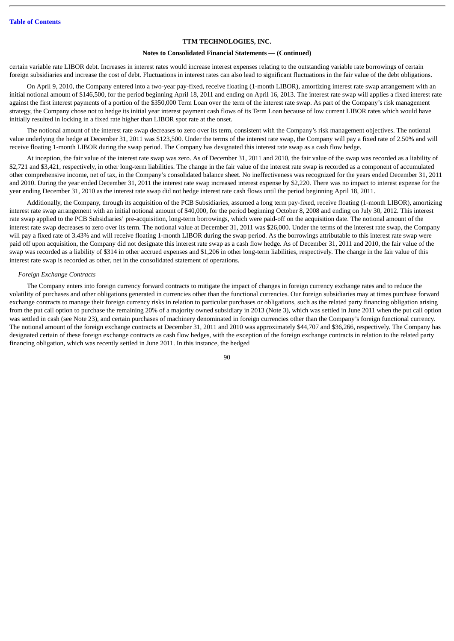### **Notes to Consolidated Financial Statements — (Continued)**

certain variable rate LIBOR debt. Increases in interest rates would increase interest expenses relating to the outstanding variable rate borrowings of certain foreign subsidiaries and increase the cost of debt. Fluctuations in interest rates can also lead to significant fluctuations in the fair value of the debt obligations.

On April 9, 2010, the Company entered into a two-year pay-fixed, receive floating (1-month LIBOR), amortizing interest rate swap arrangement with an initial notional amount of \$146,500, for the period beginning April 18, 2011 and ending on April 16, 2013. The interest rate swap will applies a fixed interest rate against the first interest payments of a portion of the \$350,000 Term Loan over the term of the interest rate swap. As part of the Company's risk management strategy, the Company chose not to hedge its initial year interest payment cash flows of its Term Loan because of low current LIBOR rates which would have initially resulted in locking in a fixed rate higher than LIBOR spot rate at the onset.

The notional amount of the interest rate swap decreases to zero over its term, consistent with the Company's risk management objectives. The notional value underlying the hedge at December 31, 2011 was \$123,500. Under the terms of the interest rate swap, the Company will pay a fixed rate of 2.50% and will receive floating 1-month LIBOR during the swap period. The Company has designated this interest rate swap as a cash flow hedge.

At inception, the fair value of the interest rate swap was zero. As of December 31, 2011 and 2010, the fair value of the swap was recorded as a liability of \$2,721 and \$3,421, respectively, in other long-term liabilities. The change in the fair value of the interest rate swap is recorded as a component of accumulated other comprehensive income, net of tax, in the Company's consolidated balance sheet. No ineffectiveness was recognized for the years ended December 31, 2011 and 2010. During the year ended December 31, 2011 the interest rate swap increased interest expense by \$2,220. There was no impact to interest expense for the year ending December 31, 2010 as the interest rate swap did not hedge interest rate cash flows until the period beginning April 18, 2011.

Additionally, the Company, through its acquisition of the PCB Subsidiaries, assumed a long term pay-fixed, receive floating (1-month LIBOR), amortizing interest rate swap arrangement with an initial notional amount of \$40,000, for the period beginning October 8, 2008 and ending on July 30, 2012. This interest rate swap applied to the PCB Subsidiaries' pre-acquisition, long-term borrowings, which were paid-off on the acquisition date. The notional amount of the interest rate swap decreases to zero over its term. The notional value at December 31, 2011 was \$26,000. Under the terms of the interest rate swap, the Company will pay a fixed rate of 3.43% and will receive floating 1-month LIBOR during the swap period. As the borrowings attributable to this interest rate swap were paid off upon acquisition, the Company did not designate this interest rate swap as a cash flow hedge. As of December 31, 2011 and 2010, the fair value of the swap was recorded as a liability of \$314 in other accrued expenses and \$1,206 in other long-term liabilities, respectively. The change in the fair value of this interest rate swap is recorded as other, net in the consolidated statement of operations.

#### *Foreign Exchange Contracts*

The Company enters into foreign currency forward contracts to mitigate the impact of changes in foreign currency exchange rates and to reduce the volatility of purchases and other obligations generated in currencies other than the functional currencies. Our foreign subsidiaries may at times purchase forward exchange contracts to manage their foreign currency risks in relation to particular purchases or obligations, such as the related party financing obligation arising from the put call option to purchase the remaining 20% of a majority owned subsidiary in 2013 (Note 3), which was settled in June 2011 when the put call option was settled in cash (see Note 23), and certain purchases of machinery denominated in foreign currencies other than the Company's foreign functional currency. The notional amount of the foreign exchange contracts at December 31, 2011 and 2010 was approximately \$44,707 and \$36,266, respectively. The Company has designated certain of these foreign exchange contracts as cash flow hedges, with the exception of the foreign exchange contracts in relation to the related party financing obligation, which was recently settled in June 2011. In this instance, the hedged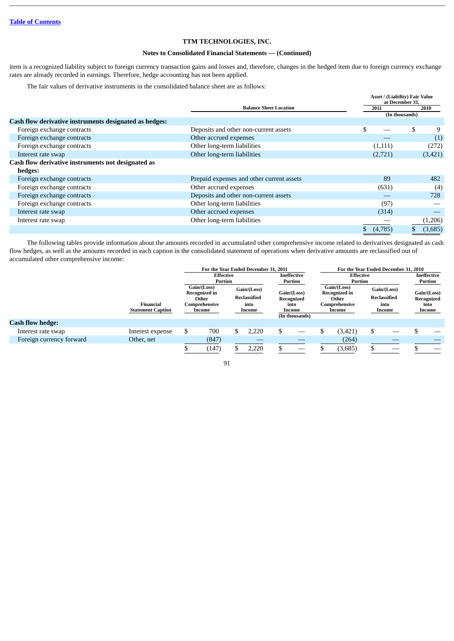# **Notes to Consolidated Financial Statements — (Continued)**

item is a recognized liability subject to foreign currency transaction gains and losses and, therefore, changes in the hedged item due to foreign currency exchange rates are already recorded in earnings. Therefore, hedge accounting has not been applied.

The fair values of derivative instruments in the consolidated balance sheet are as follows:

|                                                        |                                           |         | <b>Asset / (Liability) Fair Value</b><br>at December 31, |
|--------------------------------------------------------|-------------------------------------------|---------|----------------------------------------------------------|
|                                                        | <b>Balance Sheet Location</b>             | 2011    | 2010                                                     |
|                                                        |                                           |         | (In thousands)                                           |
| Cash flow derivative instruments designated as hedges: |                                           |         |                                                          |
| Foreign exchange contracts                             | Deposits and other non-current assets     |         | \$<br>9                                                  |
| Foreign exchange contracts                             | Other accrued expenses                    |         | (1)                                                      |
| Foreign exchange contracts                             | Other long-term liabilities               | (1,111) | (272)                                                    |
| Interest rate swap                                     | Other long-term liabilities               | (2,721) | (3,421)                                                  |
| Cash flow derivative instruments not designated as     |                                           |         |                                                          |
| hedges:                                                |                                           |         |                                                          |
| Foreign exchange contracts                             | Prepaid expenses and other current assets | 89      | 482                                                      |
| Foreign exchange contracts                             | Other accrued expenses                    | (631)   | (4)                                                      |
| Foreign exchange contracts                             | Deposits and other non-current assets     |         | 728                                                      |
| Foreign exchange contracts                             | Other long-term liabilities               | (97)    |                                                          |
| Interest rate swap                                     | Other accrued expenses                    | (314)   |                                                          |
| Interest rate swap                                     | Other long-term liabilities               |         | (1,206)                                                  |
|                                                        |                                           | (4,785) | (3,685)<br>\$                                            |

The following tables provide information about the amounts recorded in accumulated other comprehensive income related to derivatives designated as cash flow hedges, as well as the amounts recorded in each caption in the consolidated statement of operations when derivative amounts are reclassified out of accumulated other comprehensive income:

|                          |                                       |                                                                         | For the Year Ended December 31, 2011 |                                               |       |                                                               |                        |                                                                  | For the Year Ended December 31, 2010 |                                               |                                             |                        |
|--------------------------|---------------------------------------|-------------------------------------------------------------------------|--------------------------------------|-----------------------------------------------|-------|---------------------------------------------------------------|------------------------|------------------------------------------------------------------|--------------------------------------|-----------------------------------------------|---------------------------------------------|------------------------|
|                          |                                       |                                                                         | <b>Effective</b><br>Portion          |                                               |       |                                                               | Ineffective<br>Portion |                                                                  | <b>Effective</b><br><b>Portion</b>   |                                               |                                             | Ineffective<br>Portion |
|                          | Financial<br><b>Statement Caption</b> | Gain/(Loss)<br><b>Recognized in</b><br>Other<br>Comprehensive<br>Income |                                      | Gain/(Loss)<br>Reclassified<br>into<br>Income |       | Gain/(Loss)<br>Recognized<br>into<br>Income<br>(In thousands) |                        | Gain/(Loss)<br>Recognized in<br>Other<br>Comprehensive<br>Income |                                      | Gain/(Loss)<br>Reclassified<br>into<br>Income | Gain/(Loss)<br>Recognized<br>into<br>Income |                        |
| <b>Cash flow hedge:</b>  |                                       |                                                                         |                                      |                                               |       |                                                               |                        |                                                                  |                                      |                                               |                                             |                        |
| Interest rate swap       | Interest expense                      | \$                                                                      | 700                                  |                                               | 2.220 | \$                                                            |                        | \$                                                               | (3, 421)                             | S                                             |                                             |                        |
| Foreign currency forward | Other, net                            |                                                                         | (847)                                |                                               |       |                                                               |                        |                                                                  | (264)                                |                                               |                                             |                        |
|                          |                                       |                                                                         | (147)                                |                                               | 2,220 |                                                               |                        |                                                                  | (3,685)                              |                                               |                                             |                        |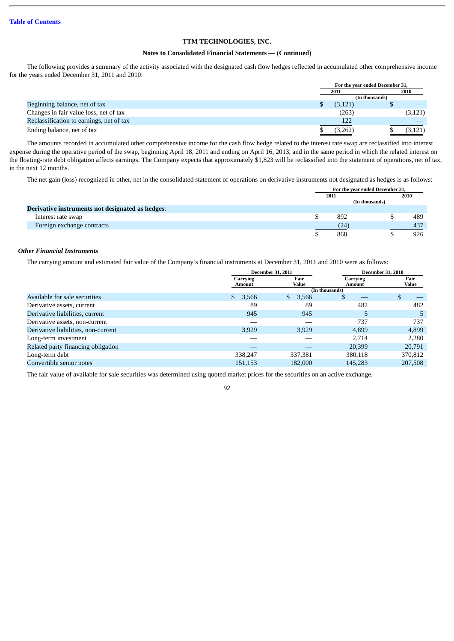### **Notes to Consolidated Financial Statements — (Continued)**

The following provides a summary of the activity associated with the designated cash flow hedges reflected in accumulated other comprehensive income for the years ended December 31, 2011 and 2010:

|                                          |      | For the year ended December 31, |  |          |  |
|------------------------------------------|------|---------------------------------|--|----------|--|
|                                          | 2011 |                                 |  | 2010     |  |
|                                          |      | (In thousands)                  |  |          |  |
| Beginning balance, net of tax            |      | (3, 121)                        |  |          |  |
| Changes in fair value loss, net of tax   |      | (263)                           |  | (3, 121) |  |
| Reclassification to earnings, net of tax |      | 122                             |  |          |  |
| Ending balance, net of tax               |      | (3,262)                         |  | (3, 121) |  |

The amounts recorded in accumulated other comprehensive income for the cash flow hedge related to the interest rate swap are reclassified into interest expense during the operative period of the swap, beginning April 18, 2011 and ending on April 16, 2013, and in the same period in which the related interest on the floating-rate debt obligation affects earnings. The Company expects that approximately \$1,823 will be reclassified into the statement of operations, net of tax, in the next 12 months.

The net gain (loss) recognized in other, net in the consolidated statement of operations on derivative instruments not designated as hedges is as follows:

|                                                  | For the year ended December 31, |                |      |  |
|--------------------------------------------------|---------------------------------|----------------|------|--|
|                                                  | 2011                            |                | 2010 |  |
|                                                  |                                 | (In thousands) |      |  |
| Derivative instruments not designated as hedges: |                                 |                |      |  |
| Interest rate swap                               | 892                             |                | 489  |  |
| Foreign exchange contracts                       | (24)                            |                | 437  |  |
|                                                  | 868                             |                | 926  |  |

# *Other Financial Instruments*

The carrying amount and estimated fair value of the Company's financial instruments at December 31, 2011 and 2010 were as follows:

|                                     |                    | <b>December 31, 2011</b> |                    | <b>December 31, 2010</b> |
|-------------------------------------|--------------------|--------------------------|--------------------|--------------------------|
|                                     | Carrying<br>Amount | Fair<br>Value            | Carrying<br>Amount | Fair<br>Value            |
|                                     |                    |                          | (In thousands)     |                          |
| Available for sale securities       | 3,566<br>\$        | 3.566<br>$\mathbb{S}$    |                    | \$                       |
| Derivative assets, current          | 89                 | 89                       | 482                | 482                      |
| Derivative liabilities, current     | 945                | 945                      | 5                  | 5                        |
| Derivative assets, non-current      |                    |                          | 737                | 737                      |
| Derivative liabilities, non-current | 3,929              | 3,929                    | 4,899              | 4,899                    |
| Long-term investment                |                    |                          | 2.714              | 2.280                    |
| Related party financing obligation  |                    |                          | 20,399             | 20,791                   |
| Long-term debt                      | 338.247            | 337,381                  | 380,118            | 370,812                  |
| Convertible senior notes            | 151,153            | 182,000                  | 145,283            | 207,508                  |
|                                     |                    |                          |                    |                          |

The fair value of available for sale securities was determined using quoted market prices for the securities on an active exchange.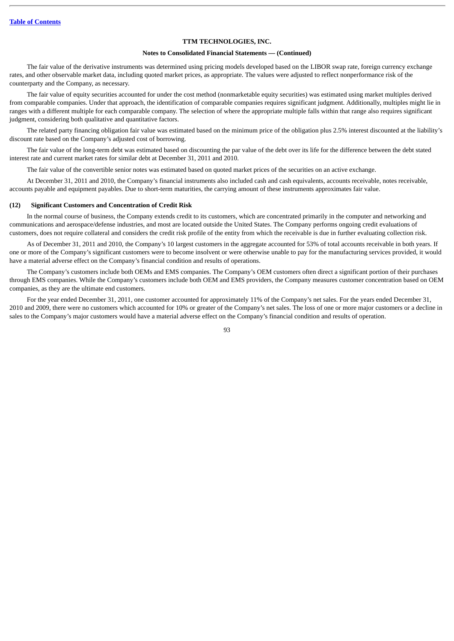### **Notes to Consolidated Financial Statements — (Continued)**

The fair value of the derivative instruments was determined using pricing models developed based on the LIBOR swap rate, foreign currency exchange rates, and other observable market data, including quoted market prices, as appropriate. The values were adjusted to reflect nonperformance risk of the counterparty and the Company, as necessary.

The fair value of equity securities accounted for under the cost method (nonmarketable equity securities) was estimated using market multiples derived from comparable companies. Under that approach, the identification of comparable companies requires significant judgment. Additionally, multiples might lie in ranges with a different multiple for each comparable company. The selection of where the appropriate multiple falls within that range also requires significant judgment, considering both qualitative and quantitative factors.

The related party financing obligation fair value was estimated based on the minimum price of the obligation plus 2.5% interest discounted at the liability's discount rate based on the Company's adjusted cost of borrowing.

The fair value of the long-term debt was estimated based on discounting the par value of the debt over its life for the difference between the debt stated interest rate and current market rates for similar debt at December 31, 2011 and 2010.

The fair value of the convertible senior notes was estimated based on quoted market prices of the securities on an active exchange.

At December 31, 2011 and 2010, the Company's financial instruments also included cash and cash equivalents, accounts receivable, notes receivable, accounts payable and equipment payables. Due to short-term maturities, the carrying amount of these instruments approximates fair value.

### **(12) Significant Customers and Concentration of Credit Risk**

In the normal course of business, the Company extends credit to its customers, which are concentrated primarily in the computer and networking and communications and aerospace/defense industries, and most are located outside the United States. The Company performs ongoing credit evaluations of customers, does not require collateral and considers the credit risk profile of the entity from which the receivable is due in further evaluating collection risk.

As of December 31, 2011 and 2010, the Company's 10 largest customers in the aggregate accounted for 53% of total accounts receivable in both years. If one or more of the Company's significant customers were to become insolvent or were otherwise unable to pay for the manufacturing services provided, it would have a material adverse effect on the Company's financial condition and results of operations.

The Company's customers include both OEMs and EMS companies. The Company's OEM customers often direct a significant portion of their purchases through EMS companies. While the Company's customers include both OEM and EMS providers, the Company measures customer concentration based on OEM companies, as they are the ultimate end customers.

For the year ended December 31, 2011, one customer accounted for approximately 11% of the Company's net sales. For the years ended December 31, 2010 and 2009, there were no customers which accounted for 10% or greater of the Company's net sales. The loss of one or more major customers or a decline in sales to the Company's major customers would have a material adverse effect on the Company's financial condition and results of operation.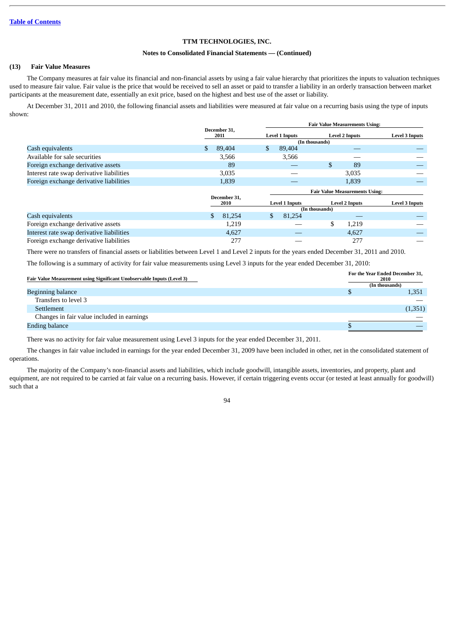### **Notes to Consolidated Financial Statements — (Continued)**

# **(13) Fair Value Measures**

The Company measures at fair value its financial and non-financial assets by using a fair value hierarchy that prioritizes the inputs to valuation techniques used to measure fair value. Fair value is the price that would be received to sell an asset or paid to transfer a liability in an orderly transaction between market participants at the measurement date, essentially an exit price, based on the highest and best use of the asset or liability.

At December 31, 2011 and 2010, the following financial assets and liabilities were measured at fair value on a recurring basis using the type of inputs shown:

|                                           |                      | <b>Fair Value Measurements Using:</b> |                                         |                                       |                       |
|-------------------------------------------|----------------------|---------------------------------------|-----------------------------------------|---------------------------------------|-----------------------|
|                                           | December 31.<br>2011 | <b>Level 1 Inputs</b>                 |                                         | <b>Level 2 Inputs</b>                 | <b>Level 3 Inputs</b> |
|                                           |                      |                                       | (In thousands)                          |                                       |                       |
| Cash equivalents                          | 89,404<br>\$         | \$                                    | 89,404                                  |                                       |                       |
| Available for sale securities             | 3,566                |                                       | 3,566                                   |                                       |                       |
| Foreign exchange derivative assets        | 89                   |                                       | \$.                                     | 89                                    |                       |
| Interest rate swap derivative liabilities | 3,035                |                                       |                                         | 3,035                                 |                       |
| Foreign exchange derivative liabilities   | 1,839                |                                       |                                         | 1,839                                 |                       |
|                                           |                      |                                       |                                         | <b>Fair Value Measurements Using:</b> |                       |
|                                           | December 31,<br>2010 |                                       | <b>Level 1 Inputs</b><br>(In thousands) | <b>Level 2 Inputs</b>                 | <b>Level 3 Inputs</b> |
| Cash equivalents                          | \$<br>81,254         | \$                                    | 81,254                                  |                                       |                       |
| Foreign exchange derivative assets        |                      | 1,219                                 | \$                                      | 1,219                                 |                       |
| Interest rate swap derivative liabilities |                      | 4,627                                 |                                         | 4,627                                 |                       |
| Foreign exchange derivative liabilities   |                      | 277                                   |                                         | 277                                   |                       |

There were no transfers of financial assets or liabilities between Level 1 and Level 2 inputs for the years ended December 31, 2011 and 2010.

The following is a summary of activity for fair value measurements using Level 3 inputs for the year ended December 31, 2010:

| Fair Value Measurement using Significant Unobservable Inputs (Level 3) | For the Year Ended December 31,<br>2010<br>(In thousands) |
|------------------------------------------------------------------------|-----------------------------------------------------------|
| Beginning balance                                                      | 1,351<br>D                                                |
| Transfers to level 3                                                   |                                                           |
| Settlement                                                             | (1,351)                                                   |
| Changes in fair value included in earnings                             |                                                           |
| <b>Ending balance</b>                                                  |                                                           |
|                                                                        |                                                           |

There was no activity for fair value measurement using Level 3 inputs for the year ended December 31, 2011.

The changes in fair value included in earnings for the year ended December 31, 2009 have been included in other, net in the consolidated statement of operations.

The majority of the Company's non-financial assets and liabilities, which include goodwill, intangible assets, inventories, and property, plant and equipment, are not required to be carried at fair value on a recurring basis. However, if certain triggering events occur (or tested at least annually for goodwill) such that a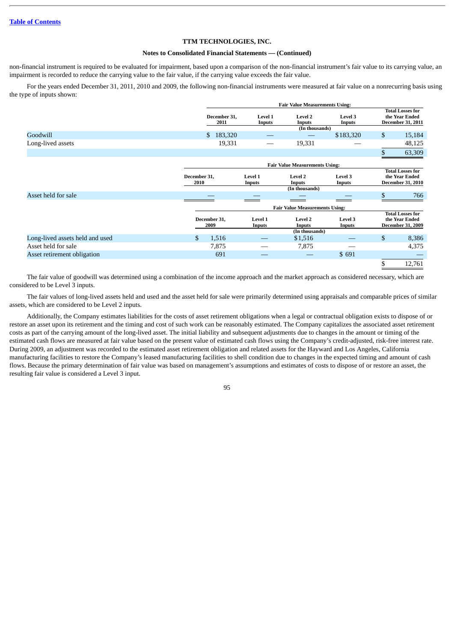### **Notes to Consolidated Financial Statements — (Continued)**

non-financial instrument is required to be evaluated for impairment, based upon a comparison of the non-financial instrument's fair value to its carrying value, an impairment is recorded to reduce the carrying value to the fair value, if the carrying value exceeds the fair value.

For the years ended December 31, 2011, 2010 and 2009, the following non-financial instruments were measured at fair value on a nonrecurring basis using the type of inputs shown:

|                                 |                      |                   | <b>Fair Value Measurements Using:</b> |                          |                                                                       |
|---------------------------------|----------------------|-------------------|---------------------------------------|--------------------------|-----------------------------------------------------------------------|
|                                 | December 31,<br>2011 | Level 1<br>Inputs | <b>Level 2</b><br>Inputs              | Level 3<br><b>Inputs</b> | <b>Total Losses for</b><br>the Year Ended<br><b>December 31, 2011</b> |
|                                 |                      |                   | (In thousands)                        |                          |                                                                       |
| Goodwill                        | 183,320<br>\$.       |                   |                                       | \$183,320                | \$<br>15,184                                                          |
| Long-lived assets               | 19,331               |                   | 19,331                                |                          | 48,125                                                                |
|                                 |                      |                   |                                       |                          | 63,309                                                                |
|                                 |                      |                   | <b>Fair Value Measurements Using:</b> |                          |                                                                       |
|                                 | December 31,<br>2010 | Level 1<br>Inputs | Level 2<br>Inputs<br>(In thousands)   | Level 3<br>Inputs        | <b>Total Losses for</b><br>the Year Ended<br><b>December 31, 2010</b> |
| Asset held for sale             |                      |                   |                                       |                          | \$<br>766                                                             |
|                                 |                      |                   | <b>Fair Value Measurements Using:</b> |                          |                                                                       |
|                                 | December 31,<br>2009 | Level 1<br>Inputs | Level 2<br>Inputs                     | Level 3<br>Inputs        | <b>Total Losses for</b><br>the Year Ended<br><b>December 31, 2009</b> |
|                                 |                      |                   | (In thousands)                        |                          |                                                                       |
| Long-lived assets held and used | \$<br>1,516          |                   | \$1,516                               |                          | \$<br>8,386                                                           |
| Asset held for sale             | 7,875                |                   | 7,875                                 |                          | 4,375                                                                 |
| Asset retirement obligation     | 691                  |                   |                                       | \$691                    |                                                                       |
|                                 |                      |                   |                                       |                          | \$<br>12,761                                                          |

The fair value of goodwill was determined using a combination of the income approach and the market approach as considered necessary, which are considered to be Level 3 inputs.

The fair values of long-lived assets held and used and the asset held for sale were primarily determined using appraisals and comparable prices of similar assets, which are considered to be Level 2 inputs.

Additionally, the Company estimates liabilities for the costs of asset retirement obligations when a legal or contractual obligation exists to dispose of or restore an asset upon its retirement and the timing and cost of such work can be reasonably estimated. The Company capitalizes the associated asset retirement costs as part of the carrying amount of the long-lived asset. The initial liability and subsequent adjustments due to changes in the amount or timing of the estimated cash flows are measured at fair value based on the present value of estimated cash flows using the Company's credit-adjusted, risk-free interest rate. During 2009, an adjustment was recorded to the estimated asset retirement obligation and related assets for the Hayward and Los Angeles, California manufacturing facilities to restore the Company's leased manufacturing facilities to shell condition due to changes in the expected timing and amount of cash flows. Because the primary determination of fair value was based on management's assumptions and estimates of costs to dispose of or restore an asset, the resulting fair value is considered a Level 3 input.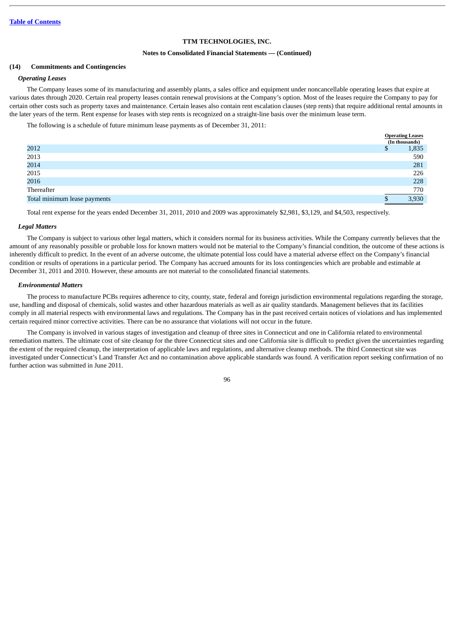## **Notes to Consolidated Financial Statements — (Continued)**

#### **(14) Commitments and Contingencies**

### *Operating Leases*

The Company leases some of its manufacturing and assembly plants, a sales office and equipment under noncancellable operating leases that expire at various dates through 2020. Certain real property leases contain renewal provisions at the Company's option. Most of the leases require the Company to pay for certain other costs such as property taxes and maintenance. Certain leases also contain rent escalation clauses (step rents) that require additional rental amounts in the later years of the term. Rent expense for leases with step rents is recognized on a straight-line basis over the minimum lease term.

The following is a schedule of future minimum lease payments as of December 31, 2011:

|                              | <b>Operating Leases</b><br>(In thousands) |
|------------------------------|-------------------------------------------|
| 2012                         | 1,835                                     |
| 2013                         | 590                                       |
| 2014                         | 281                                       |
| 2015                         | 226                                       |
| 2016                         | 228                                       |
| Thereafter                   | 770                                       |
| Total minimum lease payments | 3,930                                     |

Total rent expense for the years ended December 31, 2011, 2010 and 2009 was approximately \$2,981, \$3,129, and \$4,503, respectively.

#### *Legal Matters*

The Company is subject to various other legal matters, which it considers normal for its business activities. While the Company currently believes that the amount of any reasonably possible or probable loss for known matters would not be material to the Company's financial condition, the outcome of these actions is inherently difficult to predict. In the event of an adverse outcome, the ultimate potential loss could have a material adverse effect on the Company's financial condition or results of operations in a particular period. The Company has accrued amounts for its loss contingencies which are probable and estimable at December 31, 2011 and 2010. However, these amounts are not material to the consolidated financial statements.

#### *Environmental Matters*

The process to manufacture PCBs requires adherence to city, county, state, federal and foreign jurisdiction environmental regulations regarding the storage, use, handling and disposal of chemicals, solid wastes and other hazardous materials as well as air quality standards. Management believes that its facilities comply in all material respects with environmental laws and regulations. The Company has in the past received certain notices of violations and has implemented certain required minor corrective activities. There can be no assurance that violations will not occur in the future.

The Company is involved in various stages of investigation and cleanup of three sites in Connecticut and one in California related to environmental remediation matters. The ultimate cost of site cleanup for the three Connecticut sites and one California site is difficult to predict given the uncertainties regarding the extent of the required cleanup, the interpretation of applicable laws and regulations, and alternative cleanup methods. The third Connecticut site was investigated under Connecticut's Land Transfer Act and no contamination above applicable standards was found. A verification report seeking confirmation of no further action was submitted in June 2011.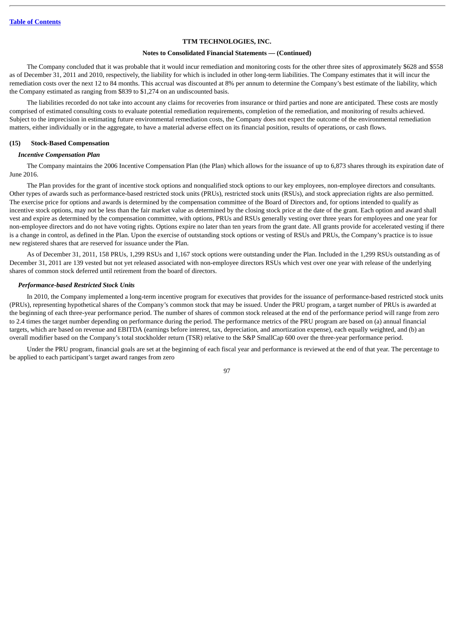### **Notes to Consolidated Financial Statements — (Continued)**

The Company concluded that it was probable that it would incur remediation and monitoring costs for the other three sites of approximately \$628 and \$558 as of December 31, 2011 and 2010, respectively, the liability for which is included in other long-term liabilities. The Company estimates that it will incur the remediation costs over the next 12 to 84 months. This accrual was discounted at 8% per annum to determine the Company's best estimate of the liability, which the Company estimated as ranging from \$839 to \$1,274 on an undiscounted basis.

The liabilities recorded do not take into account any claims for recoveries from insurance or third parties and none are anticipated. These costs are mostly comprised of estimated consulting costs to evaluate potential remediation requirements, completion of the remediation, and monitoring of results achieved. Subject to the imprecision in estimating future environmental remediation costs, the Company does not expect the outcome of the environmental remediation matters, either individually or in the aggregate, to have a material adverse effect on its financial position, results of operations, or cash flows.

#### **(15) Stock-Based Compensation**

### *Incentive Compensation Plan*

The Company maintains the 2006 Incentive Compensation Plan (the Plan) which allows for the issuance of up to 6,873 shares through its expiration date of June 2016.

The Plan provides for the grant of incentive stock options and nonqualified stock options to our key employees, non-employee directors and consultants. Other types of awards such as performance-based restricted stock units (PRUs), restricted stock units (RSUs), and stock appreciation rights are also permitted. The exercise price for options and awards is determined by the compensation committee of the Board of Directors and, for options intended to qualify as incentive stock options, may not be less than the fair market value as determined by the closing stock price at the date of the grant. Each option and award shall vest and expire as determined by the compensation committee, with options, PRUs and RSUs generally vesting over three years for employees and one year for non-employee directors and do not have voting rights. Options expire no later than ten years from the grant date. All grants provide for accelerated vesting if there is a change in control, as defined in the Plan. Upon the exercise of outstanding stock options or vesting of RSUs and PRUs, the Company's practice is to issue new registered shares that are reserved for issuance under the Plan.

As of December 31, 2011, 158 PRUs, 1,299 RSUs and 1,167 stock options were outstanding under the Plan. Included in the 1,299 RSUs outstanding as of December 31, 2011 are 139 vested but not yet released associated with non-employee directors RSUs which vest over one year with release of the underlying shares of common stock deferred until retirement from the board of directors.

### *Performance-based Restricted Stock Units*

In 2010, the Company implemented a long-term incentive program for executives that provides for the issuance of performance-based restricted stock units (PRUs), representing hypothetical shares of the Company's common stock that may be issued. Under the PRU program, a target number of PRUs is awarded at the beginning of each three-year performance period. The number of shares of common stock released at the end of the performance period will range from zero to 2.4 times the target number depending on performance during the period. The performance metrics of the PRU program are based on (a) annual financial targets, which are based on revenue and EBITDA (earnings before interest, tax, depreciation, and amortization expense), each equally weighted, and (b) an overall modifier based on the Company's total stockholder return (TSR) relative to the S&P SmallCap 600 over the three-year performance period.

Under the PRU program, financial goals are set at the beginning of each fiscal year and performance is reviewed at the end of that year. The percentage to be applied to each participant's target award ranges from zero

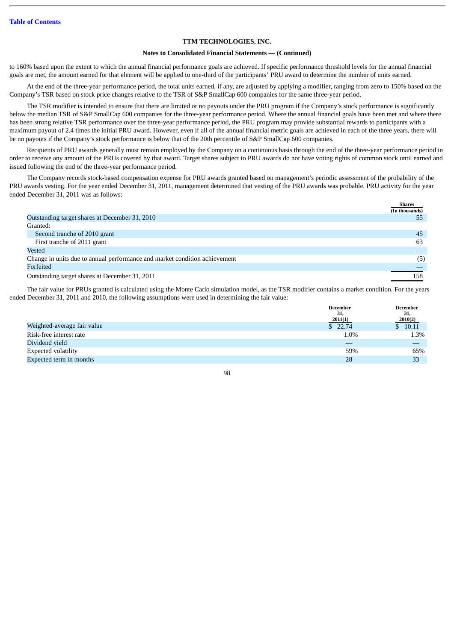### **Notes to Consolidated Financial Statements — (Continued)**

to 160% based upon the extent to which the annual financial performance goals are achieved. If specific performance threshold levels for the annual financial goals are met, the amount earned for that element will be applied to one-third of the participants' PRU award to determine the number of units earned.

At the end of the three-year performance period, the total units earned, if any, are adjusted by applying a modifier, ranging from zero to 150% based on the Company's TSR based on stock price changes relative to the TSR of S&P SmallCap 600 companies for the same three-year period.

The TSR modifier is intended to ensure that there are limited or no payouts under the PRU program if the Company's stock performance is significantly below the median TSR of S&P SmallCap 600 companies for the three-year performance period. Where the annual financial goals have been met and where there has been strong relative TSR performance over the three-year performance period, the PRU program may provide substantial rewards to participants with a maximum payout of 2.4 times the initial PRU award. However, even if all of the annual financial metric goals are achieved in each of the three years, there will be no payouts if the Company's stock performance is below that of the 20th percentile of S&P SmallCap 600 companies.

Recipients of PRU awards generally must remain employed by the Company on a continuous basis through the end of the three-year performance period in order to receive any amount of the PRUs covered by that award. Target shares subject to PRU awards do not have voting rights of common stock until earned and issued following the end of the three-year performance period.

The Company records stock-based compensation expense for PRU awards granted based on management's periodic assessment of the probability of the PRU awards vesting. For the year ended December 31, 2011, management determined that vesting of the PRU awards was probable. PRU activity for the year ended December 31, 2011 was as follows:

|                                                                            | <b>Shares</b>  |
|----------------------------------------------------------------------------|----------------|
|                                                                            | (In thousands) |
| Outstanding target shares at December 31, 2010                             | 55             |
| Granted:                                                                   |                |
| Second tranche of 2010 grant                                               | 45             |
| First tranche of 2011 grant                                                | 63             |
| Vested                                                                     |                |
| Change in units due to annual performance and market condition achievement | (5)            |
| Forfeited                                                                  |                |
| Outstanding target shares at December 31, 2011                             | 158            |

The fair value for PRUs granted is calculated using the Monte Carlo simulation model, as the TSR modifier contains a market condition. For the years ended December 31, 2011 and 2010, the following assumptions were used in determining the fair value:

|                             | <b>December</b><br>31,<br>2011(1) | <b>December</b><br>31,<br>2010(2) |
|-----------------------------|-----------------------------------|-----------------------------------|
| Weighted-average fair value | \$22.74                           | \$10.11                           |
| Risk-free interest rate     | 1.0%                              | 1.3%                              |
| Dividend yield              |                                   |                                   |
| <b>Expected volatility</b>  | 59%                               | 65%                               |
| Expected term in months     | 28                                | 33                                |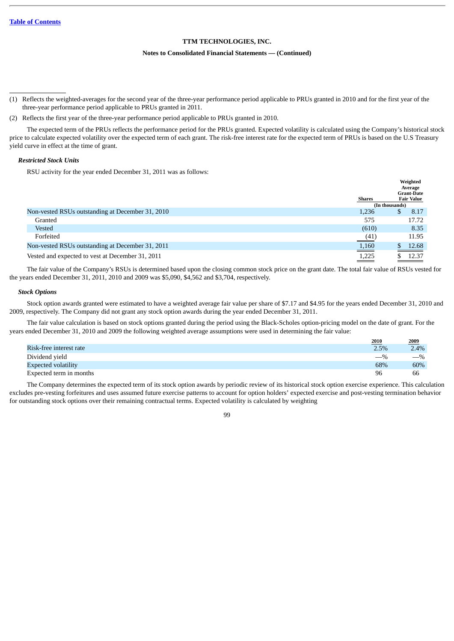### **Notes to Consolidated Financial Statements — (Continued)**

(1) Reflects the weighted-averages for the second year of the three-year performance period applicable to PRUs granted in 2010 and for the first year of the three-year performance period applicable to PRUs granted in 2011.

(2) Reflects the first year of the three-year performance period applicable to PRUs granted in 2010.

The expected term of the PRUs reflects the performance period for the PRUs granted. Expected volatility is calculated using the Company's historical stock price to calculate expected volatility over the expected term of each grant. The risk-free interest rate for the expected term of PRUs is based on the U.S Treasury yield curve in effect at the time of grant.

### *Restricted Stock Units*

RSU activity for the year ended December 31, 2011 was as follows:

|                                                  | Shares | Weighted<br>Average<br><b>Grant-Date</b><br><b>Fair Value</b><br>(In thousands) |
|--------------------------------------------------|--------|---------------------------------------------------------------------------------|
| Non-vested RSUs outstanding at December 31, 2010 | 1,236  | 8.17                                                                            |
| Granted                                          | 575    | 17.72                                                                           |
| Vested                                           | (610)  | 8.35                                                                            |
| Forfeited                                        | (41)   | 11.95                                                                           |
| Non-vested RSUs outstanding at December 31, 2011 | 1,160  | 12.68                                                                           |
| Vested and expected to vest at December 31, 2011 | 1,225  | 12.37                                                                           |

The fair value of the Company's RSUs is determined based upon the closing common stock price on the grant date. The total fair value of RSUs vested for the years ended December 31, 2011, 2010 and 2009 was \$5,090, \$4,562 and \$3,704, respectively.

### *Stock Options*

Stock option awards granted were estimated to have a weighted average fair value per share of \$7.17 and \$4.95 for the years ended December 31, 2010 and 2009, respectively. The Company did not grant any stock option awards during the year ended December 31, 2011.

The fair value calculation is based on stock options granted during the period using the Black-Scholes option-pricing model on the date of grant. For the years ended December 31, 2010 and 2009 the following weighted average assumptions were used in determining the fair value:

|                         | 2010  |                      |
|-------------------------|-------|----------------------|
| Risk-free interest rate | 2.5%  | $\frac{2009}{2.4\%}$ |
| Dividend yield          | $-$ % | $-$ %                |
| Expected volatility     | 68%   | 60%                  |
| Expected term in months | 96    | 66                   |

The Company determines the expected term of its stock option awards by periodic review of its historical stock option exercise experience. This calculation excludes pre-vesting forfeitures and uses assumed future exercise patterns to account for option holders' expected exercise and post-vesting termination behavior for outstanding stock options over their remaining contractual terms. Expected volatility is calculated by weighting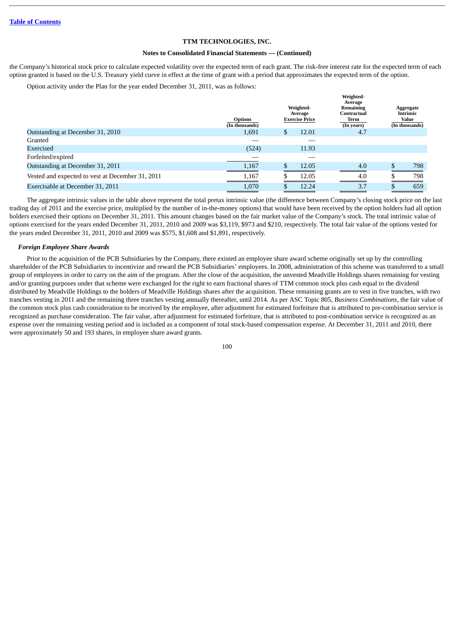### **Notes to Consolidated Financial Statements — (Continued)**

the Company's historical stock price to calculate expected volatility over the expected term of each grant. The risk-free interest rate for the expected term of each option granted is based on the U.S. Treasury yield curve in effect at the time of grant with a period that approximates the expected term of the option.

Option activity under the Plan for the year ended December 31, 2011, was as follows:

|                                                  | <b>Options</b><br>(In thousands) |    | Weighted-<br>Average<br><b>Exercise Price</b> | Weighted-<br>Average<br>Remaining<br>Contractual<br>Term<br>(In years) | Aggregate<br>Intrinsic<br>Value<br>(In thousands) |
|--------------------------------------------------|----------------------------------|----|-----------------------------------------------|------------------------------------------------------------------------|---------------------------------------------------|
| Outstanding at December 31, 2010                 | 1,691                            | \$ | 12.01                                         | 4.7                                                                    |                                                   |
| Granted                                          |                                  |    |                                               |                                                                        |                                                   |
| Exercised                                        | (524)                            |    | 11.93                                         |                                                                        |                                                   |
| Forfeited/expired                                |                                  |    |                                               |                                                                        |                                                   |
| Outstanding at December 31, 2011                 | 1,167                            |    | 12.05                                         | 4.0                                                                    | 798                                               |
| Vested and expected to vest at December 31, 2011 | 1,167                            |    | 12.05                                         | 4.0                                                                    | 798                                               |
| Exercisable at December 31, 2011                 | 1.070                            | S  | 12.24                                         | 3.7                                                                    | 659                                               |

The aggregate intrinsic values in the table above represent the total pretax intrinsic value (the difference between Company's closing stock price on the last trading day of 2011 and the exercise price, multiplied by the number of in-the-money options) that would have been received by the option holders had all option holders exercised their options on December 31, 2011. This amount changes based on the fair market value of the Company's stock. The total intrinsic value of options exercised for the years ended December 31, 2011, 2010 and 2009 was \$3,119, \$973 and \$210, respectively. The total fair value of the options vested for the years ended December 31, 2011, 2010 and 2009 was \$575, \$1,608 and \$1,891, respectively.

### *Foreign Employee Share Awards*

Prior to the acquisition of the PCB Subsidiaries by the Company, there existed an employee share award scheme originally set up by the controlling shareholder of the PCB Subsidiaries to incentivize and reward the PCB Subsidiaries' employees. In 2008, administration of this scheme was transferred to a small group of employees in order to carry on the aim of the program. After the close of the acquisition, the unvested Meadville Holdings shares remaining for vesting and/or granting purposes under that scheme were exchanged for the right to earn fractional shares of TTM common stock plus cash equal to the dividend distributed by Meadville Holdings to the holders of Meadville Holdings shares after the acquisition. These remaining grants are to vest in five tranches, with two tranches vesting in 2011 and the remaining three tranches vesting annually thereafter, until 2014. As per ASC Topic 805, *Business Combinations,* the fair value of the common stock plus cash consideration to be received by the employee, after adjustment for estimated forfeiture that is attributed to pre-combination service is recognized as purchase consideration. The fair value, after adjustment for estimated forfeiture, that is attributed to post-combination service is recognized as an expense over the remaining vesting period and is included as a component of total stock-based compensation expense. At December 31, 2011 and 2010, there were approximately 50 and 193 shares, in employee share award grants.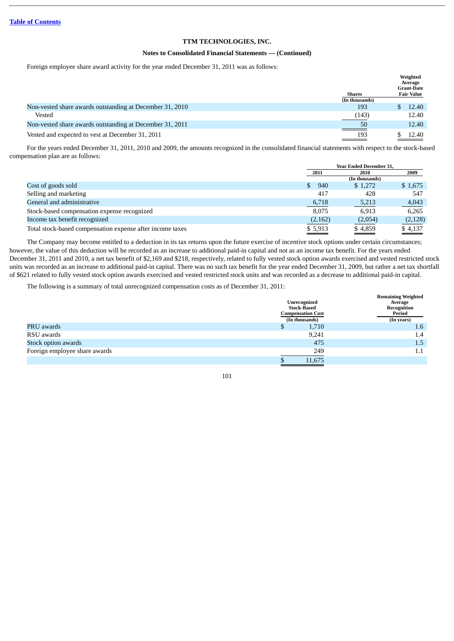### **Notes to Consolidated Financial Statements — (Continued)**

Foreign employee share award activity for the year ended December 31, 2011 was as follows:

|                                                          |                | Weighted<br>Average<br><b>Grant-Date</b> |
|----------------------------------------------------------|----------------|------------------------------------------|
|                                                          | <b>Shares</b>  | <b>Fair Value</b>                        |
|                                                          | (In thousands) |                                          |
| Non-vested share awards outstanding at December 31, 2010 | 193            | 12.40                                    |
| Vested                                                   | (143)          | 12.40                                    |
| Non-vested share awards outstanding at December 31, 2011 | 50             | 12.40                                    |
| Vested and expected to vest at December 31, 2011         | 193            | 12.40                                    |

For the years ended December 31, 2011, 2010 and 2009, the amounts recognized in the consolidated financial statements with respect to the stock-based compensation plan are as follows:

|                                                           | <b>Year Ended December 31.</b> |                |          |
|-----------------------------------------------------------|--------------------------------|----------------|----------|
|                                                           | 2011<br>2010                   |                | 2009     |
|                                                           |                                | (In thousands) |          |
| Cost of goods sold                                        | 940                            | \$1,272        | \$1,675  |
| Selling and marketing                                     | 417                            | 428            | 547      |
| General and administrative                                | 6,718                          | 5,213          | 4,043    |
| Stock-based compensation expense recognized               | 8.075                          | 6.913          | 6.265    |
| Income tax benefit recognized                             | (2,162)                        | (2,054)        | (2, 128) |
| Total stock-based compensation expense after income taxes | \$5,913                        | \$4,859        | \$4,137  |

The Company may become entitled to a deduction in its tax returns upon the future exercise of incentive stock options under certain circumstances; however, the value of this deduction will be recorded as an increase to additional paid-in capital and not as an income tax benefit. For the years ended December 31, 2011 and 2010, a net tax benefit of \$2,169 and \$218, respectively, related to fully vested stock option awards exercised and vested restricted stock units was recorded as an increase to additional paid-in capital. There was no such tax benefit for the year ended December 31, 2009, but rather a net tax shortfall of \$621 related to fully vested stock option awards exercised and vested restricted stock units and was recorded as a decrease to additional paid-in capital.

The following is a summary of total unrecognized compensation costs as of December 31, 2011:

|                               |                          | <b>Remaining Weighted</b> |
|-------------------------------|--------------------------|---------------------------|
|                               | Unrecognized             | Average                   |
|                               | <b>Stock-Based</b>       | Recognition               |
|                               | <b>Compensation Cost</b> | Period                    |
|                               | (In thousands)           | (In years)                |
| PRU awards                    | 1,710<br>Ф               | 1.6                       |
| RSU awards                    | 9,241                    | 1.4                       |
| Stock option awards           | 475                      | 1.5                       |
| Foreign employee share awards | 249                      | 1.1                       |
|                               | 11,675                   |                           |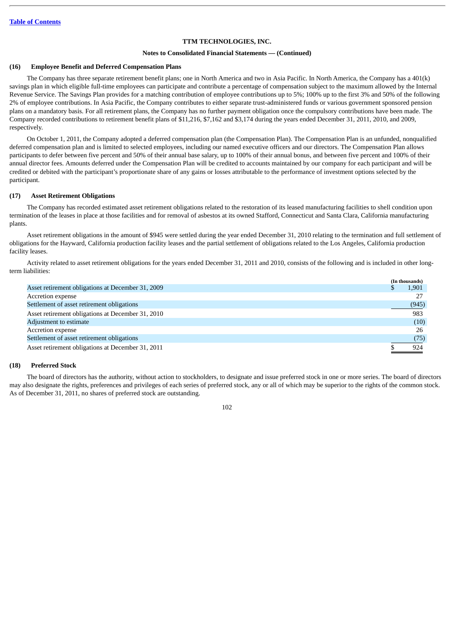### **Notes to Consolidated Financial Statements — (Continued)**

#### **(16) Employee Benefit and Deferred Compensation Plans**

The Company has three separate retirement benefit plans; one in North America and two in Asia Pacific. In North America, the Company has a 401(k) savings plan in which eligible full-time employees can participate and contribute a percentage of compensation subject to the maximum allowed by the Internal Revenue Service. The Savings Plan provides for a matching contribution of employee contributions up to 5%; 100% up to the first 3% and 50% of the following 2% of employee contributions. In Asia Pacific, the Company contributes to either separate trust-administered funds or various government sponsored pension plans on a mandatory basis. For all retirement plans, the Company has no further payment obligation once the compulsory contributions have been made. The Company recorded contributions to retirement benefit plans of \$11,216, \$7,162 and \$3,174 during the years ended December 31, 2011, 2010, and 2009, respectively.

On October 1, 2011, the Company adopted a deferred compensation plan (the Compensation Plan). The Compensation Plan is an unfunded, nonqualified deferred compensation plan and is limited to selected employees, including our named executive officers and our directors. The Compensation Plan allows participants to defer between five percent and 50% of their annual base salary, up to 100% of their annual bonus, and between five percent and 100% of their annual director fees. Amounts deferred under the Compensation Plan will be credited to accounts maintained by our company for each participant and will be credited or debited with the participant's proportionate share of any gains or losses attributable to the performance of investment options selected by the participant.

#### **(17) Asset Retirement Obligations**

The Company has recorded estimated asset retirement obligations related to the restoration of its leased manufacturing facilities to shell condition upon termination of the leases in place at those facilities and for removal of asbestos at its owned Stafford, Connecticut and Santa Clara, California manufacturing plants.

Asset retirement obligations in the amount of \$945 were settled during the year ended December 31, 2010 relating to the termination and full settlement of obligations for the Hayward, California production facility leases and the partial settlement of obligations related to the Los Angeles, California production facility leases.

Activity related to asset retirement obligations for the years ended December 31, 2011 and 2010, consists of the following and is included in other longterm liabilities:

|                                                   | (In thousands) |
|---------------------------------------------------|----------------|
| Asset retirement obligations at December 31, 2009 | 1,901          |
| Accretion expense                                 |                |
| Settlement of asset retirement obligations        | (945)          |
| Asset retirement obligations at December 31, 2010 | 983            |
| Adjustment to estimate                            | (10)           |
| Accretion expense                                 | 26             |
| Settlement of asset retirement obligations        | (75)           |
| Asset retirement obligations at December 31, 2011 | 924            |

# **(18) Preferred Stock**

The board of directors has the authority, without action to stockholders, to designate and issue preferred stock in one or more series. The board of directors may also designate the rights, preferences and privileges of each series of preferred stock, any or all of which may be superior to the rights of the common stock. As of December 31, 2011, no shares of preferred stock are outstanding.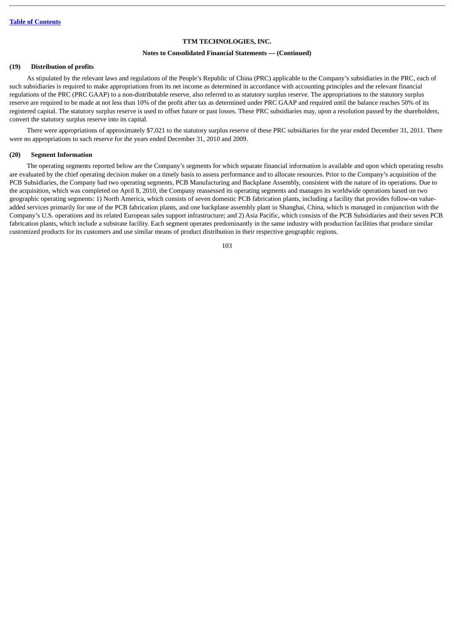### **Notes to Consolidated Financial Statements — (Continued)**

# **(19) Distribution of profits**

As stipulated by the relevant laws and regulations of the People's Republic of China (PRC) applicable to the Company's subsidiaries in the PRC, each of such subsidiaries is required to make appropriations from its net income as determined in accordance with accounting principles and the relevant financial regulations of the PRC (PRC GAAP) to a non-distributable reserve, also referred to as statutory surplus reserve. The appropriations to the statutory surplus reserve are required to be made at not less than 10% of the profit after tax as determined under PRC GAAP and required until the balance reaches 50% of its registered capital. The statutory surplus reserve is used to offset future or past losses. These PRC subsidiaries may, upon a resolution passed by the shareholders, convert the statutory surplus reserve into its capital.

There were appropriations of approximately \$7,021 to the statutory surplus reserve of these PRC subsidiaries for the year ended December 31, 2011. There were no appropriations to such reserve for the years ended December 31, 2010 and 2009.

### **(20) Segment Information**

The operating segments reported below are the Company's segments for which separate financial information is available and upon which operating results are evaluated by the chief operating decision maker on a timely basis to assess performance and to allocate resources. Prior to the Company's acquisition of the PCB Subsidiaries, the Company had two operating segments, PCB Manufacturing and Backplane Assembly, consistent with the nature of its operations. Due to the acquisition, which was completed on April 8, 2010, the Company reassessed its operating segments and manages its worldwide operations based on two geographic operating segments: 1) North America, which consists of seven domestic PCB fabrication plants, including a facility that provides follow-on valueadded services primarily for one of the PCB fabrication plants, and one backplane assembly plant in Shanghai, China, which is managed in conjunction with the Company's U.S. operations and its related European sales support infrastructure; and 2) Asia Pacific, which consists of the PCB Subsidiaries and their seven PCB fabrication plants, which include a substrate facility. Each segment operates predominantly in the same industry with production facilities that produce similar customized products for its customers and use similar means of product distribution in their respective geographic regions.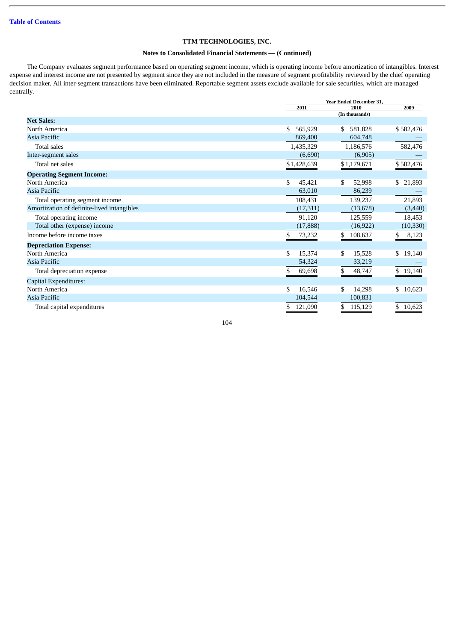# **Notes to Consolidated Financial Statements — (Continued)**

The Company evaluates segment performance based on operating segment income, which is operating income before amortization of intangibles. Interest expense and interest income are not presented by segment since they are not included in the measure of segment profitability reviewed by the chief operating decision maker. All inter-segment transactions have been eliminated. Reportable segment assets exclude available for sale securities, which are managed centrally.

|                                            |               | Year Ended December 31, |              |  |
|--------------------------------------------|---------------|-------------------------|--------------|--|
|                                            | 2011          | 2010                    | 2009         |  |
|                                            |               | (In thousands)          |              |  |
| <b>Net Sales:</b>                          |               |                         |              |  |
| North America                              | 565,929<br>\$ | 581,828<br>\$           | \$582,476    |  |
| Asia Pacific                               | 869,400       | 604,748                 |              |  |
| <b>Total sales</b>                         | 1,435,329     | 1,186,576               | 582,476      |  |
| Inter-segment sales                        | (6,690)       | (6,905)                 |              |  |
| Total net sales                            | \$1,428,639   | \$1,179,671             | \$582,476    |  |
| <b>Operating Segment Income:</b>           |               |                         |              |  |
| North America                              | \$<br>45,421  | \$<br>52,998            | \$<br>21,893 |  |
| Asia Pacific                               | 63,010        | 86,239                  |              |  |
| Total operating segment income             | 108,431       | 139,237                 | 21,893       |  |
| Amortization of definite-lived intangibles | (17,311)      | (13, 678)               | (3, 440)     |  |
| Total operating income                     | 91,120        | 125,559                 | 18,453       |  |
| Total other (expense) income               | (17, 888)     | (16, 922)               | (10, 330)    |  |
| Income before income taxes                 | 73,232<br>\$  | 108,637<br>S            | 8,123        |  |
| <b>Depreciation Expense:</b>               |               |                         |              |  |
| North America                              | \$<br>15,374  | \$<br>15,528            | \$<br>19,140 |  |
| Asia Pacific                               | 54,324        | 33,219                  |              |  |
| Total depreciation expense                 | \$<br>69,698  | \$<br>48,747            | \$ 19,140    |  |
| Capital Expenditures:                      |               |                         |              |  |
| North America                              | \$<br>16,546  | 14,298<br>\$.           | \$<br>10,623 |  |
| Asia Pacific                               | 104,544       | 100,831                 |              |  |
| Total capital expenditures                 | \$<br>121,090 | \$<br>115,129           | \$<br>10,623 |  |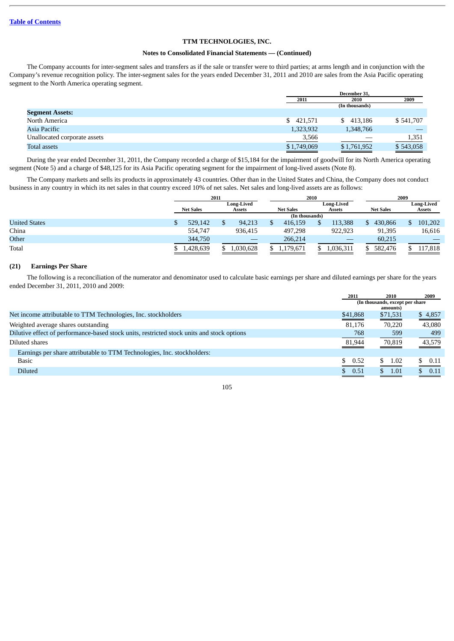### **Notes to Consolidated Financial Statements — (Continued)**

The Company accounts for inter-segment sales and transfers as if the sale or transfer were to third parties; at arms length and in conjunction with the Company's revenue recognition policy. The inter-segment sales for the years ended December 31, 2011 and 2010 are sales from the Asia Pacific operating segment to the North America operating segment.

|                              |             | December 31,   |           |  |
|------------------------------|-------------|----------------|-----------|--|
|                              | 2011        | 2009<br>2010   |           |  |
|                              |             | (In thousands) |           |  |
| <b>Segment Assets:</b>       |             |                |           |  |
| North America                | \$421,571   | 413.186<br>S.  | \$541,707 |  |
| Asia Pacific                 | 1,323,932   | 1,348,766      |           |  |
| Unallocated corporate assets | 3,566       |                | 1,351     |  |
| Total assets                 | \$1,749,069 | \$1,761,952    | \$543,058 |  |

During the year ended December 31, 2011, the Company recorded a charge of \$15,184 for the impairment of goodwill for its North America operating segment (Note 5) and a charge of \$48,125 for its Asia Pacific operating segment for the impairment of long-lived assets (Note 8).

The Company markets and sells its products in approximately 43 countries. Other than in the United States and China, the Company does not conduct business in any country in which its net sales in that country exceed 10% of net sales. Net sales and long-lived assets are as follows:

|                      | 2011             |                                           |                  | 2010 |                             |                  | 2009 |                   |
|----------------------|------------------|-------------------------------------------|------------------|------|-----------------------------|------------------|------|-------------------|
|                      |                  | <b>Long-Lived</b>                         |                  |      | <b>Long-Lived</b>           |                  |      | <b>Long-Lived</b> |
|                      | <b>Net Sales</b> | Assets                                    | <b>Net Sales</b> |      | Assets                      | <b>Net Sales</b> |      | Assets            |
|                      |                  |                                           | (In thousands)   |      |                             |                  |      |                   |
| <b>United States</b> | 529,142          | 94,213                                    | 416,159          |      | 113,388                     | 430.866          |      | 101,202           |
| China                | 554,747          | 936,415                                   | 497,298          |      | 922,923                     | 91,395           |      | 16,616            |
| Other                | 344,750          | $\qquad \qquad \overline{\qquad \qquad }$ | 266,214          |      | $\overbrace{\hspace{15em}}$ | 60,215           |      |                   |
| Total                | 1,428,639        | 1,030,628                                 | 1,179,671        |      | 1,036,311                   | 582,476          |      | 117,818           |

# **(21) Earnings Per Share**

The following is a reconciliation of the numerator and denominator used to calculate basic earnings per share and diluted earnings per share for the years ended December 31, 2011, 2010 and 2009:

|                                                                                            | 2011                             | 2010       | 2009    |
|--------------------------------------------------------------------------------------------|----------------------------------|------------|---------|
|                                                                                            | (In thousands, except per share) |            |         |
|                                                                                            |                                  | amounts)   |         |
| Net income attributable to TTM Technologies, Inc. stockholders                             | \$41,868                         | \$71,531   | \$4,857 |
| Weighted average shares outstanding                                                        | 81.176                           | 70.220     | 43.080  |
| Dilutive effect of performance-based stock units, restricted stock units and stock options | 768                              | 599        | 499     |
| Diluted shares                                                                             | 81,944                           | 70,819     | 43,579  |
| Earnings per share attributable to TTM Technologies, Inc. stockholders:                    |                                  |            |         |
| <b>Basic</b>                                                                               | \$0.52                           | \$1.02     | \$0.11  |
| <b>Diluted</b>                                                                             | \$0.51                           | 1.01<br>\$ | \$0.11  |
|                                                                                            |                                  |            |         |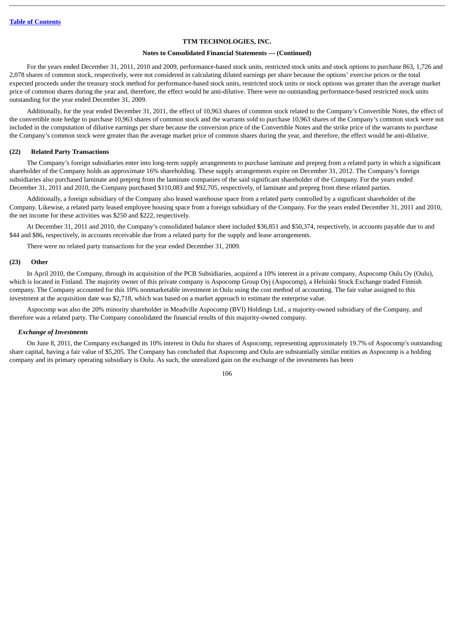### **Notes to Consolidated Financial Statements — (Continued)**

For the years ended December 31, 2011, 2010 and 2009, performance-based stock units, restricted stock units and stock options to purchase 863, 1,726 and 2,078 shares of common stock, respectively, were not considered in calculating diluted earnings per share because the options' exercise prices or the total expected proceeds under the treasury stock method for performance-based stock units, restricted stock units or stock options was greater than the average market price of common shares during the year and, therefore, the effect would be anti-dilutive. There were no outstanding performance-based restricted stock units outstanding for the year ended December 31, 2009.

Additionally, for the year ended December 31, 2011, the effect of 10,963 shares of common stock related to the Company's Convertible Notes, the effect of the convertible note hedge to purchase 10,963 shares of common stock and the warrants sold to purchase 10,963 shares of the Company's common stock were not included in the computation of dilutive earnings per share because the conversion price of the Convertible Notes and the strike price of the warrants to purchase the Company's common stock were greater than the average market price of common shares during the year, and therefore, the effect would be anti-dilutive.

### **(22) Related Party Transactions**

The Company's foreign subsidiaries enter into long-term supply arrangements to purchase laminate and prepreg from a related party in which a significant shareholder of the Company holds an approximate 16% shareholding. These supply arrangements expire on December 31, 2012. The Company's foreign subsidiaries also purchased laminate and prepreg from the laminate companies of the said significant shareholder of the Company. For the years ended December 31, 2011 and 2010, the Company purchased \$110,083 and \$92,705, respectively, of laminate and prepreg from these related parties.

Additionally, a foreign subsidiary of the Company also leased warehouse space from a related party controlled by a significant shareholder of the Company. Likewise, a related party leased employee housing space from a foreign subsidiary of the Company. For the years ended December 31, 2011 and 2010, the net income for these activities was \$250 and \$222, respectively.

At December 31, 2011 and 2010, the Company's consolidated balance sheet included \$36,851 and \$50,374, respectively, in accounts payable due to and \$44 and \$86, respectively, in accounts receivable due from a related party for the supply and lease arrangements.

There were no related party transactions for the year ended December 31, 2009.

## **(23) Other**

In April 2010, the Company, through its acquisition of the PCB Subsidiaries, acquired a 10% interest in a private company, Aspocomp Oulu Oy (Oulu), which is located in Finland. The majority owner of this private company is Aspocomp Group Oyj (Aspocomp), a Helsinki Stock Exchange traded Finnish company. The Company accounted for this 10% nonmarketable investment in Oulu using the cost method of accounting. The fair value assigned to this investment at the acquisition date was \$2,718, which was based on a market approach to estimate the enterprise value.

Aspocomp was also the 20% minority shareholder in Meadville Aspocomp (BVI) Holdings Ltd., a majority-owned subsidiary of the Company, and therefore was a related party. The Company consolidated the financial results of this majority-owned company.

#### *Exchange of Investments*

On June 8, 2011, the Company exchanged its 10% interest in Oulu for shares of Aspocomp, representing approximately 19.7% of Aspocomp's outstanding share capital, having a fair value of \$5,205. The Company has concluded that Aspocomp and Oulu are substantially similar entities as Aspocomp is a holding company and its primary operating subsidiary is Oulu. As such, the unrealized gain on the exchange of the investments has been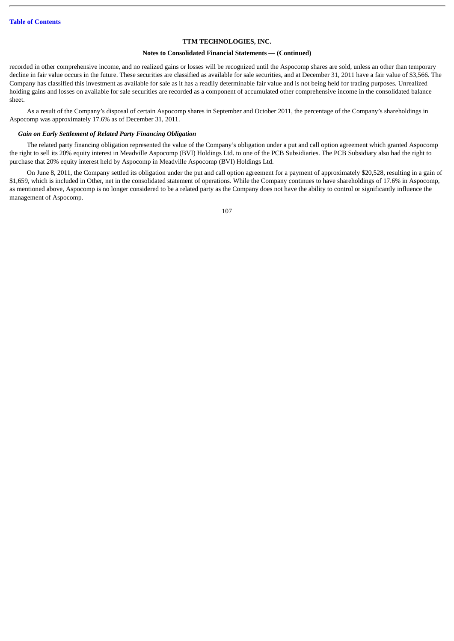### **Notes to Consolidated Financial Statements — (Continued)**

recorded in other comprehensive income, and no realized gains or losses will be recognized until the Aspocomp shares are sold, unless an other than temporary decline in fair value occurs in the future. These securities are classified as available for sale securities, and at December 31, 2011 have a fair value of \$3,566. The Company has classified this investment as available for sale as it has a readily determinable fair value and is not being held for trading purposes. Unrealized holding gains and losses on available for sale securities are recorded as a component of accumulated other comprehensive income in the consolidated balance sheet.

As a result of the Company's disposal of certain Aspocomp shares in September and October 2011, the percentage of the Company's shareholdings in Aspocomp was approximately 17.6% as of December 31, 2011.

### *Gain on Early Settlement of Related Party Financing Obligation*

The related party financing obligation represented the value of the Company's obligation under a put and call option agreement which granted Aspocomp the right to sell its 20% equity interest in Meadville Aspocomp (BVI) Holdings Ltd. to one of the PCB Subsidiaries. The PCB Subsidiary also had the right to purchase that 20% equity interest held by Aspocomp in Meadville Aspocomp (BVI) Holdings Ltd.

On June 8, 2011, the Company settled its obligation under the put and call option agreement for a payment of approximately \$20,528, resulting in a gain of \$1,659, which is included in Other, net in the consolidated statement of operations. While the Company continues to have shareholdings of 17.6% in Aspocomp, as mentioned above, Aspocomp is no longer considered to be a related party as the Company does not have the ability to control or significantly influence the management of Aspocomp.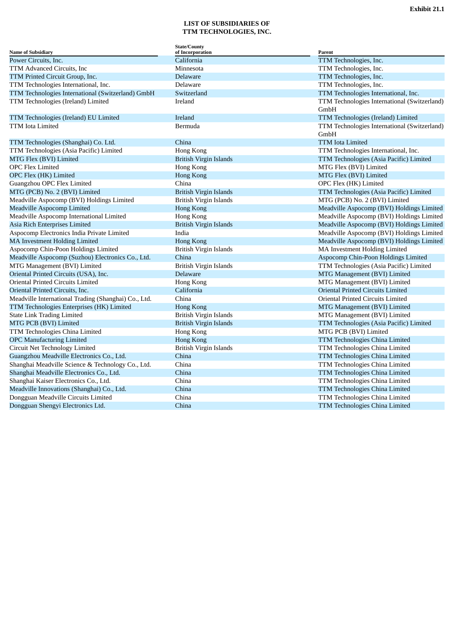# **LIST OF SUBSIDIARIES OF TTM TECHNOLOGIES, INC.**

|                                                      | <b>State/County</b>           |                                                      |
|------------------------------------------------------|-------------------------------|------------------------------------------------------|
| <b>Name of Subsidiary</b>                            | of Incorporation              | Parent                                               |
| Power Circuits, Inc.<br>TTM Advanced Circuits, Inc   | California<br>Minnesota       | TTM Technologies, Inc.<br>TTM Technologies, Inc.     |
|                                                      | Delaware                      |                                                      |
| TTM Printed Circuit Group, Inc.                      |                               | TTM Technologies, Inc.                               |
| TTM Technologies International, Inc.                 | Delaware                      | TTM Technologies, Inc.                               |
| TTM Technologies International (Switzerland) GmbH    | Switzerland                   | TTM Technologies International, Inc.                 |
| TTM Technologies (Ireland) Limited                   | Ireland                       | TTM Technologies International (Switzerland)         |
|                                                      |                               | GmbH                                                 |
| TTM Technologies (Ireland) EU Limited                | Ireland                       | TTM Technologies (Ireland) Limited                   |
| <b>TTM</b> Iota Limited                              | Bermuda                       | TTM Technologies International (Switzerland)<br>GmbH |
| TTM Technologies (Shanghai) Co. Ltd.                 | China                         | <b>TTM</b> Iota Limited                              |
| TTM Technologies (Asia Pacific) Limited              | Hong Kong                     | TTM Technologies International, Inc.                 |
| MTG Flex (BVI) Limited                               | British Virgin Islands        | TTM Technologies (Asia Pacific) Limited              |
| <b>OPC Flex Limited</b>                              | Hong Kong                     | MTG Flex (BVI) Limited                               |
| OPC Flex (HK) Limited                                | Hong Kong                     | MTG Flex (BVI) Limited                               |
| Guangzhou OPC Flex Limited                           | China                         | OPC Flex (HK) Limited                                |
| MTG (PCB) No. 2 (BVI) Limited                        | <b>British Virgin Islands</b> | TTM Technologies (Asia Pacific) Limited              |
| Meadville Aspocomp (BVI) Holdings Limited            | British Virgin Islands        | MTG (PCB) No. 2 (BVI) Limited                        |
| Meadville Aspocomp Limited                           | <b>Hong Kong</b>              | Meadville Aspocomp (BVI) Holdings Limited            |
| Meadville Aspocomp International Limited             | Hong Kong                     | Meadville Aspocomp (BVI) Holdings Limited            |
| Asia Rich Enterprises Limited                        | <b>British Virgin Islands</b> | Meadville Aspocomp (BVI) Holdings Limited            |
| Aspocomp Electronics India Private Limited           | India                         | Meadville Aspocomp (BVI) Holdings Limited            |
| <b>MA Investment Holding Limited</b>                 | Hong Kong                     | Meadville Aspocomp (BVI) Holdings Limited            |
| Aspocomp Chin-Poon Holdings Limited                  | British Virgin Islands        | MA Investment Holding Limited                        |
| Meadville Aspocomp (Suzhou) Electronics Co., Ltd.    | China                         | Aspocomp Chin-Poon Holdings Limited                  |
| MTG Management (BVI) Limited                         | British Virgin Islands        | TTM Technologies (Asia Pacific) Limited              |
| Oriental Printed Circuits (USA), Inc.                | Delaware                      | MTG Management (BVI) Limited                         |
| Oriental Printed Circuits Limited                    | Hong Kong                     | MTG Management (BVI) Limited                         |
| Oriental Printed Circuits, Inc.                      | California                    | <b>Oriental Printed Circuits Limited</b>             |
| Meadville International Trading (Shanghai) Co., Ltd. | China                         | Oriental Printed Circuits Limited                    |
| TTM Technologies Enterprises (HK) Limited            | <b>Hong Kong</b>              | MTG Management (BVI) Limited                         |
| <b>State Link Trading Limited</b>                    | British Virgin Islands        | MTG Management (BVI) Limited                         |
| MTG PCB (BVI) Limited                                | <b>British Virgin Islands</b> | TTM Technologies (Asia Pacific) Limited              |
| TTM Technologies China Limited                       | Hong Kong                     | MTG PCB (BVI) Limited                                |
| <b>OPC Manufacturing Limited</b>                     | <b>Hong Kong</b>              | TTM Technologies China Limited                       |
| Circuit Net Technology Limited                       | British Virgin Islands        | TTM Technologies China Limited                       |
| Guangzhou Meadville Electronics Co., Ltd.            | China                         | TTM Technologies China Limited                       |
| Shanghai Meadville Science & Technology Co., Ltd.    | China                         | TTM Technologies China Limited                       |
| Shanghai Meadville Electronics Co., Ltd.             | China                         | TTM Technologies China Limited                       |
| Shanghai Kaiser Electronics Co., Ltd.                | China                         | TTM Technologies China Limited                       |
| Meadville Innovations (Shanghai) Co., Ltd.           | China                         | TTM Technologies China Limited                       |
| Dongguan Meadville Circuits Limited                  | China                         | TTM Technologies China Limited                       |
| Dongguan Shengyi Electronics Ltd.                    | China                         | <b>TTM Technologies China Limited</b>                |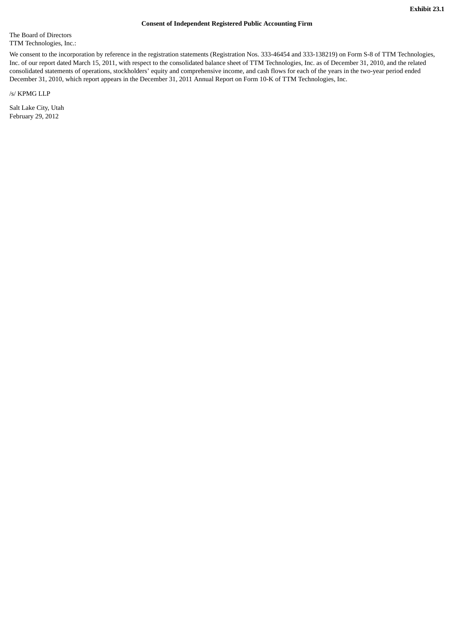## **Consent of Independent Registered Public Accounting Firm**

The Board of Directors TTM Technologies, Inc.:

We consent to the incorporation by reference in the registration statements (Registration Nos. 333-46454 and 333-138219) on Form S-8 of TTM Technologies, Inc. of our report dated March 15, 2011, with respect to the consolidated balance sheet of TTM Technologies, Inc. as of December 31, 2010, and the related consolidated statements of operations, stockholders' equity and comprehensive income, and cash flows for each of the years in the two-year period ended December 31, 2010, which report appears in the December 31, 2011 Annual Report on Form 10-K of TTM Technologies, Inc.

/s/ KPMG LLP

Salt Lake City, Utah February 29, 2012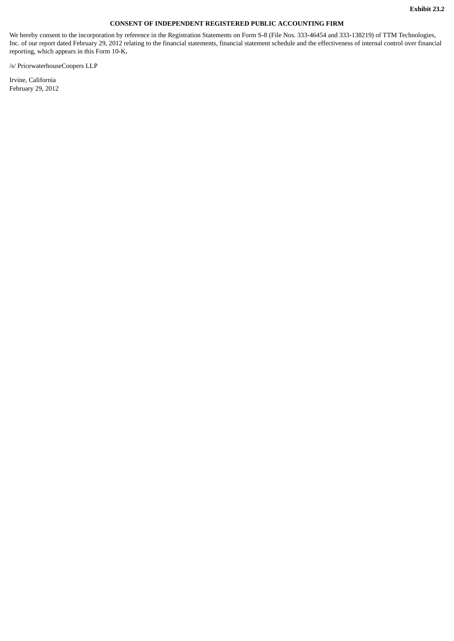# **CONSENT OF INDEPENDENT REGISTERED PUBLIC ACCOUNTING FIRM**

We hereby consent to the incorporation by reference in the Registration Statements on Form S-8 (File Nos. 333-46454 and 333-138219) of TTM Technologies, Inc. of our report dated February 29, 2012 relating to the financial statements, financial statement schedule and the effectiveness of internal control over financial reporting, which appears in this Form 10-K**.**

/s/ PricewaterhouseCoopers LLP

Irvine, California February 29, 2012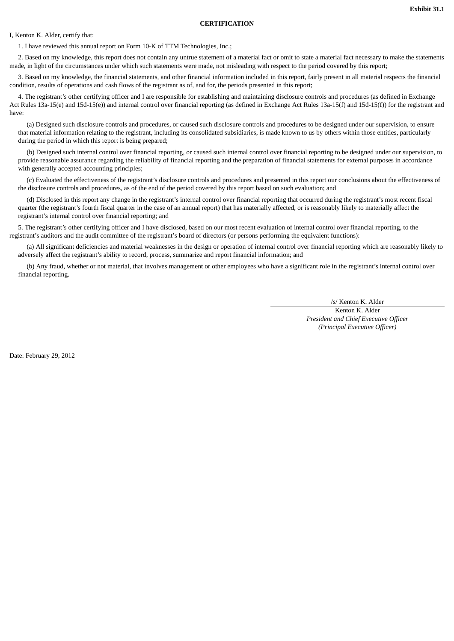#### **CERTIFICATION**

I, Kenton K. Alder, certify that:

1. I have reviewed this annual report on Form 10-K of TTM Technologies, Inc.;

2. Based on my knowledge, this report does not contain any untrue statement of a material fact or omit to state a material fact necessary to make the statements made, in light of the circumstances under which such statements were made, not misleading with respect to the period covered by this report;

3. Based on my knowledge, the financial statements, and other financial information included in this report, fairly present in all material respects the financial condition, results of operations and cash flows of the registrant as of, and for, the periods presented in this report;

4. The registrant's other certifying officer and I are responsible for establishing and maintaining disclosure controls and procedures (as defined in Exchange Act Rules 13a-15(e) and 15d-15(e)) and internal control over financial reporting (as defined in Exchange Act Rules 13a-15(f) and 15d-15(f)) for the registrant and have:

(a) Designed such disclosure controls and procedures, or caused such disclosure controls and procedures to be designed under our supervision, to ensure that material information relating to the registrant, including its consolidated subsidiaries, is made known to us by others within those entities, particularly during the period in which this report is being prepared;

(b) Designed such internal control over financial reporting, or caused such internal control over financial reporting to be designed under our supervision, to provide reasonable assurance regarding the reliability of financial reporting and the preparation of financial statements for external purposes in accordance with generally accepted accounting principles;

(c) Evaluated the effectiveness of the registrant's disclosure controls and procedures and presented in this report our conclusions about the effectiveness of the disclosure controls and procedures, as of the end of the period covered by this report based on such evaluation; and

(d) Disclosed in this report any change in the registrant's internal control over financial reporting that occurred during the registrant's most recent fiscal quarter (the registrant's fourth fiscal quarter in the case of an annual report) that has materially affected, or is reasonably likely to materially affect the registrant's internal control over financial reporting; and

5. The registrant's other certifying officer and I have disclosed, based on our most recent evaluation of internal control over financial reporting, to the registrant's auditors and the audit committee of the registrant's board of directors (or persons performing the equivalent functions):

(a) All significant deficiencies and material weaknesses in the design or operation of internal control over financial reporting which are reasonably likely to adversely affect the registrant's ability to record, process, summarize and report financial information; and

(b) Any fraud, whether or not material, that involves management or other employees who have a significant role in the registrant's internal control over financial reporting.

/s/ Kenton K. Alder

Kenton K. Alder *President and Chief Executive Officer (Principal Executive Officer)*

Date: February 29, 2012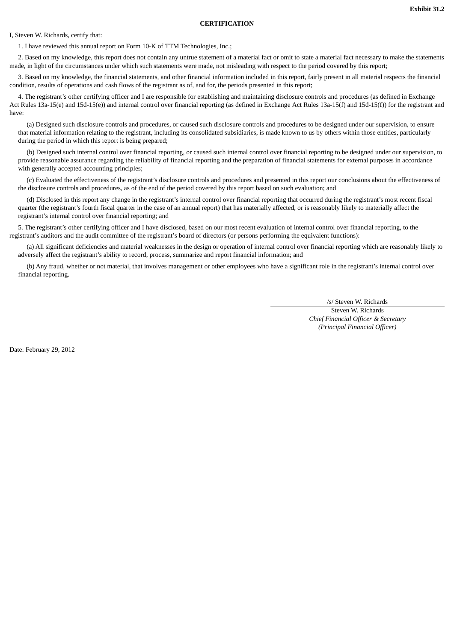### **CERTIFICATION**

I, Steven W. Richards, certify that:

1. I have reviewed this annual report on Form 10-K of TTM Technologies, Inc.;

2. Based on my knowledge, this report does not contain any untrue statement of a material fact or omit to state a material fact necessary to make the statements made, in light of the circumstances under which such statements were made, not misleading with respect to the period covered by this report;

3. Based on my knowledge, the financial statements, and other financial information included in this report, fairly present in all material respects the financial condition, results of operations and cash flows of the registrant as of, and for, the periods presented in this report;

4. The registrant's other certifying officer and I are responsible for establishing and maintaining disclosure controls and procedures (as defined in Exchange Act Rules 13a-15(e) and 15d-15(e)) and internal control over financial reporting (as defined in Exchange Act Rules 13a-15(f) and 15d-15(f)) for the registrant and have:

(a) Designed such disclosure controls and procedures, or caused such disclosure controls and procedures to be designed under our supervision, to ensure that material information relating to the registrant, including its consolidated subsidiaries, is made known to us by others within those entities, particularly during the period in which this report is being prepared;

(b) Designed such internal control over financial reporting, or caused such internal control over financial reporting to be designed under our supervision, to provide reasonable assurance regarding the reliability of financial reporting and the preparation of financial statements for external purposes in accordance with generally accepted accounting principles;

(c) Evaluated the effectiveness of the registrant's disclosure controls and procedures and presented in this report our conclusions about the effectiveness of the disclosure controls and procedures, as of the end of the period covered by this report based on such evaluation; and

(d) Disclosed in this report any change in the registrant's internal control over financial reporting that occurred during the registrant's most recent fiscal quarter (the registrant's fourth fiscal quarter in the case of an annual report) that has materially affected, or is reasonably likely to materially affect the registrant's internal control over financial reporting; and

5. The registrant's other certifying officer and I have disclosed, based on our most recent evaluation of internal control over financial reporting, to the registrant's auditors and the audit committee of the registrant's board of directors (or persons performing the equivalent functions):

(a) All significant deficiencies and material weaknesses in the design or operation of internal control over financial reporting which are reasonably likely to adversely affect the registrant's ability to record, process, summarize and report financial information; and

(b) Any fraud, whether or not material, that involves management or other employees who have a significant role in the registrant's internal control over financial reporting.

/s/ Steven W. Richards

Steven W. Richards *Chief Financial Officer & Secretary (Principal Financial Officer)*

Date: February 29, 2012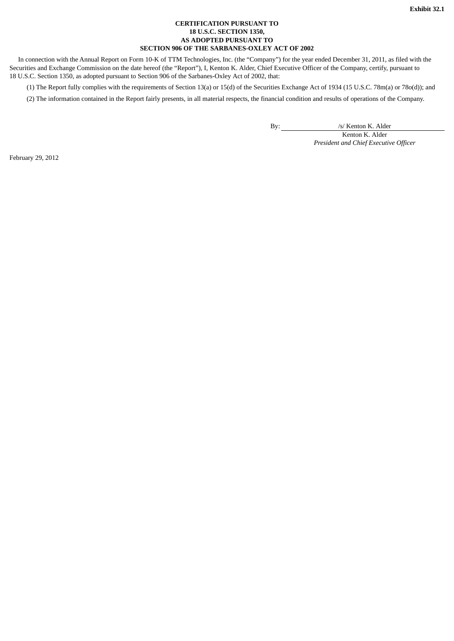## **CERTIFICATION PURSUANT TO 18 U.S.C. SECTION 1350, AS ADOPTED PURSUANT TO SECTION 906 OF THE SARBANES-OXLEY ACT OF 2002**

In connection with the Annual Report on Form 10-K of TTM Technologies, Inc. (the "Company") for the year ended December 31, 2011, as filed with the Securities and Exchange Commission on the date hereof (the "Report"), I, Kenton K. Alder, Chief Executive Officer of the Company, certify, pursuant to 18 U.S.C. Section 1350, as adopted pursuant to Section 906 of the Sarbanes-Oxley Act of 2002, that:

(1) The Report fully complies with the requirements of Section 13(a) or 15(d) of the Securities Exchange Act of 1934 (15 U.S.C. 78m(a) or 78o(d)); and

(2) The information contained in the Report fairly presents, in all material respects, the financial condition and results of operations of the Company.

By: /s/ Kenton K. Alder

Kenton K. Alder *President and Chief Executive Officer*

February 29, 2012